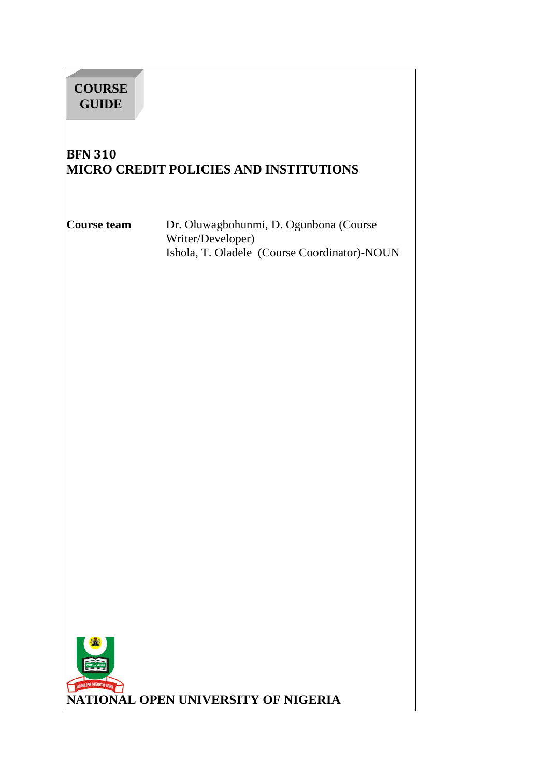| <b>COURSE</b><br><b>GUIDE</b>       |                                                                                                             |
|-------------------------------------|-------------------------------------------------------------------------------------------------------------|
| <b>BFN 310</b>                      | MICRO CREDIT POLICIES AND INSTITUTIONS                                                                      |
| <b>Course team</b>                  | Dr. Oluwagbohunmi, D. Ogunbona (Course<br>Writer/Developer)<br>Ishola, T. Oladele (Course Coordinator)-NOUN |
|                                     |                                                                                                             |
|                                     |                                                                                                             |
|                                     |                                                                                                             |
|                                     |                                                                                                             |
|                                     |                                                                                                             |
|                                     |                                                                                                             |
| NUTTINAL DPER UNIVERSITY OF NICERAL | NATIONAL OPEN UNIVERSITY OF NIGERIA                                                                         |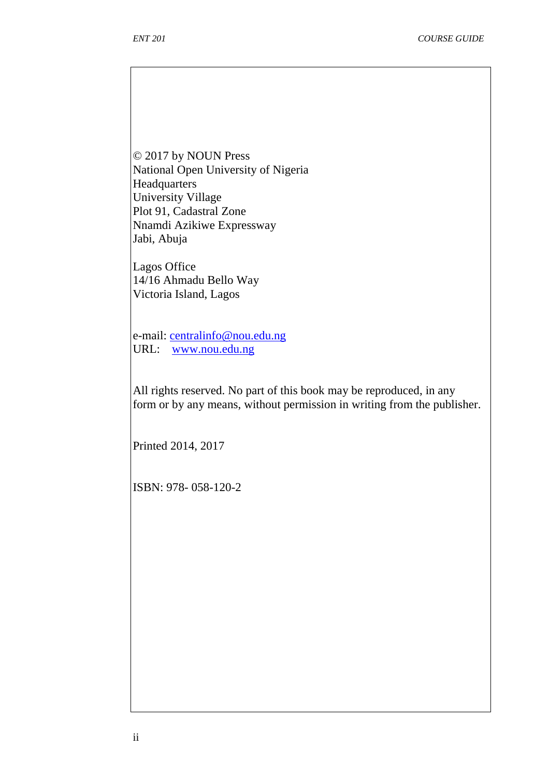© 2017 by NOUN Press National Open University of Nigeria **Headquarters** University Village Plot 91, Cadastral Zone Nnamdi Azikiwe Expressway Jabi, Abuja

Lagos Office 14/16 Ahmadu Bello Way Victoria Island, Lagos

e-mail: centralinfo@nou.edu.ng URL: www.nou.edu.ng

All rights reserved. No part of this book may be reproduced, in any form or by any means, without permission in writing from the publisher.

Printed 2014, 2017

ISBN: 978- 058-120-2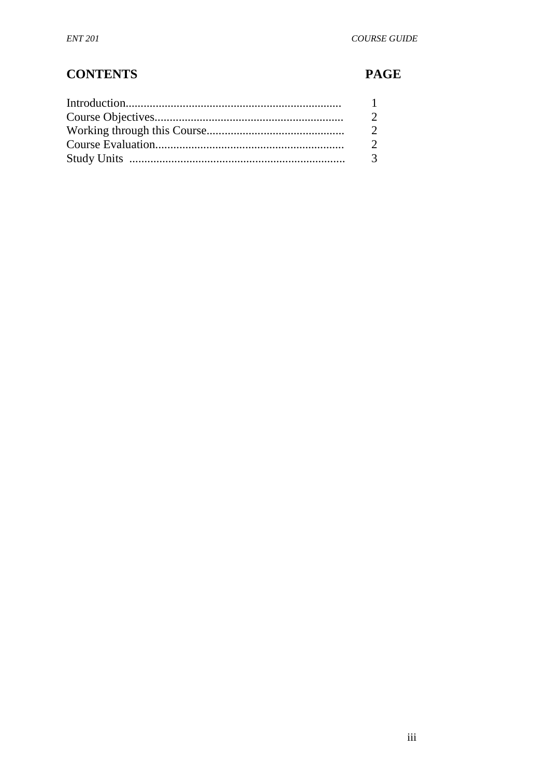# **CONTENTS**

# **PAGE**

| $\mathbf{1}$ |
|--------------|
| 2            |
| 2            |
| 2            |
| 3            |
|              |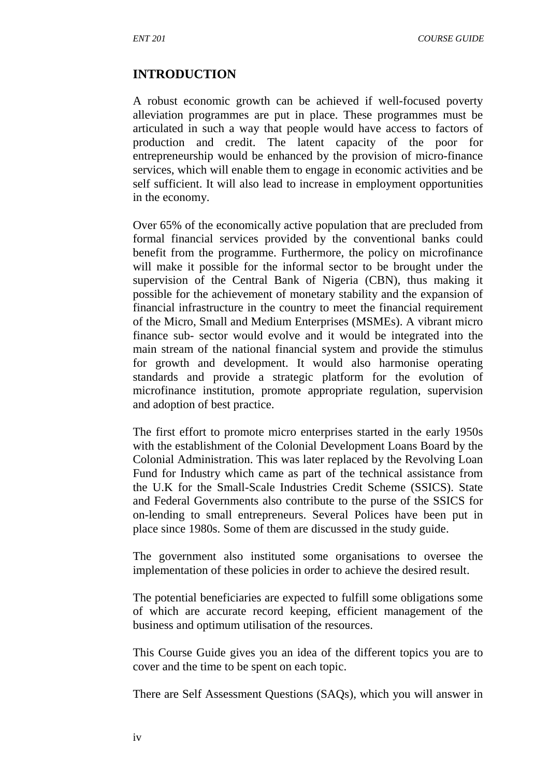#### **INTRODUCTION**

A robust economic growth can be achieved if well-focused poverty alleviation programmes are put in place. These programmes must be articulated in such a way that people would have access to factors of production and credit. The latent capacity of the poor for entrepreneurship would be enhanced by the provision of micro-finance services, which will enable them to engage in economic activities and be self sufficient. It will also lead to increase in employment opportunities in the economy.

Over 65% of the economically active population that are precluded from formal financial services provided by the conventional banks could benefit from the programme. Furthermore, the policy on microfinance will make it possible for the informal sector to be brought under the supervision of the Central Bank of Nigeria (CBN), thus making it possible for the achievement of monetary stability and the expansion of financial infrastructure in the country to meet the financial requirement of the Micro, Small and Medium Enterprises (MSMEs). A vibrant micro finance sub- sector would evolve and it would be integrated into the main stream of the national financial system and provide the stimulus for growth and development. It would also harmonise operating standards and provide a strategic platform for the evolution of microfinance institution, promote appropriate regulation, supervision and adoption of best practice.

The first effort to promote micro enterprises started in the early 1950s with the establishment of the Colonial Development Loans Board by the Colonial Administration. This was later replaced by the Revolving Loan Fund for Industry which came as part of the technical assistance from the U.K for the Small-Scale Industries Credit Scheme (SSICS). State and Federal Governments also contribute to the purse of the SSICS for on-lending to small entrepreneurs. Several Polices have been put in place since 1980s. Some of them are discussed in the study guide.

The government also instituted some organisations to oversee the implementation of these policies in order to achieve the desired result.

The potential beneficiaries are expected to fulfill some obligations some of which are accurate record keeping, efficient management of the business and optimum utilisation of the resources.

This Course Guide gives you an idea of the different topics you are to cover and the time to be spent on each topic.

There are Self Assessment Questions (SAQs), which you will answer in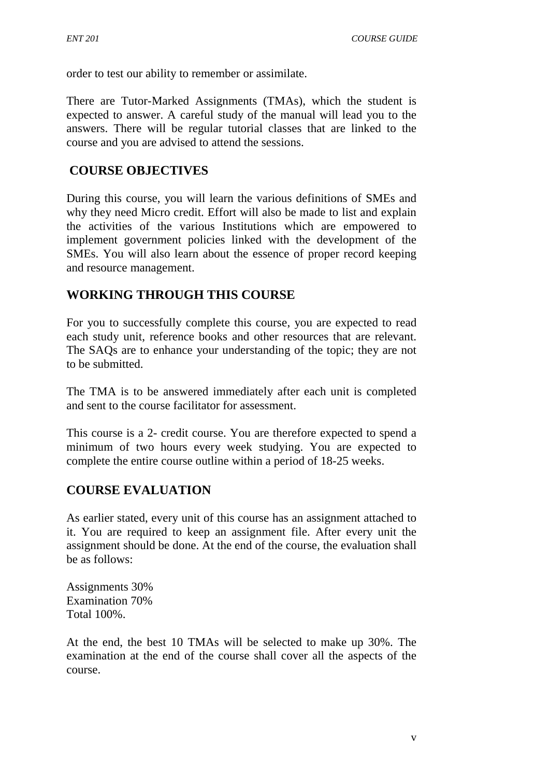order to test our ability to remember or assimilate.

There are Tutor-Marked Assignments (TMAs), which the student is expected to answer. A careful study of the manual will lead you to the answers. There will be regular tutorial classes that are linked to the course and you are advised to attend the sessions.

### **COURSE OBJECTIVES**

During this course, you will learn the various definitions of SMEs and why they need Micro credit. Effort will also be made to list and explain the activities of the various Institutions which are empowered to implement government policies linked with the development of the SMEs. You will also learn about the essence of proper record keeping and resource management.

# **WORKING THROUGH THIS COURSE**

For you to successfully complete this course, you are expected to read each study unit, reference books and other resources that are relevant. The SAQs are to enhance your understanding of the topic; they are not to be submitted.

The TMA is to be answered immediately after each unit is completed and sent to the course facilitator for assessment.

This course is a 2- credit course. You are therefore expected to spend a minimum of two hours every week studying. You are expected to complete the entire course outline within a period of 18-25 weeks.

### **COURSE EVALUATION**

As earlier stated, every unit of this course has an assignment attached to it. You are required to keep an assignment file. After every unit the assignment should be done. At the end of the course, the evaluation shall be as follows:

Assignments 30% Examination 70% Total 100%.

At the end, the best 10 TMAs will be selected to make up 30%. The examination at the end of the course shall cover all the aspects of the course.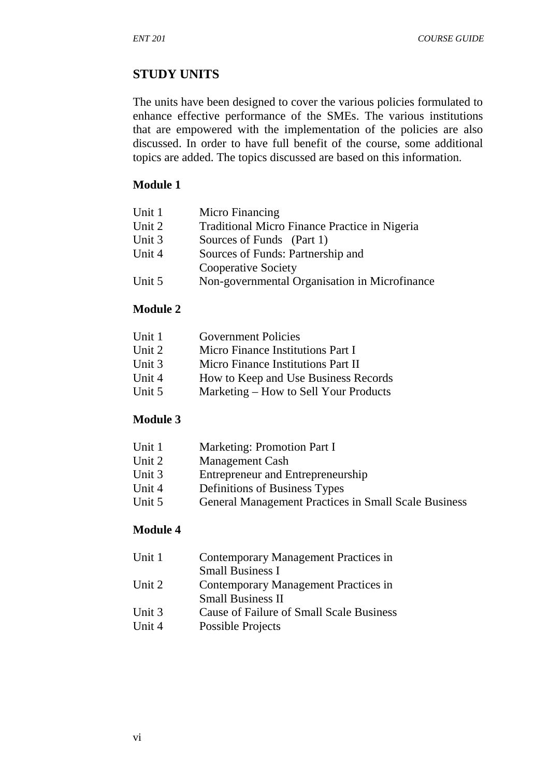### **STUDY UNITS**

The units have been designed to cover the various policies formulated to enhance effective performance of the SMEs. The various institutions that are empowered with the implementation of the policies are also discussed. In order to have full benefit of the course, some additional topics are added. The topics discussed are based on this information.

#### **Module 1**

| Unit 1 | Micro Financing                               |
|--------|-----------------------------------------------|
| Unit 2 | Traditional Micro Finance Practice in Nigeria |
| Unit 3 | Sources of Funds (Part 1)                     |
| Unit 4 | Sources of Funds: Partnership and             |
|        | <b>Cooperative Society</b>                    |
| Unit 5 | Non-governmental Organisation in Microfinance |

### **Module 2**

| Unit 1 | <b>Government Policies</b>            |
|--------|---------------------------------------|
| Unit 2 | Micro Finance Institutions Part I     |
| Unit 3 | Micro Finance Institutions Part II    |
| Unit 4 | How to Keep and Use Business Records  |
| Unit 5 | Marketing – How to Sell Your Products |
|        |                                       |

### **Module 3**

| Unit 1 | Marketing: Promotion Part I |
|--------|-----------------------------|
|--------|-----------------------------|

- Unit 2 Management Cash
- Unit 3 Entrepreneur and Entrepreneurship
- Unit 4 Definitions of Business Types<br>Unit 5 General Management Practices
- General Management Practices in Small Scale Business

#### **Module 4**

| Unit 1 | Contemporary Management Practices in     |
|--------|------------------------------------------|
|        | <b>Small Business I</b>                  |
| Unit 2 | Contemporary Management Practices in     |
|        | <b>Small Business II</b>                 |
| Unit 3 | Cause of Failure of Small Scale Business |
| Unit 4 | Possible Projects                        |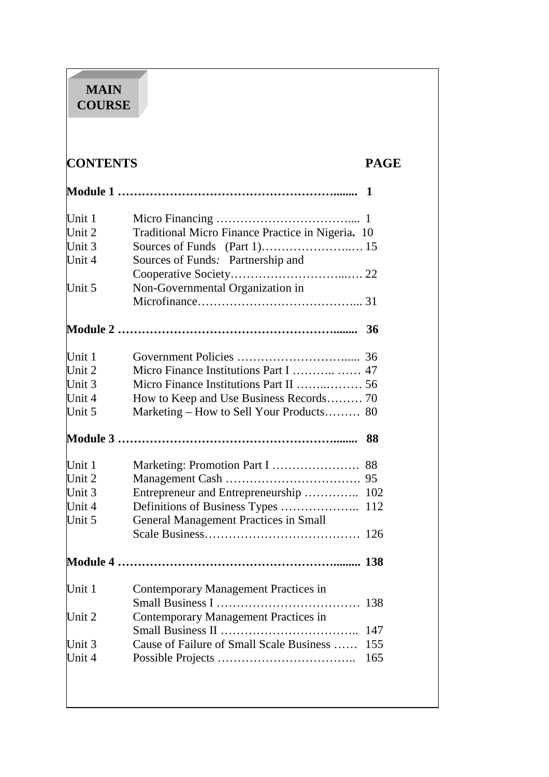# **MAIN COURSE**

# **CONTENTS PAGE**

| Unit 1   |                                                   |     |
|----------|---------------------------------------------------|-----|
| Unit $2$ | Traditional Micro Finance Practice in Nigeria. 10 |     |
| Unit $3$ |                                                   |     |
| Unit 4   | Sources of Funds: Partnership and                 |     |
|          |                                                   |     |
| Unit 5   | Non-Governmental Organization in                  |     |
|          |                                                   |     |
|          |                                                   | 36  |
| Unit 1   |                                                   |     |
| Unit $2$ |                                                   |     |
| Unit 3   | Micro Finance Institutions Part II  56            |     |
| Unit 4   | How to Keep and Use Business Records 70           |     |
| Unit 5   | Marketing – How to Sell Your Products 80          |     |
|          |                                                   | 88  |
| Unit $1$ | Marketing: Promotion Part I                       | 88  |
| Unit 2   |                                                   | 95  |
| Unit $3$ | Entrepreneur and Entrepreneurship                 | 102 |
| Unit 4   |                                                   | 112 |
| Unit 5   | <b>General Management Practices in Small</b>      |     |
|          |                                                   | 126 |
|          |                                                   |     |
| Unit 1   | Contemporary Management Practices in              |     |
|          |                                                   |     |
| Unit $2$ | Contemporary Management Practices in              |     |
|          |                                                   | 147 |
| Unit 3   | Cause of Failure of Small Scale Business          | 155 |
| Unit 4   |                                                   | 165 |
|          |                                                   |     |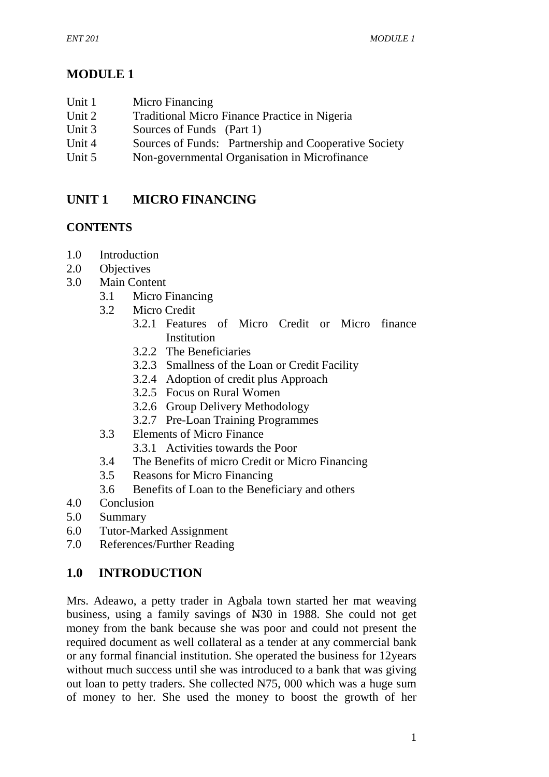# **MODULE 1**

| Unit 1 | Micro Financing |
|--------|-----------------|
|        |                 |

- Unit 2 Traditional Micro Finance Practice in Nigeria
- Unit 3 Sources of Funds (Part 1)
- Unit 4 Sources of Funds: Partnership and Cooperative Society
- Unit 5 Non-governmental Organisation in Microfinance

# **UNIT 1 MICRO FINANCING**

# **CONTENTS**

- 1.0 Introduction
- 2.0 Objectives
- 3.0 Main Content
	- 3.1 Micro Financing
	- 3.2 Micro Credit
		- 3.2.1 Features of Micro Credit or Micro finance Institution
		- 3.2.2 The Beneficiaries
		- 3.2.3 Smallness of the Loan or Credit Facility
		- 3.2.4 Adoption of credit plus Approach
		- 3.2.5 Focus on Rural Women
		- 3.2.6 Group Delivery Methodology
		- 3.2.7 Pre-Loan Training Programmes
	- 3.3 Elements of Micro Finance
		- 3.3.1 Activities towards the Poor
	- 3.4 The Benefits of micro Credit or Micro Financing
	- 3.5 Reasons for Micro Financing
	- 3.6 Benefits of Loan to the Beneficiary and others
- 4.0 Conclusion
- 5.0 Summary
- 6.0 Tutor-Marked Assignment
- 7.0 References/Further Reading

# **1.0 INTRODUCTION**

Mrs. Adeawo, a petty trader in Agbala town started her mat weaving business, using a family savings of N30 in 1988. She could not get money from the bank because she was poor and could not present the required document as well collateral as a tender at any commercial bank or any formal financial institution. She operated the business for 12years without much success until she was introduced to a bank that was giving out loan to petty traders. She collected N75, 000 which was a huge sum of money to her. She used the money to boost the growth of her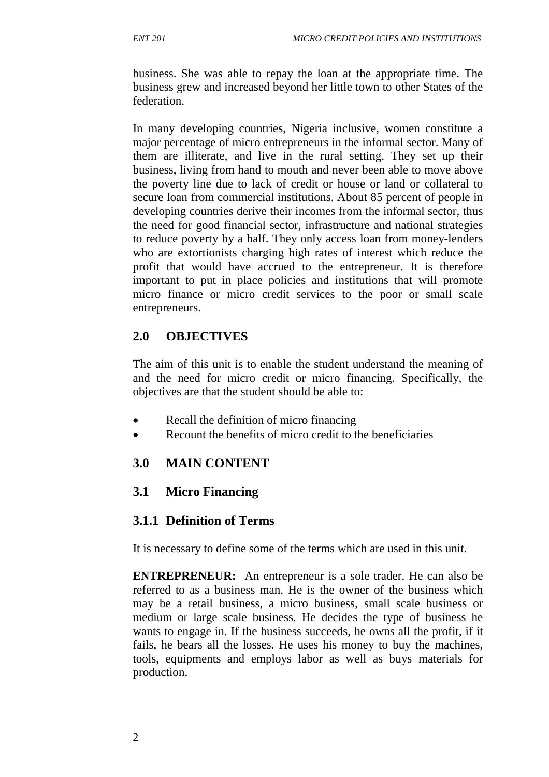business. She was able to repay the loan at the appropriate time. The business grew and increased beyond her little town to other States of the federation.

In many developing countries, Nigeria inclusive, women constitute a major percentage of micro entrepreneurs in the informal sector. Many of them are illiterate, and live in the rural setting. They set up their business, living from hand to mouth and never been able to move above the poverty line due to lack of credit or house or land or collateral to secure loan from commercial institutions. About 85 percent of people in developing countries derive their incomes from the informal sector, thus the need for good financial sector, infrastructure and national strategies to reduce poverty by a half. They only access loan from money-lenders who are extortionists charging high rates of interest which reduce the profit that would have accrued to the entrepreneur. It is therefore important to put in place policies and institutions that will promote micro finance or micro credit services to the poor or small scale entrepreneurs.

# **2.0 OBJECTIVES**

The aim of this unit is to enable the student understand the meaning of and the need for micro credit or micro financing. Specifically, the objectives are that the student should be able to:

- Recall the definition of micro financing
- Recount the benefits of micro credit to the beneficiaries

# **3.0 MAIN CONTENT**

### **3.1 Micro Financing**

### **3.1.1 Definition of Terms**

It is necessary to define some of the terms which are used in this unit.

**ENTREPRENEUR:** An entrepreneur is a sole trader. He can also be referred to as a business man. He is the owner of the business which may be a retail business, a micro business, small scale business or medium or large scale business. He decides the type of business he wants to engage in. If the business succeeds, he owns all the profit, if it fails, he bears all the losses. He uses his money to buy the machines, tools, equipments and employs labor as well as buys materials for production.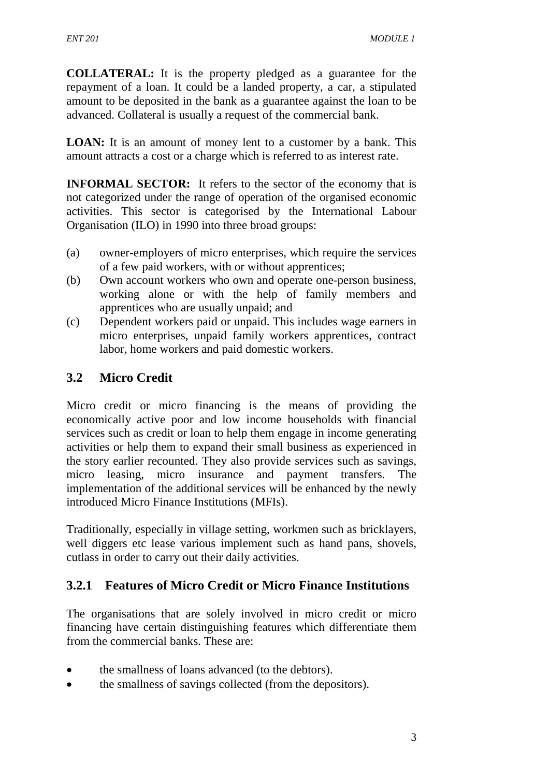**COLLATERAL:** It is the property pledged as a guarantee for the repayment of a loan. It could be a landed property, a car, a stipulated amount to be deposited in the bank as a guarantee against the loan to be advanced. Collateral is usually a request of the commercial bank.

**LOAN:** It is an amount of money lent to a customer by a bank. This amount attracts a cost or a charge which is referred to as interest rate.

**INFORMAL SECTOR:** It refers to the sector of the economy that is not categorized under the range of operation of the organised economic activities. This sector is categorised by the International Labour Organisation (ILO) in 1990 into three broad groups:

- (a) owner-employers of micro enterprises, which require the services of a few paid workers, with or without apprentices;
- (b) Own account workers who own and operate one-person business, working alone or with the help of family members and apprentices who are usually unpaid; and
- (c) Dependent workers paid or unpaid. This includes wage earners in micro enterprises, unpaid family workers apprentices, contract labor, home workers and paid domestic workers.

# **3.2 Micro Credit**

Micro credit or micro financing is the means of providing the economically active poor and low income households with financial services such as credit or loan to help them engage in income generating activities or help them to expand their small business as experienced in the story earlier recounted. They also provide services such as savings, micro leasing, micro insurance and payment transfers. The implementation of the additional services will be enhanced by the newly introduced Micro Finance Institutions (MFIs).

Traditionally, especially in village setting, workmen such as bricklayers, well diggers etc lease various implement such as hand pans, shovels, cutlass in order to carry out their daily activities.

# **3.2.1 Features of Micro Credit or Micro Finance Institutions**

The organisations that are solely involved in micro credit or micro financing have certain distinguishing features which differentiate them from the commercial banks. These are:

- the smallness of loans advanced (to the debtors).
- the smallness of savings collected (from the depositors).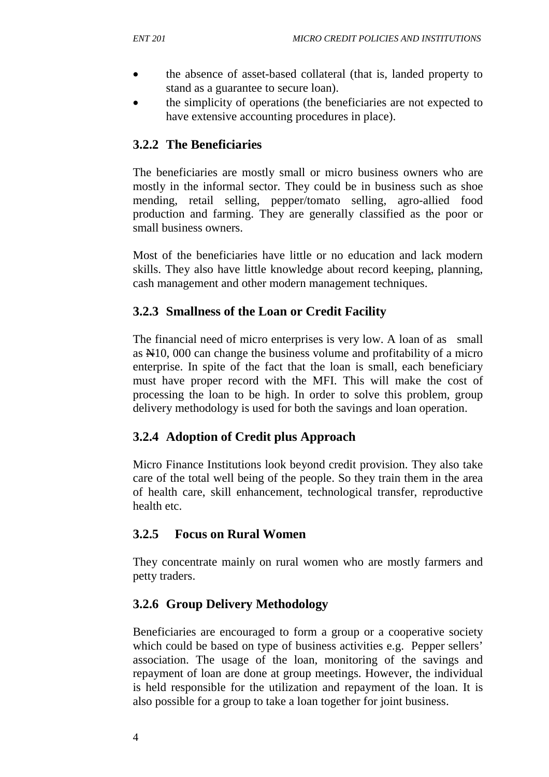- the absence of asset-based collateral (that is, landed property to stand as a guarantee to secure loan).
- the simplicity of operations (the beneficiaries are not expected to have extensive accounting procedures in place).

# **3.2.2 The Beneficiaries**

The beneficiaries are mostly small or micro business owners who are mostly in the informal sector. They could be in business such as shoe mending, retail selling, pepper/tomato selling, agro-allied food production and farming. They are generally classified as the poor or small business owners.

Most of the beneficiaries have little or no education and lack modern skills. They also have little knowledge about record keeping, planning, cash management and other modern management techniques.

### **3.2.3 Smallness of the Loan or Credit Facility**

The financial need of micro enterprises is very low. A loan of as small as N10, 000 can change the business volume and profitability of a micro enterprise. In spite of the fact that the loan is small, each beneficiary must have proper record with the MFI. This will make the cost of processing the loan to be high. In order to solve this problem, group delivery methodology is used for both the savings and loan operation.

### **3.2.4 Adoption of Credit plus Approach**

Micro Finance Institutions look beyond credit provision. They also take care of the total well being of the people. So they train them in the area of health care, skill enhancement, technological transfer, reproductive health etc.

### **3.2.5 Focus on Rural Women**

They concentrate mainly on rural women who are mostly farmers and petty traders.

# **3.2.6 Group Delivery Methodology**

Beneficiaries are encouraged to form a group or a cooperative society which could be based on type of business activities e.g. Pepper sellers' association. The usage of the loan, monitoring of the savings and repayment of loan are done at group meetings. However, the individual is held responsible for the utilization and repayment of the loan. It is also possible for a group to take a loan together for joint business.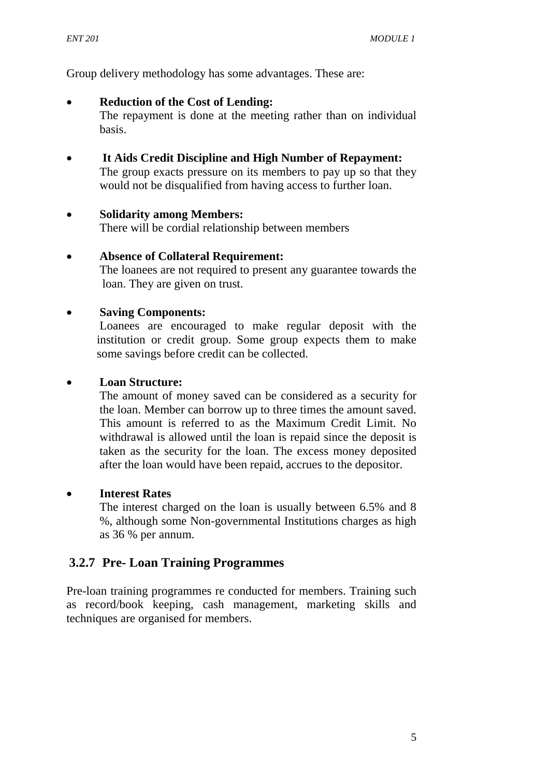Group delivery methodology has some advantages. These are:

#### • **Reduction of the Cost of Lending:**

The repayment is done at the meeting rather than on individual basis.

# • **It Aids Credit Discipline and High Number of Repayment:**

The group exacts pressure on its members to pay up so that they would not be disqualified from having access to further loan.

#### • **Solidarity among Members:**

There will be cordial relationship between members

#### • **Absence of Collateral Requirement:**

The loanees are not required to present any guarantee towards the loan. They are given on trust.

#### • **Saving Components:**

Loanees are encouraged to make regular deposit with the institution or credit group. Some group expects them to make some savings before credit can be collected.

#### • **Loan Structure:**

The amount of money saved can be considered as a security for the loan. Member can borrow up to three times the amount saved. This amount is referred to as the Maximum Credit Limit. No withdrawal is allowed until the loan is repaid since the deposit is taken as the security for the loan. The excess money deposited after the loan would have been repaid, accrues to the depositor.

#### • **Interest Rates**

The interest charged on the loan is usually between 6.5% and 8 %, although some Non-governmental Institutions charges as high as 36 % per annum.

#### **3.2.7 Pre- Loan Training Programmes**

Pre-loan training programmes re conducted for members. Training such as record/book keeping, cash management, marketing skills and techniques are organised for members.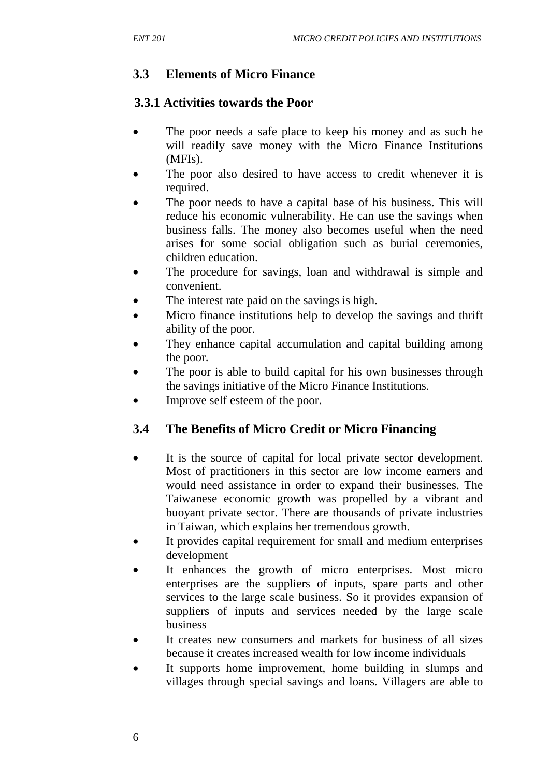# **3.3 Elements of Micro Finance**

### **3.3.1 Activities towards the Poor**

- The poor needs a safe place to keep his money and as such he will readily save money with the Micro Finance Institutions (MFIs).
- The poor also desired to have access to credit whenever it is required.
- The poor needs to have a capital base of his business. This will reduce his economic vulnerability. He can use the savings when business falls. The money also becomes useful when the need arises for some social obligation such as burial ceremonies, children education.
- The procedure for savings, loan and withdrawal is simple and convenient.
- The interest rate paid on the savings is high.
- Micro finance institutions help to develop the savings and thrift ability of the poor.
- They enhance capital accumulation and capital building among the poor.
- The poor is able to build capital for his own businesses through the savings initiative of the Micro Finance Institutions.
- Improve self esteem of the poor.

# **3.4 The Benefits of Micro Credit or Micro Financing**

- It is the source of capital for local private sector development. Most of practitioners in this sector are low income earners and would need assistance in order to expand their businesses. The Taiwanese economic growth was propelled by a vibrant and buoyant private sector. There are thousands of private industries in Taiwan, which explains her tremendous growth.
- It provides capital requirement for small and medium enterprises development
- It enhances the growth of micro enterprises. Most micro enterprises are the suppliers of inputs, spare parts and other services to the large scale business. So it provides expansion of suppliers of inputs and services needed by the large scale business
- It creates new consumers and markets for business of all sizes because it creates increased wealth for low income individuals
- It supports home improvement, home building in slumps and villages through special savings and loans. Villagers are able to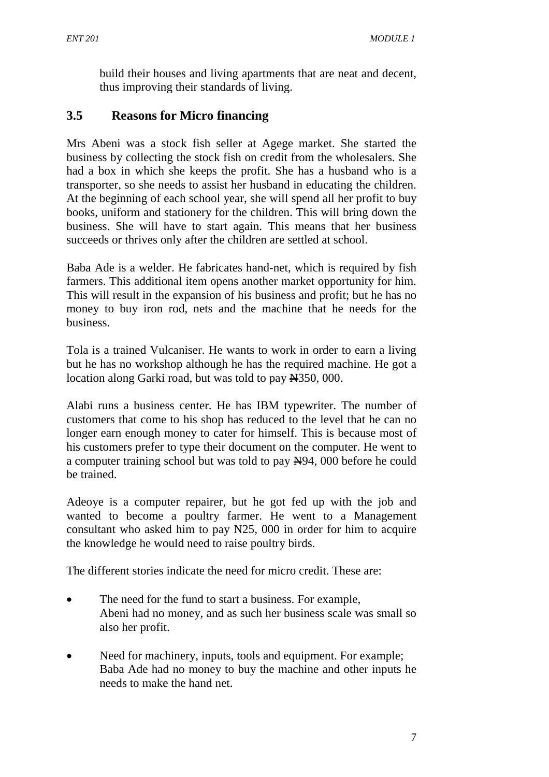build their houses and living apartments that are neat and decent, thus improving their standards of living.

# **3.5 Reasons for Micro financing**

Mrs Abeni was a stock fish seller at Agege market. She started the business by collecting the stock fish on credit from the wholesalers. She had a box in which she keeps the profit. She has a husband who is a transporter, so she needs to assist her husband in educating the children. At the beginning of each school year, she will spend all her profit to buy books, uniform and stationery for the children. This will bring down the business. She will have to start again. This means that her business succeeds or thrives only after the children are settled at school.

Baba Ade is a welder. He fabricates hand-net, which is required by fish farmers. This additional item opens another market opportunity for him. This will result in the expansion of his business and profit; but he has no money to buy iron rod, nets and the machine that he needs for the business.

Tola is a trained Vulcaniser. He wants to work in order to earn a living but he has no workshop although he has the required machine. He got a location along Garki road, but was told to pay  $\frac{N}{350}$ , 000.

Alabi runs a business center. He has IBM typewriter. The number of customers that come to his shop has reduced to the level that he can no longer earn enough money to cater for himself. This is because most of his customers prefer to type their document on the computer. He went to a computer training school but was told to pay  $\frac{N94}{100}$ , 000 before he could be trained.

Adeoye is a computer repairer, but he got fed up with the job and wanted to become a poultry farmer. He went to a Management consultant who asked him to pay N25, 000 in order for him to acquire the knowledge he would need to raise poultry birds.

The different stories indicate the need for micro credit. These are:

- The need for the fund to start a business. For example, Abeni had no money, and as such her business scale was small so also her profit.
- Need for machinery, inputs, tools and equipment. For example; Baba Ade had no money to buy the machine and other inputs he needs to make the hand net.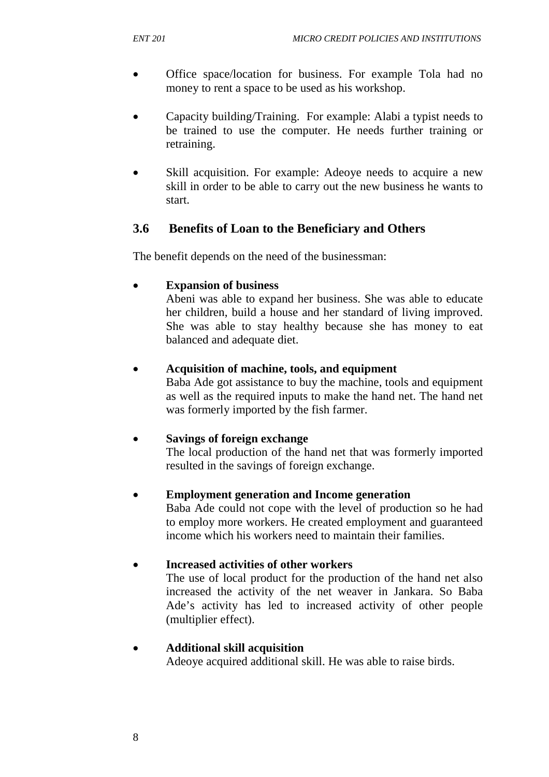- Office space/location for business. For example Tola had no money to rent a space to be used as his workshop.
- Capacity building/Training. For example: Alabi a typist needs to be trained to use the computer. He needs further training or retraining.
- Skill acquisition. For example: Adeoye needs to acquire a new skill in order to be able to carry out the new business he wants to start.

# **3.6 Benefits of Loan to the Beneficiary and Others**

The benefit depends on the need of the businessman:

#### • **Expansion of business**

Abeni was able to expand her business. She was able to educate her children, build a house and her standard of living improved. She was able to stay healthy because she has money to eat balanced and adequate diet.

#### • **Acquisition of machine, tools, and equipment**

Baba Ade got assistance to buy the machine, tools and equipment as well as the required inputs to make the hand net. The hand net was formerly imported by the fish farmer.

#### • **Savings of foreign exchange**

The local production of the hand net that was formerly imported resulted in the savings of foreign exchange.

#### • **Employment generation and Income generation**

Baba Ade could not cope with the level of production so he had to employ more workers. He created employment and guaranteed income which his workers need to maintain their families.

#### • **Increased activities of other workers**

The use of local product for the production of the hand net also increased the activity of the net weaver in Jankara. So Baba Ade's activity has led to increased activity of other people (multiplier effect).

#### • **Additional skill acquisition**

Adeoye acquired additional skill. He was able to raise birds.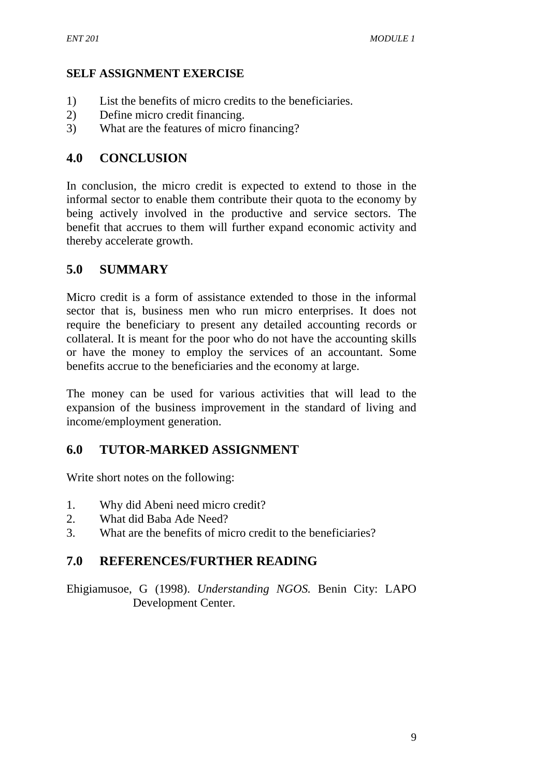### **SELF ASSIGNMENT EXERCISE**

- 1) List the benefits of micro credits to the beneficiaries.
- 2) Define micro credit financing.
- 3) What are the features of micro financing?

### **4.0 CONCLUSION**

In conclusion, the micro credit is expected to extend to those in the informal sector to enable them contribute their quota to the economy by being actively involved in the productive and service sectors. The benefit that accrues to them will further expand economic activity and thereby accelerate growth.

# **5.0 SUMMARY**

Micro credit is a form of assistance extended to those in the informal sector that is, business men who run micro enterprises. It does not require the beneficiary to present any detailed accounting records or collateral. It is meant for the poor who do not have the accounting skills or have the money to employ the services of an accountant. Some benefits accrue to the beneficiaries and the economy at large.

The money can be used for various activities that will lead to the expansion of the business improvement in the standard of living and income/employment generation.

### **6.0 TUTOR-MARKED ASSIGNMENT**

Write short notes on the following:

- 1. Why did Abeni need micro credit?
- 2. What did Baba Ade Need?
- 3. What are the benefits of micro credit to the beneficiaries?

### **7.0 REFERENCES/FURTHER READING**

Ehigiamusoe, G (1998). *Understanding NGOS.* Benin City: LAPO Development Center.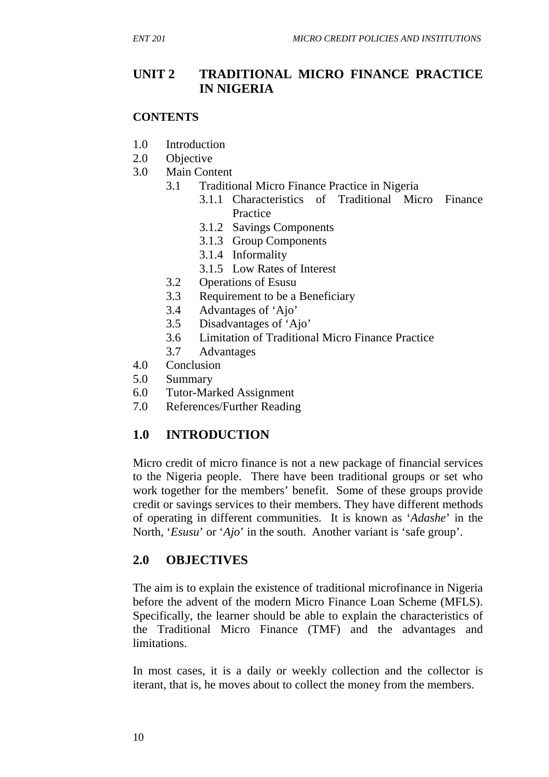# **UNIT 2 TRADITIONAL MICRO FINANCE PRACTICE IN NIGERIA**

#### **CONTENTS**

- 1.0 Introduction
- 2.0 Objective
- 3.0 Main Content
	- 3.1 Traditional Micro Finance Practice in Nigeria
		- 3.1.1 Characteristics of Traditional Micro Finance Practice
		- 3.1.2 Savings Components
		- 3.1.3 Group Components
		- 3.1.4 Informality
		- 3.1.5 Low Rates of Interest
	- 3.2 Operations of Esusu
	- 3.3 Requirement to be a Beneficiary
	- 3.4 Advantages of 'Ajo'
	- 3.5 Disadvantages of 'Ajo'
	- 3.6 Limitation of Traditional Micro Finance Practice
	- 3.7 Advantages
- 4.0 Conclusion
- 5.0 Summary
- 6.0 Tutor-Marked Assignment
- 7.0 References/Further Reading

# **1.0 INTRODUCTION**

Micro credit of micro finance is not a new package of financial services to the Nigeria people. There have been traditional groups or set who work together for the members' benefit. Some of these groups provide credit or savings services to their members. They have different methods of operating in different communities. It is known as '*Adashe*' in the North, '*Esusu*' or '*Ajo*' in the south. Another variant is 'safe group'.

# **2.0 OBJECTIVES**

The aim is to explain the existence of traditional microfinance in Nigeria before the advent of the modern Micro Finance Loan Scheme (MFLS). Specifically, the learner should be able to explain the characteristics of the Traditional Micro Finance (TMF) and the advantages and **limitations** 

In most cases, it is a daily or weekly collection and the collector is iterant, that is, he moves about to collect the money from the members.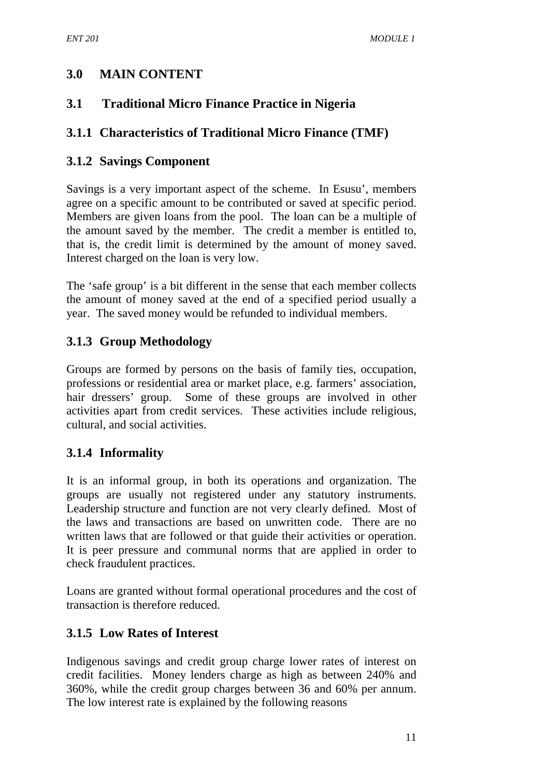# **3.0 MAIN CONTENT**

# **3.1 Traditional Micro Finance Practice in Nigeria**

# **3.1.1 Characteristics of Traditional Micro Finance (TMF)**

### **3.1.2 Savings Component**

Savings is a very important aspect of the scheme. In Esusu', members agree on a specific amount to be contributed or saved at specific period. Members are given loans from the pool. The loan can be a multiple of the amount saved by the member. The credit a member is entitled to, that is, the credit limit is determined by the amount of money saved. Interest charged on the loan is very low.

The 'safe group' is a bit different in the sense that each member collects the amount of money saved at the end of a specified period usually a year. The saved money would be refunded to individual members.

# **3.1.3 Group Methodology**

Groups are formed by persons on the basis of family ties, occupation, professions or residential area or market place, e.g. farmers' association, hair dressers' group. Some of these groups are involved in other activities apart from credit services. These activities include religious, cultural, and social activities.

# **3.1.4 Informality**

It is an informal group, in both its operations and organization. The groups are usually not registered under any statutory instruments. Leadership structure and function are not very clearly defined. Most of the laws and transactions are based on unwritten code. There are no written laws that are followed or that guide their activities or operation. It is peer pressure and communal norms that are applied in order to check fraudulent practices.

Loans are granted without formal operational procedures and the cost of transaction is therefore reduced.

# **3.1.5 Low Rates of Interest**

Indigenous savings and credit group charge lower rates of interest on credit facilities. Money lenders charge as high as between 240% and 360%, while the credit group charges between 36 and 60% per annum. The low interest rate is explained by the following reasons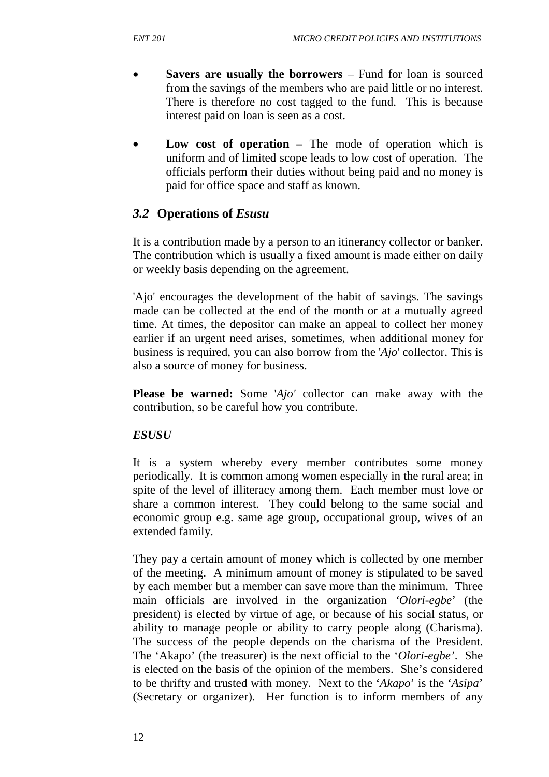- **Savers are usually the borrowers** Fund for loan is sourced from the savings of the members who are paid little or no interest. There is therefore no cost tagged to the fund. This is because interest paid on loan is seen as a cost.
- **Low cost of operation** The mode of operation which is uniform and of limited scope leads to low cost of operation. The officials perform their duties without being paid and no money is paid for office space and staff as known.

### *3.2* **Operations of** *Esusu*

It is a contribution made by a person to an itinerancy collector or banker. The contribution which is usually a fixed amount is made either on daily or weekly basis depending on the agreement.

'Ajo' encourages the development of the habit of savings. The savings made can be collected at the end of the month or at a mutually agreed time. At times, the depositor can make an appeal to collect her money earlier if an urgent need arises, sometimes, when additional money for business is required, you can also borrow from the '*Ajo*' collector. This is also a source of money for business.

**Please be warned:** Some '*Ajo'* collector can make away with the contribution, so be careful how you contribute.

#### *ESUSU*

It is a system whereby every member contributes some money periodically. It is common among women especially in the rural area; in spite of the level of illiteracy among them. Each member must love or share a common interest. They could belong to the same social and economic group e.g. same age group, occupational group, wives of an extended family.

They pay a certain amount of money which is collected by one member of the meeting. A minimum amount of money is stipulated to be saved by each member but a member can save more than the minimum. Three main officials are involved in the organization *'Olori-egbe*' (the president) is elected by virtue of age, or because of his social status, or ability to manage people or ability to carry people along (Charisma). The success of the people depends on the charisma of the President. The 'Akapo' (the treasurer) is the next official to the '*Olori-egbe'*. She is elected on the basis of the opinion of the members. She's considered to be thrifty and trusted with money. Next to the '*Akapo*' is the '*Asipa*' (Secretary or organizer). Her function is to inform members of any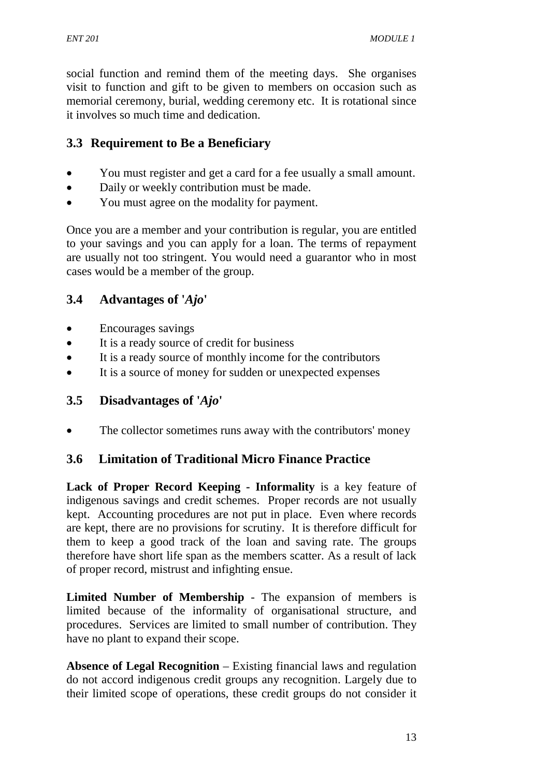social function and remind them of the meeting days. She organises visit to function and gift to be given to members on occasion such as memorial ceremony, burial, wedding ceremony etc. It is rotational since it involves so much time and dedication.

# **3.3 Requirement to Be a Beneficiary**

- You must register and get a card for a fee usually a small amount.
- Daily or weekly contribution must be made.
- You must agree on the modality for payment.

Once you are a member and your contribution is regular, you are entitled to your savings and you can apply for a loan. The terms of repayment are usually not too stringent. You would need a guarantor who in most cases would be a member of the group.

# **3.4 Advantages of '***Ajo***'**

- Encourages savings
- It is a ready source of credit for business
- It is a ready source of monthly income for the contributors
- It is a source of money for sudden or unexpected expenses

# **3.5 Disadvantages of '***Ajo***'**

• The collector sometimes runs away with the contributors' money

# **3.6 Limitation of Traditional Micro Finance Practice**

**Lack of Proper Record Keeping - Informality** is a key feature of indigenous savings and credit schemes. Proper records are not usually kept. Accounting procedures are not put in place. Even where records are kept, there are no provisions for scrutiny. It is therefore difficult for them to keep a good track of the loan and saving rate. The groups therefore have short life span as the members scatter. As a result of lack of proper record, mistrust and infighting ensue.

**Limited Number of Membership** - The expansion of members is limited because of the informality of organisational structure, and procedures. Services are limited to small number of contribution. They have no plant to expand their scope.

**Absence of Legal Recognition** – Existing financial laws and regulation do not accord indigenous credit groups any recognition. Largely due to their limited scope of operations, these credit groups do not consider it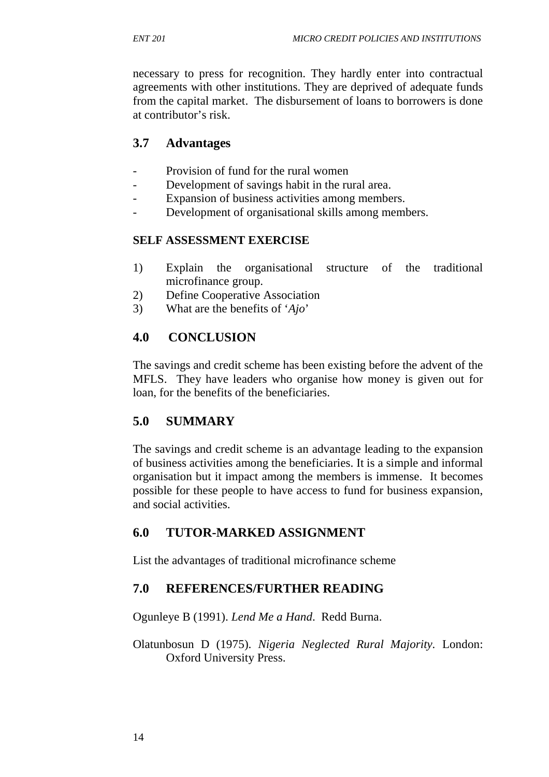necessary to press for recognition. They hardly enter into contractual agreements with other institutions. They are deprived of adequate funds from the capital market. The disbursement of loans to borrowers is done at contributor's risk.

### **3.7 Advantages**

- Provision of fund for the rural women
- Development of savings habit in the rural area.
- Expansion of business activities among members.
- Development of organisational skills among members.

#### **SELF ASSESSMENT EXERCISE**

- 1) Explain the organisational structure of the traditional microfinance group.
- 2) Define Cooperative Association
- 3) What are the benefits of '*Ajo*'

# **4.0 CONCLUSION**

The savings and credit scheme has been existing before the advent of the MFLS. They have leaders who organise how money is given out for loan, for the benefits of the beneficiaries.

### **5.0 SUMMARY**

The savings and credit scheme is an advantage leading to the expansion of business activities among the beneficiaries. It is a simple and informal organisation but it impact among the members is immense. It becomes possible for these people to have access to fund for business expansion, and social activities.

### **6.0 TUTOR-MARKED ASSIGNMENT**

List the advantages of traditional microfinance scheme

### **7.0 REFERENCES/FURTHER READING**

Ogunleye B (1991). *Lend Me a Hand*. Redd Burna.

Olatunbosun D (1975). *Nigeria Neglected Rural Majority.* London: Oxford University Press.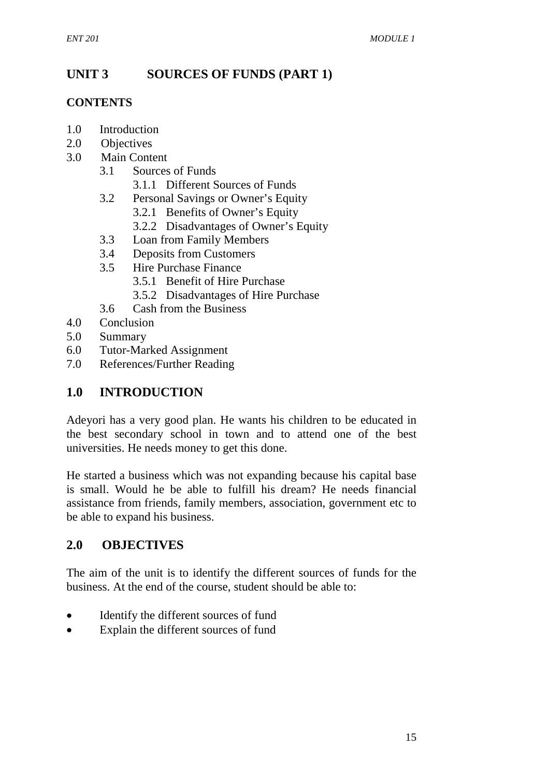# **UNIT 3 SOURCES OF FUNDS (PART 1)**

### **CONTENTS**

- 1.0 Introduction
- 2.0 Objectives
- 3.0 Main Content
	- 3.1 Sources of Funds
		- 3.1.1 Different Sources of Funds
	- 3.2 Personal Savings or Owner's Equity
		- 3.2.1 Benefits of Owner's Equity
		- 3.2.2 Disadvantages of Owner's Equity
	- 3.3 Loan from Family Members
	- 3.4 Deposits from Customers
	- 3.5 Hire Purchase Finance
		- 3.5.1 Benefit of Hire Purchase
		- 3.5.2 Disadvantages of Hire Purchase
	- 3.6 Cash from the Business
- 4.0 Conclusion
- 5.0 Summary
- 6.0 Tutor-Marked Assignment
- 7.0 References/Further Reading

# **1.0 INTRODUCTION**

Adeyori has a very good plan. He wants his children to be educated in the best secondary school in town and to attend one of the best universities. He needs money to get this done.

He started a business which was not expanding because his capital base is small. Would he be able to fulfill his dream? He needs financial assistance from friends, family members, association, government etc to be able to expand his business.

# **2.0 OBJECTIVES**

The aim of the unit is to identify the different sources of funds for the business. At the end of the course, student should be able to:

- Identify the different sources of fund
- Explain the different sources of fund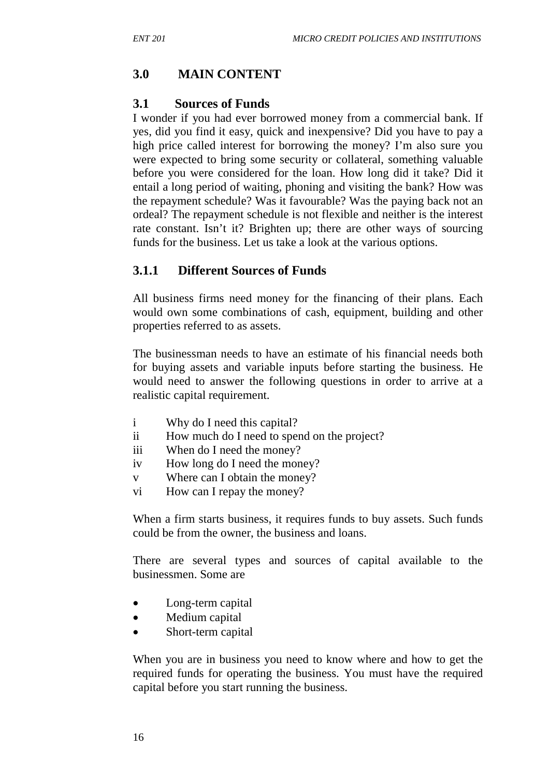# **3.0 MAIN CONTENT**

### **3.1 Sources of Funds**

I wonder if you had ever borrowed money from a commercial bank. If yes, did you find it easy, quick and inexpensive? Did you have to pay a high price called interest for borrowing the money? I'm also sure you were expected to bring some security or collateral, something valuable before you were considered for the loan. How long did it take? Did it entail a long period of waiting, phoning and visiting the bank? How was the repayment schedule? Was it favourable? Was the paying back not an ordeal? The repayment schedule is not flexible and neither is the interest rate constant. Isn't it? Brighten up; there are other ways of sourcing funds for the business. Let us take a look at the various options.

# **3.1.1 Different Sources of Funds**

All business firms need money for the financing of their plans. Each would own some combinations of cash, equipment, building and other properties referred to as assets.

The businessman needs to have an estimate of his financial needs both for buying assets and variable inputs before starting the business. He would need to answer the following questions in order to arrive at a realistic capital requirement.

- i Why do I need this capital?
- ii How much do I need to spend on the project?
- iii When do I need the money?
- iv How long do I need the money?
- v Where can I obtain the money?
- vi How can I repay the money?

When a firm starts business, it requires funds to buy assets. Such funds could be from the owner, the business and loans.

There are several types and sources of capital available to the businessmen. Some are

- Long-term capital
- Medium capital
- Short-term capital

When you are in business you need to know where and how to get the required funds for operating the business. You must have the required capital before you start running the business.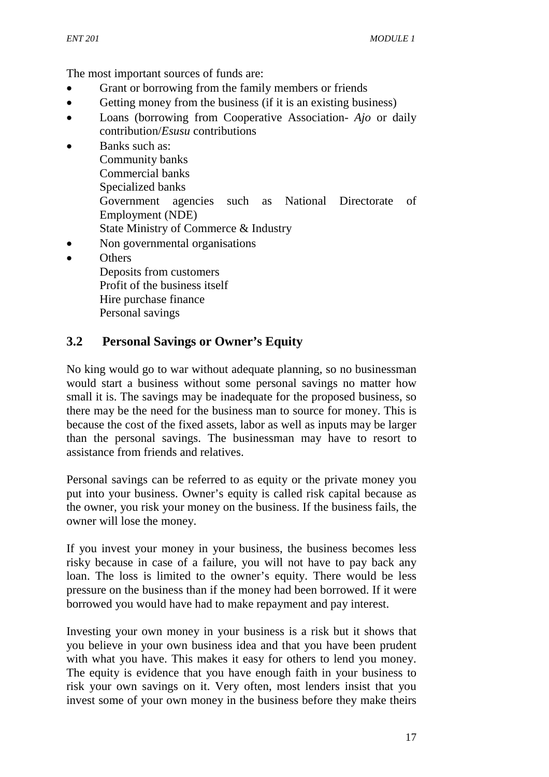The most important sources of funds are:

- Grant or borrowing from the family members or friends
- Getting money from the business (if it is an existing business)
- Loans (borrowing from Cooperative Association- *Ajo* or daily contribution/*Esusu* contributions
- Banks such as: Community banks Commercial banks Specialized banks Government agencies such as National Directorate of Employment (NDE) State Ministry of Commerce & Industry
- Non governmental organisations
- **Others** 
	- Deposits from customers Profit of the business itself Hire purchase finance Personal savings

# **3.2 Personal Savings or Owner's Equity**

No king would go to war without adequate planning, so no businessman would start a business without some personal savings no matter how small it is. The savings may be inadequate for the proposed business, so there may be the need for the business man to source for money. This is because the cost of the fixed assets, labor as well as inputs may be larger than the personal savings. The businessman may have to resort to assistance from friends and relatives.

Personal savings can be referred to as equity or the private money you put into your business. Owner's equity is called risk capital because as the owner, you risk your money on the business. If the business fails, the owner will lose the money.

If you invest your money in your business, the business becomes less risky because in case of a failure, you will not have to pay back any loan. The loss is limited to the owner's equity. There would be less pressure on the business than if the money had been borrowed. If it were borrowed you would have had to make repayment and pay interest.

Investing your own money in your business is a risk but it shows that you believe in your own business idea and that you have been prudent with what you have. This makes it easy for others to lend you money. The equity is evidence that you have enough faith in your business to risk your own savings on it. Very often, most lenders insist that you invest some of your own money in the business before they make theirs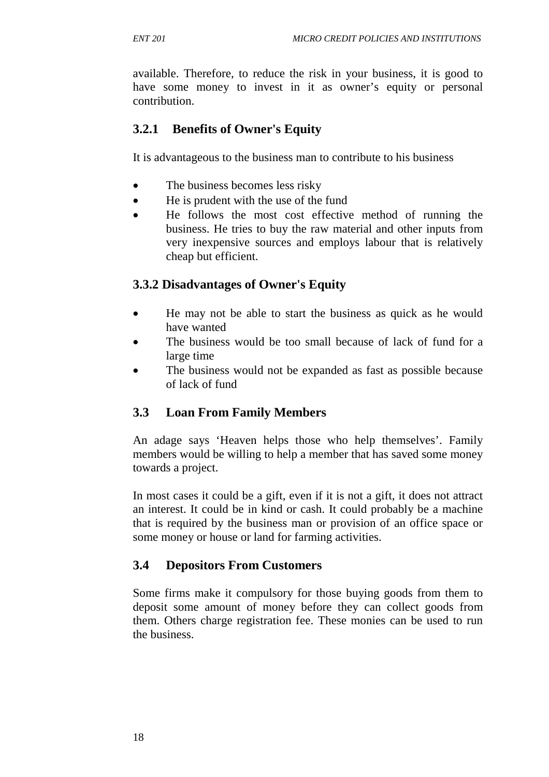available. Therefore, to reduce the risk in your business, it is good to have some money to invest in it as owner's equity or personal contribution.

### **3.2.1 Benefits of Owner's Equity**

It is advantageous to the business man to contribute to his business

- The business becomes less risky
- He is prudent with the use of the fund
- He follows the most cost effective method of running the business. He tries to buy the raw material and other inputs from very inexpensive sources and employs labour that is relatively cheap but efficient.

### **3.3.2 Disadvantages of Owner's Equity**

- He may not be able to start the business as quick as he would have wanted
- The business would be too small because of lack of fund for a large time
- The business would not be expanded as fast as possible because of lack of fund

### **3.3 Loan From Family Members**

An adage says 'Heaven helps those who help themselves'. Family members would be willing to help a member that has saved some money towards a project.

In most cases it could be a gift, even if it is not a gift, it does not attract an interest. It could be in kind or cash. It could probably be a machine that is required by the business man or provision of an office space or some money or house or land for farming activities.

### **3.4 Depositors From Customers**

Some firms make it compulsory for those buying goods from them to deposit some amount of money before they can collect goods from them. Others charge registration fee. These monies can be used to run the business.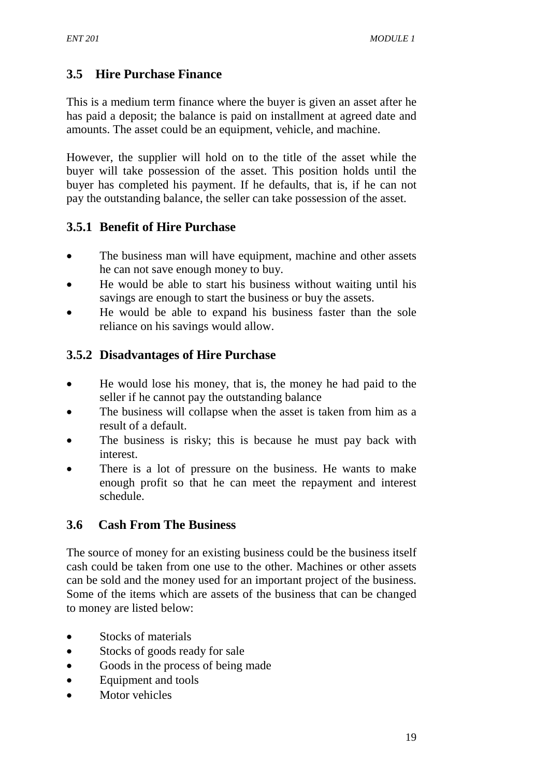# **3.5 Hire Purchase Finance**

This is a medium term finance where the buyer is given an asset after he has paid a deposit; the balance is paid on installment at agreed date and amounts. The asset could be an equipment, vehicle, and machine.

However, the supplier will hold on to the title of the asset while the buyer will take possession of the asset. This position holds until the buyer has completed his payment. If he defaults, that is, if he can not pay the outstanding balance, the seller can take possession of the asset.

# **3.5.1 Benefit of Hire Purchase**

- The business man will have equipment, machine and other assets he can not save enough money to buy.
- He would be able to start his business without waiting until his savings are enough to start the business or buy the assets.
- He would be able to expand his business faster than the sole reliance on his savings would allow.

# **3.5.2 Disadvantages of Hire Purchase**

- He would lose his money, that is, the money he had paid to the seller if he cannot pay the outstanding balance
- The business will collapse when the asset is taken from him as a result of a default.
- The business is risky; this is because he must pay back with interest.
- There is a lot of pressure on the business. He wants to make enough profit so that he can meet the repayment and interest schedule.

# **3.6 Cash From The Business**

The source of money for an existing business could be the business itself cash could be taken from one use to the other. Machines or other assets can be sold and the money used for an important project of the business. Some of the items which are assets of the business that can be changed to money are listed below:

- Stocks of materials
- Stocks of goods ready for sale
- Goods in the process of being made
- Equipment and tools
- Motor vehicles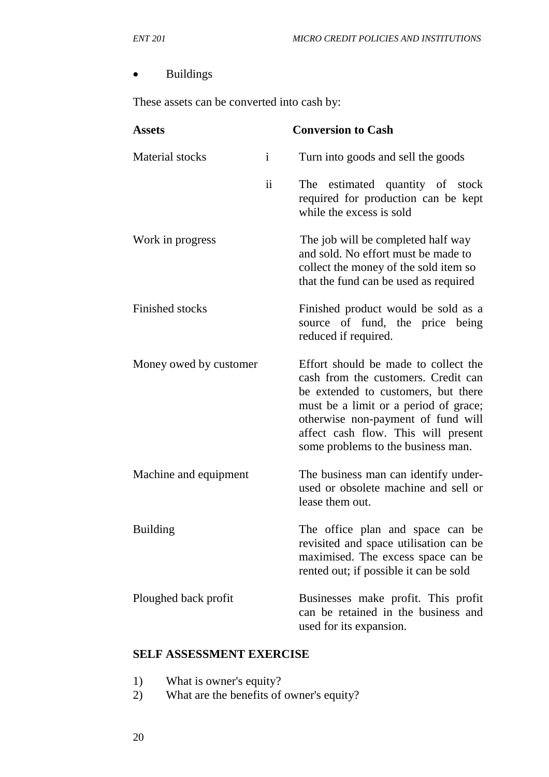### • Buildings

These assets can be converted into cash by:

| <b>Assets</b>          |                         | <b>Conversion to Cash</b>                                                                                                                                                                                                                                                      |
|------------------------|-------------------------|--------------------------------------------------------------------------------------------------------------------------------------------------------------------------------------------------------------------------------------------------------------------------------|
| <b>Material</b> stocks | $\mathbf{i}$            | Turn into goods and sell the goods                                                                                                                                                                                                                                             |
|                        | $\overline{\mathbf{u}}$ | The estimated quantity of stock<br>required for production can be kept<br>while the excess is sold                                                                                                                                                                             |
| Work in progress       |                         | The job will be completed half way<br>and sold. No effort must be made to<br>collect the money of the sold item so<br>that the fund can be used as required                                                                                                                    |
| <b>Finished stocks</b> |                         | Finished product would be sold as a<br>source of fund, the price being<br>reduced if required.                                                                                                                                                                                 |
| Money owed by customer |                         | Effort should be made to collect the<br>cash from the customers. Credit can<br>be extended to customers, but there<br>must be a limit or a period of grace;<br>otherwise non-payment of fund will<br>affect cash flow. This will present<br>some problems to the business man. |
| Machine and equipment  |                         | The business man can identify under-<br>used or obsolete machine and sell or<br>lease them out.                                                                                                                                                                                |
| <b>Building</b>        |                         | The office plan and space can be<br>revisited and space utilisation can be<br>maximised. The excess space can be<br>rented out; if possible it can be sold                                                                                                                     |
| Ploughed back profit   |                         | Businesses make profit. This profit<br>can be retained in the business and<br>used for its expansion.                                                                                                                                                                          |

#### **SELF ASSESSMENT EXERCISE**

- 1) What is owner's equity?
- 2) What are the benefits of owner's equity?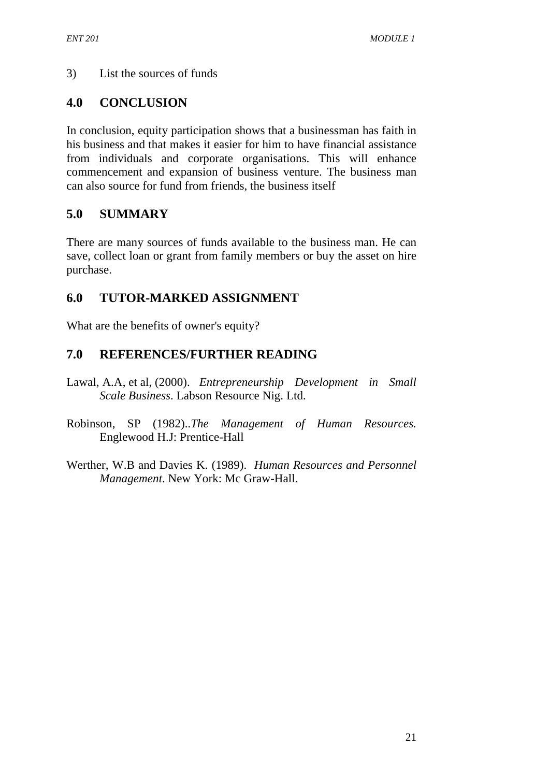### 3) List the sources of funds

# **4.0 CONCLUSION**

In conclusion, equity participation shows that a businessman has faith in his business and that makes it easier for him to have financial assistance from individuals and corporate organisations. This will enhance commencement and expansion of business venture. The business man can also source for fund from friends, the business itself

# **5.0 SUMMARY**

There are many sources of funds available to the business man. He can save, collect loan or grant from family members or buy the asset on hire purchase.

# **6.0 TUTOR-MARKED ASSIGNMENT**

What are the benefits of owner's equity?

# **7.0 REFERENCES/FURTHER READING**

- Lawal, A.A, et al, (2000). *Entrepreneurship Development in Small Scale Business*. Labson Resource Nig. Ltd.
- Robinson, SP (1982)..*The Management of Human Resources.* Englewood H.J: Prentice-Hall
- Werther, W.B and Davies K. (1989). *Human Resources and Personnel Management*. New York: Mc Graw-Hall.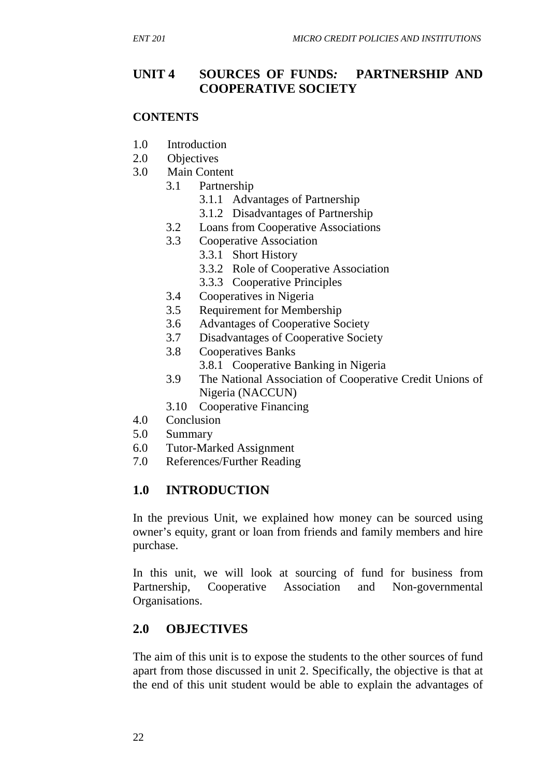# **UNIT 4 SOURCES OF FUNDS***:* **PARTNERSHIP AND COOPERATIVE SOCIETY**

#### **CONTENTS**

- 1.0 Introduction
- 2.0 Objectives
- 3.0 Main Content
	- 3.1 Partnership
		- 3.1.1 Advantages of Partnership
		- 3.1.2 Disadvantages of Partnership
	- 3.2 Loans from Cooperative Associations
	- 3.3 Cooperative Association
		- 3.3.1 Short History
			- 3.3.2 Role of Cooperative Association
			- 3.3.3 Cooperative Principles
	- 3.4 Cooperatives in Nigeria
	- 3.5 Requirement for Membership
	- 3.6 Advantages of Cooperative Society
	- 3.7 Disadvantages of Cooperative Society
	- 3.8 Cooperatives Banks
		- 3.8.1 Cooperative Banking in Nigeria
	- 3.9 The National Association of Cooperative Credit Unions of Nigeria (NACCUN)
	- 3.10 Cooperative Financing
- 4.0 Conclusion
- 5.0 Summary
- 6.0 Tutor-Marked Assignment
- 7.0 References/Further Reading

### **1.0 INTRODUCTION**

In the previous Unit, we explained how money can be sourced using owner's equity, grant or loan from friends and family members and hire purchase.

In this unit, we will look at sourcing of fund for business from Partnership, Cooperative Association and Non-governmental Organisations.

# **2.0 OBJECTIVES**

The aim of this unit is to expose the students to the other sources of fund apart from those discussed in unit 2. Specifically, the objective is that at the end of this unit student would be able to explain the advantages of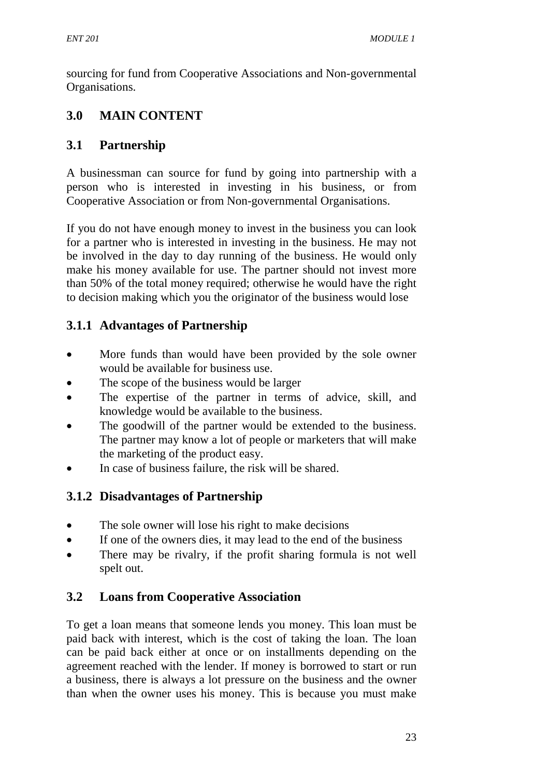sourcing for fund from Cooperative Associations and Non-governmental Organisations.

# **3.0 MAIN CONTENT**

# **3.1 Partnership**

A businessman can source for fund by going into partnership with a person who is interested in investing in his business, or from Cooperative Association or from Non-governmental Organisations.

If you do not have enough money to invest in the business you can look for a partner who is interested in investing in the business. He may not be involved in the day to day running of the business. He would only make his money available for use. The partner should not invest more than 50% of the total money required; otherwise he would have the right to decision making which you the originator of the business would lose

# **3.1.1 Advantages of Partnership**

- More funds than would have been provided by the sole owner would be available for business use.
- The scope of the business would be larger
- The expertise of the partner in terms of advice, skill, and knowledge would be available to the business.
- The goodwill of the partner would be extended to the business. The partner may know a lot of people or marketers that will make the marketing of the product easy.
- In case of business failure, the risk will be shared.

# **3.1.2 Disadvantages of Partnership**

- The sole owner will lose his right to make decisions
- If one of the owners dies, it may lead to the end of the business
- There may be rivalry, if the profit sharing formula is not well spelt out.

# **3.2 Loans from Cooperative Association**

To get a loan means that someone lends you money. This loan must be paid back with interest, which is the cost of taking the loan. The loan can be paid back either at once or on installments depending on the agreement reached with the lender. If money is borrowed to start or run a business, there is always a lot pressure on the business and the owner than when the owner uses his money. This is because you must make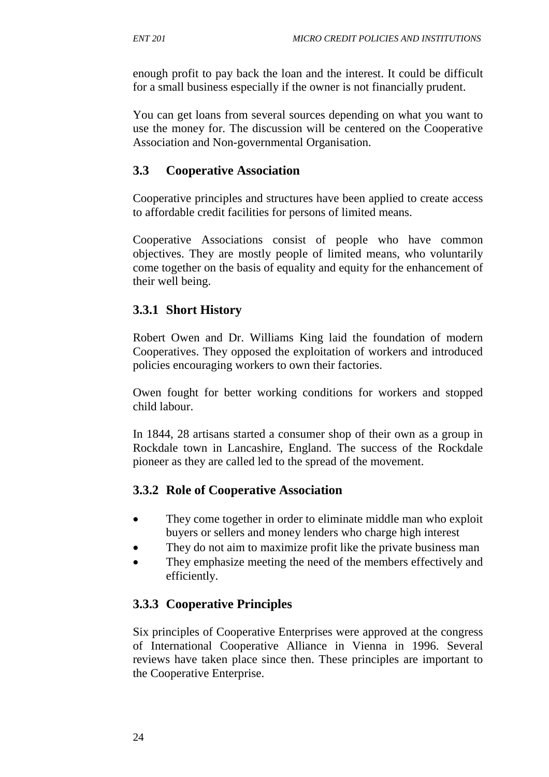enough profit to pay back the loan and the interest. It could be difficult for a small business especially if the owner is not financially prudent.

You can get loans from several sources depending on what you want to use the money for. The discussion will be centered on the Cooperative Association and Non-governmental Organisation.

# **3.3 Cooperative Association**

Cooperative principles and structures have been applied to create access to affordable credit facilities for persons of limited means.

Cooperative Associations consist of people who have common objectives. They are mostly people of limited means, who voluntarily come together on the basis of equality and equity for the enhancement of their well being.

# **3.3.1 Short History**

Robert Owen and Dr. Williams King laid the foundation of modern Cooperatives. They opposed the exploitation of workers and introduced policies encouraging workers to own their factories.

Owen fought for better working conditions for workers and stopped child labour.

In 1844, 28 artisans started a consumer shop of their own as a group in Rockdale town in Lancashire, England. The success of the Rockdale pioneer as they are called led to the spread of the movement.

### **3.3.2 Role of Cooperative Association**

- They come together in order to eliminate middle man who exploit buyers or sellers and money lenders who charge high interest
- They do not aim to maximize profit like the private business man
- They emphasize meeting the need of the members effectively and efficiently.

# **3.3.3 Cooperative Principles**

Six principles of Cooperative Enterprises were approved at the congress of International Cooperative Alliance in Vienna in 1996. Several reviews have taken place since then. These principles are important to the Cooperative Enterprise.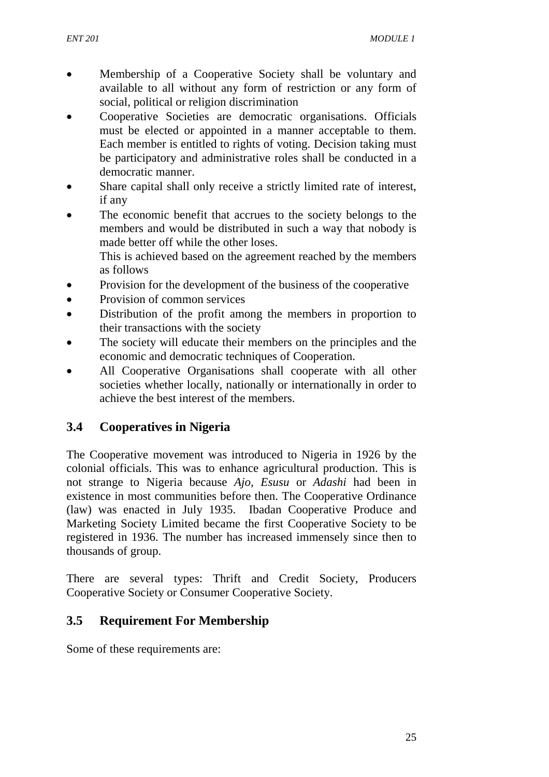- Membership of a Cooperative Society shall be voluntary and available to all without any form of restriction or any form of social, political or religion discrimination
- Cooperative Societies are democratic organisations. Officials must be elected or appointed in a manner acceptable to them. Each member is entitled to rights of voting. Decision taking must be participatory and administrative roles shall be conducted in a democratic manner.
- Share capital shall only receive a strictly limited rate of interest, if any
- The economic benefit that accrues to the society belongs to the members and would be distributed in such a way that nobody is made better off while the other loses.

This is achieved based on the agreement reached by the members as follows

- Provision for the development of the business of the cooperative
- Provision of common services
- Distribution of the profit among the members in proportion to their transactions with the society
- The society will educate their members on the principles and the economic and democratic techniques of Cooperation.
- All Cooperative Organisations shall cooperate with all other societies whether locally, nationally or internationally in order to achieve the best interest of the members.

# **3.4 Cooperatives in Nigeria**

The Cooperative movement was introduced to Nigeria in 1926 by the colonial officials. This was to enhance agricultural production. This is not strange to Nigeria because *Ajo, Esusu* or *Adashi* had been in existence in most communities before then. The Cooperative Ordinance (law) was enacted in July 1935. Ibadan Cooperative Produce and Marketing Society Limited became the first Cooperative Society to be registered in 1936. The number has increased immensely since then to thousands of group.

There are several types: Thrift and Credit Society, Producers Cooperative Society or Consumer Cooperative Society.

### **3.5 Requirement For Membership**

Some of these requirements are: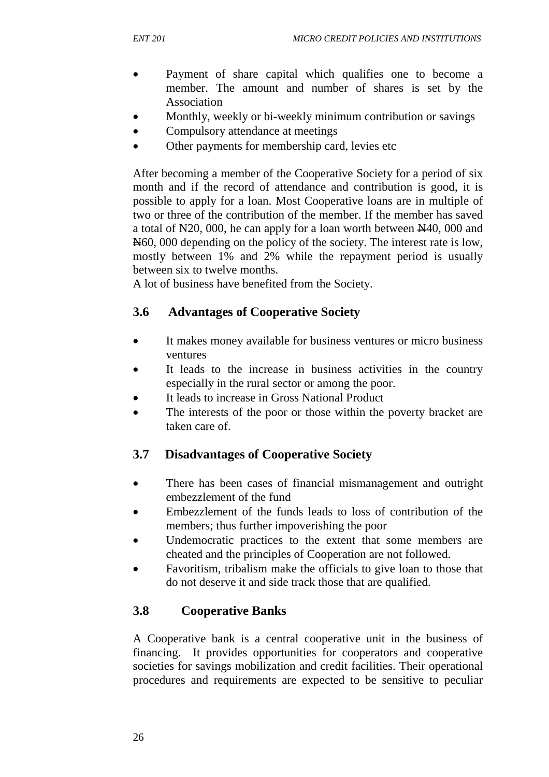- Payment of share capital which qualifies one to become a member. The amount and number of shares is set by the Association
- Monthly, weekly or bi-weekly minimum contribution or savings
- Compulsory attendance at meetings
- Other payments for membership card, levies etc

After becoming a member of the Cooperative Society for a period of six month and if the record of attendance and contribution is good, it is possible to apply for a loan. Most Cooperative loans are in multiple of two or three of the contribution of the member. If the member has saved a total of N20, 000, he can apply for a loan worth between  $\cancel{440}$ , 000 and N60, 000 depending on the policy of the society. The interest rate is low, mostly between 1% and 2% while the repayment period is usually between six to twelve months.

A lot of business have benefited from the Society.

### **3.6 Advantages of Cooperative Society**

- It makes money available for business ventures or micro business ventures
- It leads to the increase in business activities in the country especially in the rural sector or among the poor.
- It leads to increase in Gross National Product
- The interests of the poor or those within the poverty bracket are taken care of.

### **3.7 Disadvantages of Cooperative Society**

- There has been cases of financial mismanagement and outright embezzlement of the fund
- Embezzlement of the funds leads to loss of contribution of the members; thus further impoverishing the poor
- Undemocratic practices to the extent that some members are cheated and the principles of Cooperation are not followed.
- Favoritism, tribalism make the officials to give loan to those that do not deserve it and side track those that are qualified.

### **3.8 Cooperative Banks**

A Cooperative bank is a central cooperative unit in the business of financing. It provides opportunities for cooperators and cooperative societies for savings mobilization and credit facilities. Their operational procedures and requirements are expected to be sensitive to peculiar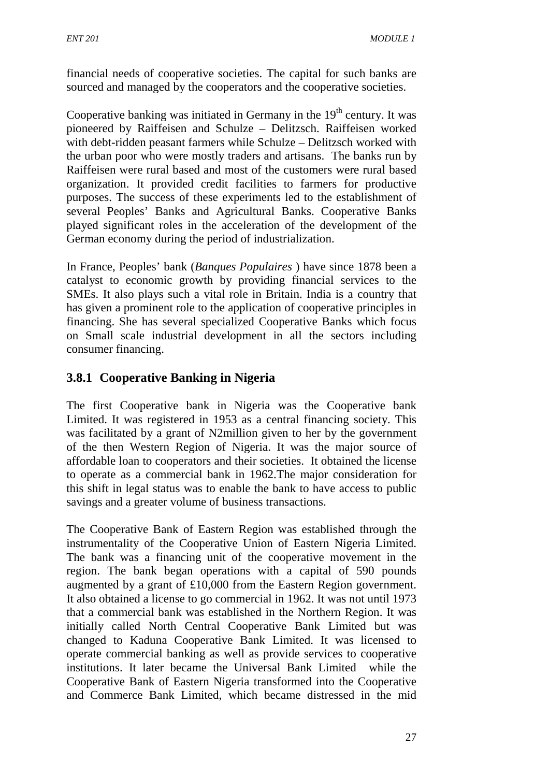financial needs of cooperative societies. The capital for such banks are sourced and managed by the cooperators and the cooperative societies.

Cooperative banking was initiated in Germany in the  $19<sup>th</sup>$  century. It was pioneered by Raiffeisen and Schulze – Delitzsch. Raiffeisen worked with debt-ridden peasant farmers while Schulze – Delitzsch worked with the urban poor who were mostly traders and artisans. The banks run by Raiffeisen were rural based and most of the customers were rural based organization. It provided credit facilities to farmers for productive purposes. The success of these experiments led to the establishment of several Peoples' Banks and Agricultural Banks. Cooperative Banks played significant roles in the acceleration of the development of the German economy during the period of industrialization.

In France, Peoples' bank (*Banques Populaires* ) have since 1878 been a catalyst to economic growth by providing financial services to the SMEs. It also plays such a vital role in Britain. India is a country that has given a prominent role to the application of cooperative principles in financing. She has several specialized Cooperative Banks which focus on Small scale industrial development in all the sectors including consumer financing.

# **3.8.1 Cooperative Banking in Nigeria**

The first Cooperative bank in Nigeria was the Cooperative bank Limited. It was registered in 1953 as a central financing society. This was facilitated by a grant of N2million given to her by the government of the then Western Region of Nigeria. It was the major source of affordable loan to cooperators and their societies. It obtained the license to operate as a commercial bank in 1962.The major consideration for this shift in legal status was to enable the bank to have access to public savings and a greater volume of business transactions.

The Cooperative Bank of Eastern Region was established through the instrumentality of the Cooperative Union of Eastern Nigeria Limited. The bank was a financing unit of the cooperative movement in the region. The bank began operations with a capital of 590 pounds augmented by a grant of £10,000 from the Eastern Region government. It also obtained a license to go commercial in 1962. It was not until 1973 that a commercial bank was established in the Northern Region. It was initially called North Central Cooperative Bank Limited but was changed to Kaduna Cooperative Bank Limited. It was licensed to operate commercial banking as well as provide services to cooperative institutions. It later became the Universal Bank Limited while the Cooperative Bank of Eastern Nigeria transformed into the Cooperative and Commerce Bank Limited, which became distressed in the mid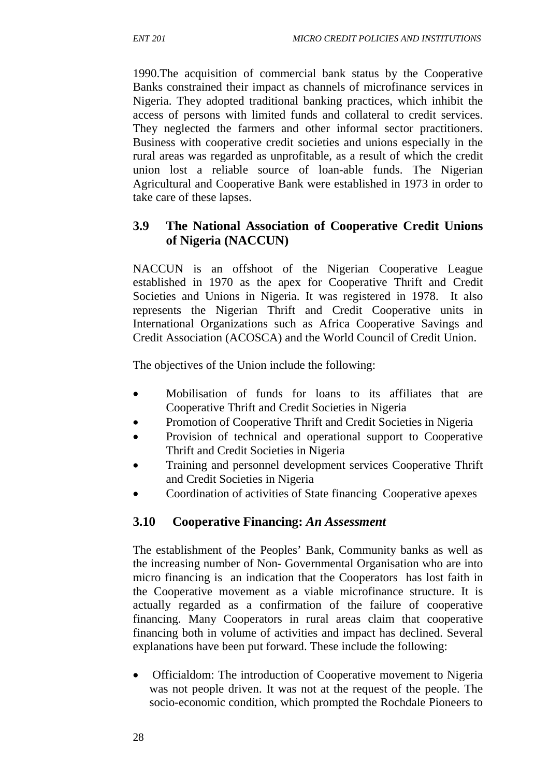1990.The acquisition of commercial bank status by the Cooperative Banks constrained their impact as channels of microfinance services in Nigeria. They adopted traditional banking practices, which inhibit the access of persons with limited funds and collateral to credit services. They neglected the farmers and other informal sector practitioners. Business with cooperative credit societies and unions especially in the rural areas was regarded as unprofitable, as a result of which the credit union lost a reliable source of loan-able funds. The Nigerian Agricultural and Cooperative Bank were established in 1973 in order to take care of these lapses.

### **3.9 The National Association of Cooperative Credit Unions of Nigeria (NACCUN)**

NACCUN is an offshoot of the Nigerian Cooperative League established in 1970 as the apex for Cooperative Thrift and Credit Societies and Unions in Nigeria. It was registered in 1978. It also represents the Nigerian Thrift and Credit Cooperative units in International Organizations such as Africa Cooperative Savings and Credit Association (ACOSCA) and the World Council of Credit Union.

The objectives of the Union include the following:

- Mobilisation of funds for loans to its affiliates that are Cooperative Thrift and Credit Societies in Nigeria
- Promotion of Cooperative Thrift and Credit Societies in Nigeria
- Provision of technical and operational support to Cooperative Thrift and Credit Societies in Nigeria
- Training and personnel development services Cooperative Thrift and Credit Societies in Nigeria
- Coordination of activities of State financing Cooperative apexes

### **3.10 Cooperative Financing:** *An Assessment*

The establishment of the Peoples' Bank, Community banks as well as the increasing number of Non- Governmental Organisation who are into micro financing is an indication that the Cooperators has lost faith in the Cooperative movement as a viable microfinance structure. It is actually regarded as a confirmation of the failure of cooperative financing. Many Cooperators in rural areas claim that cooperative financing both in volume of activities and impact has declined. Several explanations have been put forward. These include the following:

• Officialdom: The introduction of Cooperative movement to Nigeria was not people driven. It was not at the request of the people. The socio-economic condition, which prompted the Rochdale Pioneers to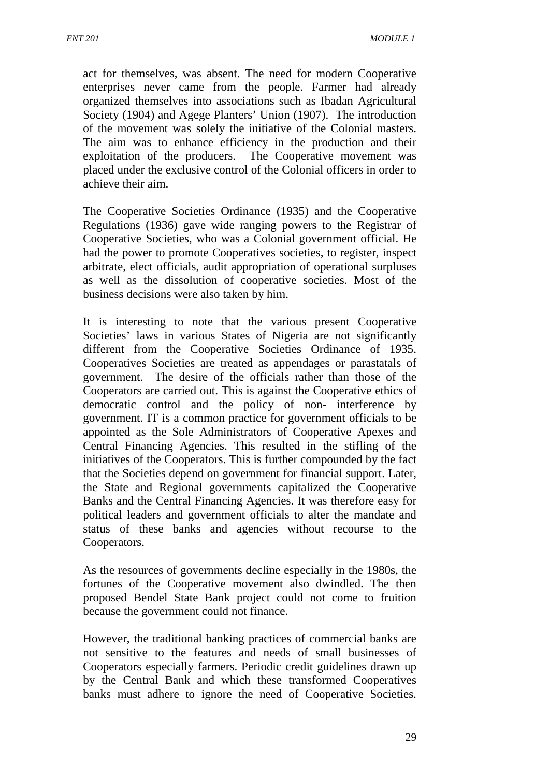act for themselves, was absent. The need for modern Cooperative enterprises never came from the people. Farmer had already organized themselves into associations such as Ibadan Agricultural Society (1904) and Agege Planters' Union (1907). The introduction of the movement was solely the initiative of the Colonial masters. The aim was to enhance efficiency in the production and their exploitation of the producers. The Cooperative movement was placed under the exclusive control of the Colonial officers in order to achieve their aim.

The Cooperative Societies Ordinance (1935) and the Cooperative Regulations (1936) gave wide ranging powers to the Registrar of Cooperative Societies, who was a Colonial government official. He had the power to promote Cooperatives societies, to register, inspect arbitrate, elect officials, audit appropriation of operational surpluses as well as the dissolution of cooperative societies. Most of the business decisions were also taken by him.

It is interesting to note that the various present Cooperative Societies' laws in various States of Nigeria are not significantly different from the Cooperative Societies Ordinance of 1935. Cooperatives Societies are treated as appendages or parastatals of government. The desire of the officials rather than those of the Cooperators are carried out. This is against the Cooperative ethics of democratic control and the policy of non- interference by government. IT is a common practice for government officials to be appointed as the Sole Administrators of Cooperative Apexes and Central Financing Agencies. This resulted in the stifling of the initiatives of the Cooperators. This is further compounded by the fact that the Societies depend on government for financial support. Later, the State and Regional governments capitalized the Cooperative Banks and the Central Financing Agencies. It was therefore easy for political leaders and government officials to alter the mandate and status of these banks and agencies without recourse to the Cooperators.

As the resources of governments decline especially in the 1980s, the fortunes of the Cooperative movement also dwindled. The then proposed Bendel State Bank project could not come to fruition because the government could not finance.

However, the traditional banking practices of commercial banks are not sensitive to the features and needs of small businesses of Cooperators especially farmers. Periodic credit guidelines drawn up by the Central Bank and which these transformed Cooperatives banks must adhere to ignore the need of Cooperative Societies.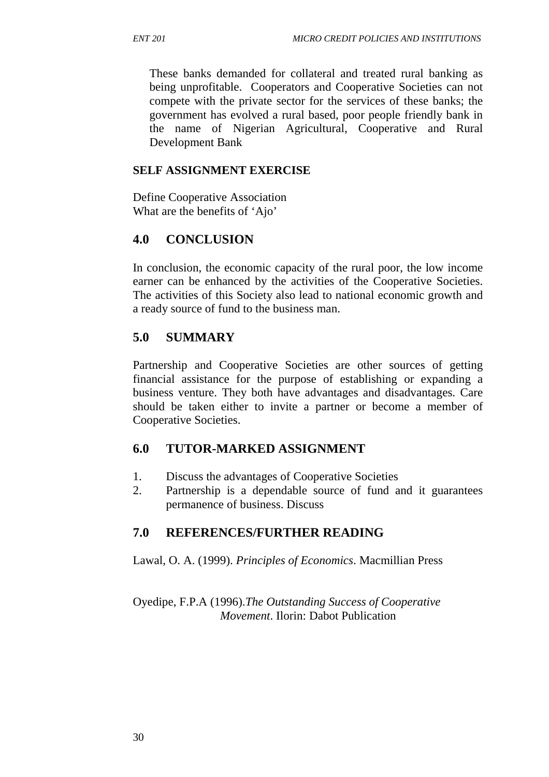These banks demanded for collateral and treated rural banking as being unprofitable. Cooperators and Cooperative Societies can not compete with the private sector for the services of these banks; the government has evolved a rural based, poor people friendly bank in the name of Nigerian Agricultural, Cooperative and Rural Development Bank

#### **SELF ASSIGNMENT EXERCISE**

Define Cooperative Association What are the benefits of 'Ajo'

### **4.0 CONCLUSION**

In conclusion, the economic capacity of the rural poor, the low income earner can be enhanced by the activities of the Cooperative Societies. The activities of this Society also lead to national economic growth and a ready source of fund to the business man.

### **5.0 SUMMARY**

Partnership and Cooperative Societies are other sources of getting financial assistance for the purpose of establishing or expanding a business venture. They both have advantages and disadvantages. Care should be taken either to invite a partner or become a member of Cooperative Societies.

### **6.0 TUTOR-MARKED ASSIGNMENT**

- 1. Discuss the advantages of Cooperative Societies
- 2. Partnership is a dependable source of fund and it guarantees permanence of business. Discuss

### **7.0 REFERENCES/FURTHER READING**

Lawal, O. A. (1999). *Principles of Economics*. Macmillian Press

Oyedipe, F.P.A (1996).*The Outstanding Success of Cooperative Movement*. Ilorin: Dabot Publication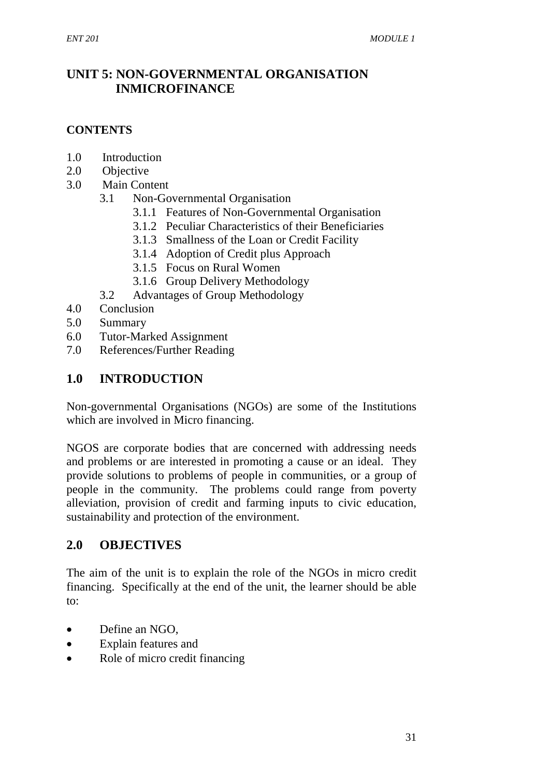## **UNIT 5: NON-GOVERNMENTAL ORGANISATION INMICROFINANCE**

#### **CONTENTS**

- 1.0 Introduction
- 2.0 Objective
- 3.0 Main Content
	- 3.1 Non-Governmental Organisation
		- 3.1.1 Features of Non-Governmental Organisation
		- 3.1.2 Peculiar Characteristics of their Beneficiaries
		- 3.1.3 Smallness of the Loan or Credit Facility
		- 3.1.4 Adoption of Credit plus Approach
		- 3.1.5 Focus on Rural Women
		- 3.1.6 Group Delivery Methodology
	- 3.2 Advantages of Group Methodology
- 4.0 Conclusion
- 5.0 Summary
- 6.0 Tutor-Marked Assignment
- 7.0 References/Further Reading

### **1.0 INTRODUCTION**

Non-governmental Organisations (NGOs) are some of the Institutions which are involved in Micro financing.

NGOS are corporate bodies that are concerned with addressing needs and problems or are interested in promoting a cause or an ideal. They provide solutions to problems of people in communities, or a group of people in the community. The problems could range from poverty alleviation, provision of credit and farming inputs to civic education, sustainability and protection of the environment.

### **2.0 OBJECTIVES**

The aim of the unit is to explain the role of the NGOs in micro credit financing. Specifically at the end of the unit, the learner should be able to:

- Define an NGO,
- Explain features and
- Role of micro credit financing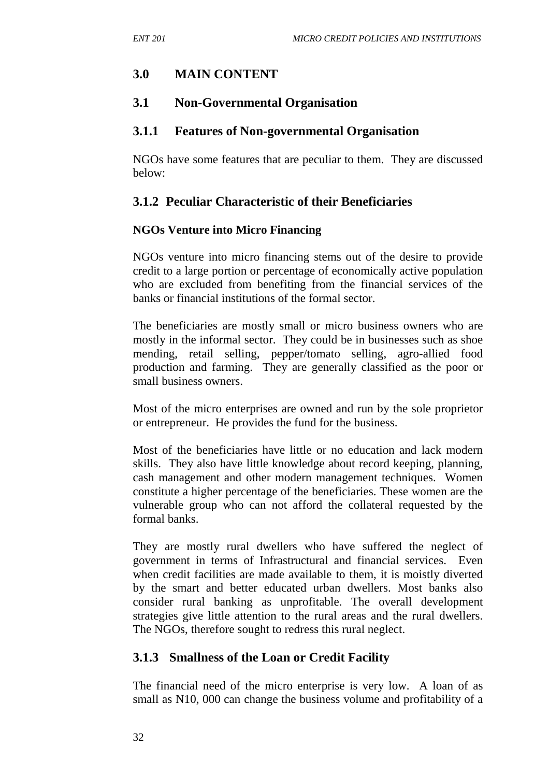### **3.0 MAIN CONTENT**

#### **3.1 Non-Governmental Organisation**

#### **3.1.1 Features of Non-governmental Organisation**

NGOs have some features that are peculiar to them. They are discussed below:

### **3.1.2 Peculiar Characteristic of their Beneficiaries**

#### **NGOs Venture into Micro Financing**

NGOs venture into micro financing stems out of the desire to provide credit to a large portion or percentage of economically active population who are excluded from benefiting from the financial services of the banks or financial institutions of the formal sector.

The beneficiaries are mostly small or micro business owners who are mostly in the informal sector. They could be in businesses such as shoe mending, retail selling, pepper/tomato selling, agro-allied food production and farming. They are generally classified as the poor or small business owners.

Most of the micro enterprises are owned and run by the sole proprietor or entrepreneur. He provides the fund for the business.

Most of the beneficiaries have little or no education and lack modern skills. They also have little knowledge about record keeping, planning, cash management and other modern management techniques. Women constitute a higher percentage of the beneficiaries. These women are the vulnerable group who can not afford the collateral requested by the formal banks.

They are mostly rural dwellers who have suffered the neglect of government in terms of Infrastructural and financial services. Even when credit facilities are made available to them, it is moistly diverted by the smart and better educated urban dwellers. Most banks also consider rural banking as unprofitable. The overall development strategies give little attention to the rural areas and the rural dwellers. The NGOs, therefore sought to redress this rural neglect.

### **3.1.3 Smallness of the Loan or Credit Facility**

The financial need of the micro enterprise is very low. A loan of as small as N10, 000 can change the business volume and profitability of a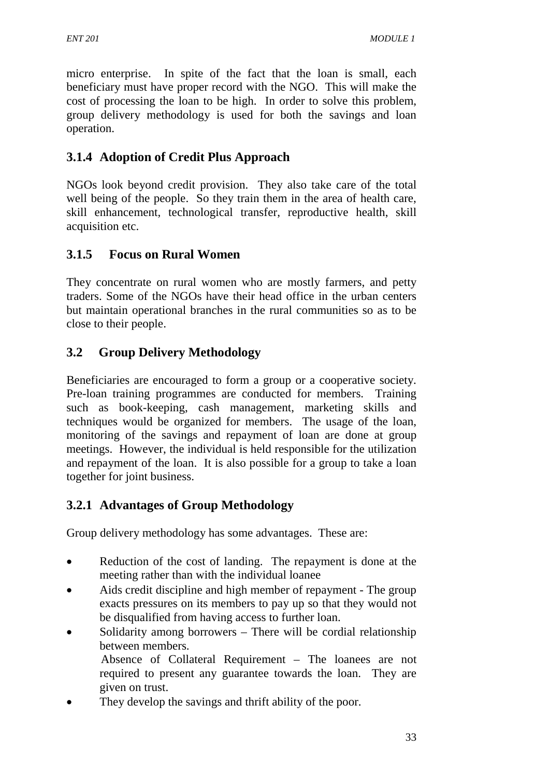micro enterprise. In spite of the fact that the loan is small, each beneficiary must have proper record with the NGO. This will make the cost of processing the loan to be high. In order to solve this problem, group delivery methodology is used for both the savings and loan operation.

# **3.1.4 Adoption of Credit Plus Approach**

NGOs look beyond credit provision. They also take care of the total well being of the people. So they train them in the area of health care, skill enhancement, technological transfer, reproductive health, skill acquisition etc.

# **3.1.5 Focus on Rural Women**

They concentrate on rural women who are mostly farmers, and petty traders. Some of the NGOs have their head office in the urban centers but maintain operational branches in the rural communities so as to be close to their people.

# **3.2 Group Delivery Methodology**

Beneficiaries are encouraged to form a group or a cooperative society. Pre-loan training programmes are conducted for members. Training such as book-keeping, cash management, marketing skills and techniques would be organized for members. The usage of the loan, monitoring of the savings and repayment of loan are done at group meetings. However, the individual is held responsible for the utilization and repayment of the loan. It is also possible for a group to take a loan together for joint business.

## **3.2.1 Advantages of Group Methodology**

Group delivery methodology has some advantages. These are:

- Reduction of the cost of landing. The repayment is done at the meeting rather than with the individual loanee
- Aids credit discipline and high member of repayment The group exacts pressures on its members to pay up so that they would not be disqualified from having access to further loan.
- Solidarity among borrowers There will be cordial relationship between members. Absence of Collateral Requirement – The loanees are not required to present any guarantee towards the loan. They are given on trust.
- They develop the savings and thrift ability of the poor.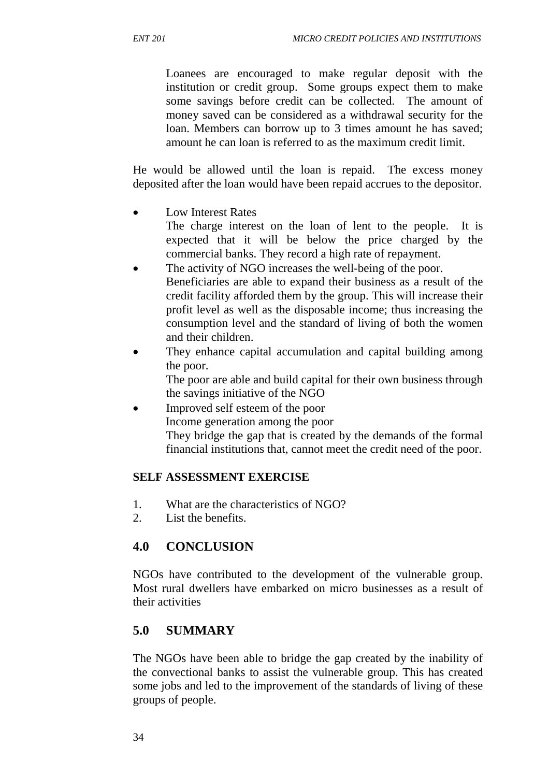Loanees are encouraged to make regular deposit with the institution or credit group. Some groups expect them to make some savings before credit can be collected. The amount of money saved can be considered as a withdrawal security for the loan. Members can borrow up to 3 times amount he has saved; amount he can loan is referred to as the maximum credit limit.

He would be allowed until the loan is repaid. The excess money deposited after the loan would have been repaid accrues to the depositor.

Low Interest Rates

 The charge interest on the loan of lent to the people. It is expected that it will be below the price charged by the commercial banks. They record a high rate of repayment.

- The activity of NGO increases the well-being of the poor. Beneficiaries are able to expand their business as a result of the credit facility afforded them by the group. This will increase their profit level as well as the disposable income; thus increasing the consumption level and the standard of living of both the women and their children.
- They enhance capital accumulation and capital building among the poor.

 The poor are able and build capital for their own business through the savings initiative of the NGO

• Improved self esteem of the poor Income generation among the poor They bridge the gap that is created by the demands of the formal financial institutions that, cannot meet the credit need of the poor.

### **SELF ASSESSMENT EXERCISE**

- 1. What are the characteristics of NGO?
- 2. List the benefits.

## **4.0 CONCLUSION**

NGOs have contributed to the development of the vulnerable group. Most rural dwellers have embarked on micro businesses as a result of their activities

## **5.0 SUMMARY**

The NGOs have been able to bridge the gap created by the inability of the convectional banks to assist the vulnerable group. This has created some jobs and led to the improvement of the standards of living of these groups of people.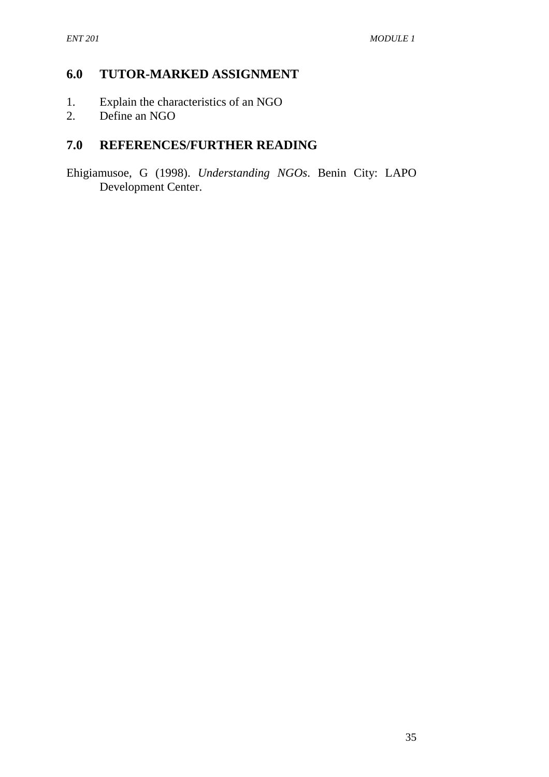### **6.0 TUTOR-MARKED ASSIGNMENT**

- 1. Explain the characteristics of an NGO
- 2. Define an NGO

## **7.0 REFERENCES/FURTHER READING**

Ehigiamusoe, G (1998). *Understanding NGOs*. Benin City: LAPO Development Center.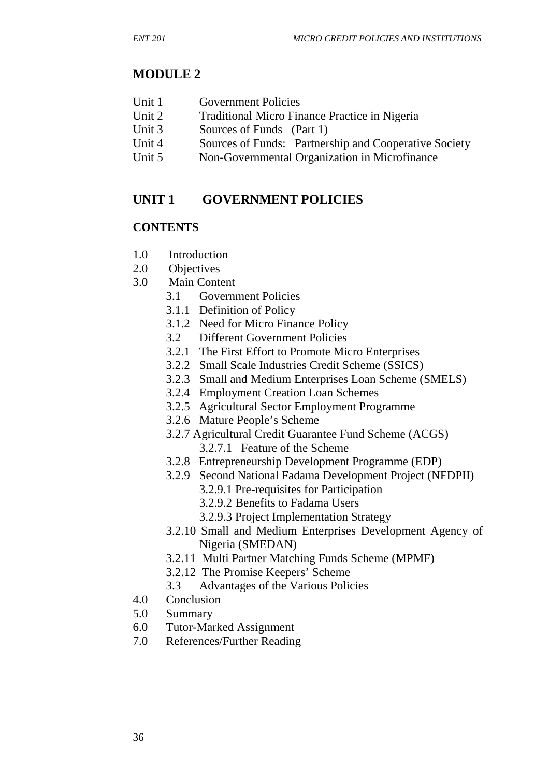### **MODULE 2**

- Unit 1 Government Policies
- Unit 2 Traditional Micro Finance Practice in Nigeria
- Unit 3 Sources of Funds (Part 1)
- Unit 4 Sources of Funds: Partnership and Cooperative Society
- Unit 5 Non-Governmental Organization in Microfinance

### **UNIT 1 GOVERNMENT POLICIES**

#### **CONTENTS**

- 1.0 Introduction
- 2.0 Objectives
- 3.0 Main Content
	- 3.1 Government Policies
	- 3.1.1 Definition of Policy
	- 3.1.2 Need for Micro Finance Policy
	- 3.2 Different Government Policies
	- 3.2.1 The First Effort to Promote Micro Enterprises
	- 3.2.2 Small Scale Industries Credit Scheme (SSICS)
	- 3.2.3 Small and Medium Enterprises Loan Scheme (SMELS)
	- 3.2.4 Employment Creation Loan Schemes
	- 3.2.5 Agricultural Sector Employment Programme
	- 3.2.6 Mature People's Scheme
	- 3.2.7 Agricultural Credit Guarantee Fund Scheme (ACGS) 3.2.7.1 Feature of the Scheme
	- 3.2.8 Entrepreneurship Development Programme (EDP)
	- 3.2.9 Second National Fadama Development Project (NFDPII)
		- 3.2.9.1 Pre-requisites for Participation
		- 3.2.9.2 Benefits to Fadama Users
		- 3.2.9.3 Project Implementation Strategy
	- 3.2.10 Small and Medium Enterprises Development Agency of Nigeria (SMEDAN)
	- 3.2.11 Multi Partner Matching Funds Scheme (MPMF)
	- 3.2.12 The Promise Keepers' Scheme
	- 3.3 Advantages of the Various Policies
- 4.0 Conclusion
- 5.0 Summary
- 6.0 Tutor-Marked Assignment
- 7.0 References/Further Reading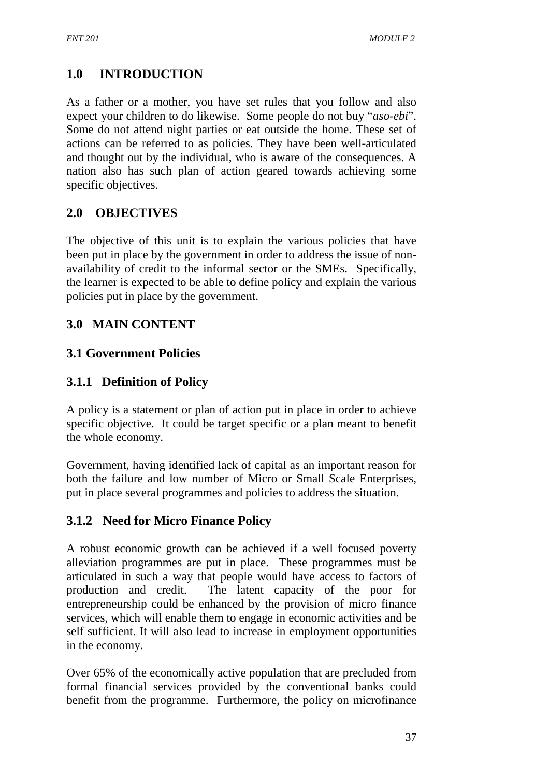# **1.0 INTRODUCTION**

As a father or a mother, you have set rules that you follow and also expect your children to do likewise. Some people do not buy "*aso-ebi*". Some do not attend night parties or eat outside the home. These set of actions can be referred to as policies. They have been well-articulated and thought out by the individual, who is aware of the consequences. A nation also has such plan of action geared towards achieving some specific objectives.

### **2.0 OBJECTIVES**

The objective of this unit is to explain the various policies that have been put in place by the government in order to address the issue of nonavailability of credit to the informal sector or the SMEs. Specifically, the learner is expected to be able to define policy and explain the various policies put in place by the government.

# **3.0 MAIN CONTENT**

### **3.1 Government Policies**

### **3.1.1 Definition of Policy**

A policy is a statement or plan of action put in place in order to achieve specific objective. It could be target specific or a plan meant to benefit the whole economy.

Government, having identified lack of capital as an important reason for both the failure and low number of Micro or Small Scale Enterprises, put in place several programmes and policies to address the situation.

## **3.1.2 Need for Micro Finance Policy**

A robust economic growth can be achieved if a well focused poverty alleviation programmes are put in place. These programmes must be articulated in such a way that people would have access to factors of production and credit. The latent capacity of the poor for entrepreneurship could be enhanced by the provision of micro finance services, which will enable them to engage in economic activities and be self sufficient. It will also lead to increase in employment opportunities in the economy.

Over 65% of the economically active population that are precluded from formal financial services provided by the conventional banks could benefit from the programme. Furthermore, the policy on microfinance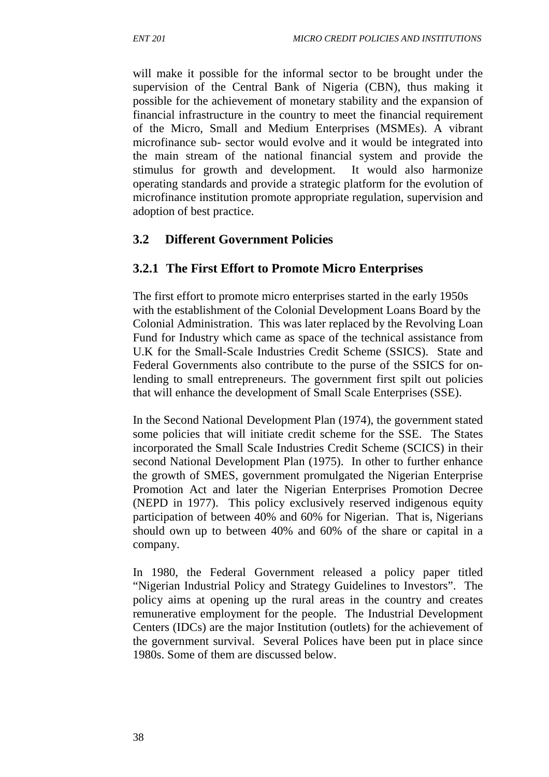will make it possible for the informal sector to be brought under the supervision of the Central Bank of Nigeria (CBN), thus making it possible for the achievement of monetary stability and the expansion of financial infrastructure in the country to meet the financial requirement of the Micro, Small and Medium Enterprises (MSMEs). A vibrant microfinance sub- sector would evolve and it would be integrated into the main stream of the national financial system and provide the stimulus for growth and development. It would also harmonize operating standards and provide a strategic platform for the evolution of microfinance institution promote appropriate regulation, supervision and adoption of best practice.

### **3.2 Different Government Policies**

### **3.2.1 The First Effort to Promote Micro Enterprises**

The first effort to promote micro enterprises started in the early 1950s with the establishment of the Colonial Development Loans Board by the Colonial Administration. This was later replaced by the Revolving Loan Fund for Industry which came as space of the technical assistance from U.K for the Small-Scale Industries Credit Scheme (SSICS). State and Federal Governments also contribute to the purse of the SSICS for onlending to small entrepreneurs. The government first spilt out policies that will enhance the development of Small Scale Enterprises (SSE).

In the Second National Development Plan (1974), the government stated some policies that will initiate credit scheme for the SSE. The States incorporated the Small Scale Industries Credit Scheme (SCICS) in their second National Development Plan (1975). In other to further enhance the growth of SMES, government promulgated the Nigerian Enterprise Promotion Act and later the Nigerian Enterprises Promotion Decree (NEPD in 1977). This policy exclusively reserved indigenous equity participation of between 40% and 60% for Nigerian. That is, Nigerians should own up to between 40% and 60% of the share or capital in a company.

In 1980, the Federal Government released a policy paper titled "Nigerian Industrial Policy and Strategy Guidelines to Investors". The policy aims at opening up the rural areas in the country and creates remunerative employment for the people. The Industrial Development Centers (IDCs) are the major Institution (outlets) for the achievement of the government survival. Several Polices have been put in place since 1980s. Some of them are discussed below.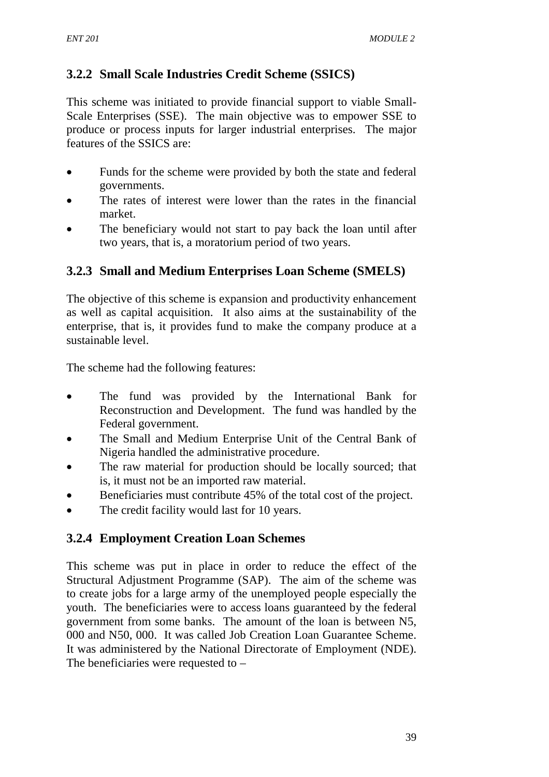# **3.2.2 Small Scale Industries Credit Scheme (SSICS)**

This scheme was initiated to provide financial support to viable Small-Scale Enterprises (SSE). The main objective was to empower SSE to produce or process inputs for larger industrial enterprises. The major features of the SSICS are:

- Funds for the scheme were provided by both the state and federal governments.
- The rates of interest were lower than the rates in the financial market.
- The beneficiary would not start to pay back the loan until after two years, that is, a moratorium period of two years.

## **3.2.3 Small and Medium Enterprises Loan Scheme (SMELS)**

The objective of this scheme is expansion and productivity enhancement as well as capital acquisition. It also aims at the sustainability of the enterprise, that is, it provides fund to make the company produce at a sustainable level.

The scheme had the following features:

- The fund was provided by the International Bank for Reconstruction and Development. The fund was handled by the Federal government.
- The Small and Medium Enterprise Unit of the Central Bank of Nigeria handled the administrative procedure.
- The raw material for production should be locally sourced; that is, it must not be an imported raw material.
- Beneficiaries must contribute 45% of the total cost of the project.
- The credit facility would last for 10 years.

## **3.2.4 Employment Creation Loan Schemes**

This scheme was put in place in order to reduce the effect of the Structural Adjustment Programme (SAP). The aim of the scheme was to create jobs for a large army of the unemployed people especially the youth. The beneficiaries were to access loans guaranteed by the federal government from some banks. The amount of the loan is between N5, 000 and N50, 000. It was called Job Creation Loan Guarantee Scheme. It was administered by the National Directorate of Employment (NDE). The beneficiaries were requested to –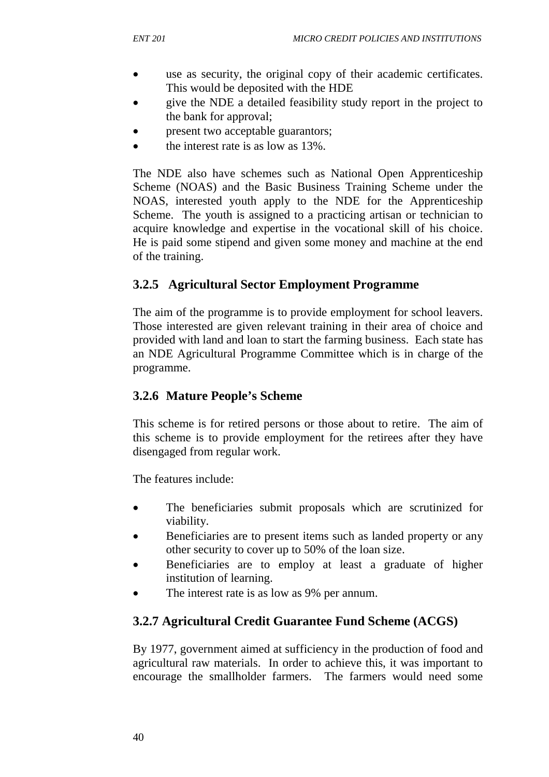- use as security, the original copy of their academic certificates. This would be deposited with the HDE
- give the NDE a detailed feasibility study report in the project to the bank for approval;
- present two acceptable guarantors;
- the interest rate is as low as 13%.

The NDE also have schemes such as National Open Apprenticeship Scheme (NOAS) and the Basic Business Training Scheme under the NOAS, interested youth apply to the NDE for the Apprenticeship Scheme. The youth is assigned to a practicing artisan or technician to acquire knowledge and expertise in the vocational skill of his choice. He is paid some stipend and given some money and machine at the end of the training.

### **3.2.5 Agricultural Sector Employment Programme**

The aim of the programme is to provide employment for school leavers. Those interested are given relevant training in their area of choice and provided with land and loan to start the farming business. Each state has an NDE Agricultural Programme Committee which is in charge of the programme.

### **3.2.6 Mature People's Scheme**

This scheme is for retired persons or those about to retire. The aim of this scheme is to provide employment for the retirees after they have disengaged from regular work.

The features include:

- The beneficiaries submit proposals which are scrutinized for viability.
- Beneficiaries are to present items such as landed property or any other security to cover up to 50% of the loan size.
- Beneficiaries are to employ at least a graduate of higher institution of learning.
- The interest rate is as low as 9% per annum.

## **3.2.7 Agricultural Credit Guarantee Fund Scheme (ACGS)**

By 1977, government aimed at sufficiency in the production of food and agricultural raw materials. In order to achieve this, it was important to encourage the smallholder farmers. The farmers would need some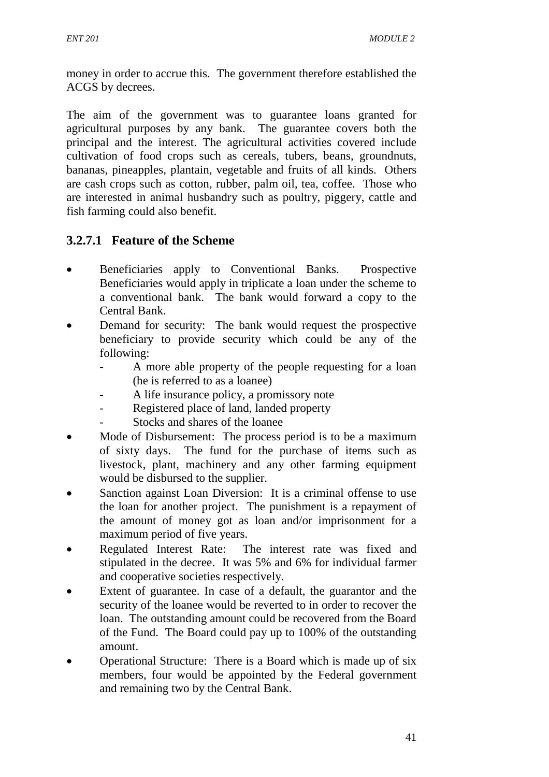money in order to accrue this. The government therefore established the ACGS by decrees.

The aim of the government was to guarantee loans granted for agricultural purposes by any bank. The guarantee covers both the principal and the interest. The agricultural activities covered include cultivation of food crops such as cereals, tubers, beans, groundnuts, bananas, pineapples, plantain, vegetable and fruits of all kinds. Others are cash crops such as cotton, rubber, palm oil, tea, coffee. Those who are interested in animal husbandry such as poultry, piggery, cattle and fish farming could also benefit.

## **3.2.7.1 Feature of the Scheme**

- Beneficiaries apply to Conventional Banks. Prospective Beneficiaries would apply in triplicate a loan under the scheme to a conventional bank. The bank would forward a copy to the Central Bank.
- Demand for security: The bank would request the prospective beneficiary to provide security which could be any of the following:
	- A more able property of the people requesting for a loan (he is referred to as a loanee)
	- A life insurance policy, a promissory note
	- Registered place of land, landed property
	- Stocks and shares of the loanee
- Mode of Disbursement: The process period is to be a maximum of sixty days. The fund for the purchase of items such as livestock, plant, machinery and any other farming equipment would be disbursed to the supplier.
- Sanction against Loan Diversion: It is a criminal offense to use the loan for another project. The punishment is a repayment of the amount of money got as loan and/or imprisonment for a maximum period of five years.
- Regulated Interest Rate: The interest rate was fixed and stipulated in the decree. It was 5% and 6% for individual farmer and cooperative societies respectively.
- Extent of guarantee. In case of a default, the guarantor and the security of the loanee would be reverted to in order to recover the loan. The outstanding amount could be recovered from the Board of the Fund. The Board could pay up to 100% of the outstanding amount.
- Operational Structure: There is a Board which is made up of six members, four would be appointed by the Federal government and remaining two by the Central Bank.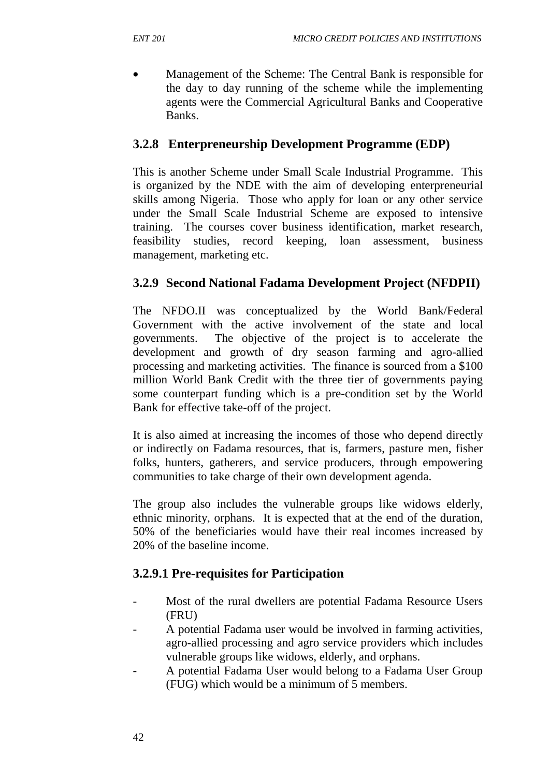• Management of the Scheme: The Central Bank is responsible for the day to day running of the scheme while the implementing agents were the Commercial Agricultural Banks and Cooperative Banks.

### **3.2.8 Enterpreneurship Development Programme (EDP)**

This is another Scheme under Small Scale Industrial Programme. This is organized by the NDE with the aim of developing enterpreneurial skills among Nigeria. Those who apply for loan or any other service under the Small Scale Industrial Scheme are exposed to intensive training. The courses cover business identification, market research, feasibility studies, record keeping, loan assessment, business management, marketing etc.

### **3.2.9 Second National Fadama Development Project (NFDPII)**

The NFDO.II was conceptualized by the World Bank/Federal Government with the active involvement of the state and local governments. The objective of the project is to accelerate the development and growth of dry season farming and agro-allied processing and marketing activities. The finance is sourced from a \$100 million World Bank Credit with the three tier of governments paying some counterpart funding which is a pre-condition set by the World Bank for effective take-off of the project.

It is also aimed at increasing the incomes of those who depend directly or indirectly on Fadama resources, that is, farmers, pasture men, fisher folks, hunters, gatherers, and service producers, through empowering communities to take charge of their own development agenda.

The group also includes the vulnerable groups like widows elderly, ethnic minority, orphans. It is expected that at the end of the duration, 50% of the beneficiaries would have their real incomes increased by 20% of the baseline income.

### **3.2.9.1 Pre-requisites for Participation**

- Most of the rural dwellers are potential Fadama Resource Users (FRU)
- A potential Fadama user would be involved in farming activities, agro-allied processing and agro service providers which includes vulnerable groups like widows, elderly, and orphans.
- A potential Fadama User would belong to a Fadama User Group (FUG) which would be a minimum of 5 members.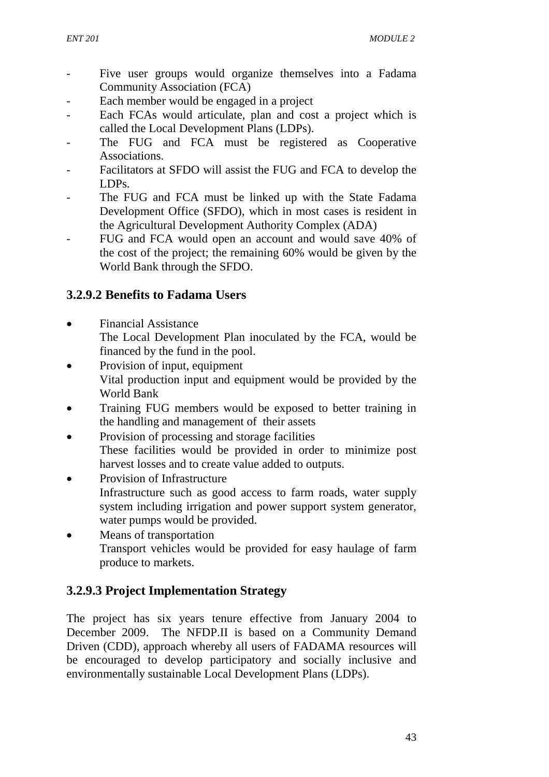- Five user groups would organize themselves into a Fadama Community Association (FCA)
- Each member would be engaged in a project
- Each FCAs would articulate, plan and cost a project which is called the Local Development Plans (LDPs).
- The FUG and FCA must be registered as Cooperative Associations.
- Facilitators at SFDO will assist the FUG and FCA to develop the LDPs.
- The FUG and FCA must be linked up with the State Fadama Development Office (SFDO), which in most cases is resident in the Agricultural Development Authority Complex (ADA)
- FUG and FCA would open an account and would save 40% of the cost of the project; the remaining 60% would be given by the World Bank through the SFDO.

## **3.2.9.2 Benefits to Fadama Users**

- Financial Assistance
	- The Local Development Plan inoculated by the FCA, would be financed by the fund in the pool.
- Provision of input, equipment Vital production input and equipment would be provided by the World Bank
- Training FUG members would be exposed to better training in the handling and management of their assets
- Provision of processing and storage facilities These facilities would be provided in order to minimize post harvest losses and to create value added to outputs.
- Provision of Infrastructure Infrastructure such as good access to farm roads, water supply system including irrigation and power support system generator, water pumps would be provided.
- Means of transportation Transport vehicles would be provided for easy haulage of farm produce to markets.

## **3.2.9.3 Project Implementation Strategy**

The project has six years tenure effective from January 2004 to December 2009. The NFDP.II is based on a Community Demand Driven (CDD), approach whereby all users of FADAMA resources will be encouraged to develop participatory and socially inclusive and environmentally sustainable Local Development Plans (LDPs).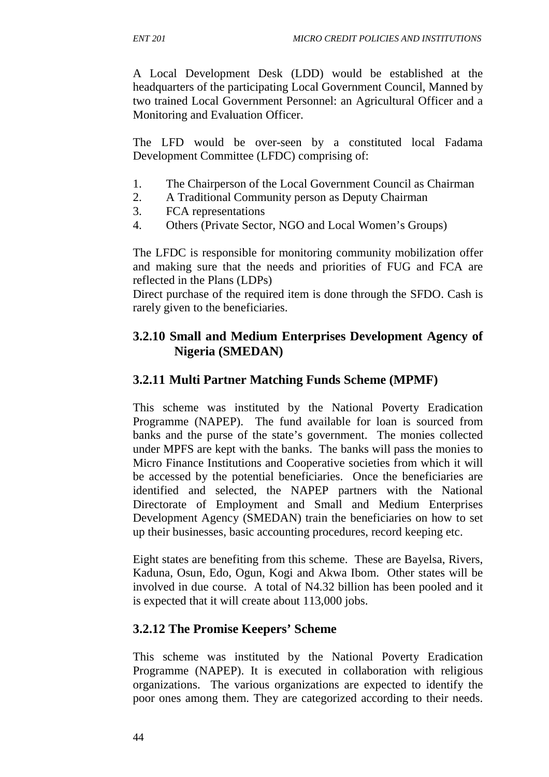A Local Development Desk (LDD) would be established at the headquarters of the participating Local Government Council, Manned by two trained Local Government Personnel: an Agricultural Officer and a Monitoring and Evaluation Officer.

The LFD would be over-seen by a constituted local Fadama Development Committee (LFDC) comprising of:

- 1. The Chairperson of the Local Government Council as Chairman
- 2. A Traditional Community person as Deputy Chairman
- 3. FCA representations
- 4. Others (Private Sector, NGO and Local Women's Groups)

The LFDC is responsible for monitoring community mobilization offer and making sure that the needs and priorities of FUG and FCA are reflected in the Plans (LDPs)

Direct purchase of the required item is done through the SFDO. Cash is rarely given to the beneficiaries.

## **3.2.10 Small and Medium Enterprises Development Agency of Nigeria (SMEDAN)**

### **3.2.11 Multi Partner Matching Funds Scheme (MPMF)**

This scheme was instituted by the National Poverty Eradication Programme (NAPEP). The fund available for loan is sourced from banks and the purse of the state's government. The monies collected under MPFS are kept with the banks. The banks will pass the monies to Micro Finance Institutions and Cooperative societies from which it will be accessed by the potential beneficiaries. Once the beneficiaries are identified and selected, the NAPEP partners with the National Directorate of Employment and Small and Medium Enterprises Development Agency (SMEDAN) train the beneficiaries on how to set up their businesses, basic accounting procedures, record keeping etc.

Eight states are benefiting from this scheme. These are Bayelsa, Rivers, Kaduna, Osun, Edo, Ogun, Kogi and Akwa Ibom. Other states will be involved in due course. A total of N4.32 billion has been pooled and it is expected that it will create about 113,000 jobs.

### **3.2.12 The Promise Keepers' Scheme**

This scheme was instituted by the National Poverty Eradication Programme (NAPEP). It is executed in collaboration with religious organizations. The various organizations are expected to identify the poor ones among them. They are categorized according to their needs.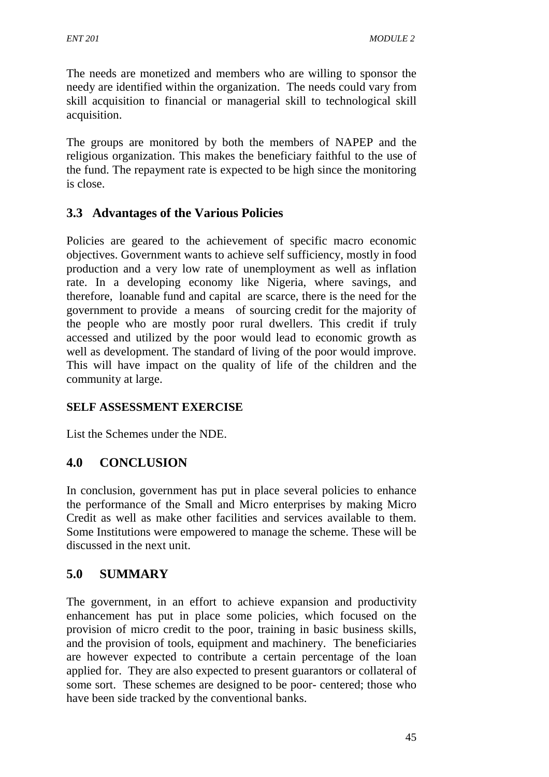The needs are monetized and members who are willing to sponsor the needy are identified within the organization. The needs could vary from skill acquisition to financial or managerial skill to technological skill acquisition.

The groups are monitored by both the members of NAPEP and the religious organization. This makes the beneficiary faithful to the use of the fund. The repayment rate is expected to be high since the monitoring is close.

### **3.3 Advantages of the Various Policies**

Policies are geared to the achievement of specific macro economic objectives. Government wants to achieve self sufficiency, mostly in food production and a very low rate of unemployment as well as inflation rate. In a developing economy like Nigeria, where savings, and therefore, loanable fund and capital are scarce, there is the need for the government to provide a means of sourcing credit for the majority of the people who are mostly poor rural dwellers. This credit if truly accessed and utilized by the poor would lead to economic growth as well as development. The standard of living of the poor would improve. This will have impact on the quality of life of the children and the community at large.

### **SELF ASSESSMENT EXERCISE**

List the Schemes under the NDE.

### **4.0 CONCLUSION**

In conclusion, government has put in place several policies to enhance the performance of the Small and Micro enterprises by making Micro Credit as well as make other facilities and services available to them. Some Institutions were empowered to manage the scheme. These will be discussed in the next unit.

### **5.0 SUMMARY**

The government, in an effort to achieve expansion and productivity enhancement has put in place some policies, which focused on the provision of micro credit to the poor, training in basic business skills, and the provision of tools, equipment and machinery. The beneficiaries are however expected to contribute a certain percentage of the loan applied for. They are also expected to present guarantors or collateral of some sort. These schemes are designed to be poor- centered; those who have been side tracked by the conventional banks.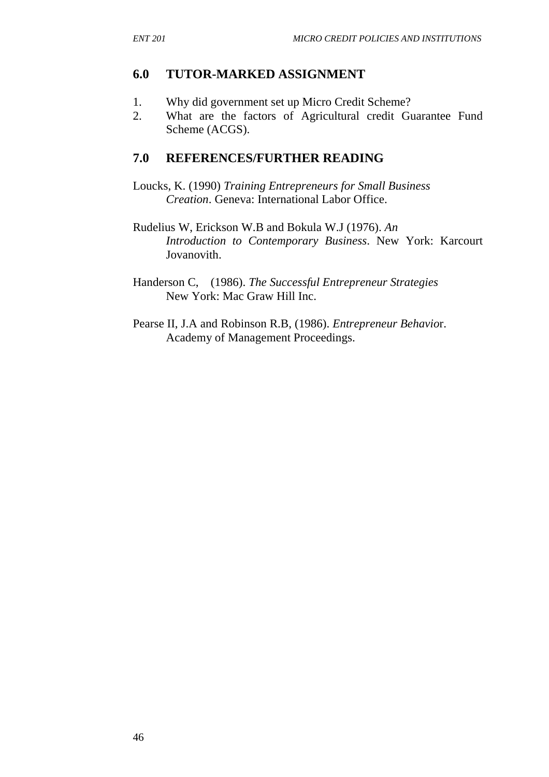### **6.0 TUTOR-MARKED ASSIGNMENT**

- 1. Why did government set up Micro Credit Scheme?
- 2. What are the factors of Agricultural credit Guarantee Fund Scheme (ACGS).

### **7.0 REFERENCES/FURTHER READING**

- Loucks, K. (1990) *Training Entrepreneurs for Small Business Creation*. Geneva: International Labor Office.
- Rudelius W, Erickson W.B and Bokula W.J (1976). *An Introduction to Contemporary Business*. New York: Karcourt Jovanovith.
- Handerson C, (1986). *The Successful Entrepreneur Strategies* New York: Mac Graw Hill Inc.
- Pearse II, J.A and Robinson R.B, (1986). *Entrepreneur Behavio*r. Academy of Management Proceedings.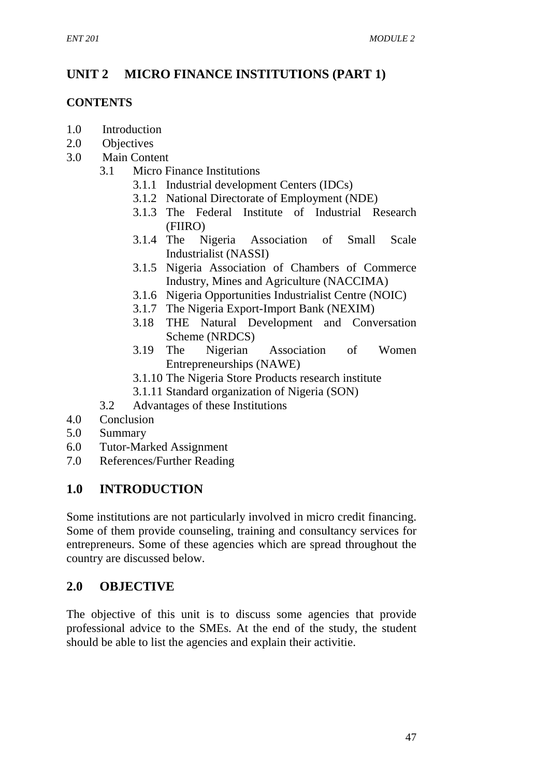# **UNIT 2 MICRO FINANCE INSTITUTIONS (PART 1)**

#### **CONTENTS**

- 1.0 Introduction
- 2.0 Objectives
- 3.0 Main Content
	- 3.1 Micro Finance Institutions
		- 3.1.1 Industrial development Centers (IDCs)
		- 3.1.2 National Directorate of Employment (NDE)
		- 3.1.3 The Federal Institute of Industrial Research (FIIRO)
		- 3.1.4 The Nigeria Association of Small Scale Industrialist (NASSI)
		- 3.1.5 Nigeria Association of Chambers of Commerce Industry, Mines and Agriculture (NACCIMA)
		- 3.1.6 Nigeria Opportunities Industrialist Centre (NOIC)
		- 3.1.7 The Nigeria Export-Import Bank (NEXIM)
		- 3.18 THE Natural Development and Conversation Scheme (NRDCS)
		- 3.19 The Nigerian Association of Women Entrepreneurships (NAWE)
		- 3.1.10 The Nigeria Store Products research institute
		- 3.1.11 Standard organization of Nigeria (SON)
	- 3.2 Advantages of these Institutions
- 4.0 Conclusion
- 5.0 Summary
- 6.0 Tutor-Marked Assignment
- 7.0 References/Further Reading

### **1.0 INTRODUCTION**

Some institutions are not particularly involved in micro credit financing. Some of them provide counseling, training and consultancy services for entrepreneurs. Some of these agencies which are spread throughout the country are discussed below.

## **2.0 OBJECTIVE**

The objective of this unit is to discuss some agencies that provide professional advice to the SMEs. At the end of the study, the student should be able to list the agencies and explain their activitie.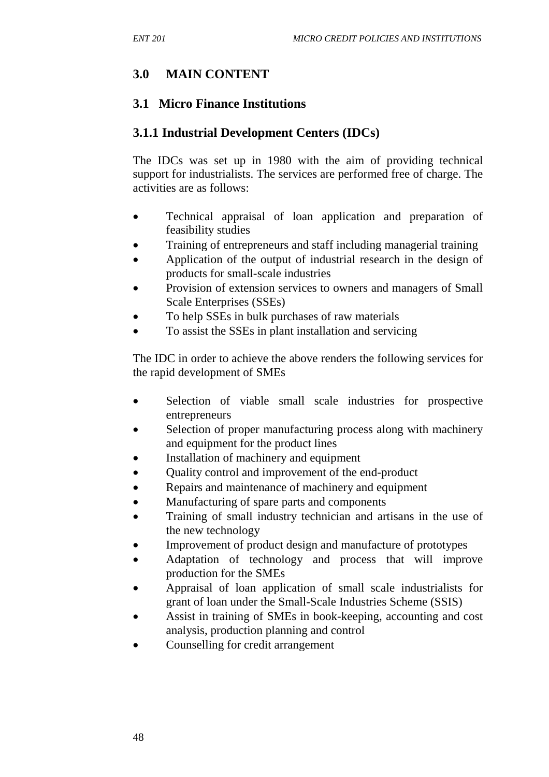# **3.0 MAIN CONTENT**

### **3.1 Micro Finance Institutions**

### **3.1.1 Industrial Development Centers (IDCs)**

The IDCs was set up in 1980 with the aim of providing technical support for industrialists. The services are performed free of charge. The activities are as follows:

- Technical appraisal of loan application and preparation of feasibility studies
- Training of entrepreneurs and staff including managerial training
- Application of the output of industrial research in the design of products for small-scale industries
- Provision of extension services to owners and managers of Small Scale Enterprises (SSEs)
- To help SSEs in bulk purchases of raw materials
- To assist the SSEs in plant installation and servicing

The IDC in order to achieve the above renders the following services for the rapid development of SMEs

- Selection of viable small scale industries for prospective entrepreneurs
- Selection of proper manufacturing process along with machinery and equipment for the product lines
- Installation of machinery and equipment
- Quality control and improvement of the end-product
- Repairs and maintenance of machinery and equipment
- Manufacturing of spare parts and components
- Training of small industry technician and artisans in the use of the new technology
- Improvement of product design and manufacture of prototypes
- Adaptation of technology and process that will improve production for the SMEs
- Appraisal of loan application of small scale industrialists for grant of loan under the Small-Scale Industries Scheme (SSIS)
- Assist in training of SMEs in book-keeping, accounting and cost analysis, production planning and control
- Counselling for credit arrangement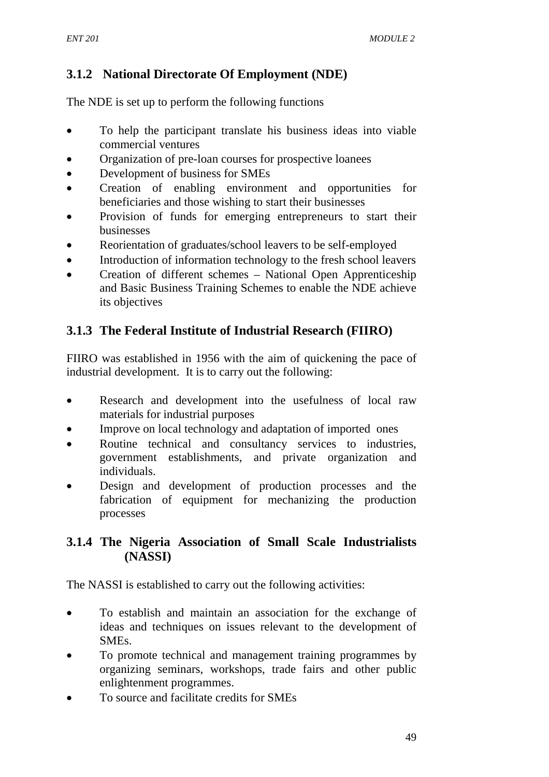# **3.1.2 National Directorate Of Employment (NDE)**

The NDE is set up to perform the following functions

- To help the participant translate his business ideas into viable commercial ventures
- Organization of pre-loan courses for prospective loanees
- Development of business for SMEs
- Creation of enabling environment and opportunities for beneficiaries and those wishing to start their businesses
- Provision of funds for emerging entrepreneurs to start their businesses
- Reorientation of graduates/school leavers to be self-employed
- Introduction of information technology to the fresh school leavers
- Creation of different schemes National Open Apprenticeship and Basic Business Training Schemes to enable the NDE achieve its objectives

## **3.1.3 The Federal Institute of Industrial Research (FIIRO)**

FIIRO was established in 1956 with the aim of quickening the pace of industrial development. It is to carry out the following:

- Research and development into the usefulness of local raw materials for industrial purposes
- Improve on local technology and adaptation of imported ones
- Routine technical and consultancy services to industries, government establishments, and private organization and individuals.
- Design and development of production processes and the fabrication of equipment for mechanizing the production processes

### **3.1.4 The Nigeria Association of Small Scale Industrialists (NASSI)**

The NASSI is established to carry out the following activities:

- To establish and maintain an association for the exchange of ideas and techniques on issues relevant to the development of SMEs.
- To promote technical and management training programmes by organizing seminars, workshops, trade fairs and other public enlightenment programmes.
- To source and facilitate credits for SMEs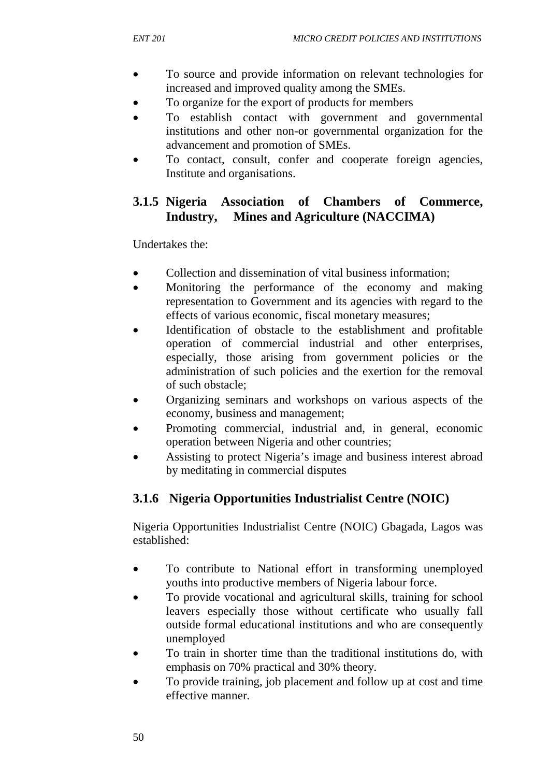- To source and provide information on relevant technologies for increased and improved quality among the SMEs.
- To organize for the export of products for members
- To establish contact with government and governmental institutions and other non-or governmental organization for the advancement and promotion of SMEs.
- To contact, consult, confer and cooperate foreign agencies, Institute and organisations.

### **3.1.5 Nigeria Association of Chambers of Commerce, Industry, Mines and Agriculture (NACCIMA)**

Undertakes the:

- Collection and dissemination of vital business information;
- Monitoring the performance of the economy and making representation to Government and its agencies with regard to the effects of various economic, fiscal monetary measures;
- Identification of obstacle to the establishment and profitable operation of commercial industrial and other enterprises, especially, those arising from government policies or the administration of such policies and the exertion for the removal of such obstacle;
- Organizing seminars and workshops on various aspects of the economy, business and management;
- Promoting commercial, industrial and, in general, economic operation between Nigeria and other countries;
- Assisting to protect Nigeria's image and business interest abroad by meditating in commercial disputes

### **3.1.6 Nigeria Opportunities Industrialist Centre (NOIC)**

Nigeria Opportunities Industrialist Centre (NOIC) Gbagada, Lagos was established:

- To contribute to National effort in transforming unemployed youths into productive members of Nigeria labour force.
- To provide vocational and agricultural skills, training for school leavers especially those without certificate who usually fall outside formal educational institutions and who are consequently unemployed
- To train in shorter time than the traditional institutions do, with emphasis on 70% practical and 30% theory.
- To provide training, job placement and follow up at cost and time effective manner.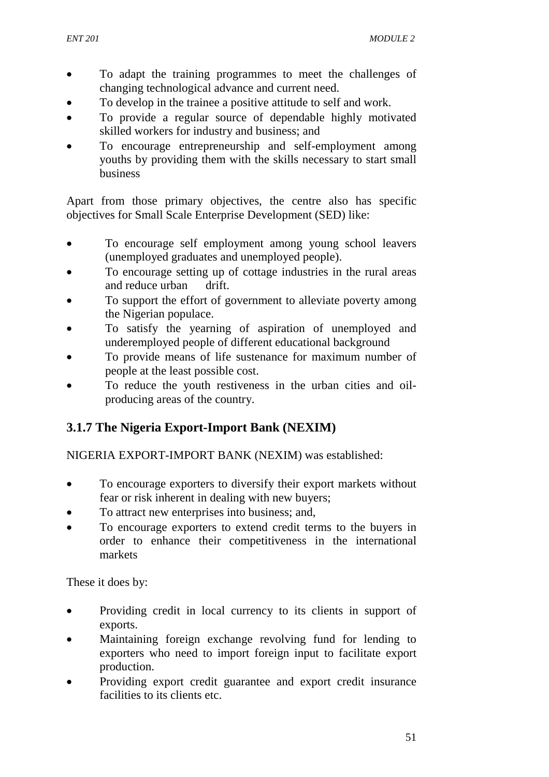- To adapt the training programmes to meet the challenges of changing technological advance and current need.
- To develop in the trainee a positive attitude to self and work.
- To provide a regular source of dependable highly motivated skilled workers for industry and business; and
- To encourage entrepreneurship and self-employment among youths by providing them with the skills necessary to start small business

Apart from those primary objectives, the centre also has specific objectives for Small Scale Enterprise Development (SED) like:

- To encourage self employment among young school leavers (unemployed graduates and unemployed people).
- To encourage setting up of cottage industries in the rural areas and reduce urban drift.
- To support the effort of government to alleviate poverty among the Nigerian populace.
- To satisfy the yearning of aspiration of unemployed and underemployed people of different educational background
- To provide means of life sustenance for maximum number of people at the least possible cost.
- To reduce the youth restiveness in the urban cities and oilproducing areas of the country.

## **3.1.7 The Nigeria Export-Import Bank (NEXIM)**

NIGERIA EXPORT-IMPORT BANK (NEXIM) was established:

- To encourage exporters to diversify their export markets without fear or risk inherent in dealing with new buyers;
- To attract new enterprises into business; and,
- To encourage exporters to extend credit terms to the buyers in order to enhance their competitiveness in the international markets

These it does by:

- Providing credit in local currency to its clients in support of exports.
- Maintaining foreign exchange revolving fund for lending to exporters who need to import foreign input to facilitate export production.
- Providing export credit guarantee and export credit insurance facilities to its clients etc.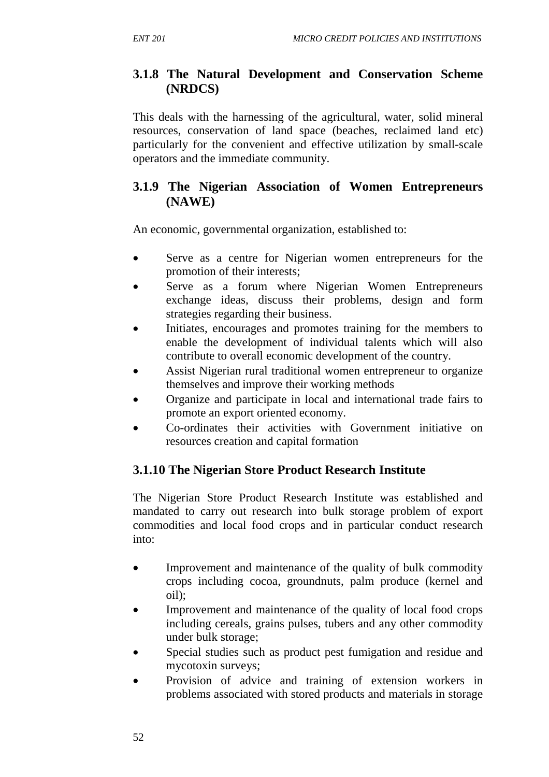### **3.1.8 The Natural Development and Conservation Scheme (NRDCS)**

This deals with the harnessing of the agricultural, water, solid mineral resources, conservation of land space (beaches, reclaimed land etc) particularly for the convenient and effective utilization by small-scale operators and the immediate community.

### **3.1.9 The Nigerian Association of Women Entrepreneurs (NAWE)**

An economic, governmental organization, established to:

- Serve as a centre for Nigerian women entrepreneurs for the promotion of their interests;
- Serve as a forum where Nigerian Women Entrepreneurs exchange ideas, discuss their problems, design and form strategies regarding their business.
- Initiates, encourages and promotes training for the members to enable the development of individual talents which will also contribute to overall economic development of the country.
- Assist Nigerian rural traditional women entrepreneur to organize themselves and improve their working methods
- Organize and participate in local and international trade fairs to promote an export oriented economy.
- Co-ordinates their activities with Government initiative on resources creation and capital formation

## **3.1.10 The Nigerian Store Product Research Institute**

The Nigerian Store Product Research Institute was established and mandated to carry out research into bulk storage problem of export commodities and local food crops and in particular conduct research into:

- Improvement and maintenance of the quality of bulk commodity crops including cocoa, groundnuts, palm produce (kernel and oil);
- Improvement and maintenance of the quality of local food crops including cereals, grains pulses, tubers and any other commodity under bulk storage;
- Special studies such as product pest fumigation and residue and mycotoxin surveys;
- Provision of advice and training of extension workers in problems associated with stored products and materials in storage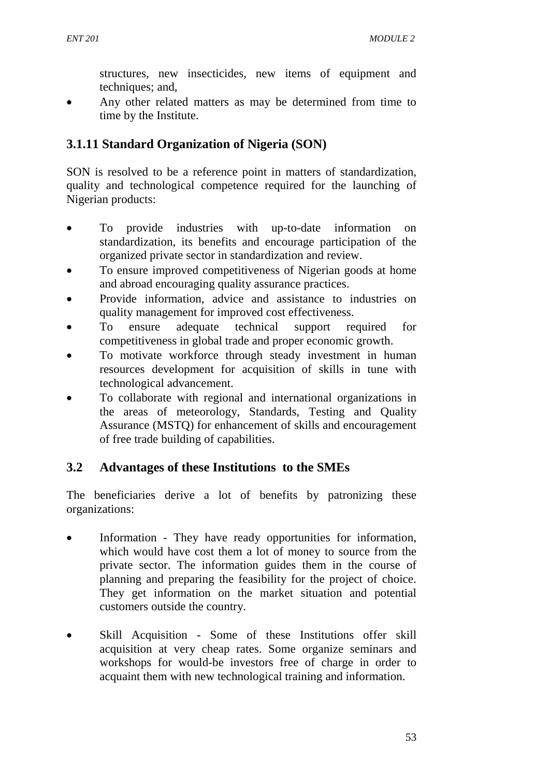structures, new insecticides, new items of equipment and techniques; and,

Any other related matters as may be determined from time to time by the Institute.

# **3.1.11 Standard Organization of Nigeria (SON)**

SON is resolved to be a reference point in matters of standardization, quality and technological competence required for the launching of Nigerian products:

- To provide industries with up-to-date information on standardization, its benefits and encourage participation of the organized private sector in standardization and review.
- To ensure improved competitiveness of Nigerian goods at home and abroad encouraging quality assurance practices.
- Provide information, advice and assistance to industries on quality management for improved cost effectiveness.
- To ensure adequate technical support required for competitiveness in global trade and proper economic growth.
- To motivate workforce through steady investment in human resources development for acquisition of skills in tune with technological advancement.
- To collaborate with regional and international organizations in the areas of meteorology, Standards, Testing and Quality Assurance (MSTQ) for enhancement of skills and encouragement of free trade building of capabilities.

## **3.2 Advantages of these Institutions to the SMEs**

The beneficiaries derive a lot of benefits by patronizing these organizations:

- Information They have ready opportunities for information, which would have cost them a lot of money to source from the private sector. The information guides them in the course of planning and preparing the feasibility for the project of choice. They get information on the market situation and potential customers outside the country.
- Skill Acquisition Some of these Institutions offer skill acquisition at very cheap rates. Some organize seminars and workshops for would-be investors free of charge in order to acquaint them with new technological training and information.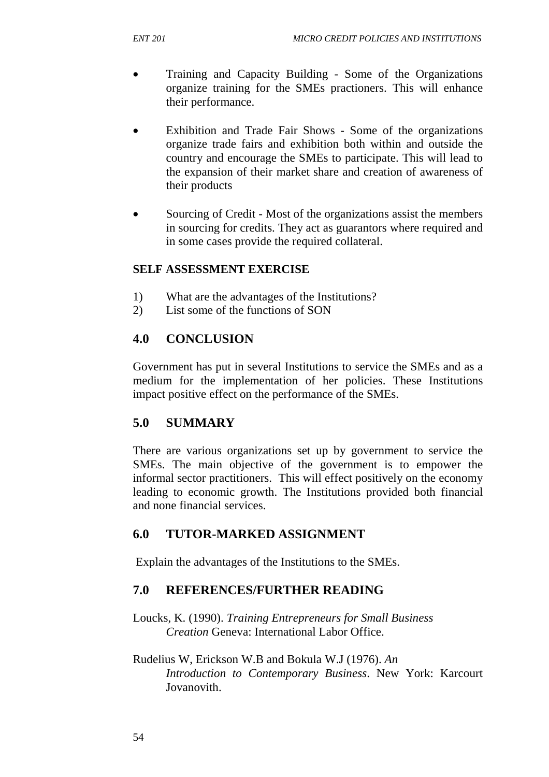- Training and Capacity Building Some of the Organizations organize training for the SMEs practioners. This will enhance their performance.
- Exhibition and Trade Fair Shows Some of the organizations organize trade fairs and exhibition both within and outside the country and encourage the SMEs to participate. This will lead to the expansion of their market share and creation of awareness of their products
- Sourcing of Credit Most of the organizations assist the members in sourcing for credits. They act as guarantors where required and in some cases provide the required collateral.

### **SELF ASSESSMENT EXERCISE**

- 1) What are the advantages of the Institutions?
- 2) List some of the functions of SON

## **4.0 CONCLUSION**

Government has put in several Institutions to service the SMEs and as a medium for the implementation of her policies. These Institutions impact positive effect on the performance of the SMEs.

## **5.0 SUMMARY**

There are various organizations set up by government to service the SMEs. The main objective of the government is to empower the informal sector practitioners. This will effect positively on the economy leading to economic growth. The Institutions provided both financial and none financial services.

## **6.0 TUTOR-MARKED ASSIGNMENT**

Explain the advantages of the Institutions to the SMEs.

## **7.0 REFERENCES/FURTHER READING**

Loucks, K. (1990). *Training Entrepreneurs for Small Business Creation* Geneva: International Labor Office.

#### Rudelius W, Erickson W.B and Bokula W.J (1976). *An Introduction to Contemporary Business*. New York: Karcourt Jovanovith.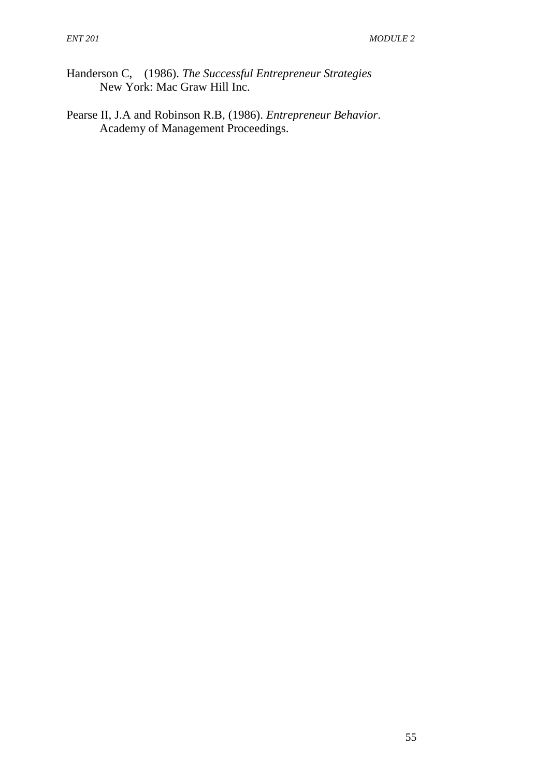- Handerson C, (1986). *The Successful Entrepreneur Strategies* New York: Mac Graw Hill Inc.
- Pearse II, J.A and Robinson R.B, (1986). *Entrepreneur Behavior*. Academy of Management Proceedings.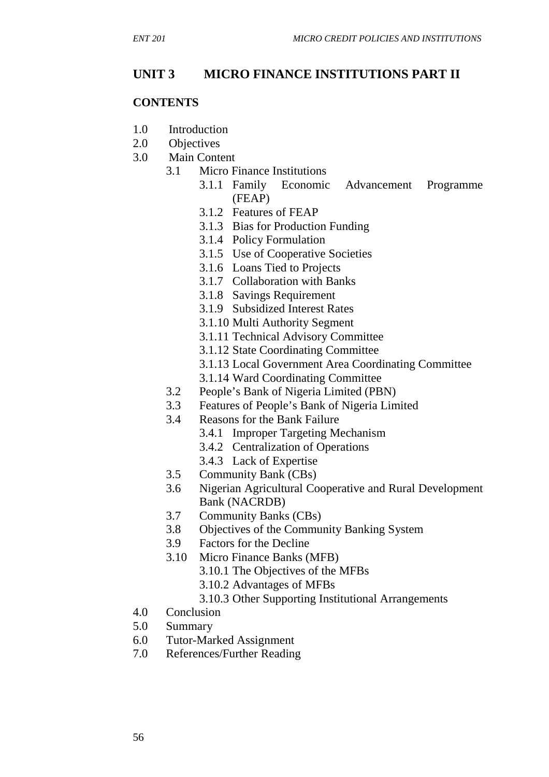# **UNIT 3 MICRO FINANCE INSTITUTIONS PART II**

#### **CONTENTS**

- 1.0 Introduction
- 2.0 Objectives
- 3.0 Main Content
	- 3.1 Micro Finance Institutions
		- 3.1.1 Family Economic Advancement Programme (FEAP)
		- 3.1.2 Features of FEAP
		- 3.1.3 Bias for Production Funding
		- 3.1.4 Policy Formulation
		- 3.1.5 Use of Cooperative Societies
		- 3.1.6 Loans Tied to Projects
		- 3.1.7 Collaboration with Banks
		- 3.1.8 Savings Requirement
		- 3.1.9 Subsidized Interest Rates
		- 3.1.10 Multi Authority Segment
		- 3.1.11 Technical Advisory Committee
		- 3.1.12 State Coordinating Committee
		- 3.1.13 Local Government Area Coordinating Committee
		- 3.1.14 Ward Coordinating Committee
	- 3.2 People's Bank of Nigeria Limited (PBN)
	- 3.3 Features of People's Bank of Nigeria Limited
	- 3.4 Reasons for the Bank Failure
		- 3.4.1 Improper Targeting Mechanism
		- 3.4.2 Centralization of Operations
		- 3.4.3 Lack of Expertise
	- 3.5 Community Bank (CBs)
	- 3.6 Nigerian Agricultural Cooperative and Rural Development Bank (NACRDB)
	- 3.7 Community Banks (CBs)
	- 3.8 Objectives of the Community Banking System
	- 3.9 Factors for the Decline
	- 3.10 Micro Finance Banks (MFB)
		- 3.10.1 The Objectives of the MFBs
		- 3.10.2 Advantages of MFBs
		- 3.10.3 Other Supporting Institutional Arrangements
- 4.0 Conclusion
- 5.0 Summary
- 6.0 Tutor-Marked Assignment
- 7.0 References/Further Reading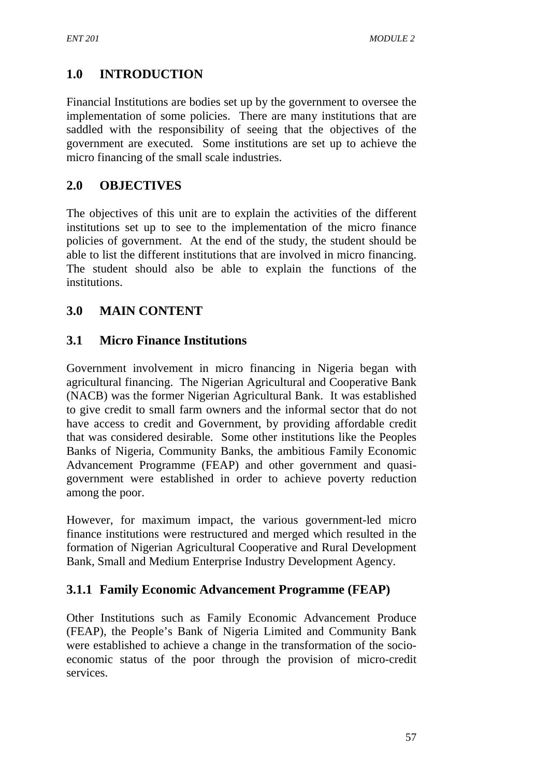# **1.0 INTRODUCTION**

Financial Institutions are bodies set up by the government to oversee the implementation of some policies. There are many institutions that are saddled with the responsibility of seeing that the objectives of the government are executed. Some institutions are set up to achieve the micro financing of the small scale industries.

### **2.0 OBJECTIVES**

The objectives of this unit are to explain the activities of the different institutions set up to see to the implementation of the micro finance policies of government. At the end of the study, the student should be able to list the different institutions that are involved in micro financing. The student should also be able to explain the functions of the institutions.

### **3.0 MAIN CONTENT**

### **3.1 Micro Finance Institutions**

Government involvement in micro financing in Nigeria began with agricultural financing. The Nigerian Agricultural and Cooperative Bank (NACB) was the former Nigerian Agricultural Bank. It was established to give credit to small farm owners and the informal sector that do not have access to credit and Government, by providing affordable credit that was considered desirable. Some other institutions like the Peoples Banks of Nigeria, Community Banks, the ambitious Family Economic Advancement Programme (FEAP) and other government and quasigovernment were established in order to achieve poverty reduction among the poor.

However, for maximum impact, the various government-led micro finance institutions were restructured and merged which resulted in the formation of Nigerian Agricultural Cooperative and Rural Development Bank, Small and Medium Enterprise Industry Development Agency.

### **3.1.1 Family Economic Advancement Programme (FEAP)**

Other Institutions such as Family Economic Advancement Produce (FEAP), the People's Bank of Nigeria Limited and Community Bank were established to achieve a change in the transformation of the socioeconomic status of the poor through the provision of micro-credit services.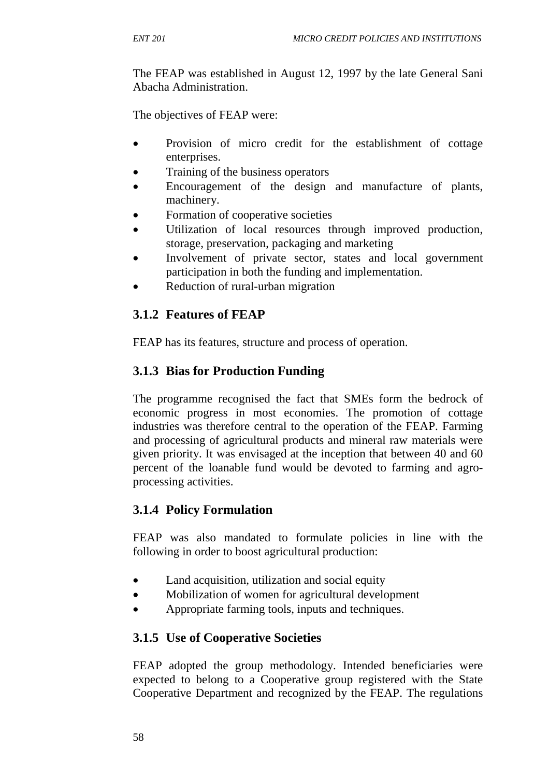The FEAP was established in August 12, 1997 by the late General Sani Abacha Administration.

The objectives of FEAP were:

- Provision of micro credit for the establishment of cottage enterprises.
- Training of the business operators
- Encouragement of the design and manufacture of plants, machinery.
- Formation of cooperative societies
- Utilization of local resources through improved production, storage, preservation, packaging and marketing
- Involvement of private sector, states and local government participation in both the funding and implementation.
- Reduction of rural-urban migration

## **3.1.2 Features of FEAP**

FEAP has its features, structure and process of operation.

## **3.1.3 Bias for Production Funding**

The programme recognised the fact that SMEs form the bedrock of economic progress in most economies. The promotion of cottage industries was therefore central to the operation of the FEAP. Farming and processing of agricultural products and mineral raw materials were given priority. It was envisaged at the inception that between 40 and 60 percent of the loanable fund would be devoted to farming and agroprocessing activities.

### **3.1.4 Policy Formulation**

FEAP was also mandated to formulate policies in line with the following in order to boost agricultural production:

- Land acquisition, utilization and social equity
- Mobilization of women for agricultural development
- Appropriate farming tools, inputs and techniques.

### **3.1.5 Use of Cooperative Societies**

FEAP adopted the group methodology. Intended beneficiaries were expected to belong to a Cooperative group registered with the State Cooperative Department and recognized by the FEAP. The regulations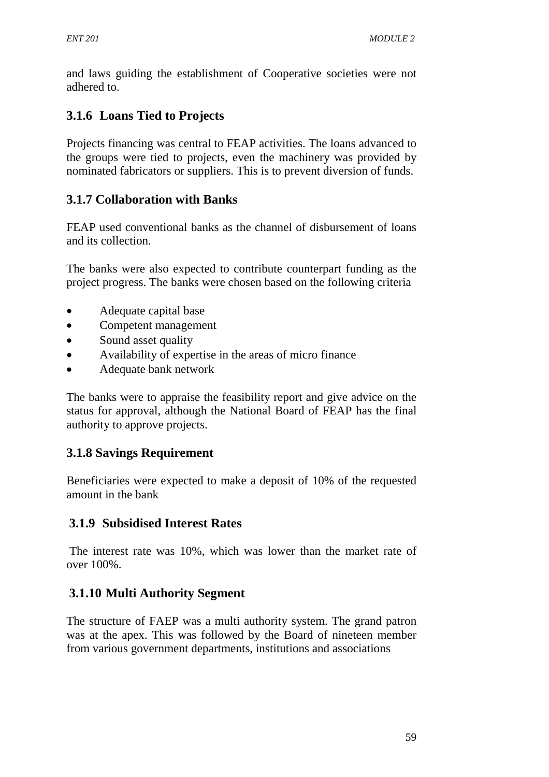and laws guiding the establishment of Cooperative societies were not adhered to.

# **3.1.6 Loans Tied to Projects**

Projects financing was central to FEAP activities. The loans advanced to the groups were tied to projects, even the machinery was provided by nominated fabricators or suppliers. This is to prevent diversion of funds.

# **3.1.7 Collaboration with Banks**

FEAP used conventional banks as the channel of disbursement of loans and its collection.

The banks were also expected to contribute counterpart funding as the project progress. The banks were chosen based on the following criteria

- Adequate capital base
- Competent management
- Sound asset quality
- Availability of expertise in the areas of micro finance
- Adequate bank network

The banks were to appraise the feasibility report and give advice on the status for approval, although the National Board of FEAP has the final authority to approve projects.

## **3.1.8 Savings Requirement**

Beneficiaries were expected to make a deposit of 10% of the requested amount in the bank

## **3.1.9 Subsidised Interest Rates**

 The interest rate was 10%, which was lower than the market rate of over 100%.

# **3.1.10 Multi Authority Segment**

The structure of FAEP was a multi authority system. The grand patron was at the apex. This was followed by the Board of nineteen member from various government departments, institutions and associations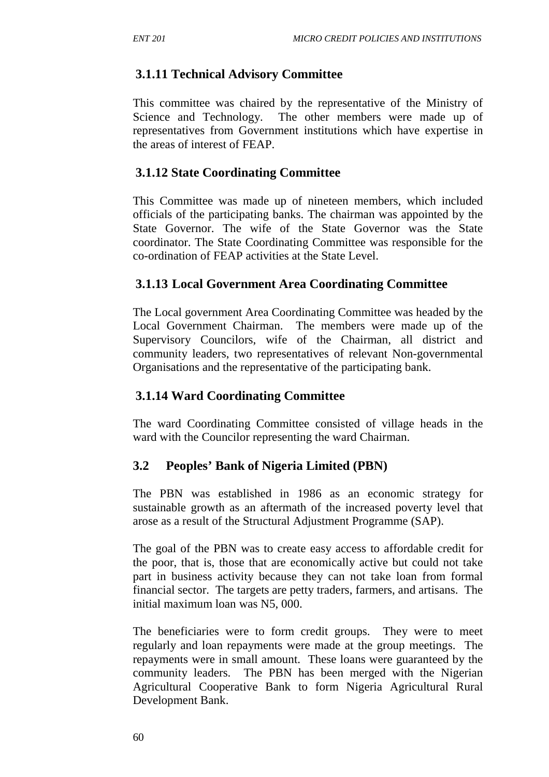### **3.1.11 Technical Advisory Committee**

This committee was chaired by the representative of the Ministry of Science and Technology. The other members were made up of representatives from Government institutions which have expertise in the areas of interest of FEAP.

#### **3.1.12 State Coordinating Committee**

This Committee was made up of nineteen members, which included officials of the participating banks. The chairman was appointed by the State Governor. The wife of the State Governor was the State coordinator. The State Coordinating Committee was responsible for the co-ordination of FEAP activities at the State Level.

### **3.1.13 Local Government Area Coordinating Committee**

The Local government Area Coordinating Committee was headed by the Local Government Chairman. The members were made up of the Supervisory Councilors, wife of the Chairman, all district and community leaders, two representatives of relevant Non-governmental Organisations and the representative of the participating bank.

### **3.1.14 Ward Coordinating Committee**

The ward Coordinating Committee consisted of village heads in the ward with the Councilor representing the ward Chairman.

### **3.2 Peoples' Bank of Nigeria Limited (PBN)**

The PBN was established in 1986 as an economic strategy for sustainable growth as an aftermath of the increased poverty level that arose as a result of the Structural Adjustment Programme (SAP).

The goal of the PBN was to create easy access to affordable credit for the poor, that is, those that are economically active but could not take part in business activity because they can not take loan from formal financial sector. The targets are petty traders, farmers, and artisans. The initial maximum loan was N5, 000.

The beneficiaries were to form credit groups. They were to meet regularly and loan repayments were made at the group meetings. The repayments were in small amount. These loans were guaranteed by the community leaders. The PBN has been merged with the Nigerian Agricultural Cooperative Bank to form Nigeria Agricultural Rural Development Bank.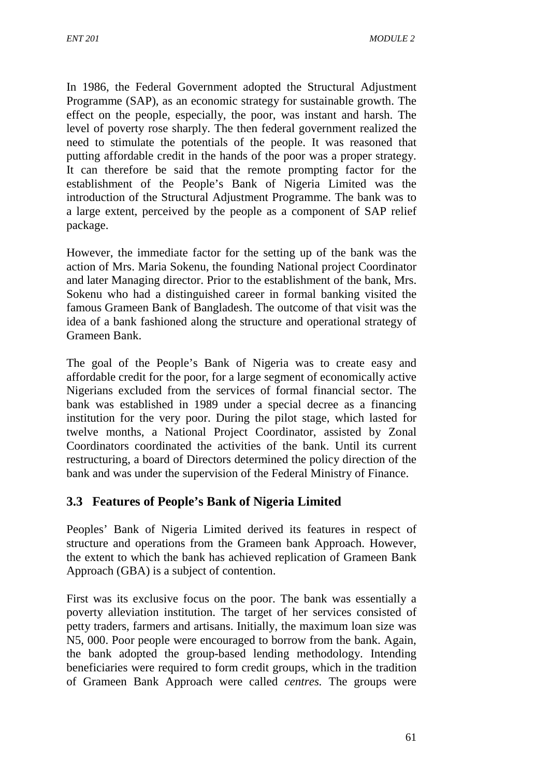In 1986, the Federal Government adopted the Structural Adjustment Programme (SAP), as an economic strategy for sustainable growth. The effect on the people, especially, the poor, was instant and harsh. The level of poverty rose sharply. The then federal government realized the need to stimulate the potentials of the people. It was reasoned that putting affordable credit in the hands of the poor was a proper strategy. It can therefore be said that the remote prompting factor for the establishment of the People's Bank of Nigeria Limited was the introduction of the Structural Adjustment Programme. The bank was to a large extent, perceived by the people as a component of SAP relief package.

However, the immediate factor for the setting up of the bank was the action of Mrs. Maria Sokenu, the founding National project Coordinator and later Managing director. Prior to the establishment of the bank, Mrs. Sokenu who had a distinguished career in formal banking visited the famous Grameen Bank of Bangladesh. The outcome of that visit was the idea of a bank fashioned along the structure and operational strategy of Grameen Bank.

The goal of the People's Bank of Nigeria was to create easy and affordable credit for the poor, for a large segment of economically active Nigerians excluded from the services of formal financial sector. The bank was established in 1989 under a special decree as a financing institution for the very poor. During the pilot stage, which lasted for twelve months, a National Project Coordinator, assisted by Zonal Coordinators coordinated the activities of the bank. Until its current restructuring, a board of Directors determined the policy direction of the bank and was under the supervision of the Federal Ministry of Finance.

### **3.3 Features of People's Bank of Nigeria Limited**

Peoples' Bank of Nigeria Limited derived its features in respect of structure and operations from the Grameen bank Approach. However, the extent to which the bank has achieved replication of Grameen Bank Approach (GBA) is a subject of contention.

First was its exclusive focus on the poor. The bank was essentially a poverty alleviation institution. The target of her services consisted of petty traders, farmers and artisans. Initially, the maximum loan size was N5, 000. Poor people were encouraged to borrow from the bank. Again, the bank adopted the group-based lending methodology. Intending beneficiaries were required to form credit groups, which in the tradition of Grameen Bank Approach were called *centres.* The groups were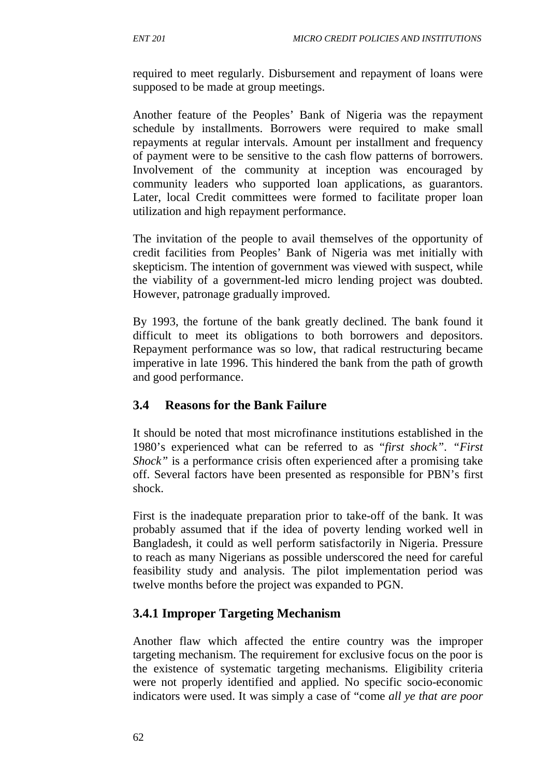required to meet regularly. Disbursement and repayment of loans were supposed to be made at group meetings.

Another feature of the Peoples' Bank of Nigeria was the repayment schedule by installments. Borrowers were required to make small repayments at regular intervals. Amount per installment and frequency of payment were to be sensitive to the cash flow patterns of borrowers. Involvement of the community at inception was encouraged by community leaders who supported loan applications, as guarantors. Later, local Credit committees were formed to facilitate proper loan utilization and high repayment performance.

The invitation of the people to avail themselves of the opportunity of credit facilities from Peoples' Bank of Nigeria was met initially with skepticism. The intention of government was viewed with suspect, while the viability of a government-led micro lending project was doubted. However, patronage gradually improved.

By 1993, the fortune of the bank greatly declined. The bank found it difficult to meet its obligations to both borrowers and depositors. Repayment performance was so low, that radical restructuring became imperative in late 1996. This hindered the bank from the path of growth and good performance.

### **3.4 Reasons for the Bank Failure**

It should be noted that most microfinance institutions established in the 1980's experienced what can be referred to as "*first shock"*. *"First Shock*" is a performance crisis often experienced after a promising take off. Several factors have been presented as responsible for PBN's first shock.

First is the inadequate preparation prior to take-off of the bank. It was probably assumed that if the idea of poverty lending worked well in Bangladesh, it could as well perform satisfactorily in Nigeria. Pressure to reach as many Nigerians as possible underscored the need for careful feasibility study and analysis. The pilot implementation period was twelve months before the project was expanded to PGN.

## **3.4.1 Improper Targeting Mechanism**

Another flaw which affected the entire country was the improper targeting mechanism. The requirement for exclusive focus on the poor is the existence of systematic targeting mechanisms. Eligibility criteria were not properly identified and applied. No specific socio-economic indicators were used. It was simply a case of "come *all ye that are poor*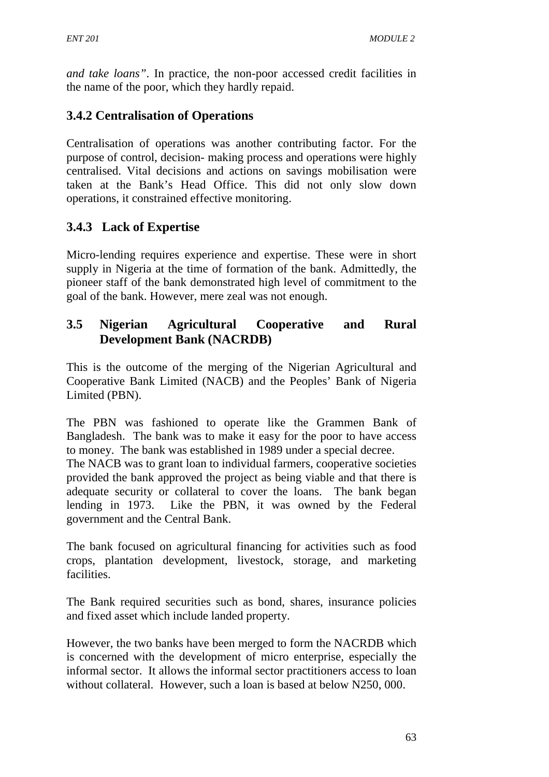*and take loans"*. In practice, the non-poor accessed credit facilities in the name of the poor, which they hardly repaid.

# **3.4.2 Centralisation of Operations**

Centralisation of operations was another contributing factor. For the purpose of control, decision- making process and operations were highly centralised. Vital decisions and actions on savings mobilisation were taken at the Bank's Head Office. This did not only slow down operations, it constrained effective monitoring.

# **3.4.3 Lack of Expertise**

Micro-lending requires experience and expertise. These were in short supply in Nigeria at the time of formation of the bank. Admittedly, the pioneer staff of the bank demonstrated high level of commitment to the goal of the bank. However, mere zeal was not enough.

### **3.5 Nigerian Agricultural Cooperative and Rural Development Bank (NACRDB)**

This is the outcome of the merging of the Nigerian Agricultural and Cooperative Bank Limited (NACB) and the Peoples' Bank of Nigeria Limited (PBN).

The PBN was fashioned to operate like the Grammen Bank of Bangladesh. The bank was to make it easy for the poor to have access to money. The bank was established in 1989 under a special decree.

The NACB was to grant loan to individual farmers, cooperative societies provided the bank approved the project as being viable and that there is adequate security or collateral to cover the loans. The bank began lending in 1973. Like the PBN, it was owned by the Federal government and the Central Bank.

The bank focused on agricultural financing for activities such as food crops, plantation development, livestock, storage, and marketing facilities.

The Bank required securities such as bond, shares, insurance policies and fixed asset which include landed property.

However, the two banks have been merged to form the NACRDB which is concerned with the development of micro enterprise, especially the informal sector. It allows the informal sector practitioners access to loan without collateral. However, such a loan is based at below N250, 000.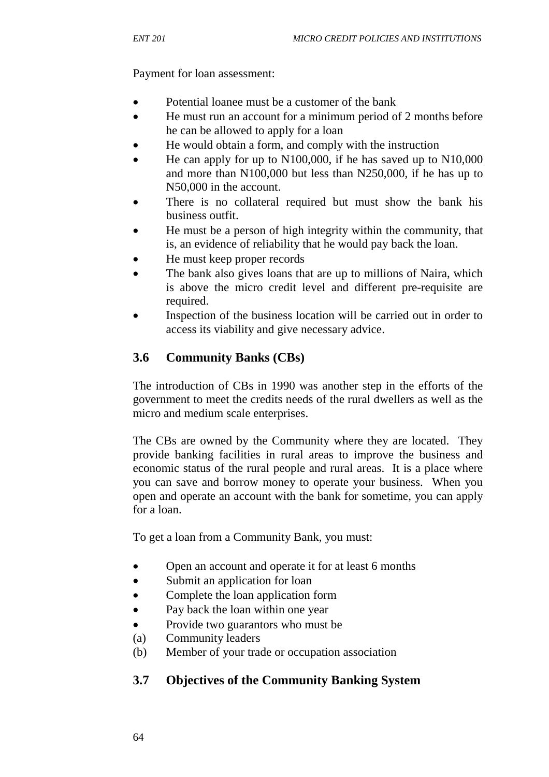Payment for loan assessment:

- Potential loanee must be a customer of the bank
- He must run an account for a minimum period of 2 months before he can be allowed to apply for a loan
- He would obtain a form, and comply with the instruction
- He can apply for up to N100,000, if he has saved up to N10,000 and more than N100,000 but less than N250,000, if he has up to N50,000 in the account.
- There is no collateral required but must show the bank his business outfit.
- He must be a person of high integrity within the community, that is, an evidence of reliability that he would pay back the loan.
- He must keep proper records
- The bank also gives loans that are up to millions of Naira, which is above the micro credit level and different pre-requisite are required.
- Inspection of the business location will be carried out in order to access its viability and give necessary advice.

## **3.6 Community Banks (CBs)**

The introduction of CBs in 1990 was another step in the efforts of the government to meet the credits needs of the rural dwellers as well as the micro and medium scale enterprises.

The CBs are owned by the Community where they are located. They provide banking facilities in rural areas to improve the business and economic status of the rural people and rural areas. It is a place where you can save and borrow money to operate your business. When you open and operate an account with the bank for sometime, you can apply for a loan.

To get a loan from a Community Bank, you must:

- Open an account and operate it for at least 6 months
- Submit an application for loan
- Complete the loan application form
- Pay back the loan within one year
- Provide two guarantors who must be
- (a) Community leaders
- (b) Member of your trade or occupation association

### **3.7 Objectives of the Community Banking System**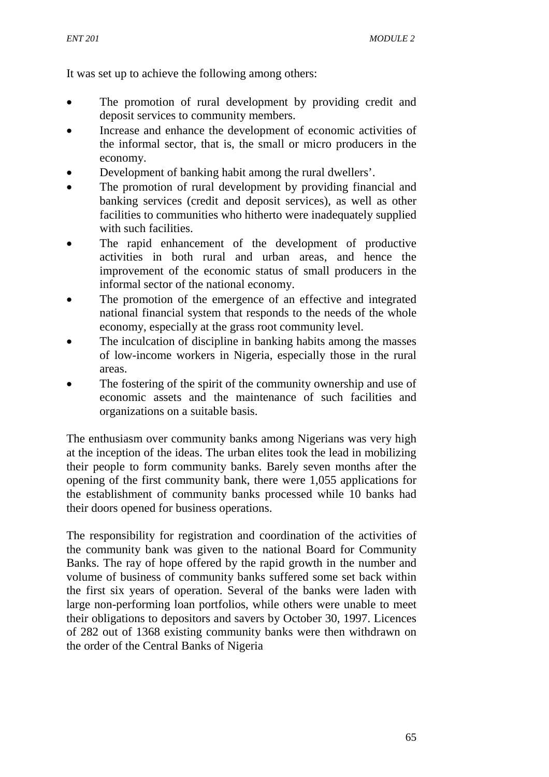It was set up to achieve the following among others:

- The promotion of rural development by providing credit and deposit services to community members.
- Increase and enhance the development of economic activities of the informal sector, that is, the small or micro producers in the economy.
- Development of banking habit among the rural dwellers'.
- The promotion of rural development by providing financial and banking services (credit and deposit services), as well as other facilities to communities who hitherto were inadequately supplied with such facilities.
- The rapid enhancement of the development of productive activities in both rural and urban areas, and hence the improvement of the economic status of small producers in the informal sector of the national economy.
- The promotion of the emergence of an effective and integrated national financial system that responds to the needs of the whole economy, especially at the grass root community level.
- The inculcation of discipline in banking habits among the masses of low-income workers in Nigeria, especially those in the rural areas.
- The fostering of the spirit of the community ownership and use of economic assets and the maintenance of such facilities and organizations on a suitable basis.

The enthusiasm over community banks among Nigerians was very high at the inception of the ideas. The urban elites took the lead in mobilizing their people to form community banks. Barely seven months after the opening of the first community bank, there were 1,055 applications for the establishment of community banks processed while 10 banks had their doors opened for business operations.

The responsibility for registration and coordination of the activities of the community bank was given to the national Board for Community Banks. The ray of hope offered by the rapid growth in the number and volume of business of community banks suffered some set back within the first six years of operation. Several of the banks were laden with large non-performing loan portfolios, while others were unable to meet their obligations to depositors and savers by October 30, 1997. Licences of 282 out of 1368 existing community banks were then withdrawn on the order of the Central Banks of Nigeria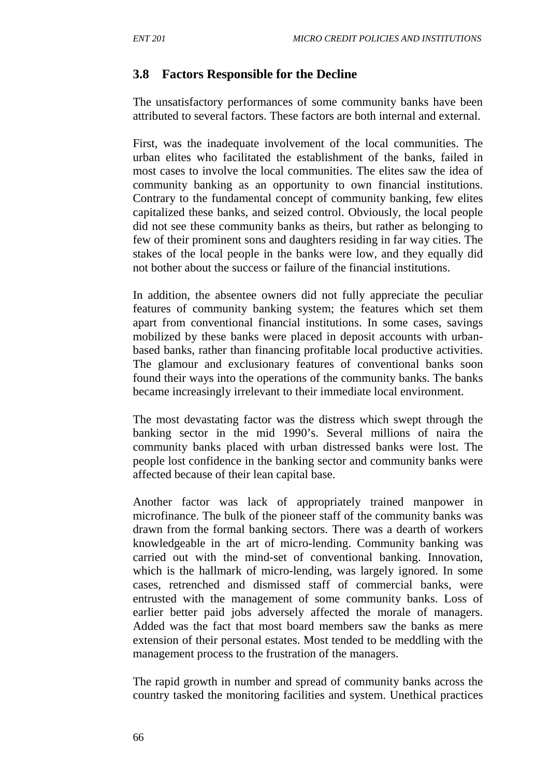## **3.8 Factors Responsible for the Decline**

The unsatisfactory performances of some community banks have been attributed to several factors. These factors are both internal and external.

First, was the inadequate involvement of the local communities. The urban elites who facilitated the establishment of the banks, failed in most cases to involve the local communities. The elites saw the idea of community banking as an opportunity to own financial institutions. Contrary to the fundamental concept of community banking, few elites capitalized these banks, and seized control. Obviously, the local people did not see these community banks as theirs, but rather as belonging to few of their prominent sons and daughters residing in far way cities. The stakes of the local people in the banks were low, and they equally did not bother about the success or failure of the financial institutions.

In addition, the absentee owners did not fully appreciate the peculiar features of community banking system; the features which set them apart from conventional financial institutions. In some cases, savings mobilized by these banks were placed in deposit accounts with urbanbased banks, rather than financing profitable local productive activities. The glamour and exclusionary features of conventional banks soon found their ways into the operations of the community banks. The banks became increasingly irrelevant to their immediate local environment.

The most devastating factor was the distress which swept through the banking sector in the mid 1990's. Several millions of naira the community banks placed with urban distressed banks were lost. The people lost confidence in the banking sector and community banks were affected because of their lean capital base.

Another factor was lack of appropriately trained manpower in microfinance. The bulk of the pioneer staff of the community banks was drawn from the formal banking sectors. There was a dearth of workers knowledgeable in the art of micro-lending. Community banking was carried out with the mind-set of conventional banking. Innovation, which is the hallmark of micro-lending, was largely ignored. In some cases, retrenched and dismissed staff of commercial banks, were entrusted with the management of some community banks. Loss of earlier better paid jobs adversely affected the morale of managers. Added was the fact that most board members saw the banks as mere extension of their personal estates. Most tended to be meddling with the management process to the frustration of the managers.

The rapid growth in number and spread of community banks across the country tasked the monitoring facilities and system. Unethical practices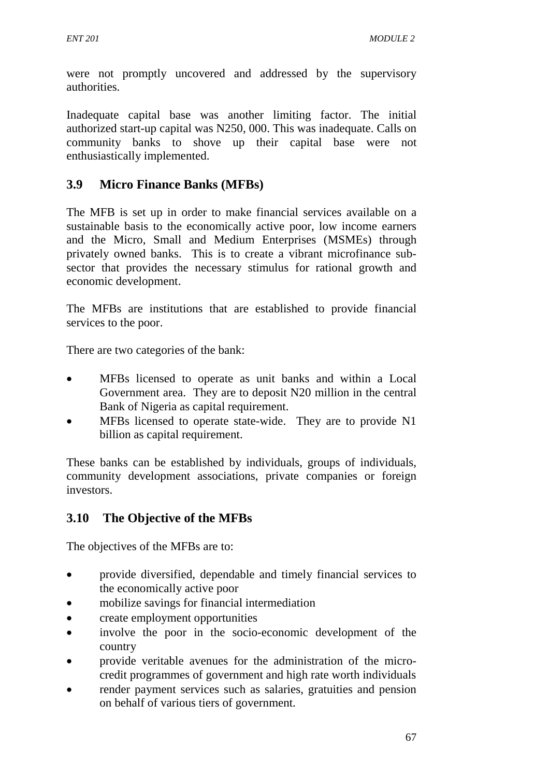were not promptly uncovered and addressed by the supervisory authorities.

Inadequate capital base was another limiting factor. The initial authorized start-up capital was N250, 000. This was inadequate. Calls on community banks to shove up their capital base were not enthusiastically implemented.

## **3.9 Micro Finance Banks (MFBs)**

The MFB is set up in order to make financial services available on a sustainable basis to the economically active poor, low income earners and the Micro, Small and Medium Enterprises (MSMEs) through privately owned banks. This is to create a vibrant microfinance subsector that provides the necessary stimulus for rational growth and economic development.

The MFBs are institutions that are established to provide financial services to the poor.

There are two categories of the bank:

- MFBs licensed to operate as unit banks and within a Local Government area. They are to deposit N20 million in the central Bank of Nigeria as capital requirement.
- MFBs licensed to operate state-wide. They are to provide N1 billion as capital requirement.

These banks can be established by individuals, groups of individuals, community development associations, private companies or foreign investors.

## **3.10 The Objective of the MFBs**

The objectives of the MFBs are to:

- provide diversified, dependable and timely financial services to the economically active poor
- mobilize savings for financial intermediation
- create employment opportunities
- involve the poor in the socio-economic development of the country
- provide veritable avenues for the administration of the microcredit programmes of government and high rate worth individuals
- render payment services such as salaries, gratuities and pension on behalf of various tiers of government.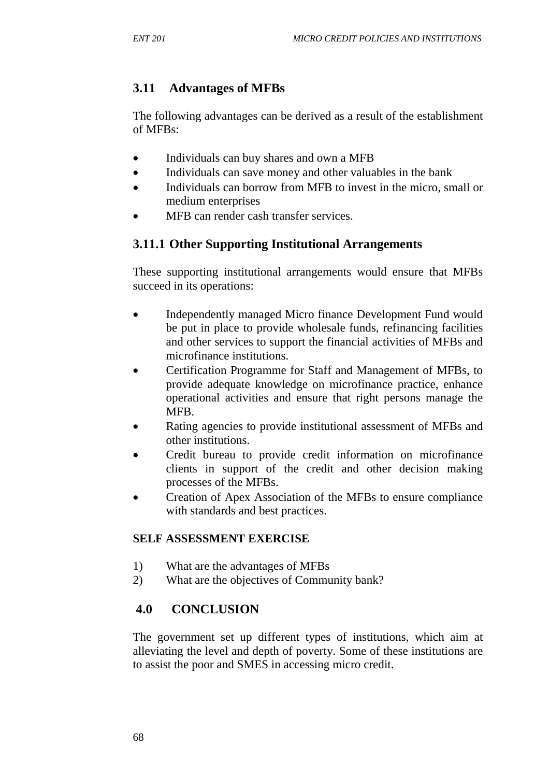# **3.11 Advantages of MFBs**

The following advantages can be derived as a result of the establishment of MFBs:

- Individuals can buy shares and own a MFB
- Individuals can save money and other valuables in the bank
- Individuals can borrow from MFB to invest in the micro, small or medium enterprises
- MFB can render cash transfer services.

## **3.11.1 Other Supporting Institutional Arrangements**

These supporting institutional arrangements would ensure that MFBs succeed in its operations:

- Independently managed Micro finance Development Fund would be put in place to provide wholesale funds, refinancing facilities and other services to support the financial activities of MFBs and microfinance institutions.
- Certification Programme for Staff and Management of MFBs, to provide adequate knowledge on microfinance practice, enhance operational activities and ensure that right persons manage the MFB.
- Rating agencies to provide institutional assessment of MFBs and other institutions.
- Credit bureau to provide credit information on microfinance clients in support of the credit and other decision making processes of the MFBs.
- Creation of Apex Association of the MFBs to ensure compliance with standards and best practices.

#### **SELF ASSESSMENT EXERCISE**

- 1) What are the advantages of MFBs
- 2) What are the objectives of Community bank?

## **4.0 CONCLUSION**

The government set up different types of institutions, which aim at alleviating the level and depth of poverty. Some of these institutions are to assist the poor and SMES in accessing micro credit.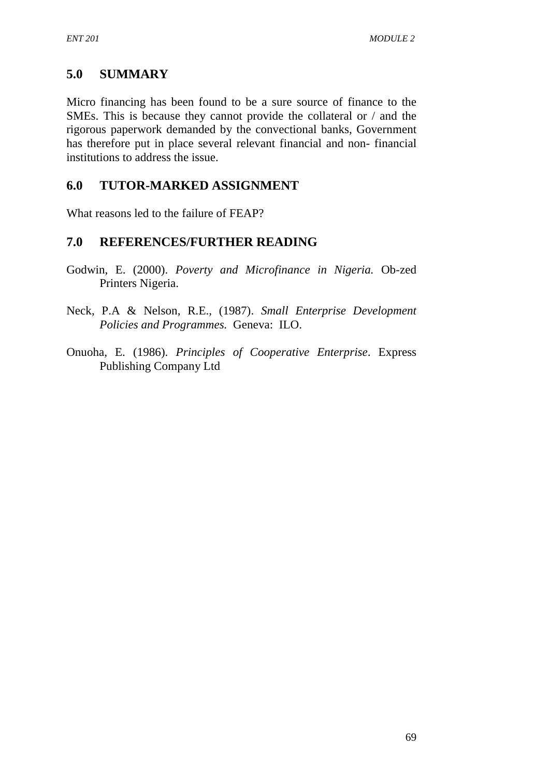## **5.0 SUMMARY**

Micro financing has been found to be a sure source of finance to the SMEs. This is because they cannot provide the collateral or / and the rigorous paperwork demanded by the convectional banks, Government has therefore put in place several relevant financial and non- financial institutions to address the issue.

## **6.0 TUTOR-MARKED ASSIGNMENT**

What reasons led to the failure of FEAP?

### **7.0 REFERENCES/FURTHER READING**

- Godwin, E. (2000). *Poverty and Microfinance in Nigeria.* Ob-zed Printers Nigeria.
- Neck, P.A & Nelson, R.E., (1987). *Small Enterprise Development Policies and Programmes.* Geneva: ILO.
- Onuoha, E. (1986). *Principles of Cooperative Enterprise*. Express Publishing Company Ltd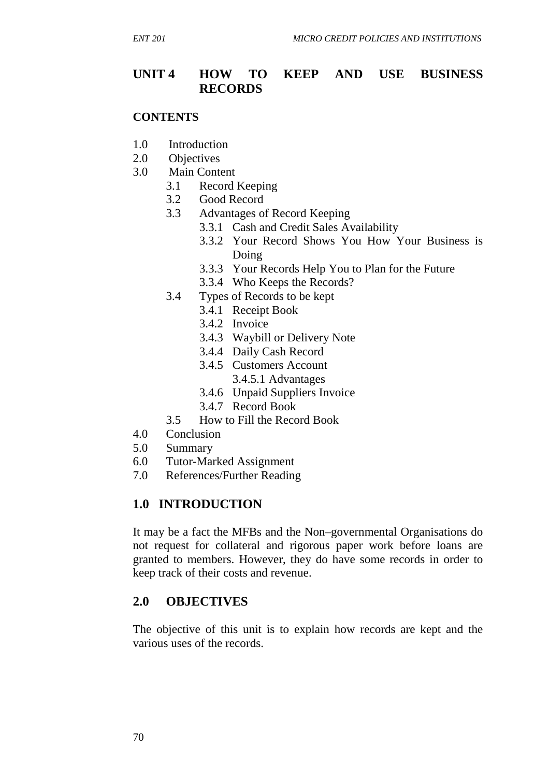#### **UNIT 4 HOW TO KEEP AND USE BUSINESS RECORDS**

#### **CONTENTS**

- 1.0 Introduction
- 2.0 Objectives
- 3.0 Main Content
	- 3.1 Record Keeping
	- 3.2 Good Record
	- 3.3 Advantages of Record Keeping
		- 3.3.1 Cash and Credit Sales Availability
		- 3.3.2 Your Record Shows You How Your Business is Doing
		- 3.3.3 Your Records Help You to Plan for the Future
		- 3.3.4 Who Keeps the Records?
	- 3.4 Types of Records to be kept
		- 3.4.1 Receipt Book
		- 3.4.2 Invoice
		- 3.4.3 Waybill or Delivery Note
		- 3.4.4 Daily Cash Record
		- 3.4.5 Customers Account
			- 3.4.5.1 Advantages
		- 3.4.6 Unpaid Suppliers Invoice
		- 3.4.7 Record Book
	- 3.5 How to Fill the Record Book
- 4.0 Conclusion
- 5.0 Summary
- 6.0 Tutor-Marked Assignment
- 7.0 References/Further Reading

#### **1.0 INTRODUCTION**

It may be a fact the MFBs and the Non–governmental Organisations do not request for collateral and rigorous paper work before loans are granted to members. However, they do have some records in order to keep track of their costs and revenue.

#### **2.0 OBJECTIVES**

The objective of this unit is to explain how records are kept and the various uses of the records.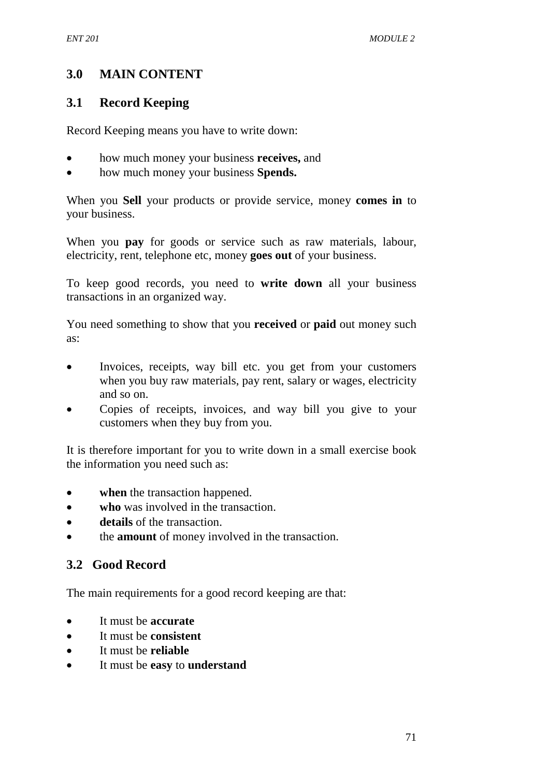## **3.0 MAIN CONTENT**

### **3.1 Record Keeping**

Record Keeping means you have to write down:

- how much money your business **receives,** and
- how much money your business **Spends.**

When you **Sell** your products or provide service, money **comes in** to your business.

When you **pay** for goods or service such as raw materials, labour, electricity, rent, telephone etc, money **goes out** of your business.

To keep good records, you need to **write down** all your business transactions in an organized way.

You need something to show that you **received** or **paid** out money such as:

- Invoices, receipts, way bill etc. you get from your customers when you buy raw materials, pay rent, salary or wages, electricity and so on.
- Copies of receipts, invoices, and way bill you give to your customers when they buy from you.

It is therefore important for you to write down in a small exercise book the information you need such as:

- **when** the transaction happened.
- **who** was involved in the transaction.
- **details** of the transaction.
- the **amount** of money involved in the transaction.

## **3.2 Good Record**

The main requirements for a good record keeping are that:

- It must be **accurate**
- It must be **consistent**
- It must be **reliable**
- It must be **easy** to **understand**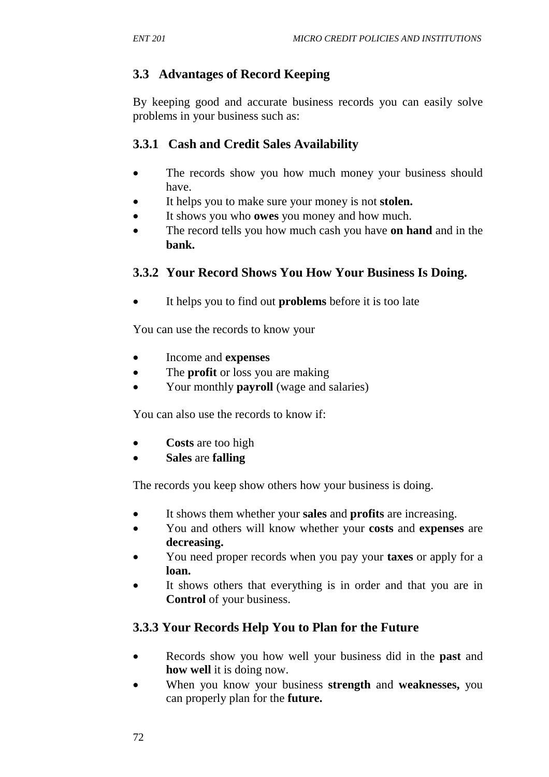## **3.3 Advantages of Record Keeping**

By keeping good and accurate business records you can easily solve problems in your business such as:

### **3.3.1 Cash and Credit Sales Availability**

- The records show you how much money your business should have.
- It helps you to make sure your money is not **stolen.**
- It shows you who **owes** you money and how much.
- The record tells you how much cash you have **on hand** and in the **bank.**

## **3.3.2 Your Record Shows You How Your Business Is Doing.**

• It helps you to find out **problems** before it is too late

You can use the records to know your

- Income and **expenses**
- The **profit** or loss you are making
- Your monthly **payroll** (wage and salaries)

You can also use the records to know if:

- **Costs** are too high
- **Sales** are **falling**

The records you keep show others how your business is doing.

- It shows them whether your **sales** and **profits** are increasing.
- You and others will know whether your **costs** and **expenses** are **decreasing.**
- You need proper records when you pay your **taxes** or apply for a **loan.**
- It shows others that everything is in order and that you are in **Control** of your business.

## **3.3.3 Your Records Help You to Plan for the Future**

- Records show you how well your business did in the **past** and **how well** it is doing now.
- When you know your business **strength** and **weaknesses,** you can properly plan for the **future.**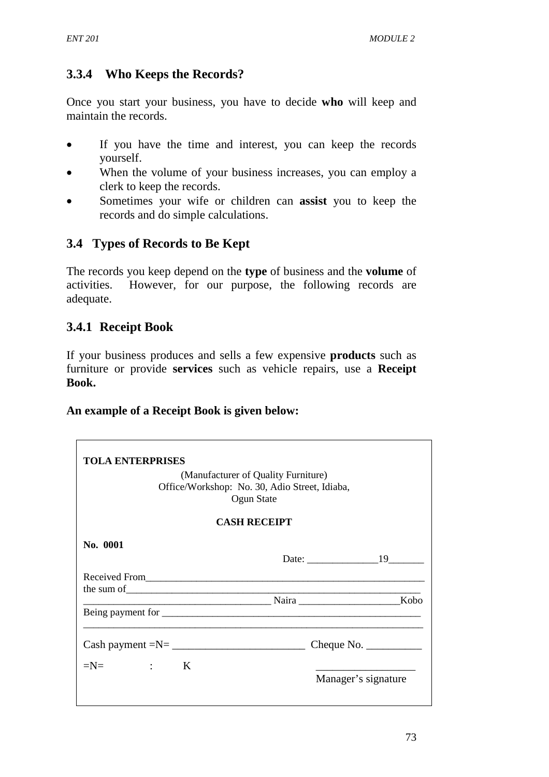## **3.3.4 Who Keeps the Records?**

Once you start your business, you have to decide **who** will keep and maintain the records.

- If you have the time and interest, you can keep the records yourself.
- When the volume of your business increases, you can employ a clerk to keep the records.
- Sometimes your wife or children can **assist** you to keep the records and do simple calculations.

# **3.4 Types of Records to Be Kept**

The records you keep depend on the **type** of business and the **volume** of activities. However, for our purpose, the following records are adequate.

## **3.4.1 Receipt Book**

If your business produces and sells a few expensive **products** such as furniture or provide **services** such as vehicle repairs, use a **Receipt Book.** 

### **An example of a Receipt Book is given below:**

| <b>TOLA ENTERPRISES</b> |                                                                                                    |                                               |
|-------------------------|----------------------------------------------------------------------------------------------------|-----------------------------------------------|
|                         | (Manufacturer of Quality Furniture)<br>Office/Workshop: No. 30, Adio Street, Idiaba,<br>Ogun State |                                               |
|                         | <b>CASH RECEIPT</b>                                                                                |                                               |
| No. 0001                |                                                                                                    |                                               |
|                         |                                                                                                    |                                               |
|                         |                                                                                                    |                                               |
| $Cash payment = N = \_$ |                                                                                                    | Cheque No. $\_\_\_\_\_\_\_\_\_\_\_\_\_\_\_\_$ |
| $=N=$ $:$ $K$           |                                                                                                    | Manager's signature                           |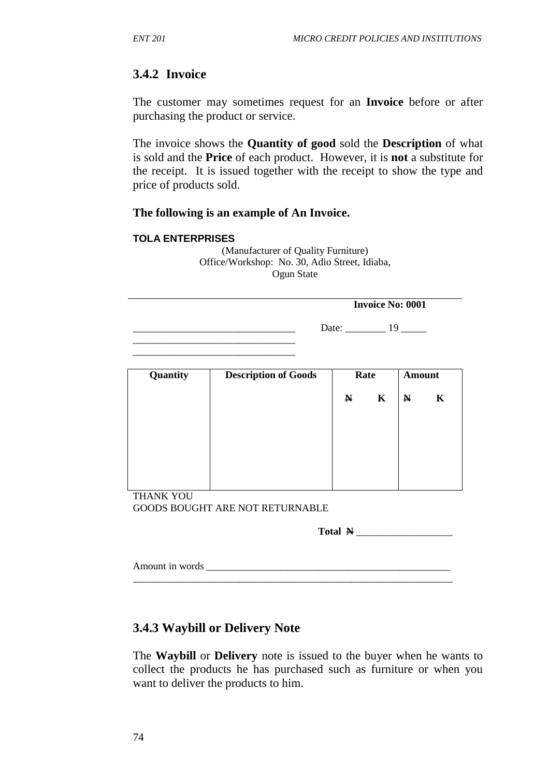### **3.4.2 Invoice**

The customer may sometimes request for an **Invoice** before or after purchasing the product or service.

The invoice shows the **Quantity of good** sold the **Description** of what is sold and the **Price** of each product. However, it is **not** a substitute for the receipt. It is issued together with the receipt to show the type and price of products sold.

#### **The following is an example of An Invoice.**

#### **TOLA ENTERPRISES**

| (Manufacturer of Quality Furniture)           |  |  |  |  |
|-----------------------------------------------|--|--|--|--|
| Office/Workshop: No. 30, Adio Street, Idiaba, |  |  |  |  |
| Ogun State                                    |  |  |  |  |

|       | <b>Invoice No: 0001</b> |
|-------|-------------------------|
| Date: |                         |

| Quantity | <b>Description of Goods</b> |             | Rate        |             | <b>Amount</b> |  |
|----------|-----------------------------|-------------|-------------|-------------|---------------|--|
|          |                             | $\mathbf N$ | $\mathbf K$ | $\mathbb N$ | K             |  |
|          |                             |             |             |             |               |  |
|          |                             |             |             |             |               |  |
|          |                             |             |             |             |               |  |
|          |                             |             |             |             |               |  |
|          |                             |             |             |             |               |  |

THANK YOU GOODS BOUGHT ARE NOT RETURNABLE

\_\_\_\_\_\_\_\_\_\_\_\_\_\_\_\_\_\_\_\_\_\_\_\_\_\_\_\_\_\_\_\_

Total  $\mathbf{N}$ 

| Amount in words |  |  |  |
|-----------------|--|--|--|
|                 |  |  |  |

### **3.4.3 Waybill or Delivery Note**

The **Waybill** or **Delivery** note is issued to the buyer when he wants to collect the products he has purchased such as furniture or when you want to deliver the products to him.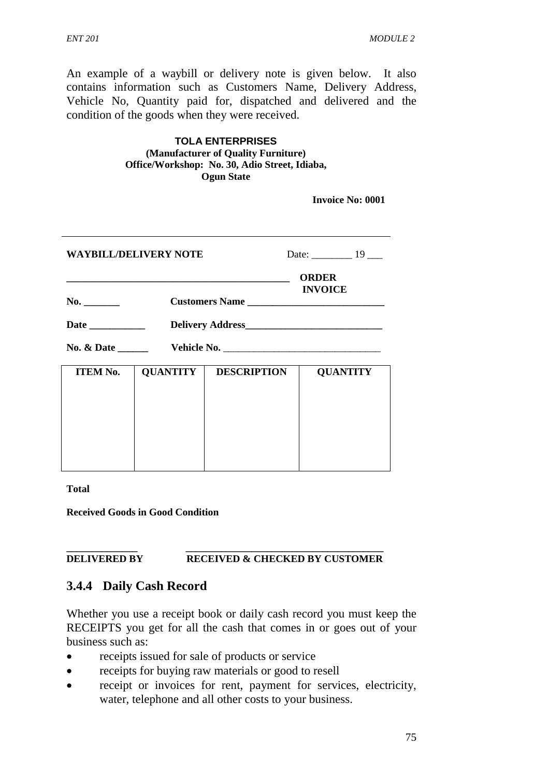An example of a waybill or delivery note is given below. It also contains information such as Customers Name, Delivery Address, Vehicle No, Quantity paid for, dispatched and delivered and the condition of the goods when they were received.

| <b>TOLA ENTERPRISES</b>                       |  |  |  |  |  |
|-----------------------------------------------|--|--|--|--|--|
| (Manufacturer of Quality Furniture)           |  |  |  |  |  |
| Office/Workshop: No. 30, Adio Street, Idiaba, |  |  |  |  |  |
| <b>Ogun State</b>                             |  |  |  |  |  |

 **Invoice No: 0001**

| <b>WAYBILL/DELIVERY NOTE</b> |                                                  | Date: $\frac{19}{2}$ |                 |  |  |  |
|------------------------------|--------------------------------------------------|----------------------|-----------------|--|--|--|
| No. $\qquad \qquad$          | <b>ORDER</b><br><b>INVOICE</b><br>Customers Name |                      |                 |  |  |  |
|                              |                                                  |                      |                 |  |  |  |
|                              |                                                  |                      |                 |  |  |  |
| <b>ITEM No.</b>              | <b>QUANTITY</b>                                  | <b>DESCRIPTION</b>   | <b>QUANTITY</b> |  |  |  |

**Total** 

**Received Goods in Good Condition** 

#### **\_\_\_\_\_\_\_\_\_\_\_\_\_\_ \_\_\_\_\_\_\_\_\_\_\_\_\_\_\_\_\_\_\_\_\_\_\_\_\_\_\_\_\_\_\_\_\_\_\_\_\_\_\_ DELIVERED BY RECEIVED & CHECKED BY CUSTOMER**

#### **3.4.4 Daily Cash Record**

Whether you use a receipt book or daily cash record you must keep the RECEIPTS you get for all the cash that comes in or goes out of your business such as:

- receipts issued for sale of products or service
- receipts for buying raw materials or good to resell
- receipt or invoices for rent, payment for services, electricity, water, telephone and all other costs to your business.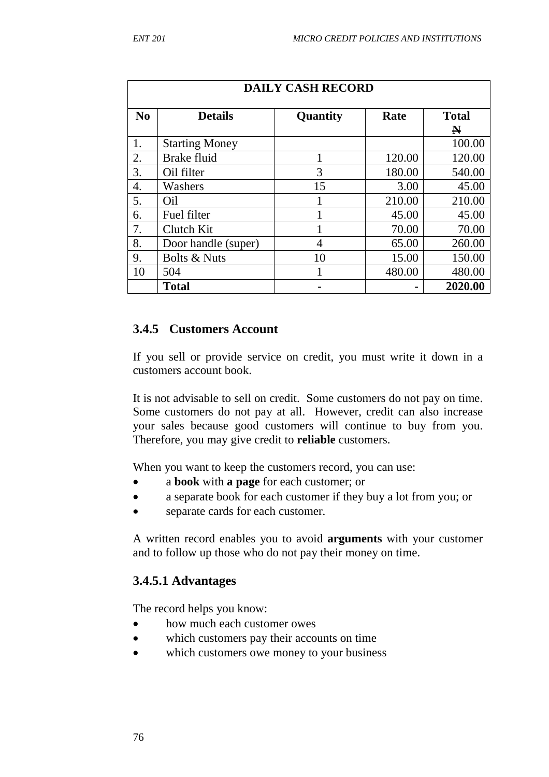| <b>DAILY CASH RECORD</b> |                         |      |                   |         |  |  |  |
|--------------------------|-------------------------|------|-------------------|---------|--|--|--|
| No                       | <b>Details</b>          | Rate | <b>Total</b><br>N |         |  |  |  |
| 1.                       | <b>Starting Money</b>   |      |                   | 100.00  |  |  |  |
| 2.                       | <b>Brake fluid</b>      |      | 120.00            | 120.00  |  |  |  |
| 3.                       | Oil filter              | 3    | 180.00            | 540.00  |  |  |  |
| 4.                       | Washers                 | 15   | 3.00              | 45.00   |  |  |  |
| 5.                       | Oil                     |      | 210.00            | 210.00  |  |  |  |
| 6.                       | Fuel filter             |      | 45.00             | 45.00   |  |  |  |
| 7.                       | Clutch Kit              |      | 70.00             | 70.00   |  |  |  |
| 8.                       | Door handle (super)     | 4    | 65.00             | 260.00  |  |  |  |
| 9.                       | <b>Bolts &amp; Nuts</b> | 10   | 15.00             | 150.00  |  |  |  |
| 10                       | 504                     |      | 480.00            | 480.00  |  |  |  |
|                          | <b>Total</b>            |      |                   | 2020.00 |  |  |  |

#### **3.4.5 Customers Account**

If you sell or provide service on credit, you must write it down in a customers account book.

It is not advisable to sell on credit. Some customers do not pay on time. Some customers do not pay at all. However, credit can also increase your sales because good customers will continue to buy from you. Therefore, you may give credit to **reliable** customers.

When you want to keep the customers record, you can use:

- a **book** with **a page** for each customer; or
- a separate book for each customer if they buy a lot from you; or
- separate cards for each customer.

A written record enables you to avoid **arguments** with your customer and to follow up those who do not pay their money on time.

### **3.4.5.1 Advantages**

The record helps you know:

- how much each customer owes
- which customers pay their accounts on time
- which customers owe money to your business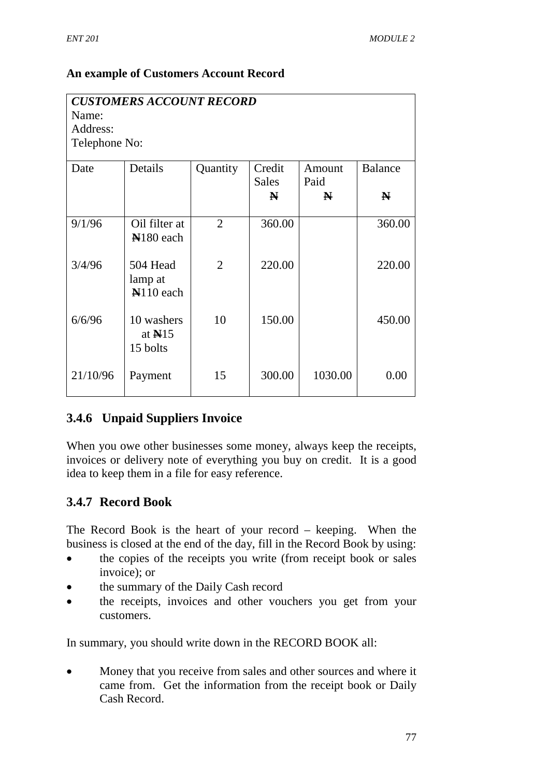### **An example of Customers Account Record**

| <b>CUSTOMERS ACCOUNT RECORD</b><br>Name:<br>Address:<br>Telephone No: |                                        |                |                                       |                     |                                |  |
|-----------------------------------------------------------------------|----------------------------------------|----------------|---------------------------------------|---------------------|--------------------------------|--|
| Date                                                                  | Details                                | Quantity       | Credit<br><b>Sales</b><br>$\mathbf N$ | Amount<br>Paid<br>N | <b>Balance</b><br>$\mathbf{N}$ |  |
| 9/1/96                                                                | Oil filter at<br>N <sub>180</sub> each | $\overline{2}$ | 360.00                                |                     | 360.00                         |  |
| 3/4/96                                                                | 504 Head<br>lamp at<br>$N110$ each     | $\overline{2}$ | 220.00                                |                     | 220.00                         |  |
| 6/6/96                                                                | 10 washers<br>at $N15$<br>15 bolts     | 10             | 150.00                                |                     | 450.00                         |  |
| 21/10/96                                                              | Payment                                | 15             | 300.00                                | 1030.00             | 0.00                           |  |

## **3.4.6 Unpaid Suppliers Invoice**

When you owe other businesses some money, always keep the receipts, invoices or delivery note of everything you buy on credit. It is a good idea to keep them in a file for easy reference.

## **3.4.7 Record Book**

The Record Book is the heart of your record – keeping. When the business is closed at the end of the day, fill in the Record Book by using:

- the copies of the receipts you write (from receipt book or sales invoice); or
- the summary of the Daily Cash record
- the receipts, invoices and other vouchers you get from your customers.

In summary, you should write down in the RECORD BOOK all:

• Money that you receive from sales and other sources and where it came from. Get the information from the receipt book or Daily Cash Record.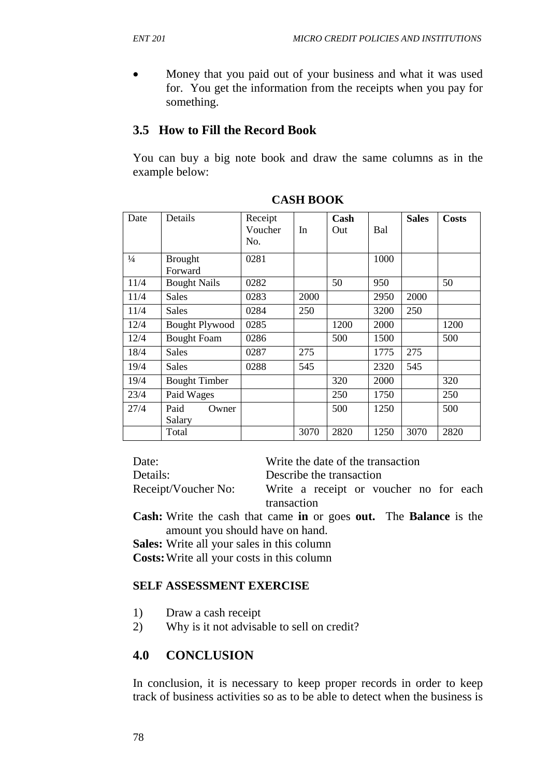• Money that you paid out of your business and what it was used for. You get the information from the receipts when you pay for something.

### **3.5 How to Fill the Record Book**

You can buy a big note book and draw the same columns as in the example below:

| Date          | Details                   | Receipt<br>Voucher<br>No. | In   | Cash<br>Out | Bal  | <b>Sales</b> | <b>Costs</b> |
|---------------|---------------------------|---------------------------|------|-------------|------|--------------|--------------|
| $\frac{1}{4}$ | <b>Brought</b><br>Forward | 0281                      |      |             | 1000 |              |              |
| 11/4          | <b>Bought Nails</b>       | 0282                      |      | 50          | 950  |              | 50           |
| 11/4          | <b>Sales</b>              | 0283                      | 2000 |             | 2950 | 2000         |              |
| 11/4          | Sales                     | 0284                      | 250  |             | 3200 | 250          |              |
| 12/4          | <b>Bought Plywood</b>     | 0285                      |      | 1200        | 2000 |              | 1200         |
| 12/4          | <b>Bought Foam</b>        | 0286                      |      | 500         | 1500 |              | 500          |
| 18/4          | Sales                     | 0287                      | 275  |             | 1775 | 275          |              |
| 19/4          | Sales                     | 0288                      | 545  |             | 2320 | 545          |              |
| 19/4          | <b>Bought Timber</b>      |                           |      | 320         | 2000 |              | 320          |
| 23/4          | Paid Wages                |                           |      | 250         | 1750 |              | 250          |
| 27/4          | Paid<br>Owner<br>Salary   |                           |      | 500         | 1250 |              | 500          |
|               | Total                     |                           | 3070 | 2820        | 1250 | 3070         | 2820         |

**CASH BOOK** 

Date: Write the date of the transaction Details: Describe the transaction Receipt/Voucher No: Write a receipt or voucher no for each

transaction

**Cash:** Write the cash that came **in** or goes **out.** The **Balance** is the amount you should have on hand.

**Sales:** Write all your sales in this column **Costs:** Write all your costs in this column

#### **SELF ASSESSMENT EXERCISE**

- 1) Draw a cash receipt
- 2) Why is it not advisable to sell on credit?

### **4.0 CONCLUSION**

In conclusion, it is necessary to keep proper records in order to keep track of business activities so as to be able to detect when the business is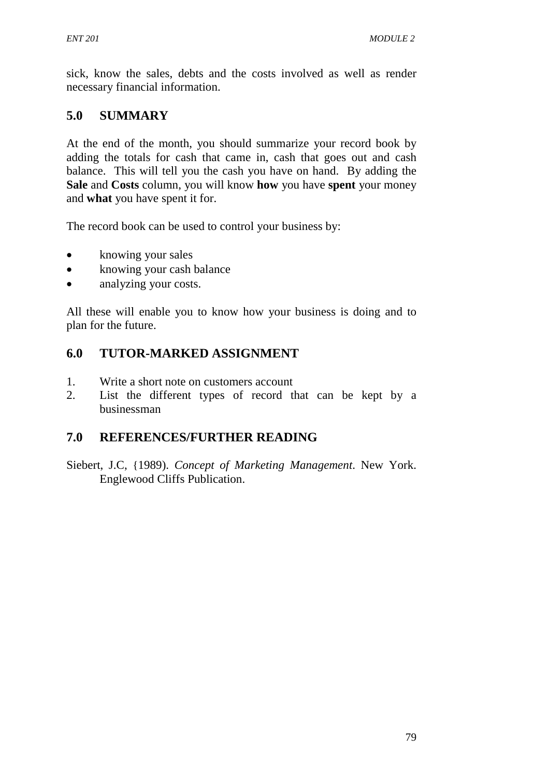sick, know the sales, debts and the costs involved as well as render necessary financial information.

## **5.0 SUMMARY**

At the end of the month, you should summarize your record book by adding the totals for cash that came in, cash that goes out and cash balance. This will tell you the cash you have on hand. By adding the **Sale** and **Costs** column, you will know **how** you have **spent** your money and **what** you have spent it for.

The record book can be used to control your business by:

- knowing your sales
- knowing your cash balance
- analyzing your costs.

All these will enable you to know how your business is doing and to plan for the future.

# **6.0 TUTOR-MARKED ASSIGNMENT**

- 1. Write a short note on customers account
- 2. List the different types of record that can be kept by a businessman

# **7.0 REFERENCES/FURTHER READING**

Siebert, J.C, {1989). *Concept of Marketing Management*. New York. Englewood Cliffs Publication.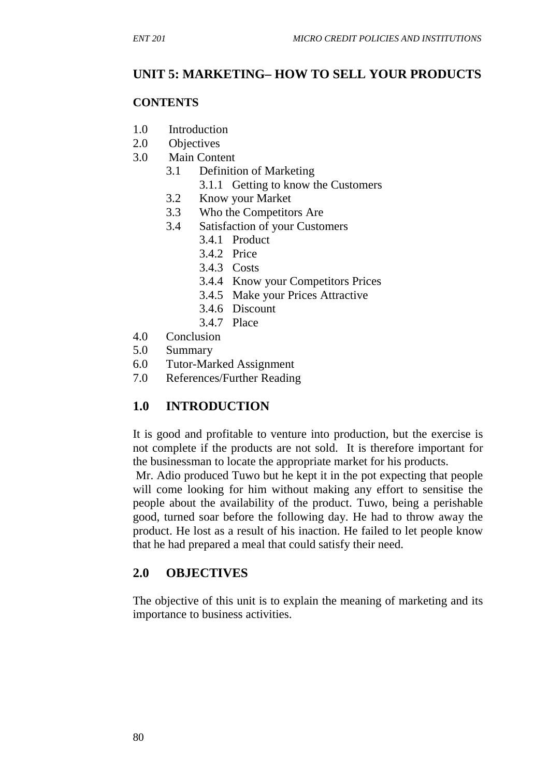## **UNIT 5: MARKETING– HOW TO SELL YOUR PRODUCTS**

#### **CONTENTS**

- 1.0 Introduction
- 2.0 Objectives
- 3.0 Main Content
	- 3.1 Definition of Marketing
		- 3.1.1 Getting to know the Customers
	- 3.2 Know your Market
	- 3.3 Who the Competitors Are
	- 3.4 Satisfaction of your Customers
		- 3.4.1 Product
		- 3.4.2 Price
		- 3.4.3 Costs
		- 3.4.4 Know your Competitors Prices
		- 3.4.5 Make your Prices Attractive
		- 3.4.6 Discount
		- 3.4.7 Place
- 4.0 Conclusion
- 5.0 Summary
- 6.0 Tutor-Marked Assignment
- 7.0 References/Further Reading

## **1.0 INTRODUCTION**

It is good and profitable to venture into production, but the exercise is not complete if the products are not sold. It is therefore important for the businessman to locate the appropriate market for his products.

 Mr. Adio produced Tuwo but he kept it in the pot expecting that people will come looking for him without making any effort to sensitise the people about the availability of the product. Tuwo, being a perishable good, turned soar before the following day. He had to throw away the product. He lost as a result of his inaction. He failed to let people know that he had prepared a meal that could satisfy their need.

## **2.0 OBJECTIVES**

The objective of this unit is to explain the meaning of marketing and its importance to business activities.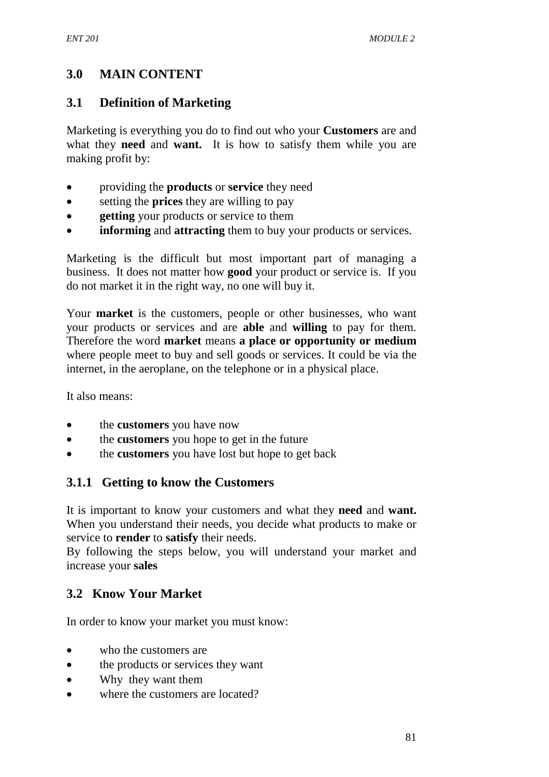## **3.0 MAIN CONTENT**

#### **3.1 Definition of Marketing**

Marketing is everything you do to find out who your **Customers** are and what they **need** and **want.** It is how to satisfy them while you are making profit by:

- providing the **products** or **service** they need
- setting the **prices** they are willing to pay
- **getting** your products or service to them
- **informing** and **attracting** them to buy your products or services.

Marketing is the difficult but most important part of managing a business. It does not matter how **good** your product or service is. If you do not market it in the right way, no one will buy it.

Your **market** is the customers, people or other businesses, who want your products or services and are **able** and **willing** to pay for them. Therefore the word **market** means **a place or opportunity or medium**  where people meet to buy and sell goods or services. It could be via the internet, in the aeroplane, on the telephone or in a physical place.

It also means:

- the **customers** you have now
- the **customers** you hope to get in the future
- the **customers** you have lost but hope to get back

#### **3.1.1 Getting to know the Customers**

It is important to know your customers and what they **need** and **want.**  When you understand their needs, you decide what products to make or service to **render** to **satisfy** their needs.

By following the steps below, you will understand your market and increase your **sales** 

#### **3.2 Know Your Market**

In order to know your market you must know:

- who the customers are
- the products or services they want
- Why they want them
- where the customers are located?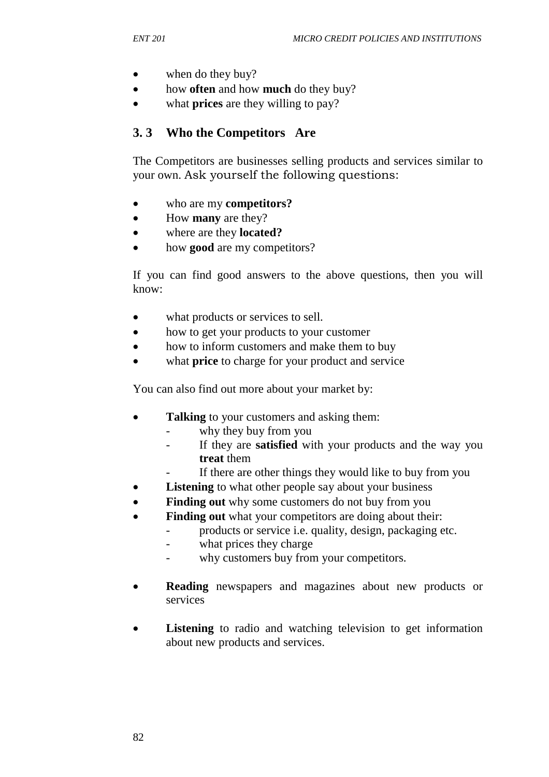- when do they buy?
- how **often** and how **much** do they buy?
- what **prices** are they willing to pay?

#### **3. 3 Who the Competitors Are**

The Competitors are businesses selling products and services similar to your own. Ask yourself the following questions:

- who are my **competitors?**
- How **many** are they?
- where are they **located?**
- how **good** are my competitors?

If you can find good answers to the above questions, then you will know:

- what products or services to sell.
- how to get your products to your customer
- how to inform customers and make them to buy
- what **price** to charge for your product and service

You can also find out more about your market by:

- **Talking** to your customers and asking them:
	- why they buy from you
	- If they are **satisfied** with your products and the way you **treat** them
	- If there are other things they would like to buy from you
- **Listening** to what other people say about your business
- **Finding out** why some customers do not buy from you
- **Finding out** what your competitors are doing about their:
	- products or service i.e. quality, design, packaging etc.
		- what prices they charge
		- why customers buy from your competitors.
- **Reading** newspapers and magazines about new products or services
- **Listening** to radio and watching television to get information about new products and services.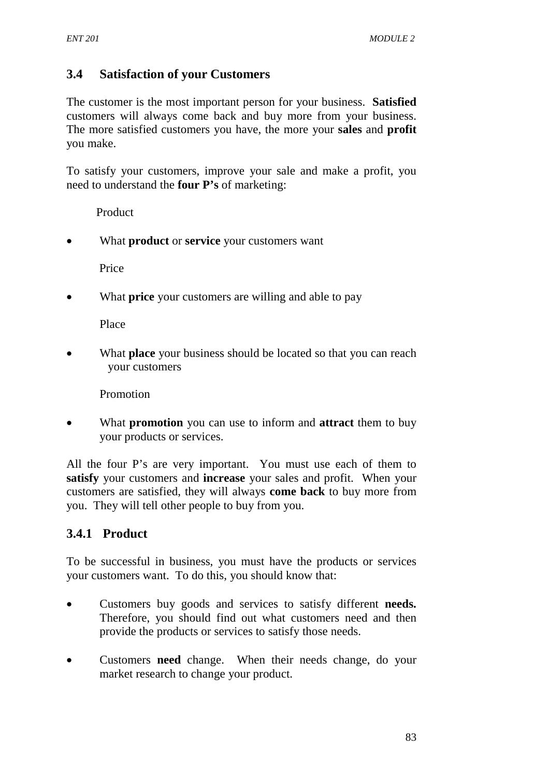## **3.4 Satisfaction of your Customers**

The customer is the most important person for your business. **Satisfied**  customers will always come back and buy more from your business. The more satisfied customers you have, the more your **sales** and **profit** you make.

To satisfy your customers, improve your sale and make a profit, you need to understand the **four P's** of marketing:

Product

• What **product** or **service** your customers want

Price

• What **price** your customers are willing and able to pay

Place

• What **place** your business should be located so that you can reach your customers

Promotion

• What **promotion** you can use to inform and **attract** them to buy your products or services.

All the four P's are very important. You must use each of them to **satisfy** your customers and **increase** your sales and profit. When your customers are satisfied, they will always **come back** to buy more from you. They will tell other people to buy from you.

## **3.4.1 Product**

To be successful in business, you must have the products or services your customers want. To do this, you should know that:

- Customers buy goods and services to satisfy different **needs.**  Therefore, you should find out what customers need and then provide the products or services to satisfy those needs.
- Customers **need** change. When their needs change, do your market research to change your product.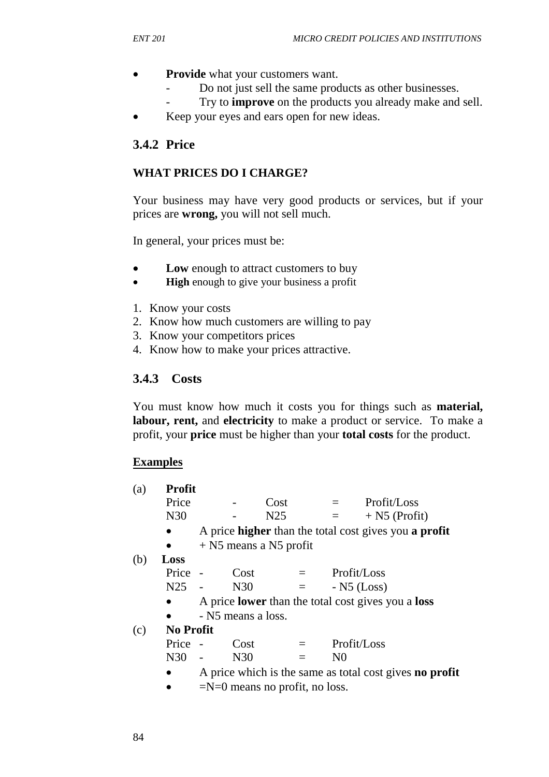- **Provide** what your customers want.
	- Do not just sell the same products as other businesses.
	- Try to **improve** on the products you already make and sell.
	- Keep your eyes and ears open for new ideas.

### **3.4.2 Price**

#### **WHAT PRICES DO I CHARGE?**

Your business may have very good products or services, but if your prices are **wrong,** you will not sell much.

In general, your prices must be:

- **Low** enough to attract customers to buy
- **High** enough to give your business a profit
- 1. Know your costs
- 2. Know how much customers are willing to pay
- 3. Know your competitors prices
- 4. Know how to make your prices attractive.

### **3.4.3 Costs**

You must know how much it costs you for things such as **material, labour, rent, and electricity** to make a product or service. To make a profit, your **price** must be higher than your **total costs** for the product.

#### **Examples**

| (a) | <b>Profit</b>    |                                  |                    |                          |         |                |                                                                     |
|-----|------------------|----------------------------------|--------------------|--------------------------|---------|----------------|---------------------------------------------------------------------|
|     | Price            |                                  |                    | Cost                     |         | $=$ $-$        | Profit/Loss                                                         |
|     | N30              |                                  |                    | N <sub>25</sub>          |         | $=$            | $+$ N5 (Profit)                                                     |
|     |                  |                                  |                    |                          |         |                | A price <b>higher</b> than the total cost gives you <b>a profit</b> |
|     |                  |                                  |                    | $+$ N5 means a N5 profit |         |                |                                                                     |
| (b) | Loss             |                                  |                    |                          |         |                |                                                                     |
|     | Price -          |                                  | Cost               |                          | $=$ $-$ | Profit/Loss    |                                                                     |
|     | N <sub>25</sub>  |                                  | N30                |                          | $=$ $-$ | $-$ N5 (Loss)  |                                                                     |
|     |                  |                                  |                    |                          |         |                | A price <b>lower</b> than the total cost gives you a <b>loss</b>    |
|     |                  |                                  | - N5 means a loss. |                          |         |                |                                                                     |
| (c) | <b>No Profit</b> |                                  |                    |                          |         |                |                                                                     |
|     | Price            |                                  | Cost               |                          | $=$     | Profit/Loss    |                                                                     |
|     | N30              |                                  | N30                |                          | $=$     | N <sub>0</sub> |                                                                     |
|     | $\bullet$        |                                  |                    |                          |         |                | A price which is the same as total cost gives <b>no profit</b>      |
|     |                  | $=N=0$ means no profit, no loss. |                    |                          |         |                |                                                                     |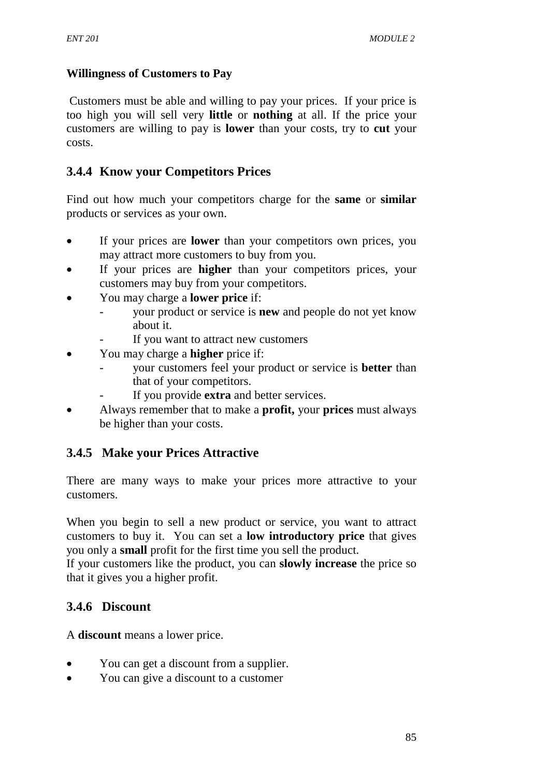#### **Willingness of Customers to Pay**

Customers must be able and willing to pay your prices. If your price is too high you will sell very **little** or **nothing** at all. If the price your customers are willing to pay is **lower** than your costs, try to **cut** your costs.

## **3.4.4 Know your Competitors Prices**

Find out how much your competitors charge for the **same** or **similar**  products or services as your own.

- If your prices are **lower** than your competitors own prices, you may attract more customers to buy from you.
- If your prices are **higher** than your competitors prices, your customers may buy from your competitors.
- You may charge a **lower price** if:
	- your product or service is **new** and people do not yet know about it.
	- If you want to attract new customers
- You may charge a **higher** price if:
	- your customers feel your product or service is **better** than that of your competitors.
	- If you provide **extra** and better services.
- Always remember that to make a **profit,** your **prices** must always be higher than your costs.

## **3.4.5 Make your Prices Attractive**

There are many ways to make your prices more attractive to your customers.

When you begin to sell a new product or service, you want to attract customers to buy it. You can set a **low introductory price** that gives you only a **small** profit for the first time you sell the product.

If your customers like the product, you can **slowly increase** the price so that it gives you a higher profit.

## **3.4.6 Discount**

A **discount** means a lower price.

- You can get a discount from a supplier.
- You can give a discount to a customer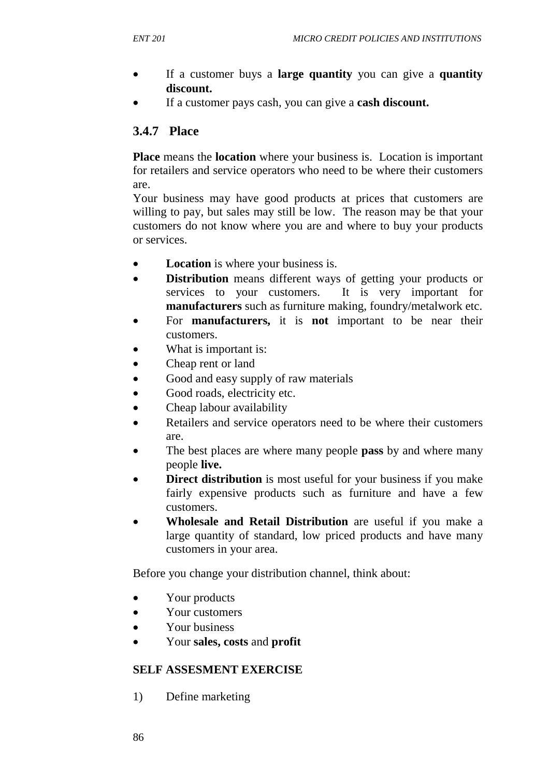- If a customer buys a **large quantity** you can give a **quantity discount.**
- If a customer pays cash, you can give a **cash discount.**

### **3.4.7 Place**

**Place** means the **location** where your business is. Location is important for retailers and service operators who need to be where their customers are.

Your business may have good products at prices that customers are willing to pay, but sales may still be low. The reason may be that your customers do not know where you are and where to buy your products or services.

- **Location** is where your business is.
- **Distribution** means different ways of getting your products or services to your customers. It is very important for **manufacturers** such as furniture making, foundry/metalwork etc.
- For **manufacturers,** it is **not** important to be near their customers.
- What is important is:
- Cheap rent or land
- Good and easy supply of raw materials
- Good roads, electricity etc.
- Cheap labour availability
- Retailers and service operators need to be where their customers are.
- The best places are where many people **pass** by and where many people **live.**
- **Direct distribution** is most useful for your business if you make fairly expensive products such as furniture and have a few customers.
- **Wholesale and Retail Distribution** are useful if you make a large quantity of standard, low priced products and have many customers in your area.

Before you change your distribution channel, think about:

- Your products
- Your customers
- Your business
- Your **sales, costs** and **profit**

#### **SELF ASSESMENT EXERCISE**

1) Define marketing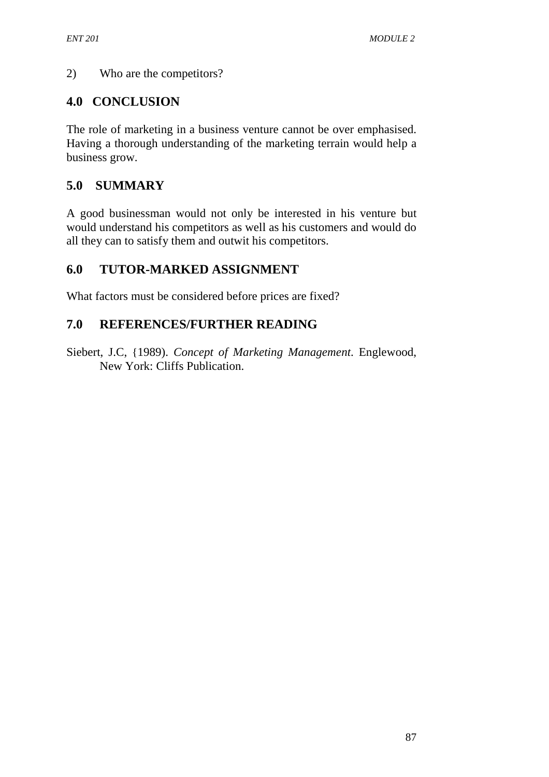#### 2) Who are the competitors?

## **4.0 CONCLUSION**

The role of marketing in a business venture cannot be over emphasised. Having a thorough understanding of the marketing terrain would help a business grow.

## **5.0 SUMMARY**

A good businessman would not only be interested in his venture but would understand his competitors as well as his customers and would do all they can to satisfy them and outwit his competitors.

## **6.0 TUTOR-MARKED ASSIGNMENT**

What factors must be considered before prices are fixed?

## **7.0 REFERENCES/FURTHER READING**

Siebert, J.C, {1989). *Concept of Marketing Management*. Englewood, New York: Cliffs Publication.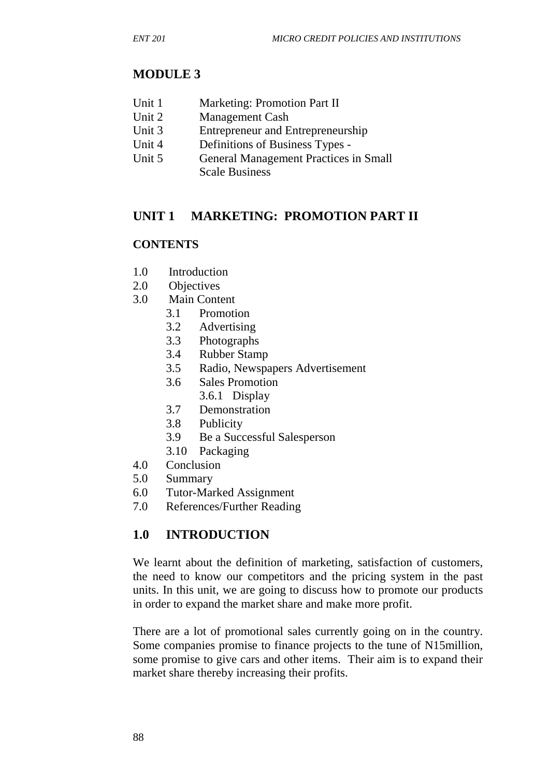## **MODULE 3**

- Unit 1 Marketing: Promotion Part II
- Unit 2 Management Cash
- Unit 3 Entrepreneur and Entrepreneurship
- Unit 4 Definitions of Business Types -
- Unit 5 General Management Practices in Small Scale Business

## **UNIT 1 MARKETING: PROMOTION PART II**

#### **CONTENTS**

- 1.0 Introduction
- 2.0 Objectives
- 3.0 Main Content
	- 3.1 Promotion
	- 3.2 Advertising
	- 3.3 Photographs
	- 3.4 Rubber Stamp
	- 3.5 Radio, Newspapers Advertisement
	- 3.6 Sales Promotion
		- 3.6.1 Display
	- 3.7 Demonstration
	- 3.8 Publicity
	- 3.9 Be a Successful Salesperson
	- 3.10 Packaging
- 4.0 Conclusion
- 5.0 Summary
- 6.0 Tutor-Marked Assignment
- 7.0 References/Further Reading

## **1.0 INTRODUCTION**

We learnt about the definition of marketing, satisfaction of customers, the need to know our competitors and the pricing system in the past units. In this unit, we are going to discuss how to promote our products in order to expand the market share and make more profit.

There are a lot of promotional sales currently going on in the country. Some companies promise to finance projects to the tune of N15million, some promise to give cars and other items. Their aim is to expand their market share thereby increasing their profits.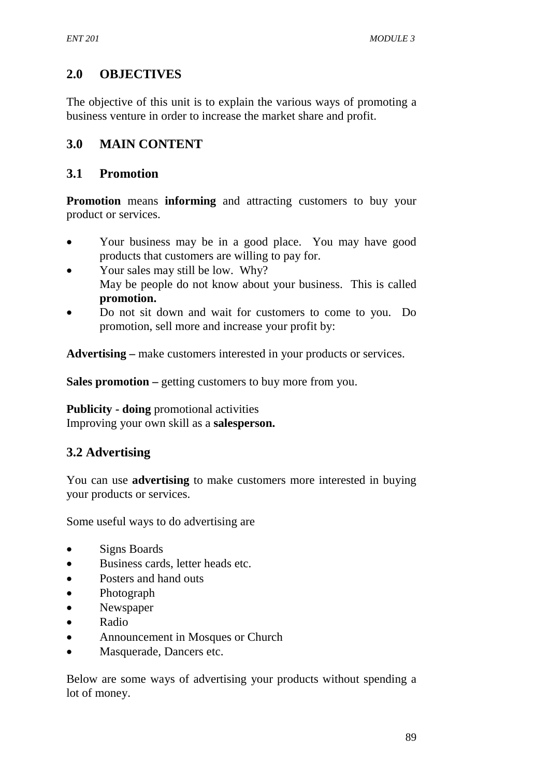# **2.0 OBJECTIVES**

The objective of this unit is to explain the various ways of promoting a business venture in order to increase the market share and profit.

## **3.0 MAIN CONTENT**

### **3.1 Promotion**

**Promotion** means **informing** and attracting customers to buy your product or services.

- Your business may be in a good place. You may have good products that customers are willing to pay for.
- Your sales may still be low. Why? May be people do not know about your business. This is called **promotion.**
- Do not sit down and wait for customers to come to you. Do promotion, sell more and increase your profit by:

**Advertising –** make customers interested in your products or services.

**Sales promotion –** getting customers to buy more from you.

**Publicity - doing** promotional activities Improving your own skill as a **salesperson.** 

# **3.2 Advertising**

You can use **advertising** to make customers more interested in buying your products or services.

Some useful ways to do advertising are

- Signs Boards
- Business cards, letter heads etc.
- Posters and hand outs
- Photograph
- Newspaper
- Radio
- Announcement in Mosques or Church
- Masquerade, Dancers etc.

Below are some ways of advertising your products without spending a lot of money.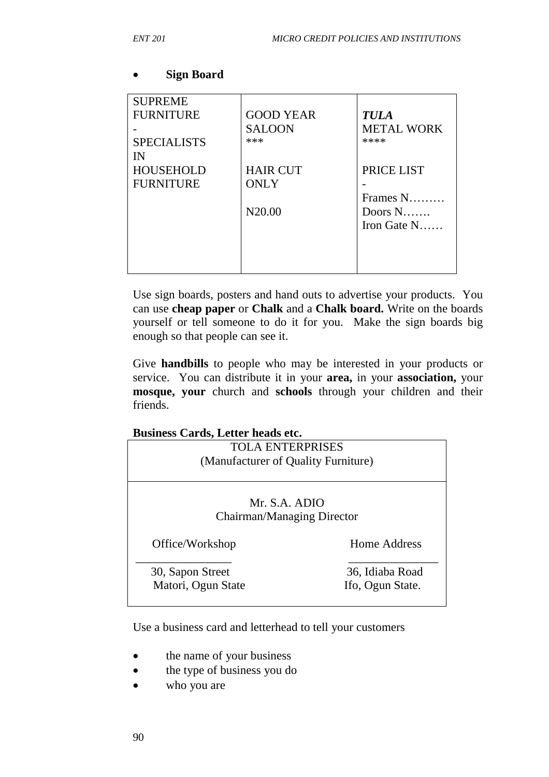| <b>SUPREME</b><br><b>FURNITURE</b> | <b>GOOD YEAR</b><br><b>SALOON</b><br>*** | <b>TULA</b><br><b>METAL WORK</b><br>**** |
|------------------------------------|------------------------------------------|------------------------------------------|
| <b>SPECIALISTS</b><br>IN           |                                          |                                          |
| <b>HOUSEHOLD</b>                   | <b>HAIR CUT</b>                          | PRICE LIST                               |
| <b>FURNITURE</b>                   | <b>ONLY</b>                              |                                          |
|                                    |                                          | Frames N                                 |
|                                    | N <sub>20.00</sub>                       | Doors $N$                                |
|                                    |                                          | Iron Gate $N$                            |
|                                    |                                          |                                          |
|                                    |                                          |                                          |
|                                    |                                          |                                          |

#### • **Sign Board**

Use sign boards, posters and hand outs to advertise your products. You can use **cheap paper** or **Chalk** and a **Chalk board.** Write on the boards yourself or tell someone to do it for you. Make the sign boards big enough so that people can see it.

Give **handbills** to people who may be interested in your products or service. You can distribute it in your **area,** in your **association,** your **mosque, your** church and **schools** through your children and their friends.

#### **Business Cards, Letter heads etc.**

| <b>TOLA ENTERPRISES</b>                     |                  |  |
|---------------------------------------------|------------------|--|
| (Manufacturer of Quality Furniture)         |                  |  |
|                                             |                  |  |
| Mr. S.A. ADIO<br>Chairman/Managing Director |                  |  |
| Office/Workshop                             | Home Address     |  |
| 30, Sapon Street                            | 36, Idiaba Road  |  |
| Matori, Ogun State                          | Ifo, Ogun State. |  |

Use a business card and letterhead to tell your customers

- the name of your business
- the type of business you do
- who you are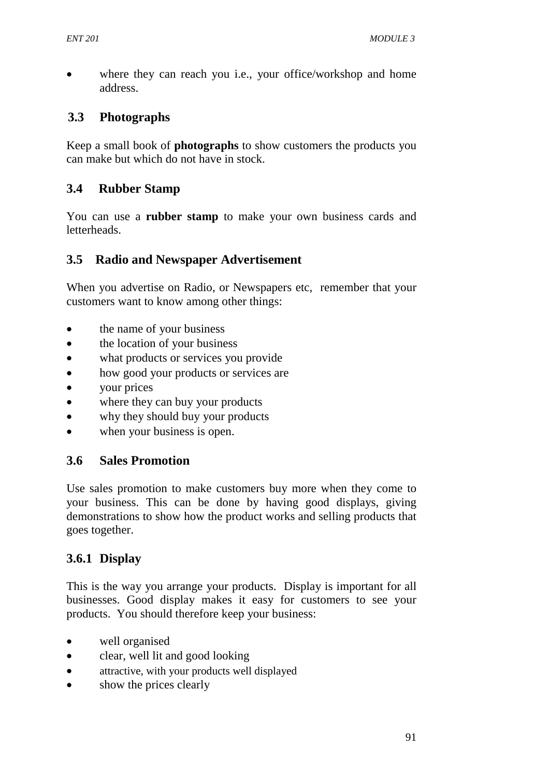where they can reach you i.e., your office/workshop and home address.

## **3.3 Photographs**

Keep a small book of **photographs** to show customers the products you can make but which do not have in stock.

## **3.4 Rubber Stamp**

You can use a **rubber stamp** to make your own business cards and letterheads.

## **3.5 Radio and Newspaper Advertisement**

When you advertise on Radio, or Newspapers etc, remember that your customers want to know among other things:

- the name of your business
- the location of your business
- what products or services you provide
- how good your products or services are
- your prices
- where they can buy your products
- why they should buy your products
- when your business is open.

## **3.6 Sales Promotion**

Use sales promotion to make customers buy more when they come to your business. This can be done by having good displays, giving demonstrations to show how the product works and selling products that goes together.

## **3.6.1 Display**

This is the way you arrange your products. Display is important for all businesses. Good display makes it easy for customers to see your products. You should therefore keep your business:

- well organised
- clear, well lit and good looking
- attractive, with your products well displayed
- show the prices clearly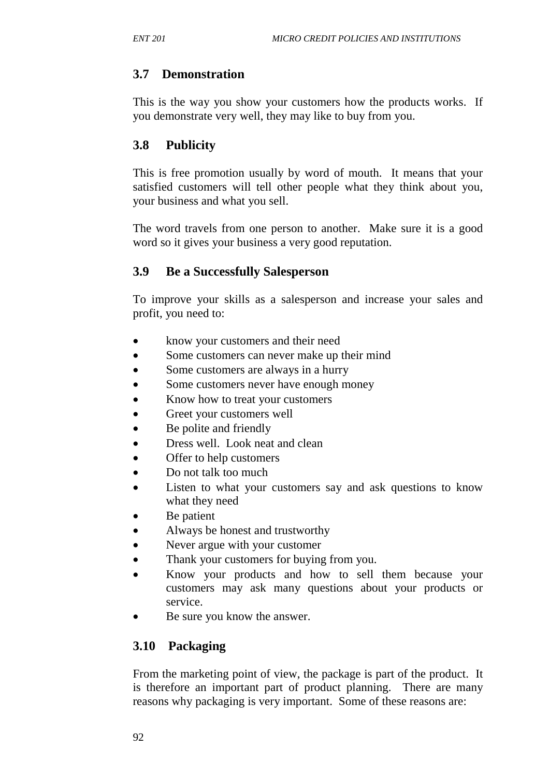## **3.7 Demonstration**

This is the way you show your customers how the products works. If you demonstrate very well, they may like to buy from you.

## **3.8 Publicity**

This is free promotion usually by word of mouth. It means that your satisfied customers will tell other people what they think about you, your business and what you sell.

The word travels from one person to another. Make sure it is a good word so it gives your business a very good reputation.

### **3.9 Be a Successfully Salesperson**

To improve your skills as a salesperson and increase your sales and profit, you need to:

- know your customers and their need
- Some customers can never make up their mind
- Some customers are always in a hurry
- Some customers never have enough money
- Know how to treat your customers
- Greet your customers well
- Be polite and friendly
- Dress well. Look neat and clean
- Offer to help customers
- Do not talk too much
- Listen to what your customers say and ask questions to know what they need
- Be patient
- Always be honest and trustworthy
- Never argue with your customer
- Thank your customers for buying from you.
- Know your products and how to sell them because your customers may ask many questions about your products or service.
- Be sure you know the answer.

## **3.10 Packaging**

From the marketing point of view, the package is part of the product. It is therefore an important part of product planning. There are many reasons why packaging is very important. Some of these reasons are: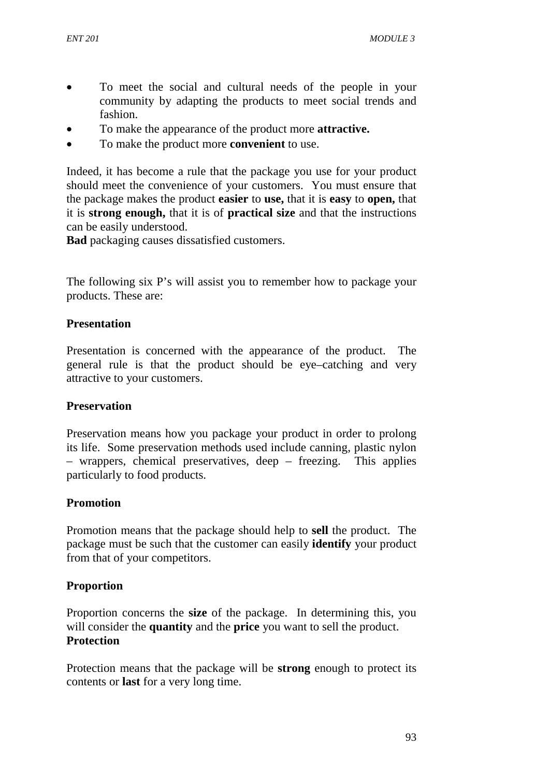- To meet the social and cultural needs of the people in your community by adapting the products to meet social trends and fashion.
- To make the appearance of the product more **attractive.**
- To make the product more **convenient** to use.

Indeed, it has become a rule that the package you use for your product should meet the convenience of your customers. You must ensure that the package makes the product **easier** to **use,** that it is **easy** to **open,** that it is **strong enough,** that it is of **practical size** and that the instructions can be easily understood.

**Bad** packaging causes dissatisfied customers.

The following six P's will assist you to remember how to package your products. These are:

#### **Presentation**

Presentation is concerned with the appearance of the product. The general rule is that the product should be eye–catching and very attractive to your customers.

#### **Preservation**

Preservation means how you package your product in order to prolong its life. Some preservation methods used include canning, plastic nylon – wrappers, chemical preservatives, deep – freezing. This applies particularly to food products.

#### **Promotion**

Promotion means that the package should help to **sell** the product. The package must be such that the customer can easily **identify** your product from that of your competitors.

#### **Proportion**

Proportion concerns the **size** of the package. In determining this, you will consider the **quantity** and the **price** you want to sell the product. **Protection** 

Protection means that the package will be **strong** enough to protect its contents or **last** for a very long time.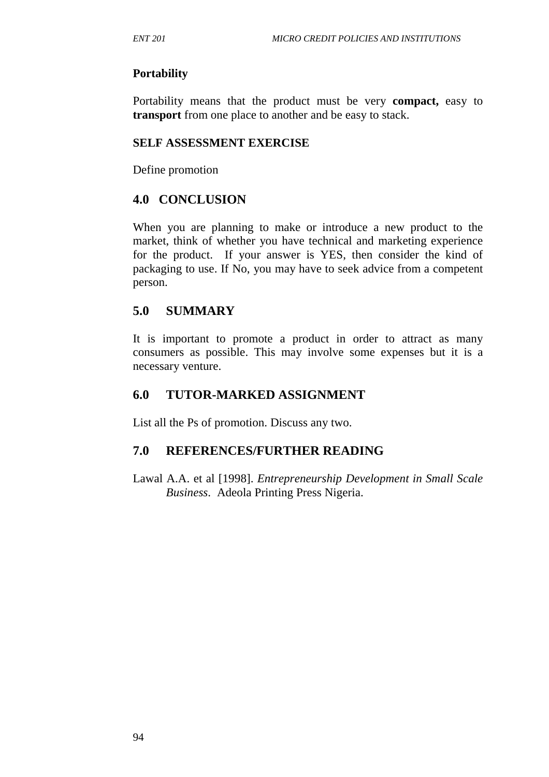#### **Portability**

Portability means that the product must be very **compact,** easy to **transport** from one place to another and be easy to stack.

#### **SELF ASSESSMENT EXERCISE**

Define promotion

### **4.0 CONCLUSION**

When you are planning to make or introduce a new product to the market, think of whether you have technical and marketing experience for the product. If your answer is YES, then consider the kind of packaging to use. If No, you may have to seek advice from a competent person.

#### **5.0 SUMMARY**

It is important to promote a product in order to attract as many consumers as possible. This may involve some expenses but it is a necessary venture.

### **6.0 TUTOR-MARKED ASSIGNMENT**

List all the Ps of promotion. Discuss any two.

### **7.0 REFERENCES/FURTHER READING**

Lawal A.A. et al [1998]. *Entrepreneurship Development in Small Scale Business*. Adeola Printing Press Nigeria.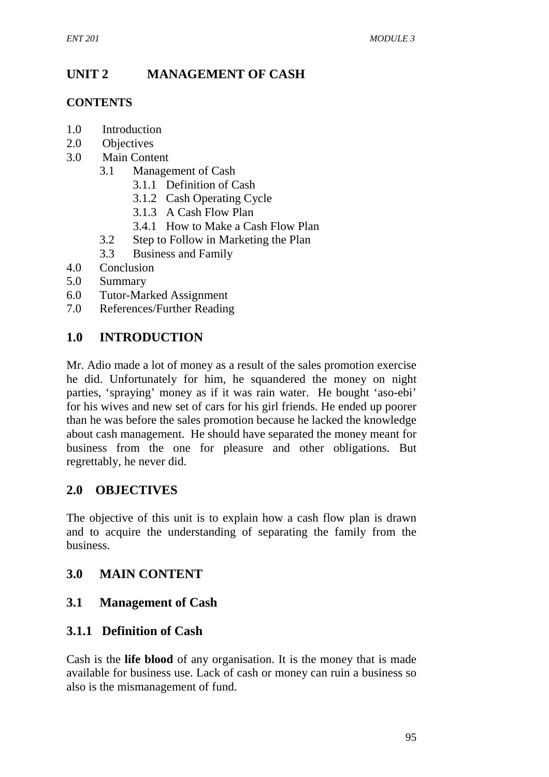# **UNIT 2 MANAGEMENT OF CASH**

### **CONTENTS**

- 1.0 Introduction
- 2.0 Objectives
- 3.0 Main Content
	- 3.1 Management of Cash
		- 3.1.1 Definition of Cash
		- 3.1.2 Cash Operating Cycle
		- 3.1.3 A Cash Flow Plan
		- 3.4.1 How to Make a Cash Flow Plan
	- 3.2 Step to Follow in Marketing the Plan
	- 3.3 Business and Family
- 4.0 Conclusion
- 5.0 Summary
- 6.0 Tutor-Marked Assignment
- 7.0 References/Further Reading

## **1.0 INTRODUCTION**

Mr. Adio made a lot of money as a result of the sales promotion exercise he did. Unfortunately for him, he squandered the money on night parties, 'spraying' money as if it was rain water. He bought 'aso-ebi' for his wives and new set of cars for his girl friends. He ended up poorer than he was before the sales promotion because he lacked the knowledge about cash management. He should have separated the money meant for business from the one for pleasure and other obligations. But regrettably, he never did.

### **2.0 OBJECTIVES**

The objective of this unit is to explain how a cash flow plan is drawn and to acquire the understanding of separating the family from the business.

### **3.0 MAIN CONTENT**

### **3.1 Management of Cash**

## **3.1.1 Definition of Cash**

Cash is the **life blood** of any organisation. It is the money that is made available for business use. Lack of cash or money can ruin a business so also is the mismanagement of fund.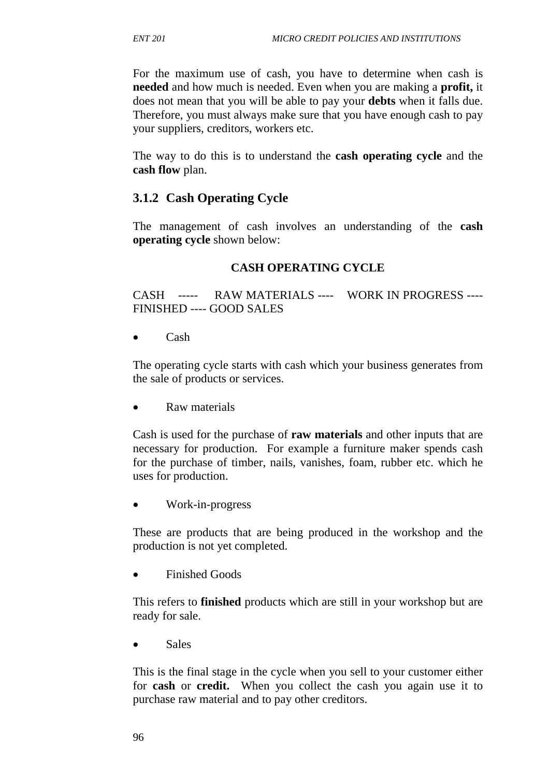For the maximum use of cash, you have to determine when cash is **needed** and how much is needed. Even when you are making a **profit,** it does not mean that you will be able to pay your **debts** when it falls due. Therefore, you must always make sure that you have enough cash to pay your suppliers, creditors, workers etc.

The way to do this is to understand the **cash operating cycle** and the **cash flow** plan.

## **3.1.2 Cash Operating Cycle**

The management of cash involves an understanding of the **cash operating cycle** shown below:

#### **CASH OPERATING CYCLE**

CASH ----- RAW MATERIALS ---- WORK IN PROGRESS ---- FINISHED ---- GOOD SALES

• Cash

The operating cycle starts with cash which your business generates from the sale of products or services.

• Raw materials

Cash is used for the purchase of **raw materials** and other inputs that are necessary for production. For example a furniture maker spends cash for the purchase of timber, nails, vanishes, foam, rubber etc. which he uses for production.

• Work-in-progress

These are products that are being produced in the workshop and the production is not yet completed.

• Finished Goods

This refers to **finished** products which are still in your workshop but are ready for sale.

• Sales

This is the final stage in the cycle when you sell to your customer either for **cash** or **credit.** When you collect the cash you again use it to purchase raw material and to pay other creditors.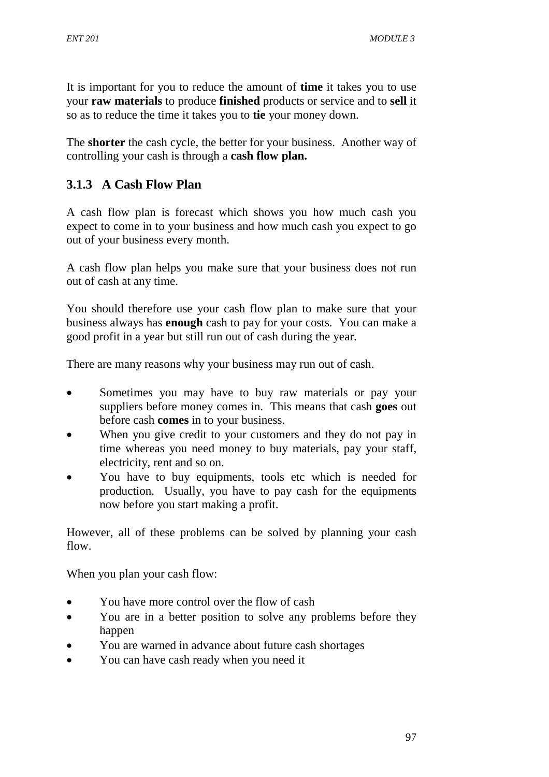It is important for you to reduce the amount of **time** it takes you to use your **raw materials** to produce **finished** products or service and to **sell** it so as to reduce the time it takes you to **tie** your money down.

The **shorter** the cash cycle, the better for your business. Another way of controlling your cash is through a **cash flow plan.** 

# **3.1.3 A Cash Flow Plan**

A cash flow plan is forecast which shows you how much cash you expect to come in to your business and how much cash you expect to go out of your business every month.

A cash flow plan helps you make sure that your business does not run out of cash at any time.

You should therefore use your cash flow plan to make sure that your business always has **enough** cash to pay for your costs. You can make a good profit in a year but still run out of cash during the year.

There are many reasons why your business may run out of cash.

- Sometimes you may have to buy raw materials or pay your suppliers before money comes in. This means that cash **goes** out before cash **comes** in to your business.
- When you give credit to your customers and they do not pay in time whereas you need money to buy materials, pay your staff, electricity, rent and so on.
- You have to buy equipments, tools etc which is needed for production. Usually, you have to pay cash for the equipments now before you start making a profit.

However, all of these problems can be solved by planning your cash flow.

When you plan your cash flow:

- You have more control over the flow of cash
- You are in a better position to solve any problems before they happen
- You are warned in advance about future cash shortages
- You can have cash ready when you need it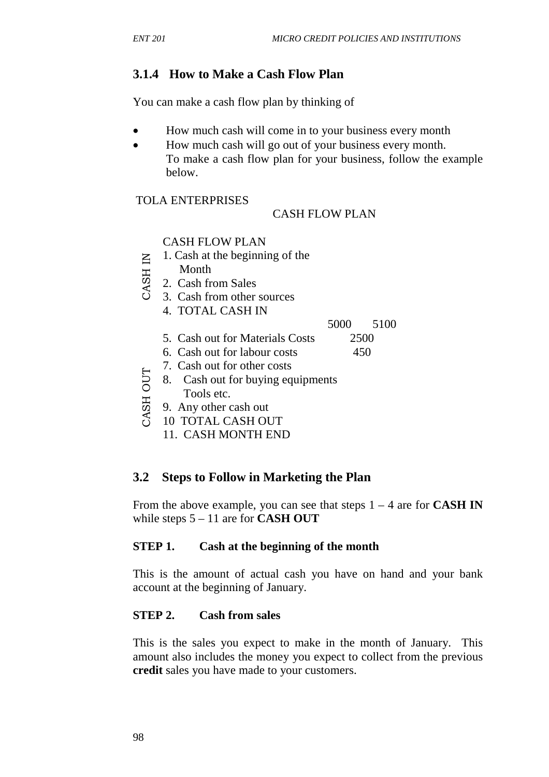### **3.1.4 How to Make a Cash Flow Plan**

You can make a cash flow plan by thinking of

- How much cash will come in to your business every month
- How much cash will go out of your business every month. To make a cash flow plan for your business, follow the example below.

#### TOLA ENTERPRISES

#### CASH FLOW PLAN

#### CASH FLOW PLAN

- 1. Cash at the beginning of the
- Month
- 2. Cash from Sales
- 3. Cash from other sources
	- 4. TOTAL CASH IN

#### 5000 5100

- 5. Cash out for Materials Costs 2500
- 6. Cash out for labour costs 450
- 7. Cash out for other costs
- 8. Cash out for buying equipments
- Tools etc.
- 9. Any other cash out
- 10 TOTAL CASH OUT
	- 11. CASH MONTH END

#### **3.2 Steps to Follow in Marketing the Plan**

From the above example, you can see that steps 1 – 4 are for **CASH IN**  while steps 5 – 11 are for **CASH OUT** 

#### **STEP 1. Cash at the beginning of the month**

This is the amount of actual cash you have on hand and your bank account at the beginning of January.

#### **STEP 2. Cash from sales**

This is the sales you expect to make in the month of January. This amount also includes the money you expect to collect from the previous Example of the most of the Sales from Sales 3. Cash from Sales 4. TOTAL CASH IN 5000<br>
5. Cash out for Materials Costs 25<br>
6. Cash out for Materials Costs 25<br>
6. Cash out for other costs 4<br>
7. Cash out for other costs 4<br>
7.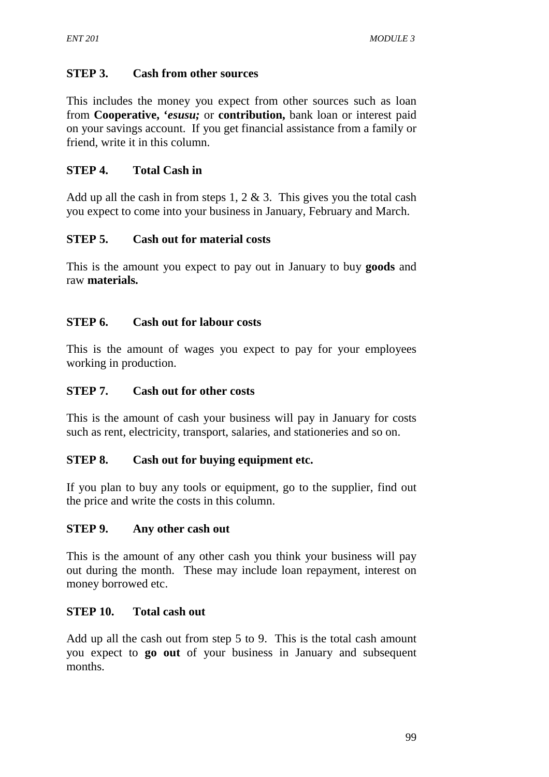#### **STEP 3. Cash from other sources**

This includes the money you expect from other sources such as loan from **Cooperative, '***esusu;* or **contribution,** bank loan or interest paid on your savings account. If you get financial assistance from a family or friend, write it in this column.

#### **STEP 4. Total Cash in**

Add up all the cash in from steps 1, 2  $\&$  3. This gives you the total cash you expect to come into your business in January, February and March.

#### **STEP 5. Cash out for material costs**

This is the amount you expect to pay out in January to buy **goods** and raw **materials.** 

#### **STEP 6. Cash out for labour costs**

This is the amount of wages you expect to pay for your employees working in production.

#### **STEP 7. Cash out for other costs**

This is the amount of cash your business will pay in January for costs such as rent, electricity, transport, salaries, and stationeries and so on.

#### **STEP 8. Cash out for buying equipment etc.**

If you plan to buy any tools or equipment, go to the supplier, find out the price and write the costs in this column.

#### **STEP 9. Any other cash out**

This is the amount of any other cash you think your business will pay out during the month. These may include loan repayment, interest on money borrowed etc.

#### **STEP 10. Total cash out**

Add up all the cash out from step 5 to 9. This is the total cash amount you expect to **go out** of your business in January and subsequent months.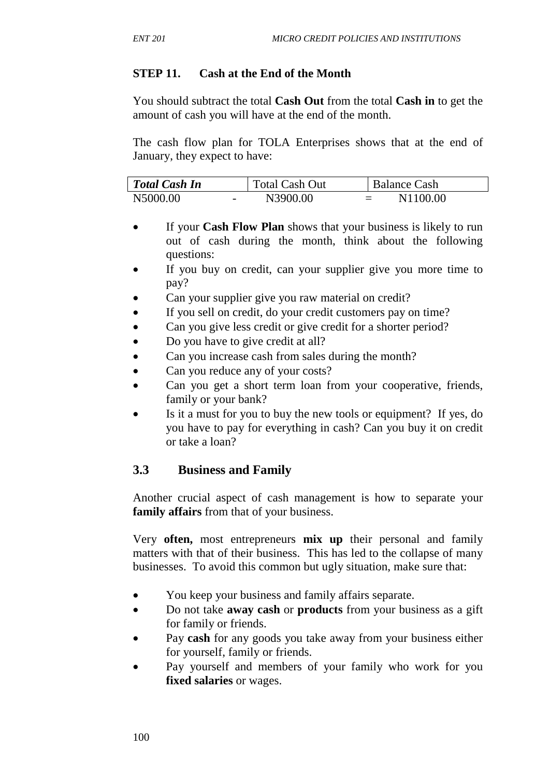### **STEP 11. Cash at the End of the Month**

You should subtract the total **Cash Out** from the total **Cash in** to get the amount of cash you will have at the end of the month.

The cash flow plan for TOLA Enterprises shows that at the end of January, they expect to have:

| Total Cash In                        | <b>Total Cash Out</b> | <b>Balance Cash</b> |
|--------------------------------------|-----------------------|---------------------|
| N5000.00<br>$\overline{\phantom{0}}$ | N3900.00              | N1100.00<br>$=$     |

- If your **Cash Flow Plan** shows that your business is likely to run out of cash during the month, think about the following questions:
- If you buy on credit, can your supplier give you more time to pay?
- Can your supplier give you raw material on credit?
- If you sell on credit, do your credit customers pay on time?
- Can you give less credit or give credit for a shorter period?
- Do you have to give credit at all?
- Can you increase cash from sales during the month?
- Can you reduce any of your costs?
- Can you get a short term loan from your cooperative, friends, family or your bank?
- Is it a must for you to buy the new tools or equipment? If yes, do you have to pay for everything in cash? Can you buy it on credit or take a loan?

## **3.3 Business and Family**

Another crucial aspect of cash management is how to separate your **family affairs** from that of your business.

Very **often,** most entrepreneurs **mix up** their personal and family matters with that of their business. This has led to the collapse of many businesses. To avoid this common but ugly situation, make sure that:

- You keep your business and family affairs separate.
- Do not take **away cash** or **products** from your business as a gift for family or friends.
- Pay **cash** for any goods you take away from your business either for yourself, family or friends.
- Pay yourself and members of your family who work for you **fixed salaries** or wages.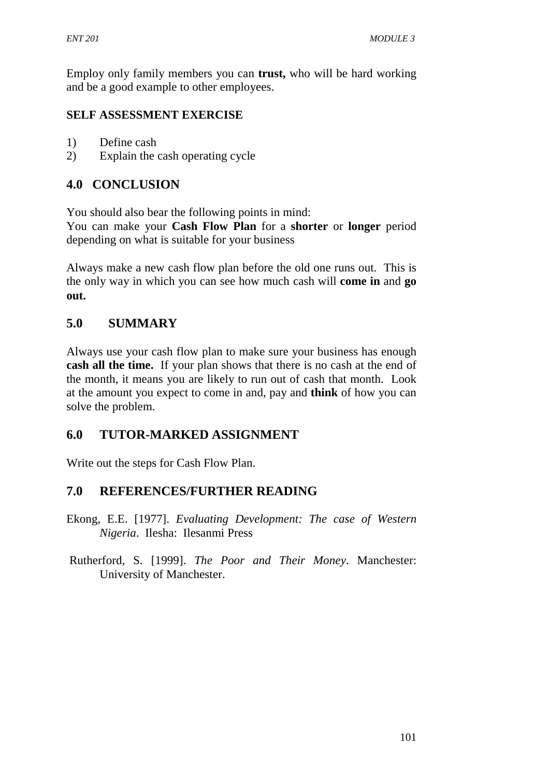Employ only family members you can **trust,** who will be hard working and be a good example to other employees.

#### **SELF ASSESSMENT EXERCISE**

- 1) Define cash
- 2) Explain the cash operating cycle

## **4.0 CONCLUSION**

You should also bear the following points in mind:

You can make your **Cash Flow Plan** for a **shorter** or **longer** period depending on what is suitable for your business

Always make a new cash flow plan before the old one runs out. This is the only way in which you can see how much cash will **come in** and **go out.**

## **5.0 SUMMARY**

Always use your cash flow plan to make sure your business has enough **cash all the time.** If your plan shows that there is no cash at the end of the month, it means you are likely to run out of cash that month. Look at the amount you expect to come in and, pay and **think** of how you can solve the problem.

### **6.0 TUTOR-MARKED ASSIGNMENT**

Write out the steps for Cash Flow Plan.

## **7.0 REFERENCES/FURTHER READING**

- Ekong, E.E. [1977]. *Evaluating Development: The case of Western Nigeria*. Ilesha: Ilesanmi Press
- Rutherford, S. [1999]. *The Poor and Their Money*. Manchester: University of Manchester.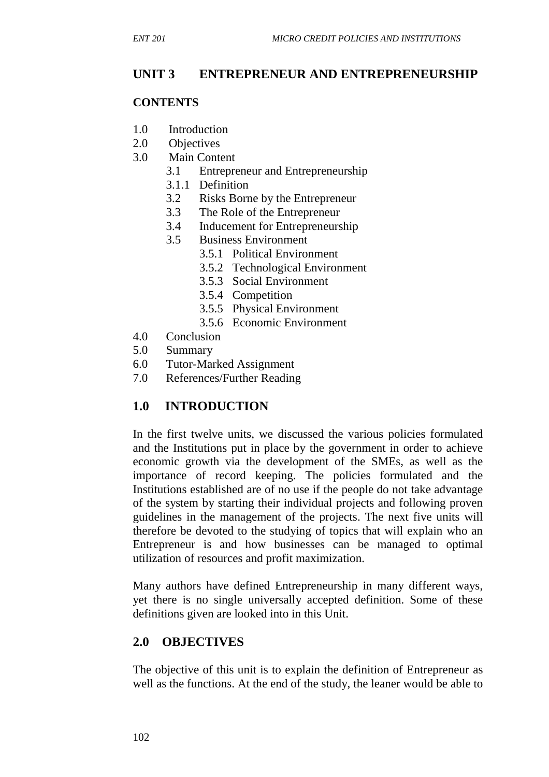# **UNIT 3 ENTREPRENEUR AND ENTREPRENEURSHIP**

#### **CONTENTS**

- 1.0 Introduction
- 2.0 Objectives
- 3.0 Main Content
	- 3.1 Entrepreneur and Entrepreneurship
	- 3.1.1 Definition
	- 3.2 Risks Borne by the Entrepreneur
	- 3.3 The Role of the Entrepreneur
	- 3.4 Inducement for Entrepreneurship
	- 3.5 Business Environment
		- 3.5.1 Political Environment
			- 3.5.2 Technological Environment
			- 3.5.3 Social Environment
			- 3.5.4 Competition
			- 3.5.5 Physical Environment
			- 3.5.6 Economic Environment
- 4.0 Conclusion
- 5.0 Summary
- 6.0 Tutor-Marked Assignment
- 7.0 References/Further Reading

# **1.0 INTRODUCTION**

In the first twelve units, we discussed the various policies formulated and the Institutions put in place by the government in order to achieve economic growth via the development of the SMEs, as well as the importance of record keeping. The policies formulated and the Institutions established are of no use if the people do not take advantage of the system by starting their individual projects and following proven guidelines in the management of the projects. The next five units will therefore be devoted to the studying of topics that will explain who an Entrepreneur is and how businesses can be managed to optimal utilization of resources and profit maximization.

Many authors have defined Entrepreneurship in many different ways, yet there is no single universally accepted definition. Some of these definitions given are looked into in this Unit.

### **2.0 OBJECTIVES**

The objective of this unit is to explain the definition of Entrepreneur as well as the functions. At the end of the study, the leaner would be able to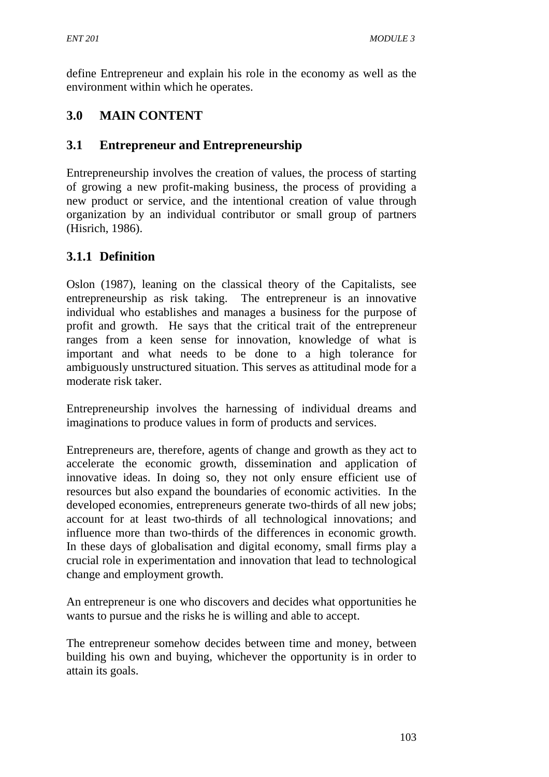define Entrepreneur and explain his role in the economy as well as the environment within which he operates.

# **3.0 MAIN CONTENT**

# **3.1 Entrepreneur and Entrepreneurship**

Entrepreneurship involves the creation of values, the process of starting of growing a new profit-making business, the process of providing a new product or service, and the intentional creation of value through organization by an individual contributor or small group of partners (Hisrich, 1986).

# **3.1.1 Definition**

Oslon (1987), leaning on the classical theory of the Capitalists, see entrepreneurship as risk taking. The entrepreneur is an innovative individual who establishes and manages a business for the purpose of profit and growth. He says that the critical trait of the entrepreneur ranges from a keen sense for innovation, knowledge of what is important and what needs to be done to a high tolerance for ambiguously unstructured situation. This serves as attitudinal mode for a moderate risk taker.

Entrepreneurship involves the harnessing of individual dreams and imaginations to produce values in form of products and services.

Entrepreneurs are, therefore, agents of change and growth as they act to accelerate the economic growth, dissemination and application of innovative ideas. In doing so, they not only ensure efficient use of resources but also expand the boundaries of economic activities. In the developed economies, entrepreneurs generate two-thirds of all new jobs; account for at least two-thirds of all technological innovations; and influence more than two-thirds of the differences in economic growth. In these days of globalisation and digital economy, small firms play a crucial role in experimentation and innovation that lead to technological change and employment growth.

An entrepreneur is one who discovers and decides what opportunities he wants to pursue and the risks he is willing and able to accept.

The entrepreneur somehow decides between time and money, between building his own and buying, whichever the opportunity is in order to attain its goals.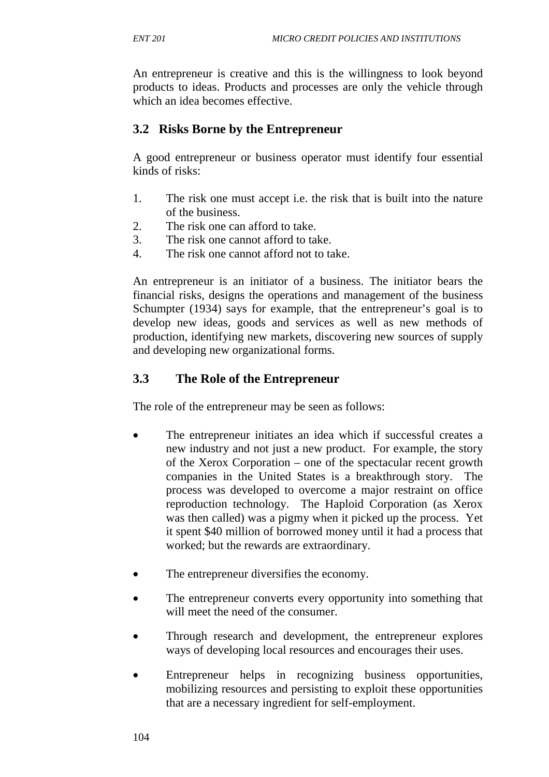An entrepreneur is creative and this is the willingness to look beyond products to ideas. Products and processes are only the vehicle through which an idea becomes effective.

# **3.2 Risks Borne by the Entrepreneur**

A good entrepreneur or business operator must identify four essential kinds of risks:

- 1. The risk one must accept i.e. the risk that is built into the nature of the business.
- 2. The risk one can afford to take.
- 3. The risk one cannot afford to take.
- 4. The risk one cannot afford not to take.

An entrepreneur is an initiator of a business. The initiator bears the financial risks, designs the operations and management of the business Schumpter (1934) says for example, that the entrepreneur's goal is to develop new ideas, goods and services as well as new methods of production, identifying new markets, discovering new sources of supply and developing new organizational forms.

# **3.3 The Role of the Entrepreneur**

The role of the entrepreneur may be seen as follows:

- The entrepreneur initiates an idea which if successful creates a new industry and not just a new product. For example, the story of the Xerox Corporation – one of the spectacular recent growth companies in the United States is a breakthrough story. The process was developed to overcome a major restraint on office reproduction technology. The Haploid Corporation (as Xerox was then called) was a pigmy when it picked up the process. Yet it spent \$40 million of borrowed money until it had a process that worked; but the rewards are extraordinary.
- The entrepreneur diversifies the economy.
- The entrepreneur converts every opportunity into something that will meet the need of the consumer.
- Through research and development, the entrepreneur explores ways of developing local resources and encourages their uses.
- Entrepreneur helps in recognizing business opportunities, mobilizing resources and persisting to exploit these opportunities that are a necessary ingredient for self-employment.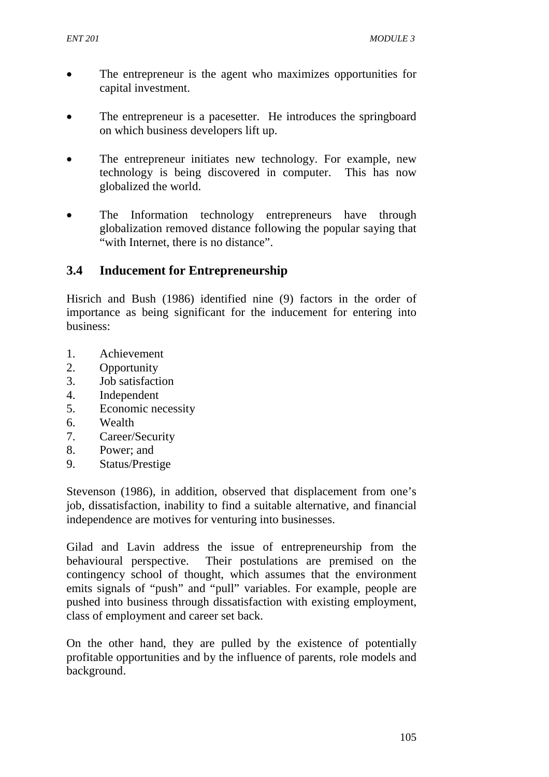- The entrepreneur is the agent who maximizes opportunities for capital investment.
- The entrepreneur is a pacesetter. He introduces the springboard on which business developers lift up.
- The entrepreneur initiates new technology. For example, new technology is being discovered in computer. This has now globalized the world.
- The Information technology entrepreneurs have through globalization removed distance following the popular saying that "with Internet, there is no distance".

# **3.4 Inducement for Entrepreneurship**

Hisrich and Bush (1986) identified nine (9) factors in the order of importance as being significant for the inducement for entering into business:

- 1. Achievement
- 2. Opportunity
- 3. Job satisfaction
- 4. Independent
- 5. Economic necessity
- 6. Wealth
- 7. Career/Security
- 8. Power; and
- 9. Status/Prestige

Stevenson (1986), in addition, observed that displacement from one's job, dissatisfaction, inability to find a suitable alternative, and financial independence are motives for venturing into businesses.

Gilad and Lavin address the issue of entrepreneurship from the behavioural perspective. Their postulations are premised on the contingency school of thought, which assumes that the environment emits signals of "push" and "pull" variables. For example, people are pushed into business through dissatisfaction with existing employment, class of employment and career set back.

On the other hand, they are pulled by the existence of potentially profitable opportunities and by the influence of parents, role models and background.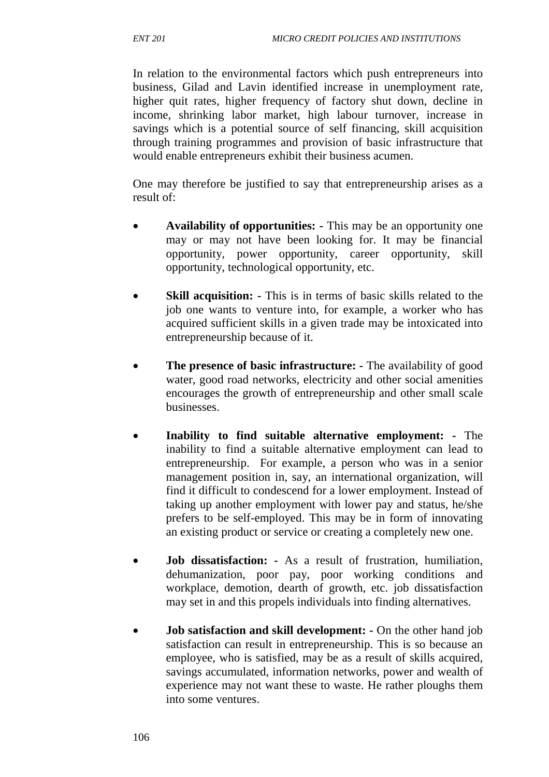In relation to the environmental factors which push entrepreneurs into business, Gilad and Lavin identified increase in unemployment rate, higher quit rates, higher frequency of factory shut down, decline in income, shrinking labor market, high labour turnover, increase in savings which is a potential source of self financing, skill acquisition through training programmes and provision of basic infrastructure that would enable entrepreneurs exhibit their business acumen.

One may therefore be justified to say that entrepreneurship arises as a result of:

- **Availability of opportunities:** This may be an opportunity one may or may not have been looking for. It may be financial opportunity, power opportunity, career opportunity, skill opportunity, technological opportunity, etc.
- **Skill acquisition:** This is in terms of basic skills related to the job one wants to venture into, for example, a worker who has acquired sufficient skills in a given trade may be intoxicated into entrepreneurship because of it.
- **The presence of basic infrastructure:** The availability of good water, good road networks, electricity and other social amenities encourages the growth of entrepreneurship and other small scale businesses.
- **Inability to find suitable alternative employment:** The inability to find a suitable alternative employment can lead to entrepreneurship. For example, a person who was in a senior management position in, say, an international organization, will find it difficult to condescend for a lower employment. Instead of taking up another employment with lower pay and status, he/she prefers to be self-employed. This may be in form of innovating an existing product or service or creating a completely new one.
- **Job dissatisfaction:** As a result of frustration, humiliation, dehumanization, poor pay, poor working conditions and workplace, demotion, dearth of growth, etc. job dissatisfaction may set in and this propels individuals into finding alternatives.
- **Job satisfaction and skill development:** On the other hand job satisfaction can result in entrepreneurship. This is so because an employee, who is satisfied, may be as a result of skills acquired, savings accumulated, information networks, power and wealth of experience may not want these to waste. He rather ploughs them into some ventures.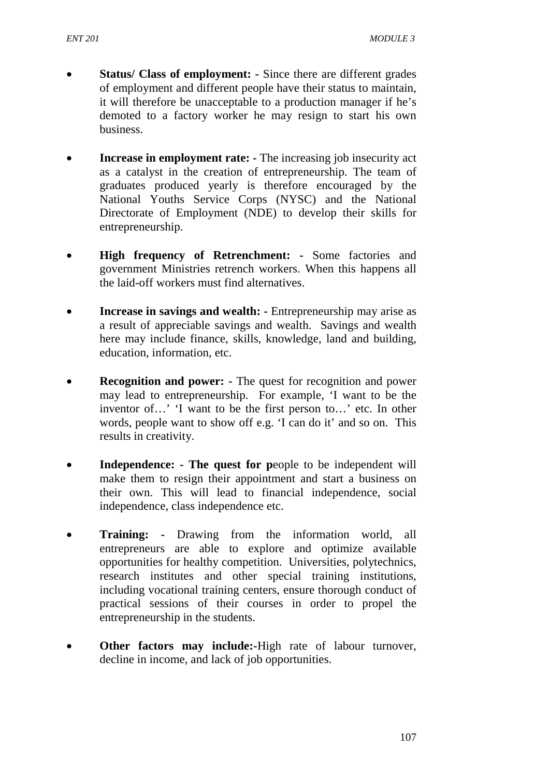- **Status/ Class of employment:** Since there are different grades of employment and different people have their status to maintain, it will therefore be unacceptable to a production manager if he's demoted to a factory worker he may resign to start his own business.
- **Increase in employment rate:** The increasing job insecurity act as a catalyst in the creation of entrepreneurship. The team of graduates produced yearly is therefore encouraged by the National Youths Service Corps (NYSC) and the National Directorate of Employment (NDE) to develop their skills for entrepreneurship.
- **High frequency of Retrenchment:** Some factories and government Ministries retrench workers. When this happens all the laid-off workers must find alternatives.
- **Increase in savings and wealth:** Entrepreneurship may arise as a result of appreciable savings and wealth. Savings and wealth here may include finance, skills, knowledge, land and building, education, information, etc.
- **Recognition and power:** The quest for recognition and power may lead to entrepreneurship. For example, 'I want to be the inventor of…' 'I want to be the first person to…' etc. In other words, people want to show off e.g. 'I can do it' and so on. This results in creativity.
- **Independence:** The quest for people to be independent will make them to resign their appointment and start a business on their own. This will lead to financial independence, social independence, class independence etc.
- **Training:** Drawing from the information world, all entrepreneurs are able to explore and optimize available opportunities for healthy competition. Universities, polytechnics, research institutes and other special training institutions, including vocational training centers, ensure thorough conduct of practical sessions of their courses in order to propel the entrepreneurship in the students.
- **Other factors may include:-High rate of labour turnover,** decline in income, and lack of job opportunities.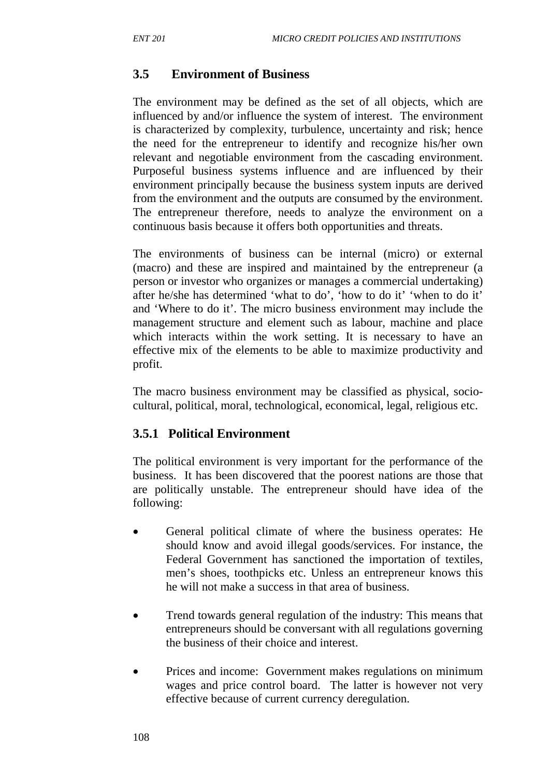# **3.5 Environment of Business**

The environment may be defined as the set of all objects, which are influenced by and/or influence the system of interest. The environment is characterized by complexity, turbulence, uncertainty and risk; hence the need for the entrepreneur to identify and recognize his/her own relevant and negotiable environment from the cascading environment. Purposeful business systems influence and are influenced by their environment principally because the business system inputs are derived from the environment and the outputs are consumed by the environment. The entrepreneur therefore, needs to analyze the environment on a continuous basis because it offers both opportunities and threats.

The environments of business can be internal (micro) or external (macro) and these are inspired and maintained by the entrepreneur (a person or investor who organizes or manages a commercial undertaking) after he/she has determined 'what to do', 'how to do it' 'when to do it' and 'Where to do it'. The micro business environment may include the management structure and element such as labour, machine and place which interacts within the work setting. It is necessary to have an effective mix of the elements to be able to maximize productivity and profit.

The macro business environment may be classified as physical, sociocultural, political, moral, technological, economical, legal, religious etc.

#### **3.5.1 Political Environment**

The political environment is very important for the performance of the business. It has been discovered that the poorest nations are those that are politically unstable. The entrepreneur should have idea of the following:

- General political climate of where the business operates: He should know and avoid illegal goods/services. For instance, the Federal Government has sanctioned the importation of textiles, men's shoes, toothpicks etc. Unless an entrepreneur knows this he will not make a success in that area of business.
- Trend towards general regulation of the industry: This means that entrepreneurs should be conversant with all regulations governing the business of their choice and interest.
- Prices and income: Government makes regulations on minimum wages and price control board. The latter is however not very effective because of current currency deregulation.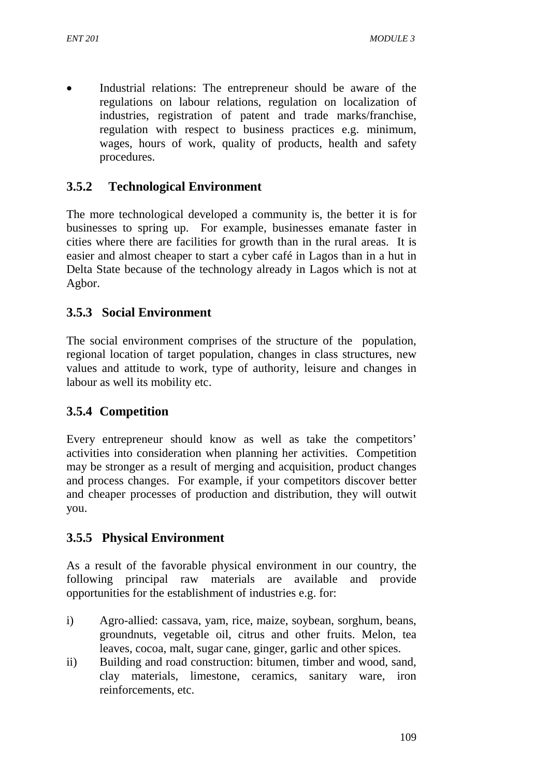Industrial relations: The entrepreneur should be aware of the regulations on labour relations, regulation on localization of industries, registration of patent and trade marks/franchise, regulation with respect to business practices e.g. minimum, wages, hours of work, quality of products, health and safety procedures.

# **3.5.2 Technological Environment**

The more technological developed a community is, the better it is for businesses to spring up. For example, businesses emanate faster in cities where there are facilities for growth than in the rural areas. It is easier and almost cheaper to start a cyber café in Lagos than in a hut in Delta State because of the technology already in Lagos which is not at Agbor.

# **3.5.3 Social Environment**

The social environment comprises of the structure of the population, regional location of target population, changes in class structures, new values and attitude to work, type of authority, leisure and changes in labour as well its mobility etc.

# **3.5.4 Competition**

Every entrepreneur should know as well as take the competitors' activities into consideration when planning her activities. Competition may be stronger as a result of merging and acquisition, product changes and process changes. For example, if your competitors discover better and cheaper processes of production and distribution, they will outwit you.

# **3.5.5 Physical Environment**

As a result of the favorable physical environment in our country, the following principal raw materials are available and provide opportunities for the establishment of industries e.g. for:

- i) Agro-allied: cassava, yam, rice, maize, soybean, sorghum, beans, groundnuts, vegetable oil, citrus and other fruits. Melon, tea leaves, cocoa, malt, sugar cane, ginger, garlic and other spices.
- ii) Building and road construction: bitumen, timber and wood, sand, clay materials, limestone, ceramics, sanitary ware, iron reinforcements, etc.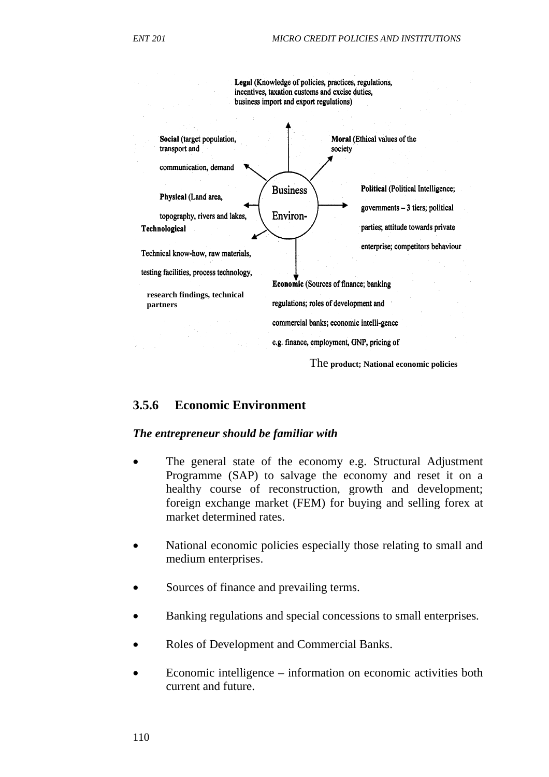

#### **3.5.6 Economic Environment**

#### *The entrepreneur should be familiar with*

- The general state of the economy e.g. Structural Adjustment Programme (SAP) to salvage the economy and reset it on a healthy course of reconstruction, growth and development; foreign exchange market (FEM) for buying and selling forex at market determined rates.
- National economic policies especially those relating to small and medium enterprises.
- Sources of finance and prevailing terms.
- Banking regulations and special concessions to small enterprises.
- Roles of Development and Commercial Banks.
- Economic intelligence information on economic activities both current and future.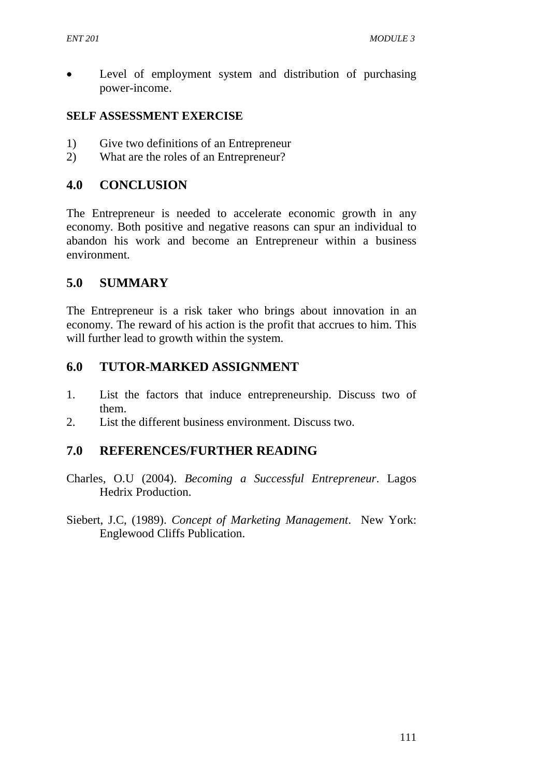• Level of employment system and distribution of purchasing power-income.

#### **SELF ASSESSMENT EXERCISE**

- 1) Give two definitions of an Entrepreneur
- 2) What are the roles of an Entrepreneur?

### **4.0 CONCLUSION**

The Entrepreneur is needed to accelerate economic growth in any economy. Both positive and negative reasons can spur an individual to abandon his work and become an Entrepreneur within a business environment.

#### **5.0 SUMMARY**

The Entrepreneur is a risk taker who brings about innovation in an economy. The reward of his action is the profit that accrues to him. This will further lead to growth within the system.

### **6.0 TUTOR-MARKED ASSIGNMENT**

- 1. List the factors that induce entrepreneurship. Discuss two of them.
- 2. List the different business environment. Discuss two.

#### **7.0 REFERENCES/FURTHER READING**

- Charles, O.U (2004). *Becoming a Successful Entrepreneur*. Lagos Hedrix Production.
- Siebert, J.C, (1989). *Concept of Marketing Management*. New York: Englewood Cliffs Publication.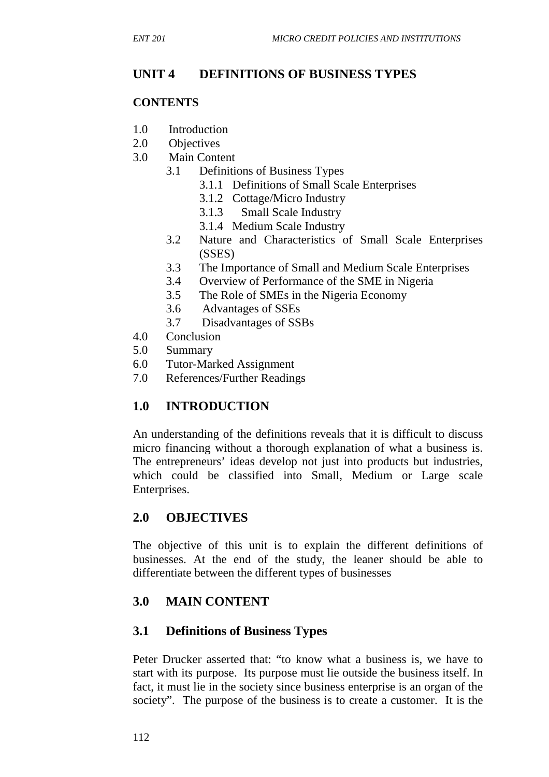# **UNIT 4 DEFINITIONS OF BUSINESS TYPES**

#### **CONTENTS**

- 1.0 Introduction
- 2.0 Objectives
- 3.0 Main Content
	- 3.1 Definitions of Business Types
		- 3.1.1 Definitions of Small Scale Enterprises
		- 3.1.2 Cottage/Micro Industry
		- 3.1.3 Small Scale Industry
		- 3.1.4 Medium Scale Industry
	- 3.2 Nature and Characteristics of Small Scale Enterprises (SSES)
	- 3.3 The Importance of Small and Medium Scale Enterprises
	- 3.4 Overview of Performance of the SME in Nigeria
	- 3.5 The Role of SMEs in the Nigeria Economy
	- 3.6 Advantages of SSEs
	- 3.7 Disadvantages of SSBs
- 4.0 Conclusion
- 5.0 Summary
- 6.0 Tutor-Marked Assignment
- 7.0 References/Further Readings

# **1.0 INTRODUCTION**

An understanding of the definitions reveals that it is difficult to discuss micro financing without a thorough explanation of what a business is. The entrepreneurs' ideas develop not just into products but industries, which could be classified into Small, Medium or Large scale Enterprises.

# **2.0 OBJECTIVES**

The objective of this unit is to explain the different definitions of businesses. At the end of the study, the leaner should be able to differentiate between the different types of businesses

# **3.0 MAIN CONTENT**

#### **3.1 Definitions of Business Types**

Peter Drucker asserted that: "to know what a business is, we have to start with its purpose. Its purpose must lie outside the business itself. In fact, it must lie in the society since business enterprise is an organ of the society". The purpose of the business is to create a customer. It is the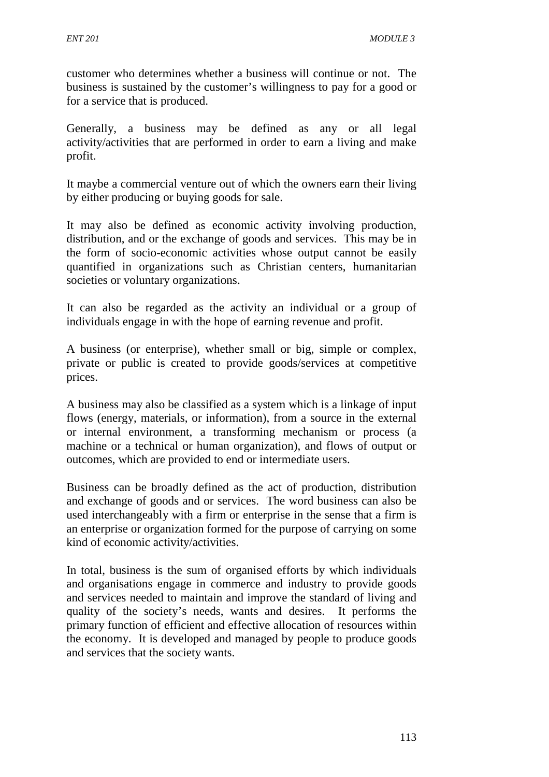customer who determines whether a business will continue or not. The business is sustained by the customer's willingness to pay for a good or for a service that is produced.

Generally, a business may be defined as any or all legal activity/activities that are performed in order to earn a living and make profit.

It maybe a commercial venture out of which the owners earn their living by either producing or buying goods for sale.

It may also be defined as economic activity involving production, distribution, and or the exchange of goods and services. This may be in the form of socio-economic activities whose output cannot be easily quantified in organizations such as Christian centers, humanitarian societies or voluntary organizations.

It can also be regarded as the activity an individual or a group of individuals engage in with the hope of earning revenue and profit.

A business (or enterprise), whether small or big, simple or complex, private or public is created to provide goods/services at competitive prices.

A business may also be classified as a system which is a linkage of input flows (energy, materials, or information), from a source in the external or internal environment, a transforming mechanism or process (a machine or a technical or human organization), and flows of output or outcomes, which are provided to end or intermediate users.

Business can be broadly defined as the act of production, distribution and exchange of goods and or services. The word business can also be used interchangeably with a firm or enterprise in the sense that a firm is an enterprise or organization formed for the purpose of carrying on some kind of economic activity/activities.

In total, business is the sum of organised efforts by which individuals and organisations engage in commerce and industry to provide goods and services needed to maintain and improve the standard of living and quality of the society's needs, wants and desires. It performs the primary function of efficient and effective allocation of resources within the economy. It is developed and managed by people to produce goods and services that the society wants.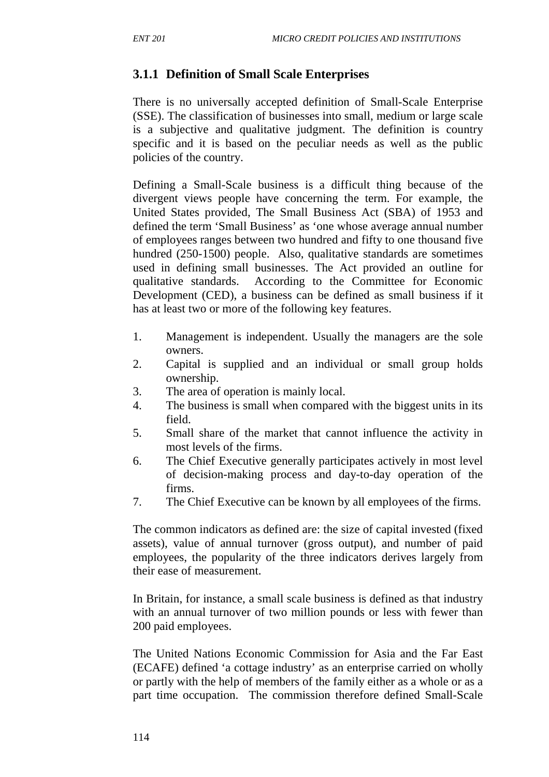# **3.1.1 Definition of Small Scale Enterprises**

There is no universally accepted definition of Small-Scale Enterprise (SSE). The classification of businesses into small, medium or large scale is a subjective and qualitative judgment. The definition is country specific and it is based on the peculiar needs as well as the public policies of the country.

Defining a Small-Scale business is a difficult thing because of the divergent views people have concerning the term. For example, the United States provided, The Small Business Act (SBA) of 1953 and defined the term 'Small Business' as 'one whose average annual number of employees ranges between two hundred and fifty to one thousand five hundred (250-1500) people. Also, qualitative standards are sometimes used in defining small businesses. The Act provided an outline for qualitative standards. According to the Committee for Economic Development (CED), a business can be defined as small business if it has at least two or more of the following key features.

- 1. Management is independent. Usually the managers are the sole owners.
- 2. Capital is supplied and an individual or small group holds ownership.
- 3. The area of operation is mainly local.
- 4. The business is small when compared with the biggest units in its field.
- 5. Small share of the market that cannot influence the activity in most levels of the firms.
- 6. The Chief Executive generally participates actively in most level of decision-making process and day-to-day operation of the firms.
- 7. The Chief Executive can be known by all employees of the firms.

The common indicators as defined are: the size of capital invested (fixed assets), value of annual turnover (gross output), and number of paid employees, the popularity of the three indicators derives largely from their ease of measurement.

In Britain, for instance, a small scale business is defined as that industry with an annual turnover of two million pounds or less with fewer than 200 paid employees.

The United Nations Economic Commission for Asia and the Far East (ECAFE) defined 'a cottage industry' as an enterprise carried on wholly or partly with the help of members of the family either as a whole or as a part time occupation. The commission therefore defined Small-Scale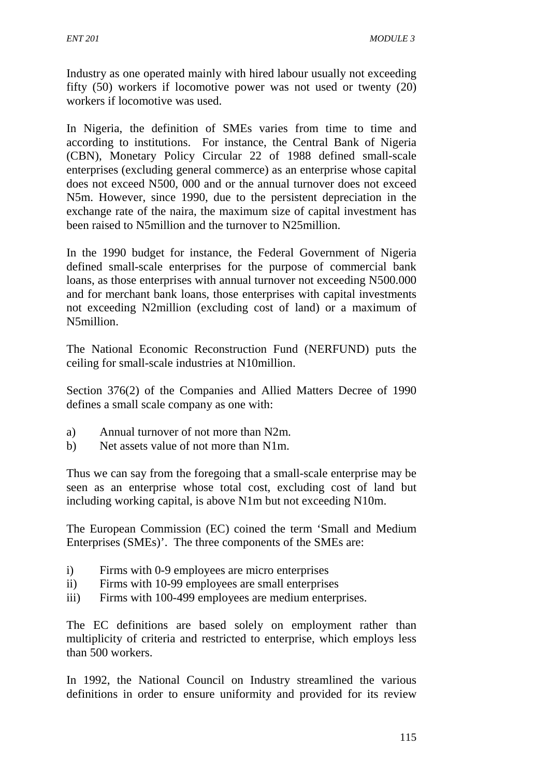Industry as one operated mainly with hired labour usually not exceeding fifty (50) workers if locomotive power was not used or twenty (20) workers if locomotive was used.

In Nigeria, the definition of SMEs varies from time to time and according to institutions. For instance, the Central Bank of Nigeria (CBN), Monetary Policy Circular 22 of 1988 defined small-scale enterprises (excluding general commerce) as an enterprise whose capital does not exceed N500, 000 and or the annual turnover does not exceed N5m. However, since 1990, due to the persistent depreciation in the exchange rate of the naira, the maximum size of capital investment has been raised to N5million and the turnover to N25million.

In the 1990 budget for instance, the Federal Government of Nigeria defined small-scale enterprises for the purpose of commercial bank loans, as those enterprises with annual turnover not exceeding N500.000 and for merchant bank loans, those enterprises with capital investments not exceeding N2million (excluding cost of land) or a maximum of N5million.

The National Economic Reconstruction Fund (NERFUND) puts the ceiling for small-scale industries at N10million.

Section 376(2) of the Companies and Allied Matters Decree of 1990 defines a small scale company as one with:

- a) Annual turnover of not more than N2m.
- b) Net assets value of not more than N1m.

Thus we can say from the foregoing that a small-scale enterprise may be seen as an enterprise whose total cost, excluding cost of land but including working capital, is above N1m but not exceeding N10m.

The European Commission (EC) coined the term 'Small and Medium Enterprises (SMEs)'. The three components of the SMEs are:

- i) Firms with 0-9 employees are micro enterprises
- ii) Firms with 10-99 employees are small enterprises
- iii) Firms with 100-499 employees are medium enterprises.

The EC definitions are based solely on employment rather than multiplicity of criteria and restricted to enterprise, which employs less than 500 workers.

In 1992, the National Council on Industry streamlined the various definitions in order to ensure uniformity and provided for its review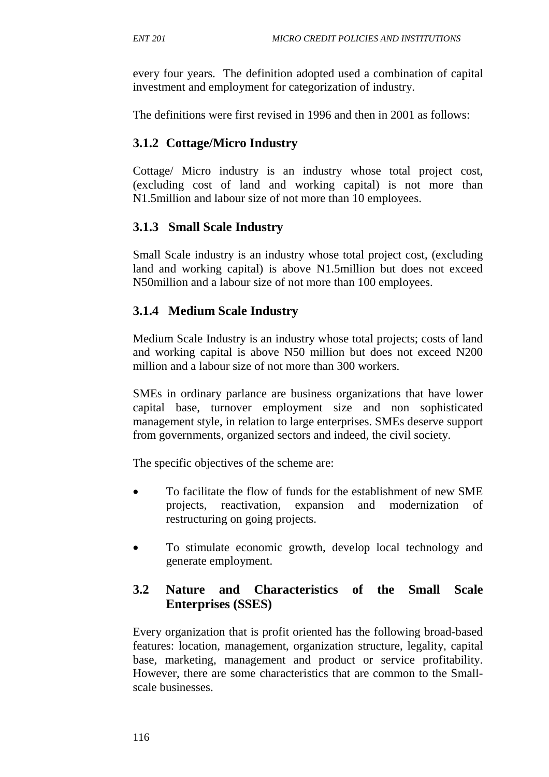every four years. The definition adopted used a combination of capital investment and employment for categorization of industry.

The definitions were first revised in 1996 and then in 2001 as follows:

# **3.1.2 Cottage/Micro Industry**

Cottage/ Micro industry is an industry whose total project cost, (excluding cost of land and working capital) is not more than N1.5million and labour size of not more than 10 employees.

# **3.1.3 Small Scale Industry**

Small Scale industry is an industry whose total project cost, (excluding land and working capital) is above N1.5million but does not exceed N50million and a labour size of not more than 100 employees.

# **3.1.4 Medium Scale Industry**

Medium Scale Industry is an industry whose total projects; costs of land and working capital is above N50 million but does not exceed N200 million and a labour size of not more than 300 workers.

SMEs in ordinary parlance are business organizations that have lower capital base, turnover employment size and non sophisticated management style, in relation to large enterprises. SMEs deserve support from governments, organized sectors and indeed, the civil society.

The specific objectives of the scheme are:

- To facilitate the flow of funds for the establishment of new SME projects, reactivation, expansion and modernization of restructuring on going projects.
- To stimulate economic growth, develop local technology and generate employment.

# **3.2 Nature and Characteristics of the Small Scale Enterprises (SSES)**

Every organization that is profit oriented has the following broad-based features: location, management, organization structure, legality, capital base, marketing, management and product or service profitability. However, there are some characteristics that are common to the Smallscale businesses.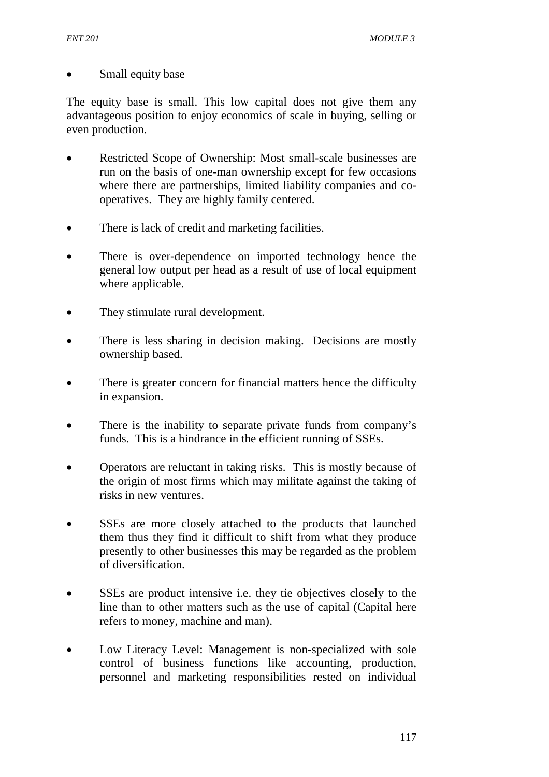#### • Small equity base

The equity base is small. This low capital does not give them any advantageous position to enjoy economics of scale in buying, selling or even production.

- Restricted Scope of Ownership: Most small-scale businesses are run on the basis of one-man ownership except for few occasions where there are partnerships, limited liability companies and cooperatives. They are highly family centered.
- There is lack of credit and marketing facilities.
- There is over-dependence on imported technology hence the general low output per head as a result of use of local equipment where applicable.
- They stimulate rural development.
- There is less sharing in decision making. Decisions are mostly ownership based.
- There is greater concern for financial matters hence the difficulty in expansion.
- There is the inability to separate private funds from company's funds. This is a hindrance in the efficient running of SSEs.
- Operators are reluctant in taking risks. This is mostly because of the origin of most firms which may militate against the taking of risks in new ventures.
- SSEs are more closely attached to the products that launched them thus they find it difficult to shift from what they produce presently to other businesses this may be regarded as the problem of diversification.
- SSEs are product intensive i.e. they tie objectives closely to the line than to other matters such as the use of capital (Capital here refers to money, machine and man).
- Low Literacy Level: Management is non-specialized with sole control of business functions like accounting, production, personnel and marketing responsibilities rested on individual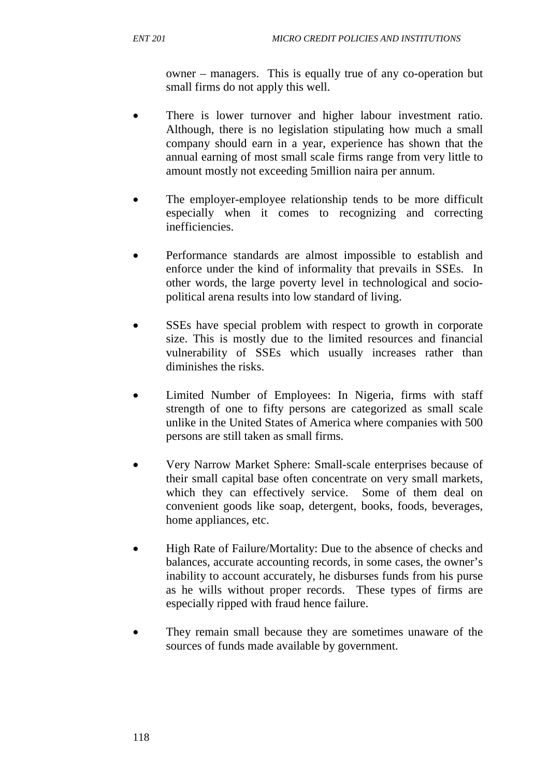owner – managers. This is equally true of any co-operation but small firms do not apply this well.

- There is lower turnover and higher labour investment ratio. Although, there is no legislation stipulating how much a small company should earn in a year, experience has shown that the annual earning of most small scale firms range from very little to amount mostly not exceeding 5million naira per annum.
- The employer-employee relationship tends to be more difficult especially when it comes to recognizing and correcting inefficiencies.
- Performance standards are almost impossible to establish and enforce under the kind of informality that prevails in SSEs. In other words, the large poverty level in technological and sociopolitical arena results into low standard of living.
- SSEs have special problem with respect to growth in corporate size. This is mostly due to the limited resources and financial vulnerability of SSEs which usually increases rather than diminishes the risks.
- Limited Number of Employees: In Nigeria, firms with staff strength of one to fifty persons are categorized as small scale unlike in the United States of America where companies with 500 persons are still taken as small firms.
- Very Narrow Market Sphere: Small-scale enterprises because of their small capital base often concentrate on very small markets, which they can effectively service. Some of them deal on convenient goods like soap, detergent, books, foods, beverages, home appliances, etc.
- High Rate of Failure/Mortality: Due to the absence of checks and balances, accurate accounting records, in some cases, the owner's inability to account accurately, he disburses funds from his purse as he wills without proper records. These types of firms are especially ripped with fraud hence failure.
- They remain small because they are sometimes unaware of the sources of funds made available by government.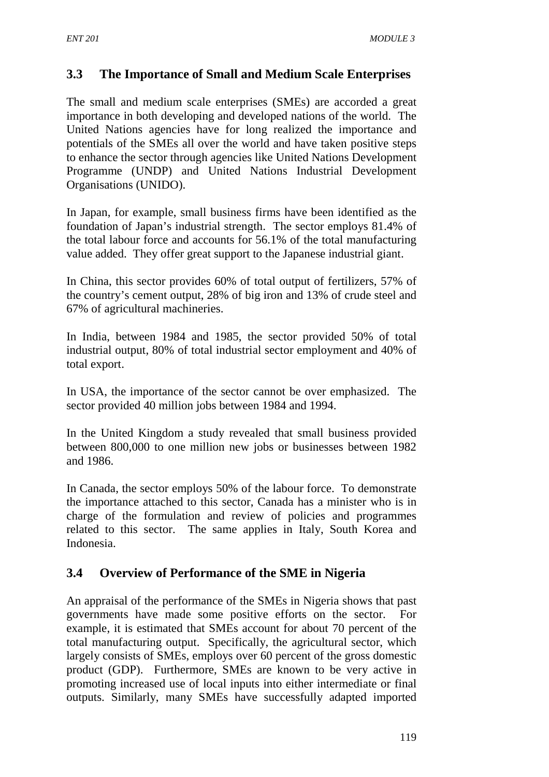# **3.3 The Importance of Small and Medium Scale Enterprises**

The small and medium scale enterprises (SMEs) are accorded a great importance in both developing and developed nations of the world. The United Nations agencies have for long realized the importance and potentials of the SMEs all over the world and have taken positive steps to enhance the sector through agencies like United Nations Development Programme (UNDP) and United Nations Industrial Development Organisations (UNIDO).

In Japan, for example, small business firms have been identified as the foundation of Japan's industrial strength. The sector employs 81.4% of the total labour force and accounts for 56.1% of the total manufacturing value added. They offer great support to the Japanese industrial giant.

In China, this sector provides 60% of total output of fertilizers, 57% of the country's cement output, 28% of big iron and 13% of crude steel and 67% of agricultural machineries.

In India, between 1984 and 1985, the sector provided 50% of total industrial output, 80% of total industrial sector employment and 40% of total export.

In USA, the importance of the sector cannot be over emphasized. The sector provided 40 million jobs between 1984 and 1994.

In the United Kingdom a study revealed that small business provided between 800,000 to one million new jobs or businesses between 1982 and 1986.

In Canada, the sector employs 50% of the labour force. To demonstrate the importance attached to this sector, Canada has a minister who is in charge of the formulation and review of policies and programmes related to this sector. The same applies in Italy, South Korea and Indonesia.

# **3.4 Overview of Performance of the SME in Nigeria**

An appraisal of the performance of the SMEs in Nigeria shows that past governments have made some positive efforts on the sector. For example, it is estimated that SMEs account for about 70 percent of the total manufacturing output. Specifically, the agricultural sector, which largely consists of SMEs, employs over 60 percent of the gross domestic product (GDP). Furthermore, SMEs are known to be very active in promoting increased use of local inputs into either intermediate or final outputs. Similarly, many SMEs have successfully adapted imported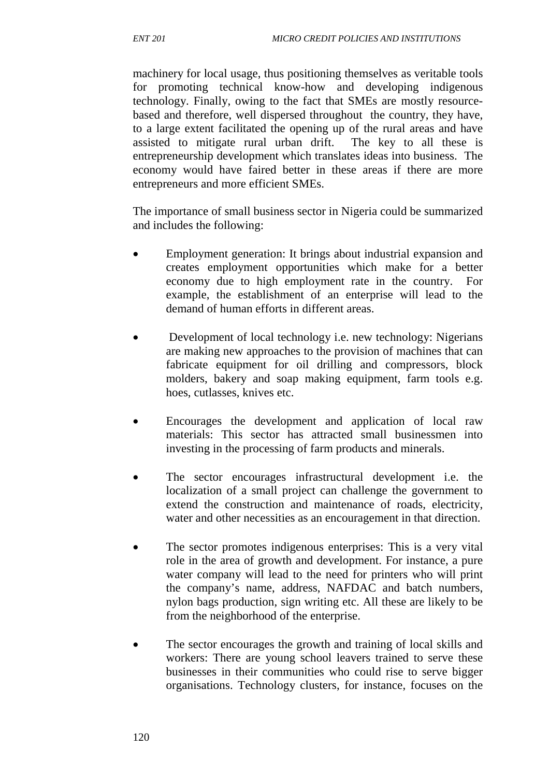machinery for local usage, thus positioning themselves as veritable tools for promoting technical know-how and developing indigenous technology. Finally, owing to the fact that SMEs are mostly resourcebased and therefore, well dispersed throughout the country, they have, to a large extent facilitated the opening up of the rural areas and have assisted to mitigate rural urban drift. The key to all these is entrepreneurship development which translates ideas into business. The economy would have faired better in these areas if there are more entrepreneurs and more efficient SMEs.

The importance of small business sector in Nigeria could be summarized and includes the following:

- Employment generation: It brings about industrial expansion and creates employment opportunities which make for a better economy due to high employment rate in the country. For example, the establishment of an enterprise will lead to the demand of human efforts in different areas.
- Development of local technology i.e. new technology: Nigerians are making new approaches to the provision of machines that can fabricate equipment for oil drilling and compressors, block molders, bakery and soap making equipment, farm tools e.g. hoes, cutlasses, knives etc.
- Encourages the development and application of local raw materials: This sector has attracted small businessmen into investing in the processing of farm products and minerals.
- The sector encourages infrastructural development i.e. the localization of a small project can challenge the government to extend the construction and maintenance of roads, electricity, water and other necessities as an encouragement in that direction.
- The sector promotes indigenous enterprises: This is a very vital role in the area of growth and development. For instance, a pure water company will lead to the need for printers who will print the company's name, address, NAFDAC and batch numbers, nylon bags production, sign writing etc. All these are likely to be from the neighborhood of the enterprise.
- The sector encourages the growth and training of local skills and workers: There are young school leavers trained to serve these businesses in their communities who could rise to serve bigger organisations. Technology clusters, for instance, focuses on the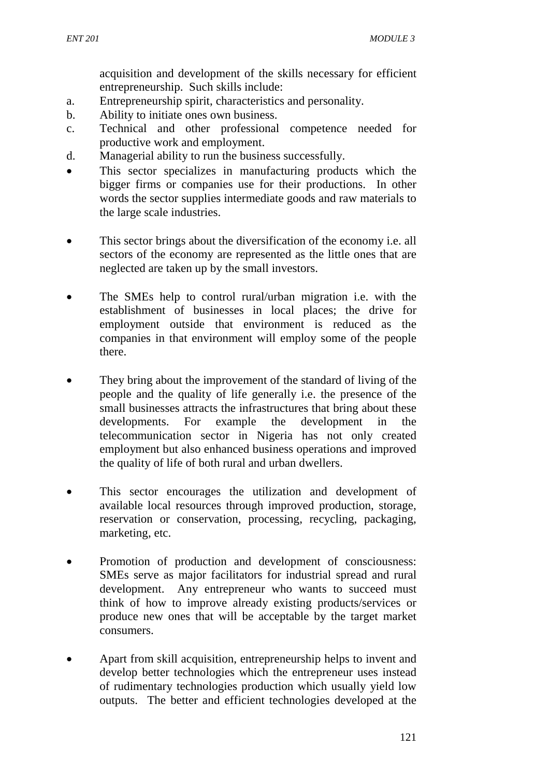acquisition and development of the skills necessary for efficient entrepreneurship. Such skills include:

- a. Entrepreneurship spirit, characteristics and personality.
- b. Ability to initiate ones own business.
- c. Technical and other professional competence needed for productive work and employment.
- d. Managerial ability to run the business successfully.
- This sector specializes in manufacturing products which the bigger firms or companies use for their productions. In other words the sector supplies intermediate goods and raw materials to the large scale industries.
- This sector brings about the diversification of the economy *i.e.* all sectors of the economy are represented as the little ones that are neglected are taken up by the small investors.
- The SMEs help to control rural/urban migration i.e. with the establishment of businesses in local places; the drive for employment outside that environment is reduced as the companies in that environment will employ some of the people there.
- They bring about the improvement of the standard of living of the people and the quality of life generally i.e. the presence of the small businesses attracts the infrastructures that bring about these developments. For example the development in the telecommunication sector in Nigeria has not only created employment but also enhanced business operations and improved the quality of life of both rural and urban dwellers.
- This sector encourages the utilization and development of available local resources through improved production, storage, reservation or conservation, processing, recycling, packaging, marketing, etc.
- Promotion of production and development of consciousness: SMEs serve as major facilitators for industrial spread and rural development. Any entrepreneur who wants to succeed must think of how to improve already existing products/services or produce new ones that will be acceptable by the target market consumers.
- Apart from skill acquisition, entrepreneurship helps to invent and develop better technologies which the entrepreneur uses instead of rudimentary technologies production which usually yield low outputs. The better and efficient technologies developed at the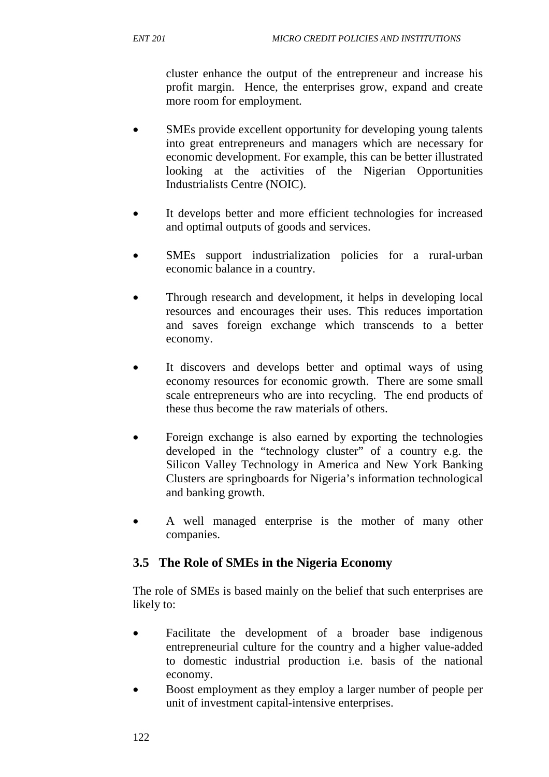cluster enhance the output of the entrepreneur and increase his profit margin. Hence, the enterprises grow, expand and create more room for employment.

- SMEs provide excellent opportunity for developing young talents into great entrepreneurs and managers which are necessary for economic development. For example, this can be better illustrated looking at the activities of the Nigerian Opportunities Industrialists Centre (NOIC).
- It develops better and more efficient technologies for increased and optimal outputs of goods and services.
- SMEs support industrialization policies for a rural-urban economic balance in a country.
- Through research and development, it helps in developing local resources and encourages their uses. This reduces importation and saves foreign exchange which transcends to a better economy.
- It discovers and develops better and optimal ways of using economy resources for economic growth. There are some small scale entrepreneurs who are into recycling. The end products of these thus become the raw materials of others.
- Foreign exchange is also earned by exporting the technologies developed in the "technology cluster" of a country e.g. the Silicon Valley Technology in America and New York Banking Clusters are springboards for Nigeria's information technological and banking growth.
- A well managed enterprise is the mother of many other companies.

# **3.5 The Role of SMEs in the Nigeria Economy**

The role of SMEs is based mainly on the belief that such enterprises are likely to:

- Facilitate the development of a broader base indigenous entrepreneurial culture for the country and a higher value-added to domestic industrial production i.e. basis of the national economy.
- Boost employment as they employ a larger number of people per unit of investment capital-intensive enterprises.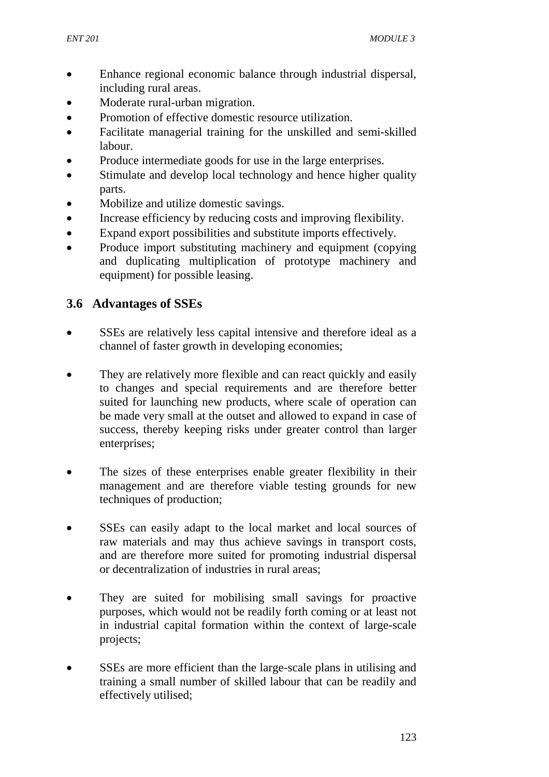- Enhance regional economic balance through industrial dispersal, including rural areas.
- Moderate rural-urban migration.
- Promotion of effective domestic resource utilization.
- Facilitate managerial training for the unskilled and semi-skilled labour.
- Produce intermediate goods for use in the large enterprises.
- Stimulate and develop local technology and hence higher quality parts.
- Mobilize and utilize domestic savings.
- Increase efficiency by reducing costs and improving flexibility.
- Expand export possibilities and substitute imports effectively.
- Produce import substituting machinery and equipment (copying) and duplicating multiplication of prototype machinery and equipment) for possible leasing.

# **3.6 Advantages of SSEs**

- SSEs are relatively less capital intensive and therefore ideal as a channel of faster growth in developing economies;
- They are relatively more flexible and can react quickly and easily to changes and special requirements and are therefore better suited for launching new products, where scale of operation can be made very small at the outset and allowed to expand in case of success, thereby keeping risks under greater control than larger enterprises;
- The sizes of these enterprises enable greater flexibility in their management and are therefore viable testing grounds for new techniques of production;
- SSEs can easily adapt to the local market and local sources of raw materials and may thus achieve savings in transport costs, and are therefore more suited for promoting industrial dispersal or decentralization of industries in rural areas;
- They are suited for mobilising small savings for proactive purposes, which would not be readily forth coming or at least not in industrial capital formation within the context of large-scale projects;
- SSEs are more efficient than the large-scale plans in utilising and training a small number of skilled labour that can be readily and effectively utilised;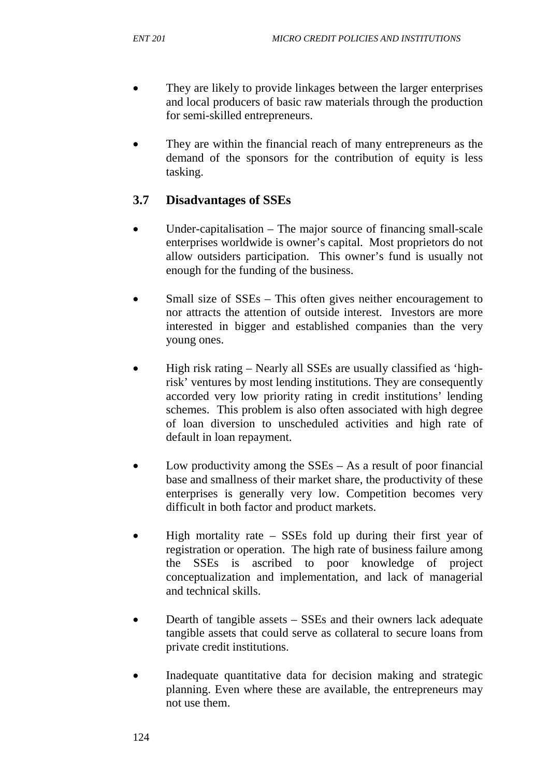- They are likely to provide linkages between the larger enterprises and local producers of basic raw materials through the production for semi-skilled entrepreneurs.
- They are within the financial reach of many entrepreneurs as the demand of the sponsors for the contribution of equity is less tasking.

# **3.7 Disadvantages of SSEs**

- Under-capitalisation The major source of financing small-scale enterprises worldwide is owner's capital. Most proprietors do not allow outsiders participation. This owner's fund is usually not enough for the funding of the business.
- Small size of SSEs This often gives neither encouragement to nor attracts the attention of outside interest. Investors are more interested in bigger and established companies than the very young ones.
- High risk rating Nearly all SSEs are usually classified as 'highrisk' ventures by most lending institutions. They are consequently accorded very low priority rating in credit institutions' lending schemes. This problem is also often associated with high degree of loan diversion to unscheduled activities and high rate of default in loan repayment.
- Low productivity among the  $SSEs As$  a result of poor financial base and smallness of their market share, the productivity of these enterprises is generally very low. Competition becomes very difficult in both factor and product markets.
- High mortality rate SSEs fold up during their first year of registration or operation. The high rate of business failure among the SSEs is ascribed to poor knowledge of project conceptualization and implementation, and lack of managerial and technical skills.
- Dearth of tangible assets SSEs and their owners lack adequate tangible assets that could serve as collateral to secure loans from private credit institutions.
- Inadequate quantitative data for decision making and strategic planning. Even where these are available, the entrepreneurs may not use them.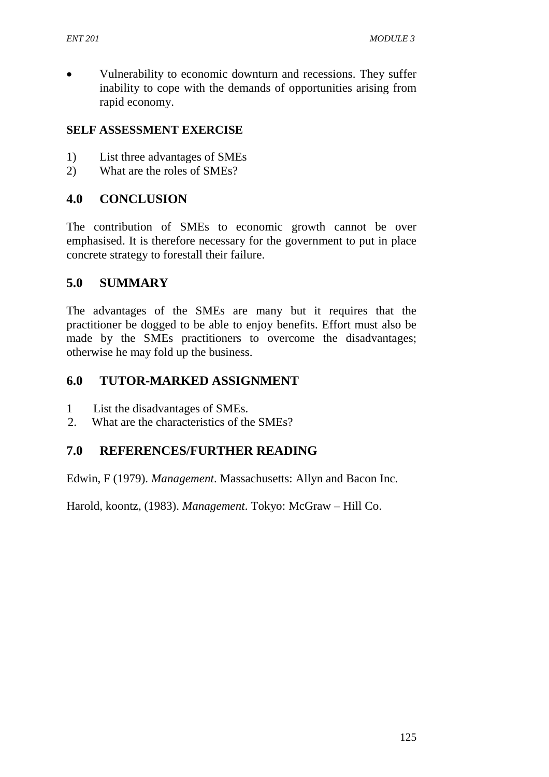• Vulnerability to economic downturn and recessions. They suffer inability to cope with the demands of opportunities arising from rapid economy.

#### **SELF ASSESSMENT EXERCISE**

- 1) List three advantages of SMEs
- 2) What are the roles of SMEs?

### **4.0 CONCLUSION**

The contribution of SMEs to economic growth cannot be over emphasised. It is therefore necessary for the government to put in place concrete strategy to forestall their failure.

#### **5.0 SUMMARY**

The advantages of the SMEs are many but it requires that the practitioner be dogged to be able to enjoy benefits. Effort must also be made by the SMEs practitioners to overcome the disadvantages; otherwise he may fold up the business.

### **6.0 TUTOR-MARKED ASSIGNMENT**

- 1 List the disadvantages of SMEs.
- 2. What are the characteristics of the SMEs?

# **7.0 REFERENCES/FURTHER READING**

Edwin, F (1979). *Management*. Massachusetts: Allyn and Bacon Inc.

Harold, koontz, (1983). *Management*. Tokyo: McGraw – Hill Co.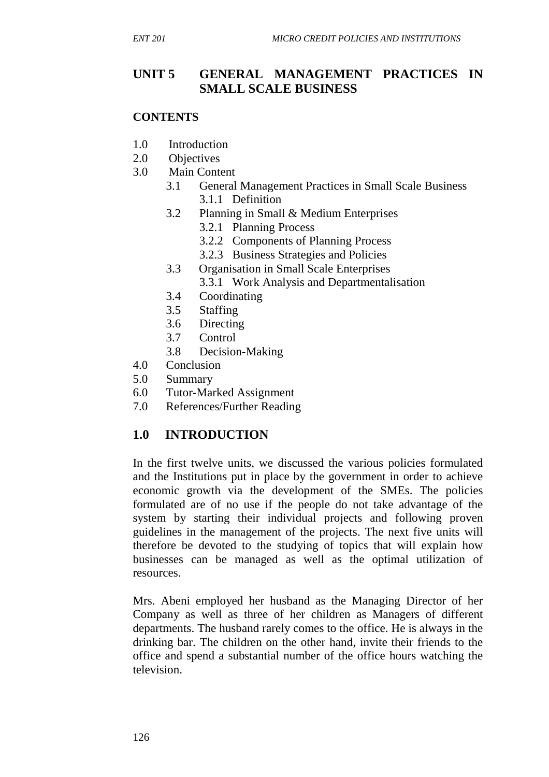# **UNIT 5 GENERAL MANAGEMENT PRACTICES IN SMALL SCALE BUSINESS**

#### **CONTENTS**

- 1.0 Introduction
- 2.0 Objectives
- 3.0 Main Content
	- 3.1 General Management Practices in Small Scale Business 3.1.1 Definition
	- 3.2 Planning in Small & Medium Enterprises
		- 3.2.1 Planning Process
		- 3.2.2 Components of Planning Process
		- 3.2.3 Business Strategies and Policies
	- 3.3 Organisation in Small Scale Enterprises
		- 3.3.1 Work Analysis and Departmentalisation
	- 3.4 Coordinating
	- 3.5 Staffing
	- 3.6 Directing
	- 3.7 Control
	- 3.8 Decision-Making
- 4.0 Conclusion
- 5.0 Summary
- 6.0 Tutor-Marked Assignment
- 7.0 References/Further Reading

#### **1.0 INTRODUCTION**

In the first twelve units, we discussed the various policies formulated and the Institutions put in place by the government in order to achieve economic growth via the development of the SMEs. The policies formulated are of no use if the people do not take advantage of the system by starting their individual projects and following proven guidelines in the management of the projects. The next five units will therefore be devoted to the studying of topics that will explain how businesses can be managed as well as the optimal utilization of resources.

Mrs. Abeni employed her husband as the Managing Director of her Company as well as three of her children as Managers of different departments. The husband rarely comes to the office. He is always in the drinking bar. The children on the other hand, invite their friends to the office and spend a substantial number of the office hours watching the television.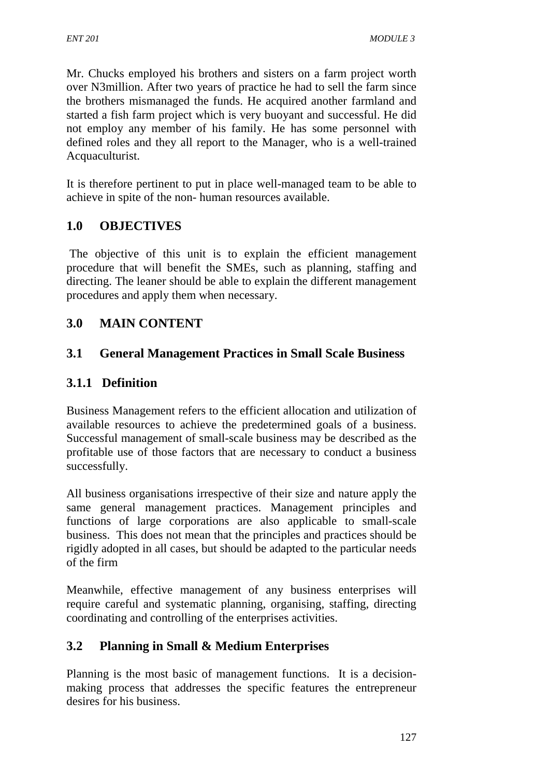Mr. Chucks employed his brothers and sisters on a farm project worth over N3million. After two years of practice he had to sell the farm since the brothers mismanaged the funds. He acquired another farmland and started a fish farm project which is very buoyant and successful. He did not employ any member of his family. He has some personnel with defined roles and they all report to the Manager, who is a well-trained Acquaculturist.

It is therefore pertinent to put in place well-managed team to be able to achieve in spite of the non- human resources available.

# **1.0 OBJECTIVES**

 The objective of this unit is to explain the efficient management procedure that will benefit the SMEs, such as planning, staffing and directing. The leaner should be able to explain the different management procedures and apply them when necessary.

# **3.0 MAIN CONTENT**

# **3.1 General Management Practices in Small Scale Business**

# **3.1.1 Definition**

Business Management refers to the efficient allocation and utilization of available resources to achieve the predetermined goals of a business. Successful management of small-scale business may be described as the profitable use of those factors that are necessary to conduct a business successfully.

All business organisations irrespective of their size and nature apply the same general management practices. Management principles and functions of large corporations are also applicable to small-scale business. This does not mean that the principles and practices should be rigidly adopted in all cases, but should be adapted to the particular needs of the firm

Meanwhile, effective management of any business enterprises will require careful and systematic planning, organising, staffing, directing coordinating and controlling of the enterprises activities.

# **3.2 Planning in Small & Medium Enterprises**

Planning is the most basic of management functions. It is a decisionmaking process that addresses the specific features the entrepreneur desires for his business.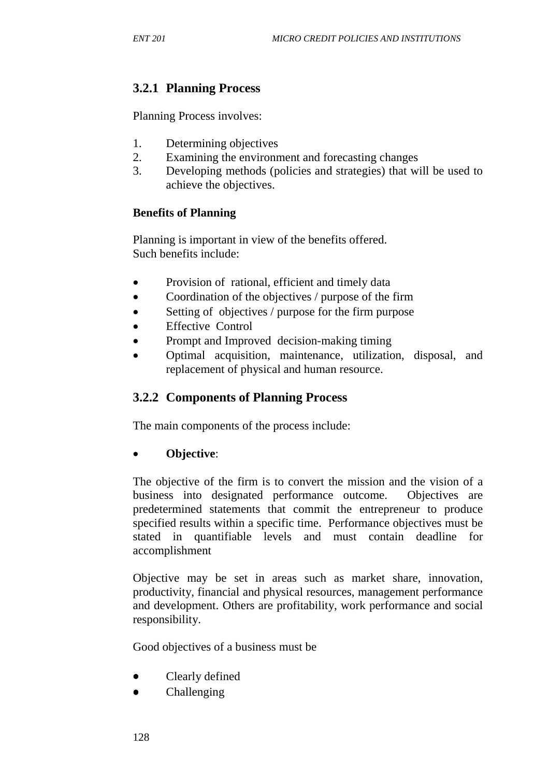# **3.2.1 Planning Process**

Planning Process involves:

- 1. Determining objectives
- 2. Examining the environment and forecasting changes
- 3. Developing methods (policies and strategies) that will be used to achieve the objectives.

### **Benefits of Planning**

Planning is important in view of the benefits offered. Such benefits include:

- Provision of rational, efficient and timely data
- Coordination of the objectives / purpose of the firm
- Setting of objectives / purpose for the firm purpose
- **Effective Control**
- Prompt and Improved decision-making timing
- Optimal acquisition, maintenance, utilization, disposal, and replacement of physical and human resource.

# **3.2.2 Components of Planning Process**

The main components of the process include:

# • **Objective**:

The objective of the firm is to convert the mission and the vision of a business into designated performance outcome. Objectives are predetermined statements that commit the entrepreneur to produce specified results within a specific time. Performance objectives must be stated in quantifiable levels and must contain deadline for accomplishment

Objective may be set in areas such as market share, innovation, productivity, financial and physical resources, management performance and development. Others are profitability, work performance and social responsibility.

Good objectives of a business must be

- Clearly defined
- Challenging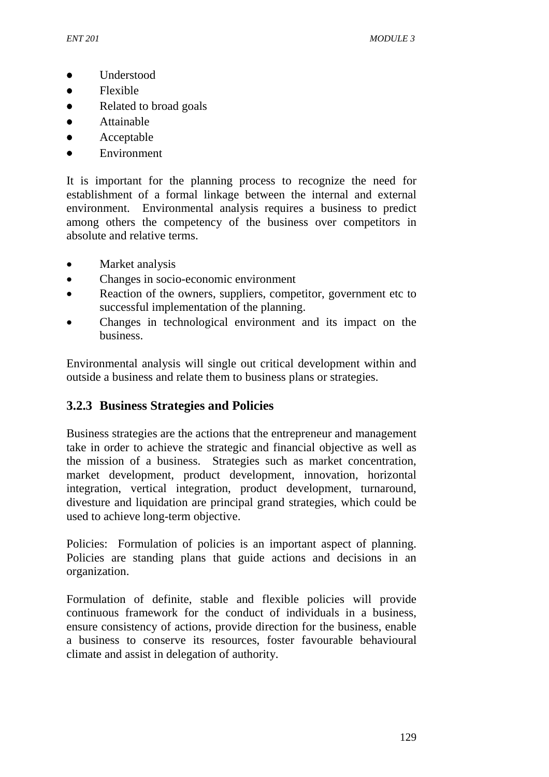- Understood
- Flexible
- Related to broad goals
- Attainable
- **Acceptable**
- Environment

It is important for the planning process to recognize the need for establishment of a formal linkage between the internal and external environment. Environmental analysis requires a business to predict among others the competency of the business over competitors in absolute and relative terms.

- Market analysis
- Changes in socio-economic environment
- Reaction of the owners, suppliers, competitor, government etc to successful implementation of the planning.
- Changes in technological environment and its impact on the business.

Environmental analysis will single out critical development within and outside a business and relate them to business plans or strategies.

# **3.2.3 Business Strategies and Policies**

Business strategies are the actions that the entrepreneur and management take in order to achieve the strategic and financial objective as well as the mission of a business. Strategies such as market concentration, market development, product development, innovation, horizontal integration, vertical integration, product development, turnaround, divesture and liquidation are principal grand strategies, which could be used to achieve long-term objective.

Policies: Formulation of policies is an important aspect of planning. Policies are standing plans that guide actions and decisions in an organization.

Formulation of definite, stable and flexible policies will provide continuous framework for the conduct of individuals in a business, ensure consistency of actions, provide direction for the business, enable a business to conserve its resources, foster favourable behavioural climate and assist in delegation of authority.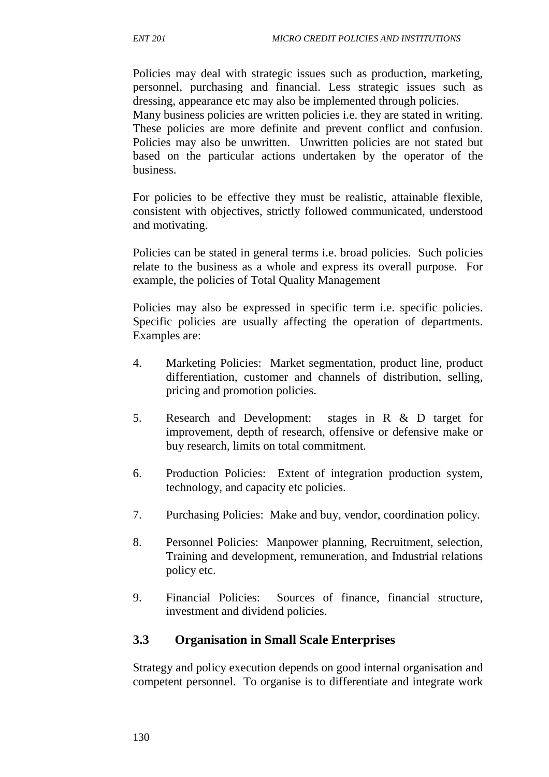Policies may deal with strategic issues such as production, marketing, personnel, purchasing and financial. Less strategic issues such as dressing, appearance etc may also be implemented through policies. Many business policies are written policies i.e. they are stated in writing. These policies are more definite and prevent conflict and confusion. Policies may also be unwritten. Unwritten policies are not stated but based on the particular actions undertaken by the operator of the business.

For policies to be effective they must be realistic, attainable flexible, consistent with objectives, strictly followed communicated, understood and motivating.

Policies can be stated in general terms i.e. broad policies. Such policies relate to the business as a whole and express its overall purpose. For example, the policies of Total Quality Management

Policies may also be expressed in specific term i.e. specific policies. Specific policies are usually affecting the operation of departments. Examples are:

- 4. Marketing Policies: Market segmentation, product line, product differentiation, customer and channels of distribution, selling, pricing and promotion policies.
- 5. Research and Development: stages in R & D target for improvement, depth of research, offensive or defensive make or buy research, limits on total commitment.
- 6. Production Policies: Extent of integration production system, technology, and capacity etc policies.
- 7. Purchasing Policies: Make and buy, vendor, coordination policy.
- 8. Personnel Policies: Manpower planning, Recruitment, selection, Training and development, remuneration, and Industrial relations policy etc.
- 9. Financial Policies: Sources of finance, financial structure, investment and dividend policies.

# **3.3 Organisation in Small Scale Enterprises**

Strategy and policy execution depends on good internal organisation and competent personnel. To organise is to differentiate and integrate work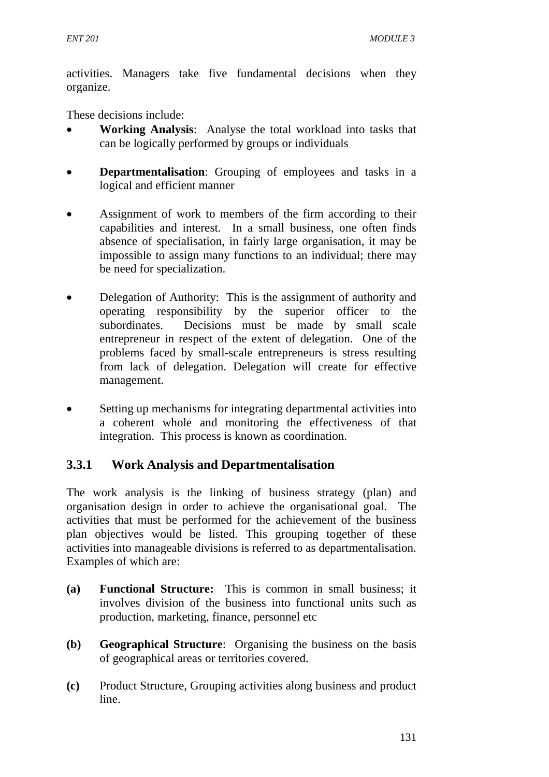activities. Managers take five fundamental decisions when they organize.

These decisions include:

- **Working Analysis**: Analyse the total workload into tasks that can be logically performed by groups or individuals
- **Departmentalisation**: Grouping of employees and tasks in a logical and efficient manner
- Assignment of work to members of the firm according to their capabilities and interest. In a small business, one often finds absence of specialisation, in fairly large organisation, it may be impossible to assign many functions to an individual; there may be need for specialization.
- Delegation of Authority: This is the assignment of authority and operating responsibility by the superior officer to the subordinates. Decisions must be made by small scale entrepreneur in respect of the extent of delegation. One of the problems faced by small-scale entrepreneurs is stress resulting from lack of delegation. Delegation will create for effective management.
- Setting up mechanisms for integrating departmental activities into a coherent whole and monitoring the effectiveness of that integration. This process is known as coordination.

# **3.3.1 Work Analysis and Departmentalisation**

The work analysis is the linking of business strategy (plan) and organisation design in order to achieve the organisational goal. The activities that must be performed for the achievement of the business plan objectives would be listed. This grouping together of these activities into manageable divisions is referred to as departmentalisation. Examples of which are:

- **(a) Functional Structure:** This is common in small business; it involves division of the business into functional units such as production, marketing, finance, personnel etc
- **(b) Geographical Structure**: Organising the business on the basis of geographical areas or territories covered.
- **(c)** Product Structure, Grouping activities along business and product line.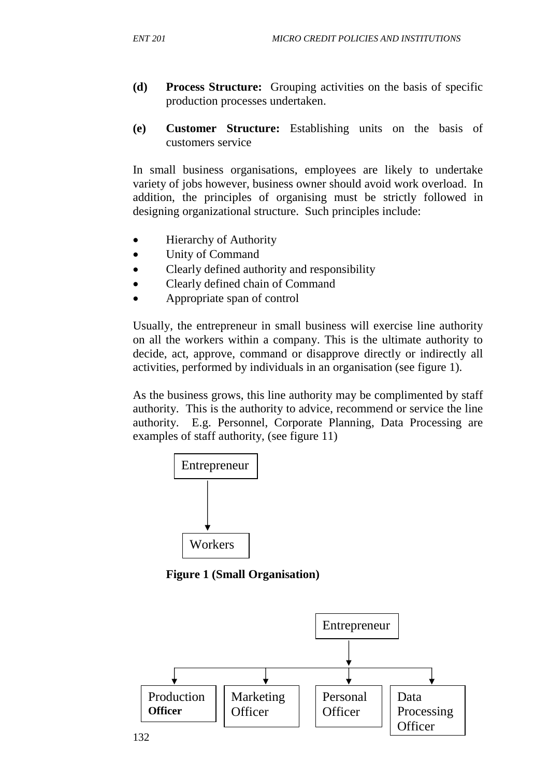- **(d) Process Structure:** Grouping activities on the basis of specific production processes undertaken.
- **(e) Customer Structure:** Establishing units on the basis of customers service

In small business organisations, employees are likely to undertake variety of jobs however, business owner should avoid work overload. In addition, the principles of organising must be strictly followed in designing organizational structure. Such principles include:

- **Hierarchy of Authority**
- Unity of Command
- Clearly defined authority and responsibility
- Clearly defined chain of Command
- Appropriate span of control

Usually, the entrepreneur in small business will exercise line authority on all the workers within a company. This is the ultimate authority to decide, act, approve, command or disapprove directly or indirectly all activities, performed by individuals in an organisation (see figure 1).

As the business grows, this line authority may be complimented by staff authority. This is the authority to advice, recommend or service the line authority. E.g. Personnel, Corporate Planning, Data Processing are examples of staff authority, (see figure 11)



**Figure 1 (Small Organisation)** 

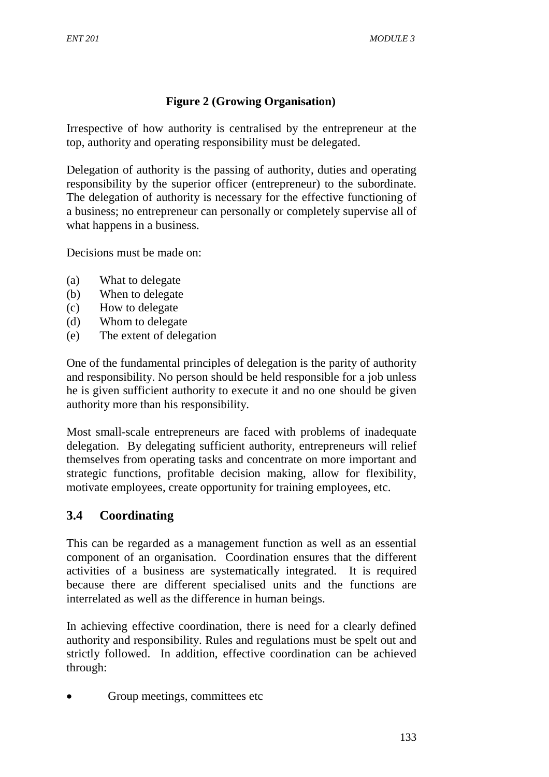# **Figure 2 (Growing Organisation)**

Irrespective of how authority is centralised by the entrepreneur at the top, authority and operating responsibility must be delegated.

Delegation of authority is the passing of authority, duties and operating responsibility by the superior officer (entrepreneur) to the subordinate. The delegation of authority is necessary for the effective functioning of a business; no entrepreneur can personally or completely supervise all of what happens in a business.

Decisions must be made on:

- (a) What to delegate
- (b) When to delegate
- (c) How to delegate
- (d) Whom to delegate
- (e) The extent of delegation

One of the fundamental principles of delegation is the parity of authority and responsibility. No person should be held responsible for a job unless he is given sufficient authority to execute it and no one should be given authority more than his responsibility.

Most small-scale entrepreneurs are faced with problems of inadequate delegation. By delegating sufficient authority, entrepreneurs will relief themselves from operating tasks and concentrate on more important and strategic functions, profitable decision making, allow for flexibility, motivate employees, create opportunity for training employees, etc.

# **3.4 Coordinating**

This can be regarded as a management function as well as an essential component of an organisation. Coordination ensures that the different activities of a business are systematically integrated. It is required because there are different specialised units and the functions are interrelated as well as the difference in human beings.

In achieving effective coordination, there is need for a clearly defined authority and responsibility. Rules and regulations must be spelt out and strictly followed. In addition, effective coordination can be achieved through:

• Group meetings, committees etc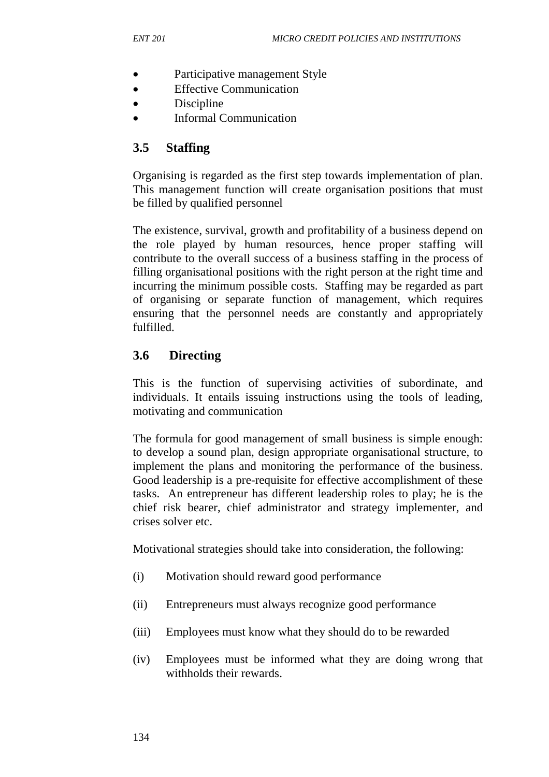- Participative management Style
- Effective Communication
- **Discipline**
- Informal Communication

# **3.5 Staffing**

Organising is regarded as the first step towards implementation of plan. This management function will create organisation positions that must be filled by qualified personnel

The existence, survival, growth and profitability of a business depend on the role played by human resources, hence proper staffing will contribute to the overall success of a business staffing in the process of filling organisational positions with the right person at the right time and incurring the minimum possible costs. Staffing may be regarded as part of organising or separate function of management, which requires ensuring that the personnel needs are constantly and appropriately fulfilled.

# **3.6 Directing**

This is the function of supervising activities of subordinate, and individuals. It entails issuing instructions using the tools of leading, motivating and communication

The formula for good management of small business is simple enough: to develop a sound plan, design appropriate organisational structure, to implement the plans and monitoring the performance of the business. Good leadership is a pre-requisite for effective accomplishment of these tasks. An entrepreneur has different leadership roles to play; he is the chief risk bearer, chief administrator and strategy implementer, and crises solver etc.

Motivational strategies should take into consideration, the following:

- (i) Motivation should reward good performance
- (ii) Entrepreneurs must always recognize good performance
- (iii) Employees must know what they should do to be rewarded
- (iv) Employees must be informed what they are doing wrong that withholds their rewards.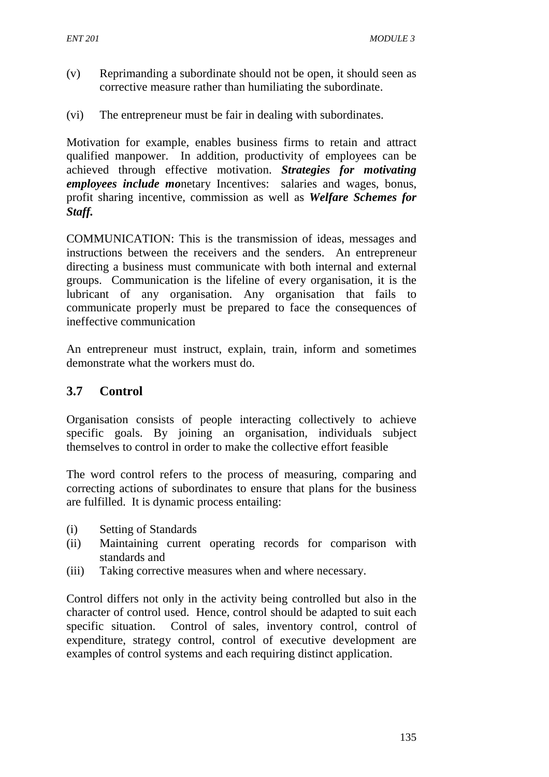- (v) Reprimanding a subordinate should not be open, it should seen as corrective measure rather than humiliating the subordinate.
- (vi) The entrepreneur must be fair in dealing with subordinates.

Motivation for example, enables business firms to retain and attract qualified manpower. In addition, productivity of employees can be achieved through effective motivation. *Strategies for motivating employees include mo*netary Incentives: salaries and wages, bonus, profit sharing incentive, commission as well as *Welfare Schemes for Staff.*

COMMUNICATION: This is the transmission of ideas, messages and instructions between the receivers and the senders. An entrepreneur directing a business must communicate with both internal and external groups. Communication is the lifeline of every organisation, it is the lubricant of any organisation. Any organisation that fails to communicate properly must be prepared to face the consequences of ineffective communication

An entrepreneur must instruct, explain, train, inform and sometimes demonstrate what the workers must do.

#### **3.7 Control**

Organisation consists of people interacting collectively to achieve specific goals. By joining an organisation, individuals subject themselves to control in order to make the collective effort feasible

The word control refers to the process of measuring, comparing and correcting actions of subordinates to ensure that plans for the business are fulfilled. It is dynamic process entailing:

- (i) Setting of Standards
- (ii) Maintaining current operating records for comparison with standards and
- (iii) Taking corrective measures when and where necessary.

Control differs not only in the activity being controlled but also in the character of control used. Hence, control should be adapted to suit each specific situation. Control of sales, inventory control, control of expenditure, strategy control, control of executive development are examples of control systems and each requiring distinct application.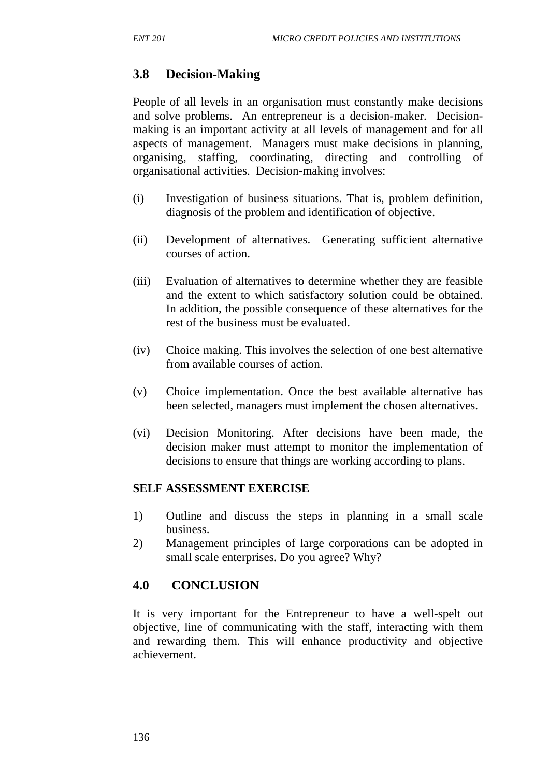# **3.8 Decision-Making**

People of all levels in an organisation must constantly make decisions and solve problems. An entrepreneur is a decision-maker. Decisionmaking is an important activity at all levels of management and for all aspects of management. Managers must make decisions in planning, organising, staffing, coordinating, directing and controlling of organisational activities. Decision-making involves:

- (i) Investigation of business situations. That is, problem definition, diagnosis of the problem and identification of objective.
- (ii) Development of alternatives. Generating sufficient alternative courses of action.
- (iii) Evaluation of alternatives to determine whether they are feasible and the extent to which satisfactory solution could be obtained. In addition, the possible consequence of these alternatives for the rest of the business must be evaluated.
- (iv) Choice making. This involves the selection of one best alternative from available courses of action.
- (v) Choice implementation. Once the best available alternative has been selected, managers must implement the chosen alternatives.
- (vi) Decision Monitoring. After decisions have been made, the decision maker must attempt to monitor the implementation of decisions to ensure that things are working according to plans.

#### **SELF ASSESSMENT EXERCISE**

- 1) Outline and discuss the steps in planning in a small scale business.
- 2) Management principles of large corporations can be adopted in small scale enterprises. Do you agree? Why?

# **4.0 CONCLUSION**

It is very important for the Entrepreneur to have a well-spelt out objective, line of communicating with the staff, interacting with them and rewarding them. This will enhance productivity and objective achievement.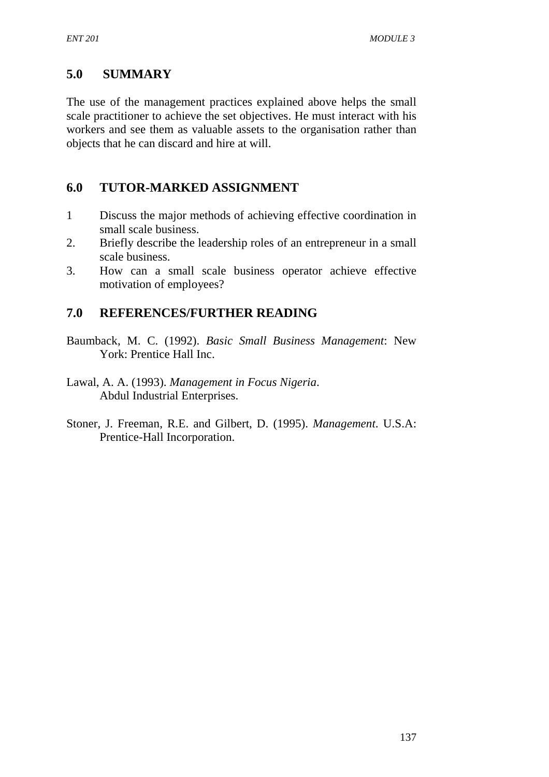# **5.0 SUMMARY**

The use of the management practices explained above helps the small scale practitioner to achieve the set objectives. He must interact with his workers and see them as valuable assets to the organisation rather than objects that he can discard and hire at will.

# **6.0 TUTOR-MARKED ASSIGNMENT**

- 1 Discuss the major methods of achieving effective coordination in small scale business.
- 2. Briefly describe the leadership roles of an entrepreneur in a small scale business.
- 3. How can a small scale business operator achieve effective motivation of employees?

# **7.0 REFERENCES/FURTHER READING**

- Baumback, M. C. (1992). *Basic Small Business Management*: New York: Prentice Hall Inc.
- Lawal, A. A. (1993). *Management in Focus Nigeria*. Abdul Industrial Enterprises.
- Stoner, J. Freeman, R.E. and Gilbert, D. (1995). *Management*. U.S.A: Prentice-Hall Incorporation.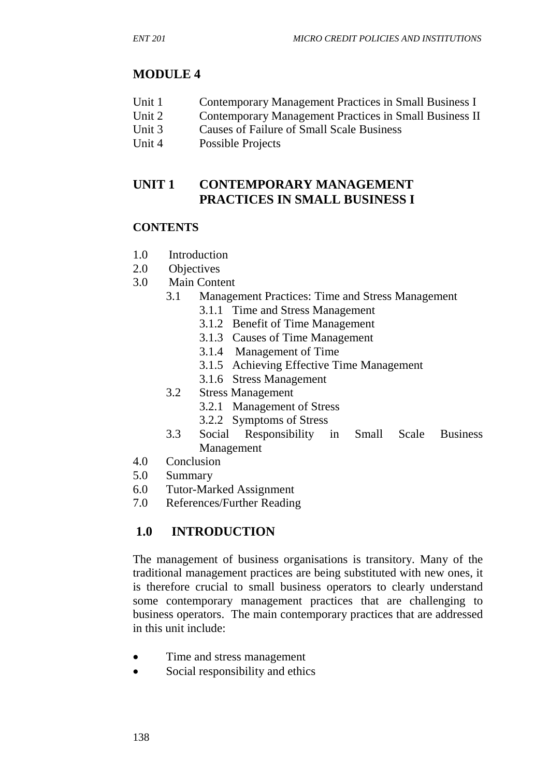# **MODULE 4**

- Unit 1 Contemporary Management Practices in Small Business I
- Unit 2 Contemporary Management Practices in Small Business II
- Unit 3 Causes of Failure of Small Scale Business
- Unit 4 Possible Projects

## **UNIT 1 CONTEMPORARY MANAGEMENT PRACTICES IN SMALL BUSINESS I**

## **CONTENTS**

- 1.0 Introduction
- 2.0 Objectives
- 3.0 Main Content
	- 3.1 Management Practices: Time and Stress Management
		- 3.1.1 Time and Stress Management
		- 3.1.2 Benefit of Time Management
		- 3.1.3 Causes of Time Management
		- 3.1.4 Management of Time
		- 3.1.5Achieving Effective Time Management
		- 3.1.6 Stress Management
	- 3.2 Stress Management
		- 3.2.1 Management of Stress
		- 3.2.2 Symptoms of Stress
	- 3.3 Social Responsibility in Small Scale Business Management
- 4.0 Conclusion
- 5.0 Summary
- 6.0 Tutor-Marked Assignment
- 7.0 References/Further Reading

# **1.0 INTRODUCTION**

The management of business organisations is transitory. Many of the traditional management practices are being substituted with new ones, it is therefore crucial to small business operators to clearly understand some contemporary management practices that are challenging to business operators. The main contemporary practices that are addressed in this unit include:

- Time and stress management
- Social responsibility and ethics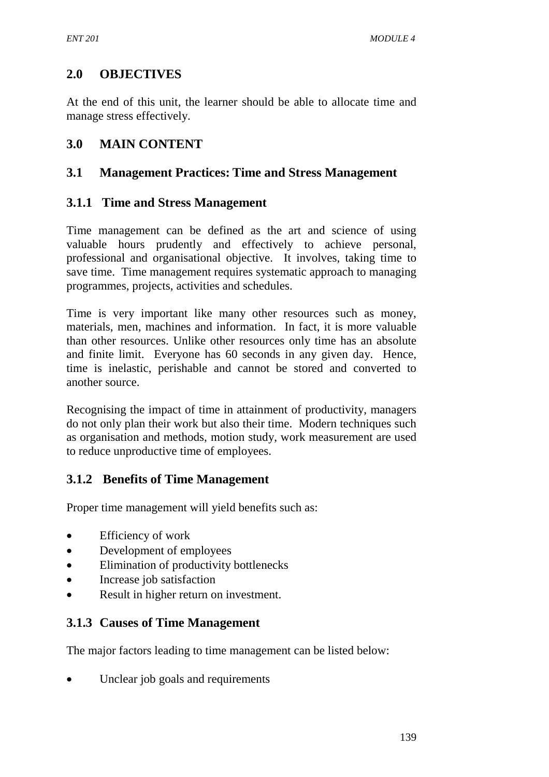# **2.0 OBJECTIVES**

At the end of this unit, the learner should be able to allocate time and manage stress effectively.

# **3.0 MAIN CONTENT**

## **3.1 Management Practices: Time and Stress Management**

## **3.1.1 Time and Stress Management**

Time management can be defined as the art and science of using valuable hours prudently and effectively to achieve personal, professional and organisational objective. It involves, taking time to save time. Time management requires systematic approach to managing programmes, projects, activities and schedules.

Time is very important like many other resources such as money, materials, men, machines and information. In fact, it is more valuable than other resources. Unlike other resources only time has an absolute and finite limit. Everyone has 60 seconds in any given day. Hence, time is inelastic, perishable and cannot be stored and converted to another source.

Recognising the impact of time in attainment of productivity, managers do not only plan their work but also their time. Modern techniques such as organisation and methods, motion study, work measurement are used to reduce unproductive time of employees.

# **3.1.2 Benefits of Time Management**

Proper time management will yield benefits such as:

- Efficiency of work
- Development of employees
- Elimination of productivity bottlenecks
- Increase job satisfaction
- Result in higher return on investment.

## **3.1.3 Causes of Time Management**

The major factors leading to time management can be listed below:

Unclear job goals and requirements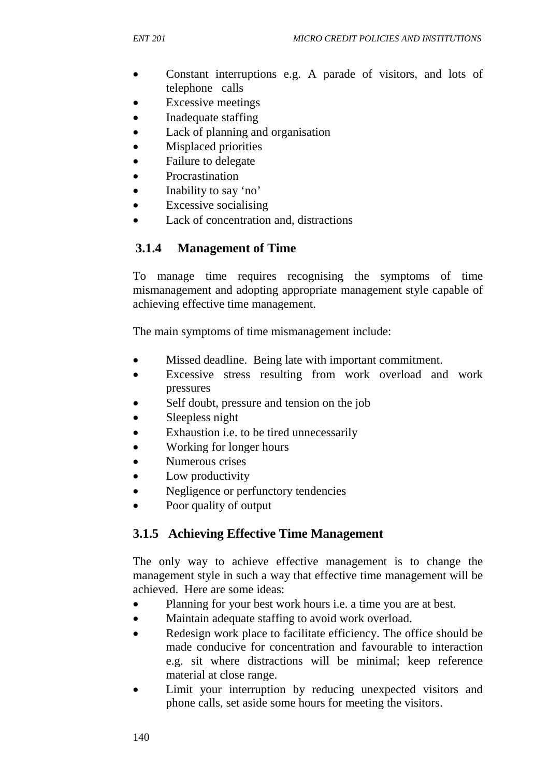- Constant interruptions e.g. A parade of visitors, and lots of telephone calls
- Excessive meetings
- Inadequate staffing
- Lack of planning and organisation
- Misplaced priorities
- Failure to delegate
- **Procrastination**
- Inability to say 'no'
- Excessive socialising
- Lack of concentration and, distractions

## **3.1.4 Management of Time**

To manage time requires recognising the symptoms of time mismanagement and adopting appropriate management style capable of achieving effective time management.

The main symptoms of time mismanagement include:

- Missed deadline. Being late with important commitment.
- Excessive stress resulting from work overload and work pressures
- Self doubt, pressure and tension on the job
- Sleepless night
- Exhaustion i.e. to be tired unnecessarily
- Working for longer hours
- Numerous crises
- Low productivity
- Negligence or perfunctory tendencies
- Poor quality of output

# **3.1.5****Achieving Effective Time Management**

The only way to achieve effective management is to change the management style in such a way that effective time management will be achieved. Here are some ideas:

- Planning for your best work hours i.e. a time you are at best.
- Maintain adequate staffing to avoid work overload.
- Redesign work place to facilitate efficiency. The office should be made conducive for concentration and favourable to interaction e.g. sit where distractions will be minimal; keep reference material at close range.
- Limit your interruption by reducing unexpected visitors and phone calls, set aside some hours for meeting the visitors.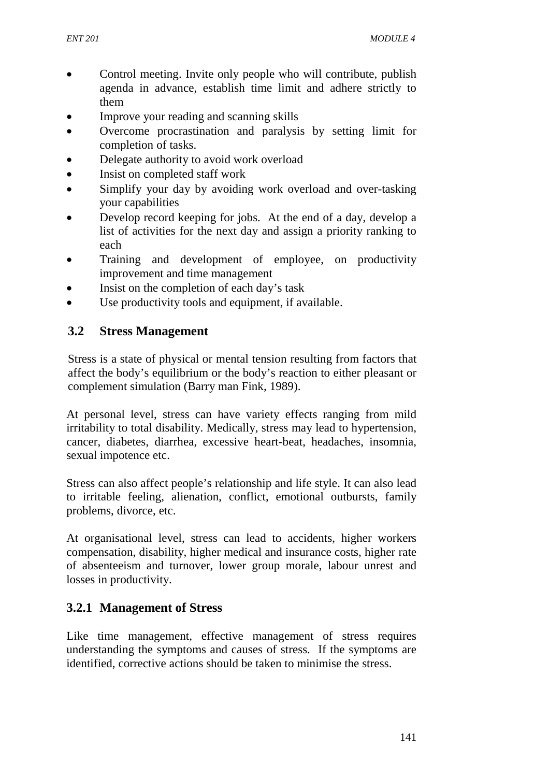- Control meeting. Invite only people who will contribute, publish agenda in advance, establish time limit and adhere strictly to them
- Improve your reading and scanning skills
- Overcome procrastination and paralysis by setting limit for completion of tasks.
- Delegate authority to avoid work overload
- Insist on completed staff work
- Simplify your day by avoiding work overload and over-tasking your capabilities
- Develop record keeping for jobs. At the end of a day, develop a list of activities for the next day and assign a priority ranking to each
- Training and development of employee, on productivity improvement and time management
- Insist on the completion of each day's task
- Use productivity tools and equipment, if available.

## **3.2 Stress Management**

Stress is a state of physical or mental tension resulting from factors that affect the body's equilibrium or the body's reaction to either pleasant or complement simulation (Barry man Fink, 1989).

At personal level, stress can have variety effects ranging from mild irritability to total disability. Medically, stress may lead to hypertension, cancer, diabetes, diarrhea, excessive heart-beat, headaches, insomnia, sexual impotence etc.

Stress can also affect people's relationship and life style. It can also lead to irritable feeling, alienation, conflict, emotional outbursts, family problems, divorce, etc.

At organisational level, stress can lead to accidents, higher workers compensation, disability, higher medical and insurance costs, higher rate of absenteeism and turnover, lower group morale, labour unrest and losses in productivity.

## **3.2.1 Management of Stress**

Like time management, effective management of stress requires understanding the symptoms and causes of stress. If the symptoms are identified, corrective actions should be taken to minimise the stress.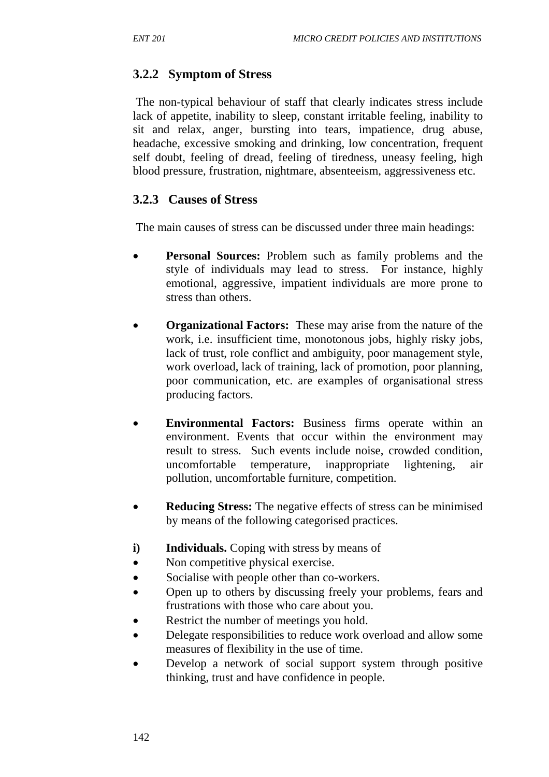# **3.2.2 Symptom of Stress**

The non-typical behaviour of staff that clearly indicates stress include lack of appetite, inability to sleep, constant irritable feeling, inability to sit and relax, anger, bursting into tears, impatience, drug abuse, headache, excessive smoking and drinking, low concentration, frequent self doubt, feeling of dread, feeling of tiredness, uneasy feeling, high blood pressure, frustration, nightmare, absenteeism, aggressiveness etc.

### **3.2.3 Causes of Stress**

The main causes of stress can be discussed under three main headings:

- **Personal Sources:** Problem such as family problems and the style of individuals may lead to stress. For instance, highly emotional, aggressive, impatient individuals are more prone to stress than others.
- **Organizational Factors:**These may arise from the nature of the work, i.e. insufficient time, monotonous jobs, highly risky jobs, lack of trust, role conflict and ambiguity, poor management style, work overload, lack of training, lack of promotion, poor planning, poor communication, etc. are examples of organisational stress producing factors.
- **Environmental Factors:** Business firms operate within an environment. Events that occur within the environment may result to stress. Such events include noise, crowded condition, uncomfortable temperature, inappropriate lightening, air pollution, uncomfortable furniture, competition.
- **Reducing Stress:** The negative effects of stress can be minimised by means of the following categorised practices.
- **i) Individuals.** Coping with stress by means of
- Non competitive physical exercise.
- Socialise with people other than co-workers.
- Open up to others by discussing freely your problems, fears and frustrations with those who care about you.
- Restrict the number of meetings you hold.
- Delegate responsibilities to reduce work overload and allow some measures of flexibility in the use of time.
- Develop a network of social support system through positive thinking, trust and have confidence in people.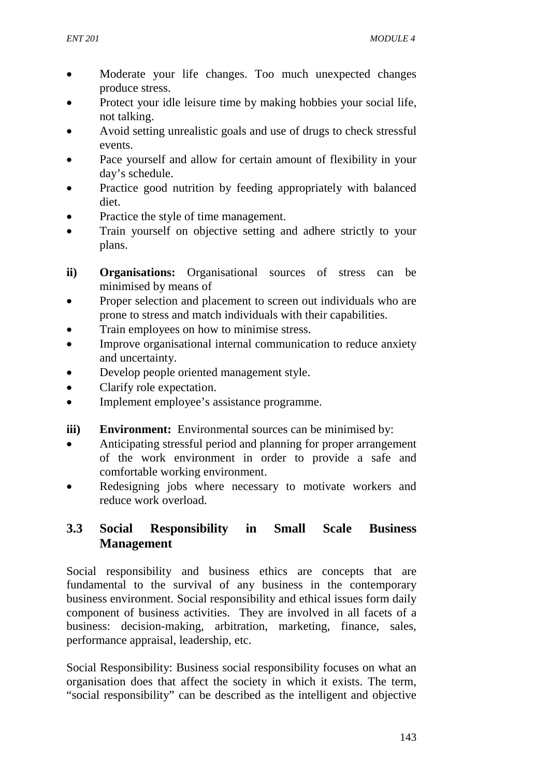- Moderate your life changes. Too much unexpected changes produce stress.
- Protect your idle leisure time by making hobbies your social life, not talking.
- Avoid setting unrealistic goals and use of drugs to check stressful events.
- Pace vourself and allow for certain amount of flexibility in your day's schedule.
- Practice good nutrition by feeding appropriately with balanced diet.
- Practice the style of time management.
- Train yourself on objective setting and adhere strictly to your plans.
- **ii) Organisations:** Organisational sources of stress can be minimised by means of
- Proper selection and placement to screen out individuals who are prone to stress and match individuals with their capabilities.
- Train employees on how to minimise stress.
- Improve organisational internal communication to reduce anxiety and uncertainty.
- Develop people oriented management style.
- Clarify role expectation.
- Implement employee's assistance programme.
- **iii) Environment:** Environmental sources can be minimised by:
- Anticipating stressful period and planning for proper arrangement of the work environment in order to provide a safe and comfortable working environment.
- Redesigning jobs where necessary to motivate workers and reduce work overload.

## **3.3 Social Responsibility in Small Scale Business Management**

Social responsibility and business ethics are concepts that are fundamental to the survival of any business in the contemporary business environment. Social responsibility and ethical issues form daily component of business activities. They are involved in all facets of a business: decision-making, arbitration, marketing, finance, sales, performance appraisal, leadership, etc.

Social Responsibility: Business social responsibility focuses on what an organisation does that affect the society in which it exists. The term, "social responsibility" can be described as the intelligent and objective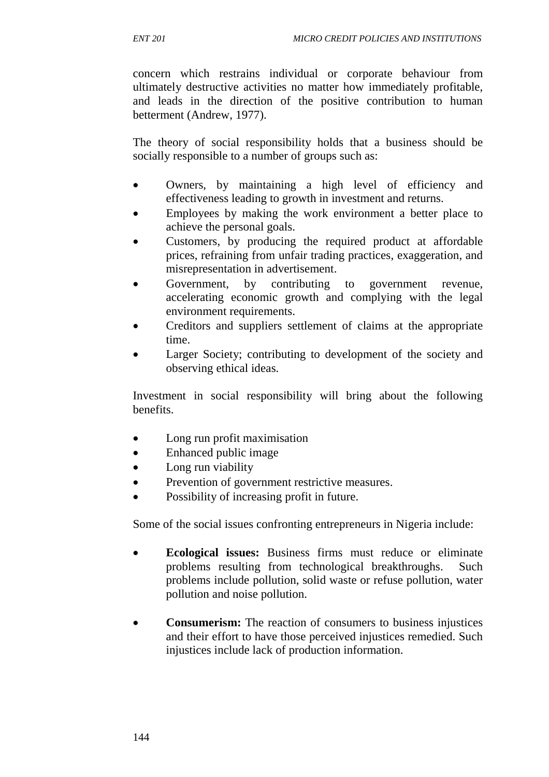concern which restrains individual or corporate behaviour from ultimately destructive activities no matter how immediately profitable, and leads in the direction of the positive contribution to human betterment (Andrew, 1977).

The theory of social responsibility holds that a business should be socially responsible to a number of groups such as:

- Owners, by maintaining a high level of efficiency and effectiveness leading to growth in investment and returns.
- Employees by making the work environment a better place to achieve the personal goals.
- Customers, by producing the required product at affordable prices, refraining from unfair trading practices, exaggeration, and misrepresentation in advertisement.
- Government, by contributing to government revenue, accelerating economic growth and complying with the legal environment requirements.
- Creditors and suppliers settlement of claims at the appropriate time.
- Larger Society; contributing to development of the society and observing ethical ideas.

Investment in social responsibility will bring about the following benefits.

- Long run profit maximisation
- Enhanced public image
- Long run viability
- Prevention of government restrictive measures.
- Possibility of increasing profit in future.

Some of the social issues confronting entrepreneurs in Nigeria include:

- **Ecological issues:** Business firms must reduce or eliminate problems resulting from technological breakthroughs. Such problems include pollution, solid waste or refuse pollution, water pollution and noise pollution.
- **Consumerism:** The reaction of consumers to business injustices and their effort to have those perceived injustices remedied. Such injustices include lack of production information.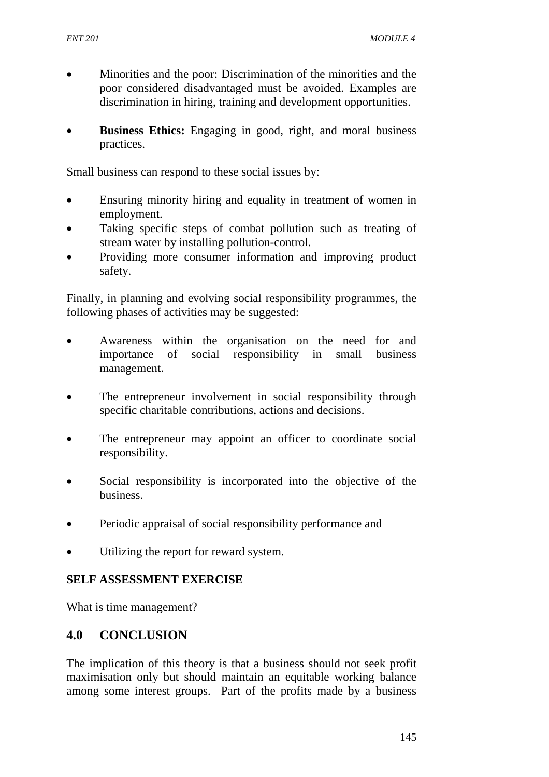- Minorities and the poor: Discrimination of the minorities and the poor considered disadvantaged must be avoided. Examples are discrimination in hiring, training and development opportunities.
- **Business Ethics:** Engaging in good, right, and moral business practices.

Small business can respond to these social issues by:

- Ensuring minority hiring and equality in treatment of women in employment.
- Taking specific steps of combat pollution such as treating of stream water by installing pollution-control.
- Providing more consumer information and improving product safety.

Finally, in planning and evolving social responsibility programmes, the following phases of activities may be suggested:

- Awareness within the organisation on the need for and importance of social responsibility in small business management.
- The entrepreneur involvement in social responsibility through specific charitable contributions, actions and decisions.
- The entrepreneur may appoint an officer to coordinate social responsibility.
- Social responsibility is incorporated into the objective of the business.
- Periodic appraisal of social responsibility performance and
- Utilizing the report for reward system.

#### **SELF ASSESSMENT EXERCISE**

What is time management?

#### **4.0 CONCLUSION**

The implication of this theory is that a business should not seek profit maximisation only but should maintain an equitable working balance among some interest groups. Part of the profits made by a business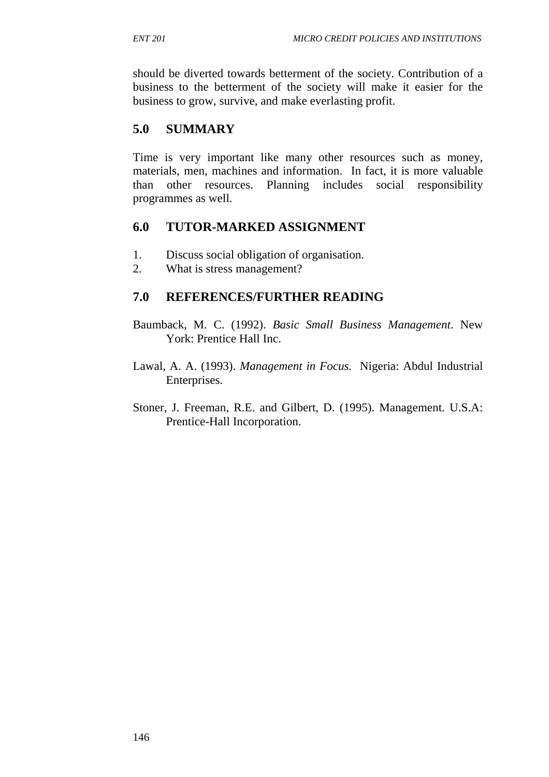should be diverted towards betterment of the society. Contribution of a business to the betterment of the society will make it easier for the business to grow, survive, and make everlasting profit.

# **5.0 SUMMARY**

Time is very important like many other resources such as money, materials, men, machines and information. In fact, it is more valuable than other resources. Planning includes social responsibility programmes as well.

## **6.0 TUTOR-MARKED ASSIGNMENT**

- 1. Discuss social obligation of organisation.
- 2. What is stress management?

### **7.0 REFERENCES/FURTHER READING**

- Baumback, M. C. (1992). *Basic Small Business Management*. New York: Prentice Hall Inc.
- Lawal, A. A. (1993). *Management in Focus.* Nigeria: Abdul Industrial Enterprises.
- Stoner, J. Freeman, R.E. and Gilbert, D. (1995). Management. U.S.A: Prentice-Hall Incorporation.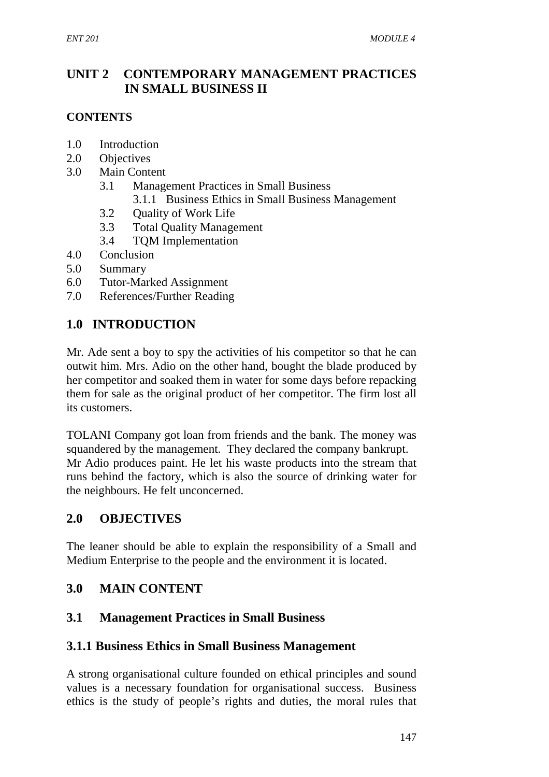# **UNIT 2 CONTEMPORARY MANAGEMENT PRACTICES IN SMALL BUSINESS II**

## **CONTENTS**

- 1.0 Introduction
- 2.0 Objectives
- 3.0 Main Content
	- 3.1 Management Practices in Small Business
		- 3.1.1 Business Ethics in Small Business Management
	- 3.2 Quality of Work Life
	- 3.3 Total Quality Management
	- 3.4 TQM Implementation
- 4.0 Conclusion
- 5.0 Summary
- 6.0 Tutor-Marked Assignment
- 7.0 References/Further Reading

## **1.0 INTRODUCTION**

Mr. Ade sent a boy to spy the activities of his competitor so that he can outwit him. Mrs. Adio on the other hand, bought the blade produced by her competitor and soaked them in water for some days before repacking them for sale as the original product of her competitor. The firm lost all its customers.

TOLANI Company got loan from friends and the bank. The money was squandered by the management. They declared the company bankrupt. Mr Adio produces paint. He let his waste products into the stream that runs behind the factory, which is also the source of drinking water for the neighbours. He felt unconcerned.

## **2.0 OBJECTIVES**

The leaner should be able to explain the responsibility of a Small and Medium Enterprise to the people and the environment it is located.

# **3.0 MAIN CONTENT**

## **3.1 Management Practices in Small Business**

## **3.1.1 Business Ethics in Small Business Management**

A strong organisational culture founded on ethical principles and sound values is a necessary foundation for organisational success. Business ethics is the study of people's rights and duties, the moral rules that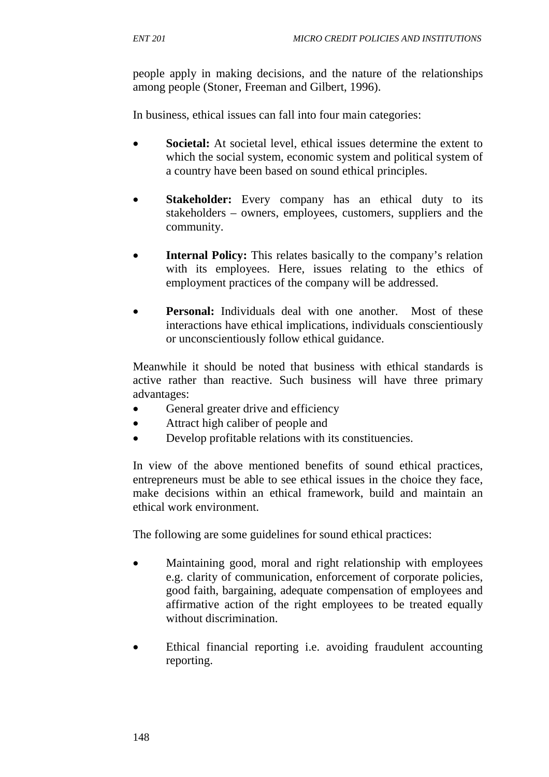people apply in making decisions, and the nature of the relationships among people (Stoner, Freeman and Gilbert, 1996).

In business, ethical issues can fall into four main categories:

- **Societal:** At societal level, ethical issues determine the extent to which the social system, economic system and political system of a country have been based on sound ethical principles.
- **Stakeholder:** Every company has an ethical duty to its stakeholders – owners, employees, customers, suppliers and the community.
- **Internal Policy:** This relates basically to the company's relation with its employees. Here, issues relating to the ethics of employment practices of the company will be addressed.
- **Personal:** Individuals deal with one another. Most of these interactions have ethical implications, individuals conscientiously or unconscientiously follow ethical guidance.

Meanwhile it should be noted that business with ethical standards is active rather than reactive. Such business will have three primary advantages:

- General greater drive and efficiency
- Attract high caliber of people and
- Develop profitable relations with its constituencies.

In view of the above mentioned benefits of sound ethical practices, entrepreneurs must be able to see ethical issues in the choice they face, make decisions within an ethical framework, build and maintain an ethical work environment.

The following are some guidelines for sound ethical practices:

- Maintaining good, moral and right relationship with employees e.g. clarity of communication, enforcement of corporate policies, good faith, bargaining, adequate compensation of employees and affirmative action of the right employees to be treated equally without discrimination.
- Ethical financial reporting i.e. avoiding fraudulent accounting reporting.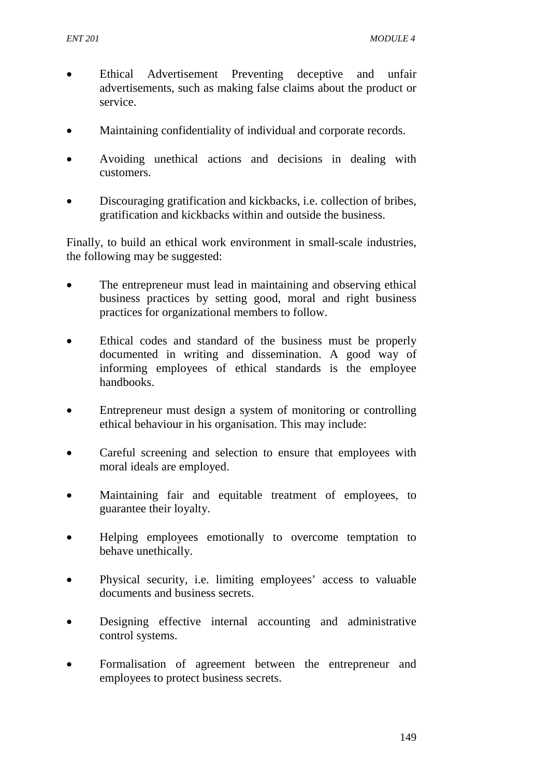- Ethical Advertisement Preventing deceptive and unfair advertisements, such as making false claims about the product or service.
- Maintaining confidentiality of individual and corporate records.
- Avoiding unethical actions and decisions in dealing with customers.
- Discouraging gratification and kickbacks, i.e. collection of bribes, gratification and kickbacks within and outside the business.

Finally, to build an ethical work environment in small-scale industries, the following may be suggested:

- The entrepreneur must lead in maintaining and observing ethical business practices by setting good, moral and right business practices for organizational members to follow.
- Ethical codes and standard of the business must be properly documented in writing and dissemination. A good way of informing employees of ethical standards is the employee handbooks.
- Entrepreneur must design a system of monitoring or controlling ethical behaviour in his organisation. This may include:
- Careful screening and selection to ensure that employees with moral ideals are employed.
- Maintaining fair and equitable treatment of employees, to guarantee their loyalty.
- Helping employees emotionally to overcome temptation to behave unethically.
- Physical security, i.e. limiting employees' access to valuable documents and business secrets.
- Designing effective internal accounting and administrative control systems.
- Formalisation of agreement between the entrepreneur and employees to protect business secrets.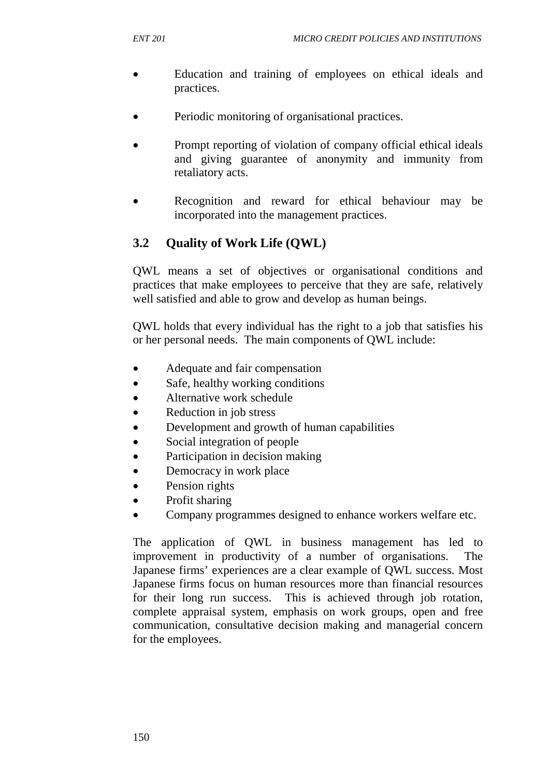- Education and training of employees on ethical ideals and practices.
- Periodic monitoring of organisational practices.
- Prompt reporting of violation of company official ethical ideals and giving guarantee of anonymity and immunity from retaliatory acts.
- Recognition and reward for ethical behaviour may be incorporated into the management practices.

# **3.2 Quality of Work Life (QWL)**

QWL means a set of objectives or organisational conditions and practices that make employees to perceive that they are safe, relatively well satisfied and able to grow and develop as human beings.

QWL holds that every individual has the right to a job that satisfies his or her personal needs. The main components of QWL include:

- Adequate and fair compensation
- Safe, healthy working conditions
- Alternative work schedule
- Reduction in job stress
- Development and growth of human capabilities
- Social integration of people
- Participation in decision making
- Democracy in work place
- Pension rights
- Profit sharing
- Company programmes designed to enhance workers welfare etc.

The application of QWL in business management has led to improvement in productivity of a number of organisations. The Japanese firms' experiences are a clear example of QWL success. Most Japanese firms focus on human resources more than financial resources for their long run success. This is achieved through job rotation, complete appraisal system, emphasis on work groups, open and free communication, consultative decision making and managerial concern for the employees.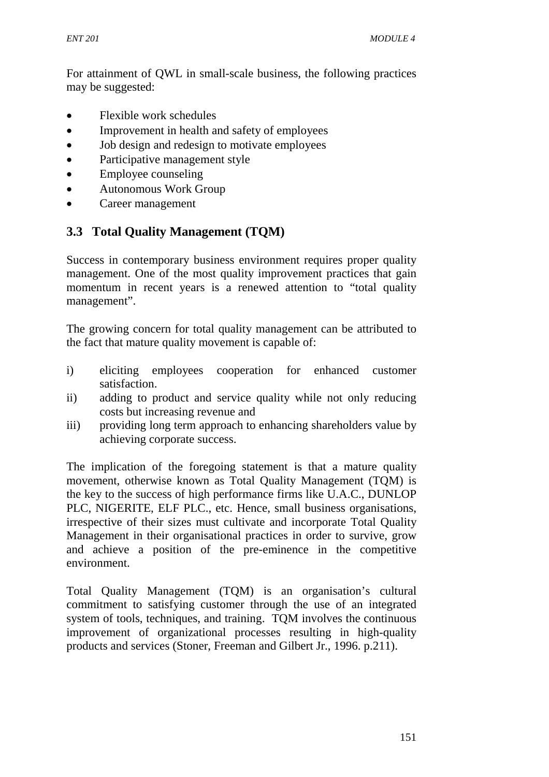For attainment of QWL in small-scale business, the following practices may be suggested:

- Flexible work schedules
- Improvement in health and safety of employees
- Job design and redesign to motivate employees
- Participative management style
- Employee counseling
- Autonomous Work Group
- Career management

## **3.3 Total Quality Management (TQM)**

Success in contemporary business environment requires proper quality management. One of the most quality improvement practices that gain momentum in recent years is a renewed attention to "total quality management".

The growing concern for total quality management can be attributed to the fact that mature quality movement is capable of:

- i) eliciting employees cooperation for enhanced customer satisfaction.
- ii) adding to product and service quality while not only reducing costs but increasing revenue and
- iii) providing long term approach to enhancing shareholders value by achieving corporate success.

The implication of the foregoing statement is that a mature quality movement, otherwise known as Total Quality Management (TQM) is the key to the success of high performance firms like U.A.C., DUNLOP PLC, NIGERITE, ELF PLC., etc. Hence, small business organisations, irrespective of their sizes must cultivate and incorporate Total Quality Management in their organisational practices in order to survive, grow and achieve a position of the pre-eminence in the competitive environment.

Total Quality Management (TQM) is an organisation's cultural commitment to satisfying customer through the use of an integrated system of tools, techniques, and training. TQM involves the continuous improvement of organizational processes resulting in high-quality products and services (Stoner, Freeman and Gilbert Jr., 1996. p.211).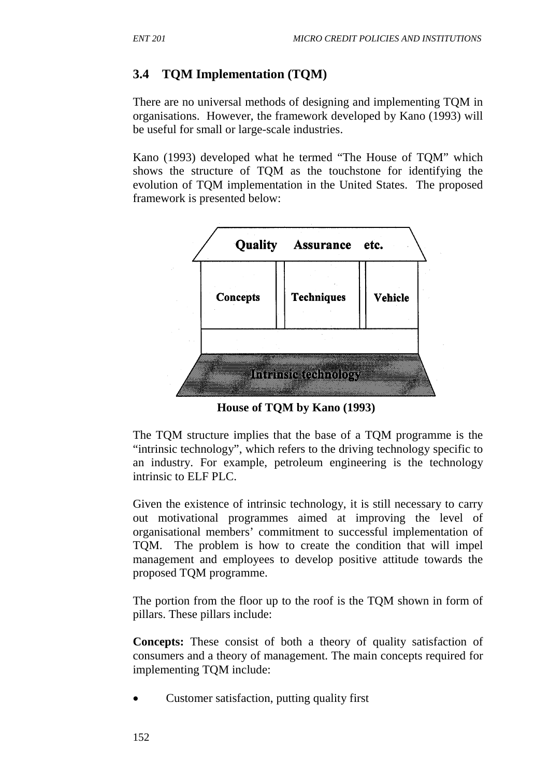# **3.4 TQM Implementation (TQM)**

There are no universal methods of designing and implementing TQM in organisations. However, the framework developed by Kano (1993) will be useful for small or large-scale industries.

Kano (1993) developed what he termed "The House of TQM" which shows the structure of TQM as the touchstone for identifying the evolution of TQM implementation in the United States. The proposed framework is presented below:



**House of TQM by Kano (1993)** 

The TQM structure implies that the base of a TQM programme is the "intrinsic technology", which refers to the driving technology specific to an industry. For example, petroleum engineering is the technology intrinsic to ELF PLC.

Given the existence of intrinsic technology, it is still necessary to carry out motivational programmes aimed at improving the level of organisational members' commitment to successful implementation of TQM. The problem is how to create the condition that will impel management and employees to develop positive attitude towards the proposed TQM programme.

The portion from the floor up to the roof is the TQM shown in form of pillars. These pillars include:

**Concepts:** These consist of both a theory of quality satisfaction of consumers and a theory of management. The main concepts required for implementing TQM include:

• Customer satisfaction, putting quality first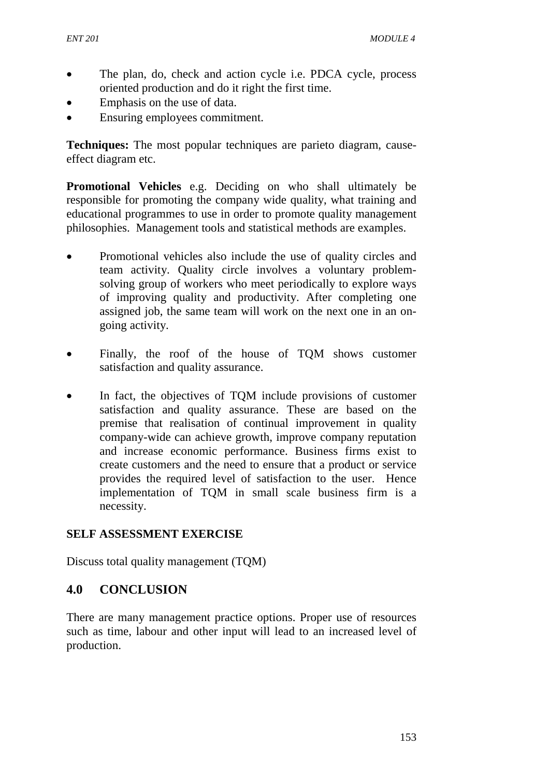- The plan, do, check and action cycle i.e. PDCA cycle, process oriented production and do it right the first time.
- Emphasis on the use of data.
- Ensuring employees commitment.

**Techniques:** The most popular techniques are parieto diagram, causeeffect diagram etc.

**Promotional Vehicles** e.g. Deciding on who shall ultimately be responsible for promoting the company wide quality, what training and educational programmes to use in order to promote quality management philosophies. Management tools and statistical methods are examples.

- Promotional vehicles also include the use of quality circles and team activity. Quality circle involves a voluntary problemsolving group of workers who meet periodically to explore ways of improving quality and productivity. After completing one assigned job, the same team will work on the next one in an ongoing activity.
- Finally, the roof of the house of TQM shows customer satisfaction and quality assurance.
- In fact, the objectives of TQM include provisions of customer satisfaction and quality assurance. These are based on the premise that realisation of continual improvement in quality company-wide can achieve growth, improve company reputation and increase economic performance. Business firms exist to create customers and the need to ensure that a product or service provides the required level of satisfaction to the user. Hence implementation of TQM in small scale business firm is a necessity.

#### **SELF ASSESSMENT EXERCISE**

Discuss total quality management (TQM)

## **4.0 CONCLUSION**

There are many management practice options. Proper use of resources such as time, labour and other input will lead to an increased level of production.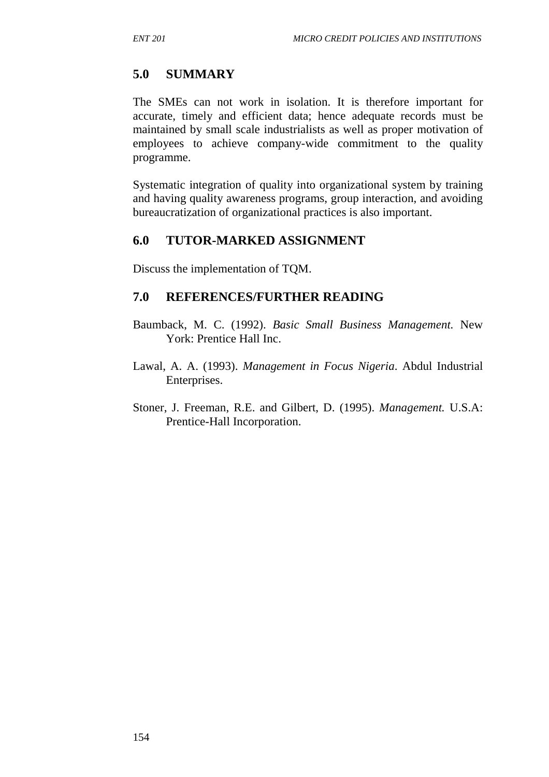# **5.0 SUMMARY**

The SMEs can not work in isolation. It is therefore important for accurate, timely and efficient data; hence adequate records must be maintained by small scale industrialists as well as proper motivation of employees to achieve company-wide commitment to the quality programme.

Systematic integration of quality into organizational system by training and having quality awareness programs, group interaction, and avoiding bureaucratization of organizational practices is also important.

## **6.0 TUTOR-MARKED ASSIGNMENT**

Discuss the implementation of TQM.

## **7.0 REFERENCES/FURTHER READING**

- Baumback, M. C. (1992). *Basic Small Business Management.* New York: Prentice Hall Inc.
- Lawal, A. A. (1993). *Management in Focus Nigeria*. Abdul Industrial Enterprises.
- Stoner, J. Freeman, R.E. and Gilbert, D. (1995). *Management.* U.S.A: Prentice-Hall Incorporation.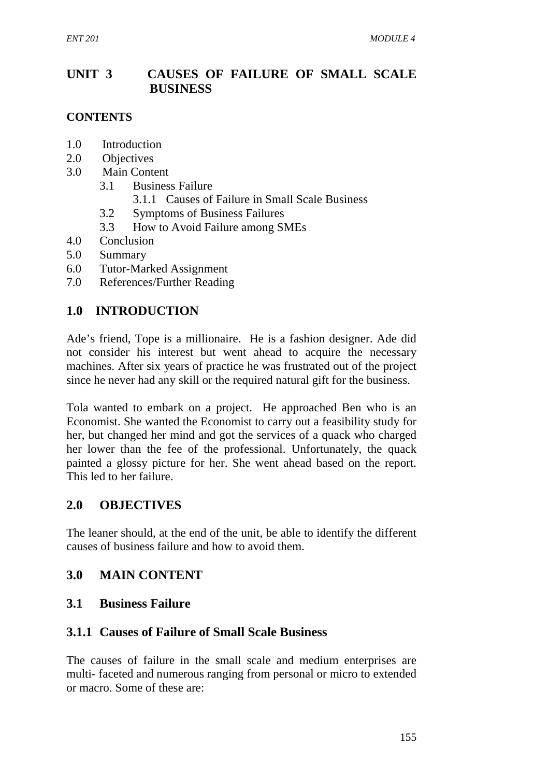# **UNIT 3 CAUSES OF FAILURE OF SMALL SCALE BUSINESS**

## **CONTENTS**

- 1.0 Introduction
- 2.0 Objectives
- 3.0 Main Content
	- 3.1 Business Failure
		- 3.1.1 Causes of Failure in Small Scale Business
	- 3.2 Symptoms of Business Failures
	- 3.3 How to Avoid Failure among SMEs
- 4.0 Conclusion
- 5.0 Summary
- 6.0 Tutor-Marked Assignment
- 7.0 References/Further Reading

## **1.0 INTRODUCTION**

Ade's friend, Tope is a millionaire. He is a fashion designer. Ade did not consider his interest but went ahead to acquire the necessary machines. After six years of practice he was frustrated out of the project since he never had any skill or the required natural gift for the business.

Tola wanted to embark on a project. He approached Ben who is an Economist. She wanted the Economist to carry out a feasibility study for her, but changed her mind and got the services of a quack who charged her lower than the fee of the professional. Unfortunately, the quack painted a glossy picture for her. She went ahead based on the report. This led to her failure.

## **2.0 OBJECTIVES**

The leaner should, at the end of the unit, be able to identify the different causes of business failure and how to avoid them.

## **3.0 MAIN CONTENT**

## **3.1 Business Failure**

## **3.1.1 Causes of Failure of Small Scale Business**

The causes of failure in the small scale and medium enterprises are multi- faceted and numerous ranging from personal or micro to extended or macro. Some of these are: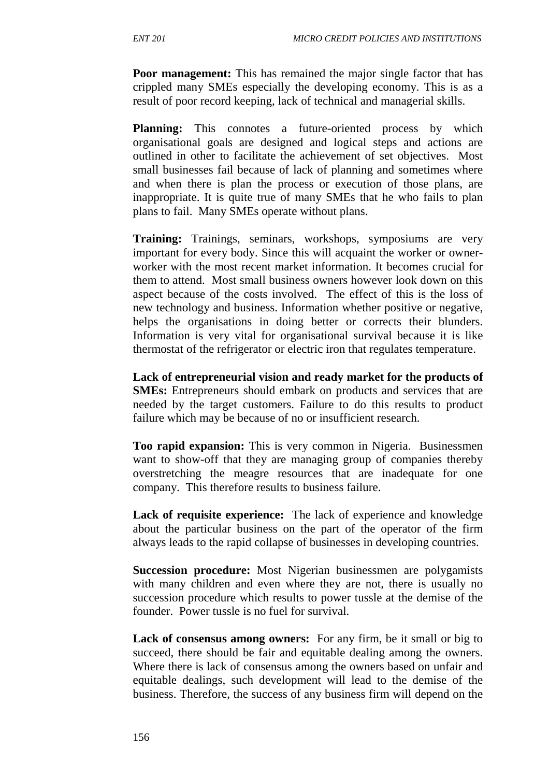**Poor management:** This has remained the major single factor that has crippled many SMEs especially the developing economy. This is as a result of poor record keeping, lack of technical and managerial skills.

**Planning:** This connotes a future-oriented process by which organisational goals are designed and logical steps and actions are outlined in other to facilitate the achievement of set objectives. Most small businesses fail because of lack of planning and sometimes where and when there is plan the process or execution of those plans, are inappropriate. It is quite true of many SMEs that he who fails to plan plans to fail. Many SMEs operate without plans.

**Training:** Trainings, seminars, workshops, symposiums are very important for every body. Since this will acquaint the worker or ownerworker with the most recent market information. It becomes crucial for them to attend. Most small business owners however look down on this aspect because of the costs involved. The effect of this is the loss of new technology and business. Information whether positive or negative, helps the organisations in doing better or corrects their blunders. Information is very vital for organisational survival because it is like thermostat of the refrigerator or electric iron that regulates temperature.

**Lack of entrepreneurial vision and ready market for the products of SMEs:** Entrepreneurs should embark on products and services that are needed by the target customers. Failure to do this results to product failure which may be because of no or insufficient research.

**Too rapid expansion:** This is very common in Nigeria. Businessmen want to show-off that they are managing group of companies thereby overstretching the meagre resources that are inadequate for one company. This therefore results to business failure.

**Lack of requisite experience:** The lack of experience and knowledge about the particular business on the part of the operator of the firm always leads to the rapid collapse of businesses in developing countries.

**Succession procedure:** Most Nigerian businessmen are polygamists with many children and even where they are not, there is usually no succession procedure which results to power tussle at the demise of the founder. Power tussle is no fuel for survival.

Lack of consensus among owners: For any firm, be it small or big to succeed, there should be fair and equitable dealing among the owners. Where there is lack of consensus among the owners based on unfair and equitable dealings, such development will lead to the demise of the business. Therefore, the success of any business firm will depend on the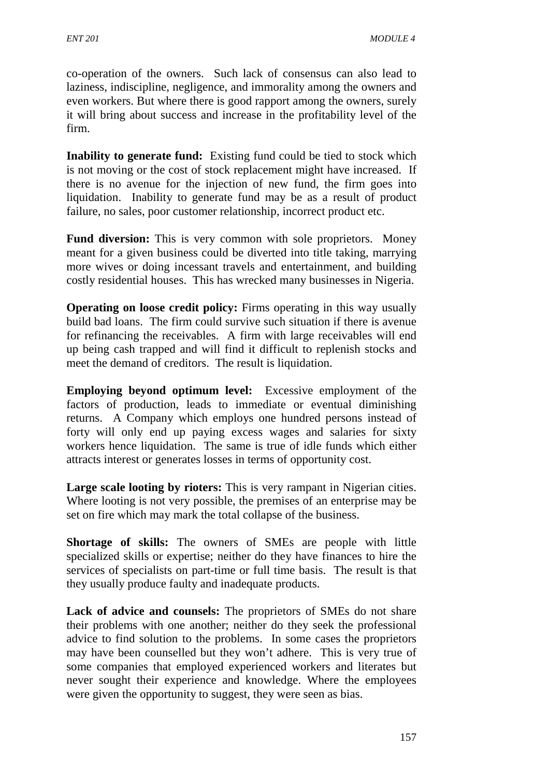co-operation of the owners. Such lack of consensus can also lead to laziness, indiscipline, negligence, and immorality among the owners and even workers. But where there is good rapport among the owners, surely it will bring about success and increase in the profitability level of the firm.

**Inability to generate fund:** Existing fund could be tied to stock which is not moving or the cost of stock replacement might have increased. If there is no avenue for the injection of new fund, the firm goes into liquidation. Inability to generate fund may be as a result of product failure, no sales, poor customer relationship, incorrect product etc.

**Fund diversion:** This is very common with sole proprietors. Money meant for a given business could be diverted into title taking, marrying more wives or doing incessant travels and entertainment, and building costly residential houses. This has wrecked many businesses in Nigeria.

**Operating on loose credit policy:** Firms operating in this way usually build bad loans. The firm could survive such situation if there is avenue for refinancing the receivables. A firm with large receivables will end up being cash trapped and will find it difficult to replenish stocks and meet the demand of creditors. The result is liquidation.

**Employing beyond optimum level:** Excessive employment of the factors of production, leads to immediate or eventual diminishing returns. A Company which employs one hundred persons instead of forty will only end up paying excess wages and salaries for sixty workers hence liquidation. The same is true of idle funds which either attracts interest or generates losses in terms of opportunity cost.

**Large scale looting by rioters:** This is very rampant in Nigerian cities. Where looting is not very possible, the premises of an enterprise may be set on fire which may mark the total collapse of the business.

**Shortage of skills:** The owners of SMEs are people with little specialized skills or expertise; neither do they have finances to hire the services of specialists on part-time or full time basis. The result is that they usually produce faulty and inadequate products.

**Lack of advice and counsels:** The proprietors of SMEs do not share their problems with one another; neither do they seek the professional advice to find solution to the problems. In some cases the proprietors may have been counselled but they won't adhere. This is very true of some companies that employed experienced workers and literates but never sought their experience and knowledge. Where the employees were given the opportunity to suggest, they were seen as bias.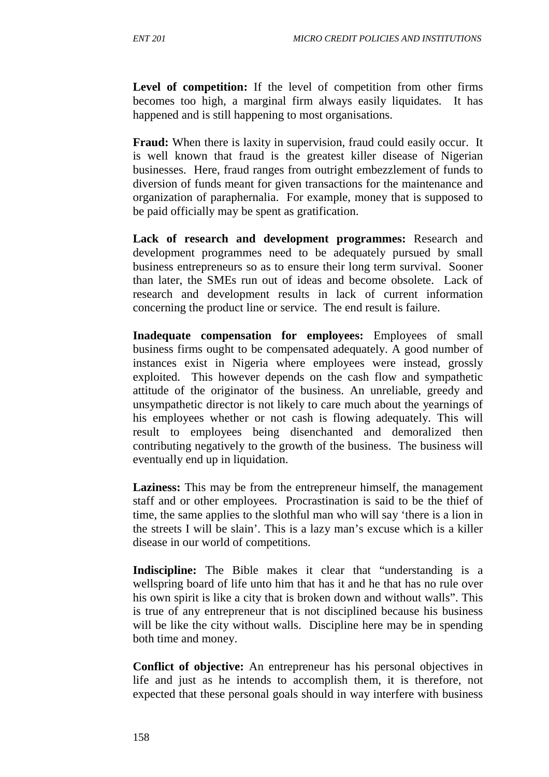Level of competition: If the level of competition from other firms becomes too high, a marginal firm always easily liquidates. It has happened and is still happening to most organisations.

**Fraud:** When there is laxity in supervision, fraud could easily occur. It is well known that fraud is the greatest killer disease of Nigerian businesses. Here, fraud ranges from outright embezzlement of funds to diversion of funds meant for given transactions for the maintenance and organization of paraphernalia. For example, money that is supposed to be paid officially may be spent as gratification.

**Lack of research and development programmes:** Research and development programmes need to be adequately pursued by small business entrepreneurs so as to ensure their long term survival. Sooner than later, the SMEs run out of ideas and become obsolete. Lack of research and development results in lack of current information concerning the product line or service. The end result is failure.

**Inadequate compensation for employees:** Employees of small business firms ought to be compensated adequately. A good number of instances exist in Nigeria where employees were instead, grossly exploited. This however depends on the cash flow and sympathetic attitude of the originator of the business. An unreliable, greedy and unsympathetic director is not likely to care much about the yearnings of his employees whether or not cash is flowing adequately. This will result to employees being disenchanted and demoralized then contributing negatively to the growth of the business. The business will eventually end up in liquidation.

**Laziness:** This may be from the entrepreneur himself, the management staff and or other employees. Procrastination is said to be the thief of time, the same applies to the slothful man who will say 'there is a lion in the streets I will be slain'. This is a lazy man's excuse which is a killer disease in our world of competitions.

**Indiscipline:** The Bible makes it clear that "understanding is a wellspring board of life unto him that has it and he that has no rule over his own spirit is like a city that is broken down and without walls". This is true of any entrepreneur that is not disciplined because his business will be like the city without walls. Discipline here may be in spending both time and money.

**Conflict of objective:** An entrepreneur has his personal objectives in life and just as he intends to accomplish them, it is therefore, not expected that these personal goals should in way interfere with business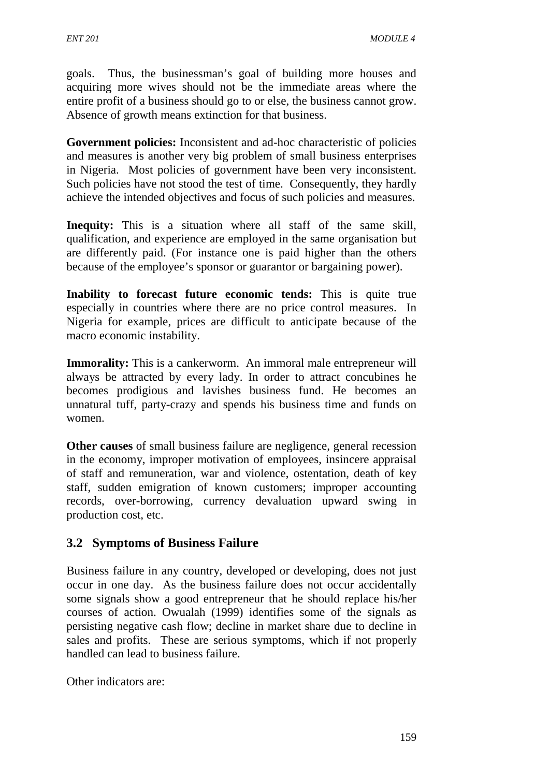goals. Thus, the businessman's goal of building more houses and acquiring more wives should not be the immediate areas where the entire profit of a business should go to or else, the business cannot grow. Absence of growth means extinction for that business.

**Government policies:** Inconsistent and ad-hoc characteristic of policies and measures is another very big problem of small business enterprises in Nigeria. Most policies of government have been very inconsistent. Such policies have not stood the test of time. Consequently, they hardly achieve the intended objectives and focus of such policies and measures.

**Inequity:** This is a situation where all staff of the same skill, qualification, and experience are employed in the same organisation but are differently paid. (For instance one is paid higher than the others because of the employee's sponsor or guarantor or bargaining power).

**Inability to forecast future economic tends:** This is quite true especially in countries where there are no price control measures. In Nigeria for example, prices are difficult to anticipate because of the macro economic instability.

**Immorality:** This is a cankerworm. An immoral male entrepreneur will always be attracted by every lady. In order to attract concubines he becomes prodigious and lavishes business fund. He becomes an unnatural tuff, party-crazy and spends his business time and funds on women.

**Other causes** of small business failure are negligence, general recession in the economy, improper motivation of employees, insincere appraisal of staff and remuneration, war and violence, ostentation, death of key staff, sudden emigration of known customers; improper accounting records, over-borrowing, currency devaluation upward swing in production cost, etc.

## **3.2 Symptoms of Business Failure**

Business failure in any country, developed or developing, does not just occur in one day. As the business failure does not occur accidentally some signals show a good entrepreneur that he should replace his/her courses of action. Owualah (1999) identifies some of the signals as persisting negative cash flow; decline in market share due to decline in sales and profits. These are serious symptoms, which if not properly handled can lead to business failure.

Other indicators are: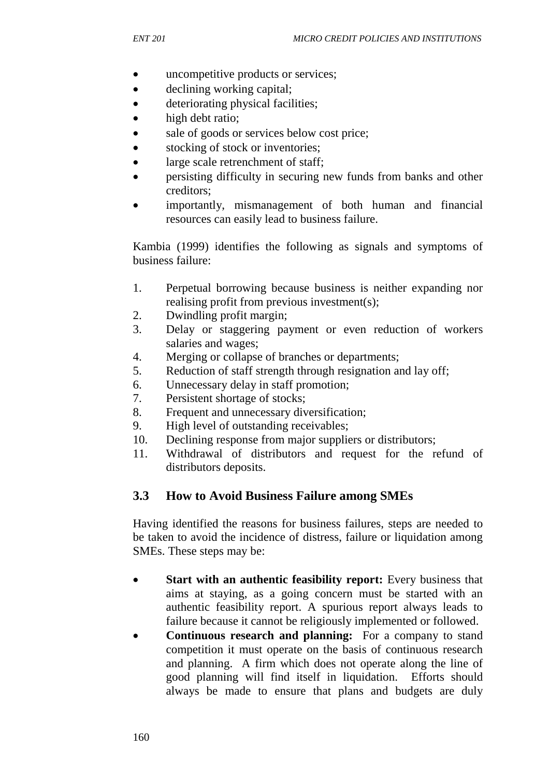- uncompetitive products or services;
- declining working capital;
- deteriorating physical facilities;
- high debt ratio;
- sale of goods or services below cost price;
- stocking of stock or inventories;
- large scale retrenchment of staff;
- persisting difficulty in securing new funds from banks and other creditors;
- importantly, mismanagement of both human and financial resources can easily lead to business failure.

Kambia (1999) identifies the following as signals and symptoms of business failure:

- 1. Perpetual borrowing because business is neither expanding nor realising profit from previous investment(s);
- 2. Dwindling profit margin;
- 3. Delay or staggering payment or even reduction of workers salaries and wages;
- 4. Merging or collapse of branches or departments;
- 5. Reduction of staff strength through resignation and lay off;
- 6. Unnecessary delay in staff promotion;
- 7. Persistent shortage of stocks;
- 8. Frequent and unnecessary diversification;
- 9. High level of outstanding receivables;
- 10. Declining response from major suppliers or distributors;
- 11. Withdrawal of distributors and request for the refund of distributors deposits.

## **3.3 How to Avoid Business Failure among SMEs**

Having identified the reasons for business failures, steps are needed to be taken to avoid the incidence of distress, failure or liquidation among SMEs. These steps may be:

- **Start with an authentic feasibility report:** Every business that aims at staying, as a going concern must be started with an authentic feasibility report. A spurious report always leads to failure because it cannot be religiously implemented or followed.
- **Continuous research and planning:** For a company to stand competition it must operate on the basis of continuous research and planning. A firm which does not operate along the line of good planning will find itself in liquidation. Efforts should always be made to ensure that plans and budgets are duly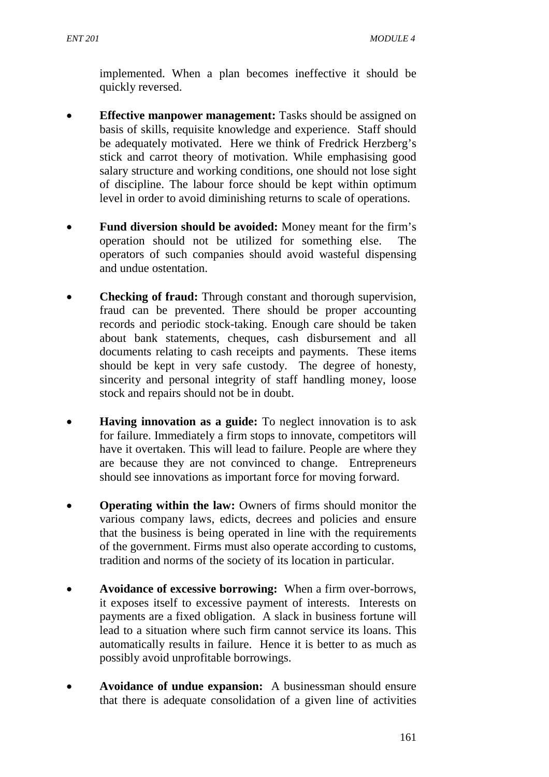implemented. When a plan becomes ineffective it should be quickly reversed.

- **Effective manpower management:** Tasks should be assigned on basis of skills, requisite knowledge and experience. Staff should be adequately motivated. Here we think of Fredrick Herzberg's stick and carrot theory of motivation. While emphasising good salary structure and working conditions, one should not lose sight of discipline. The labour force should be kept within optimum level in order to avoid diminishing returns to scale of operations.
- **Fund diversion should be avoided:** Money meant for the firm's operation should not be utilized for something else. operators of such companies should avoid wasteful dispensing and undue ostentation.
- **Checking of fraud:** Through constant and thorough supervision, fraud can be prevented. There should be proper accounting records and periodic stock-taking. Enough care should be taken about bank statements, cheques, cash disbursement and all documents relating to cash receipts and payments. These items should be kept in very safe custody. The degree of honesty, sincerity and personal integrity of staff handling money, loose stock and repairs should not be in doubt.
- **Having innovation as a guide:** To neglect innovation is to ask for failure. Immediately a firm stops to innovate, competitors will have it overtaken. This will lead to failure. People are where they are because they are not convinced to change. Entrepreneurs should see innovations as important force for moving forward.
- **Operating within the law:** Owners of firms should monitor the various company laws, edicts, decrees and policies and ensure that the business is being operated in line with the requirements of the government. Firms must also operate according to customs, tradition and norms of the society of its location in particular.
- **Avoidance of excessive borrowing:**When a firm over-borrows, it exposes itself to excessive payment of interests. Interests on payments are a fixed obligation. A slack in business fortune will lead to a situation where such firm cannot service its loans. This automatically results in failure. Hence it is better to as much as possibly avoid unprofitable borrowings.
- **Avoidance of undue expansion:** A businessman should ensure that there is adequate consolidation of a given line of activities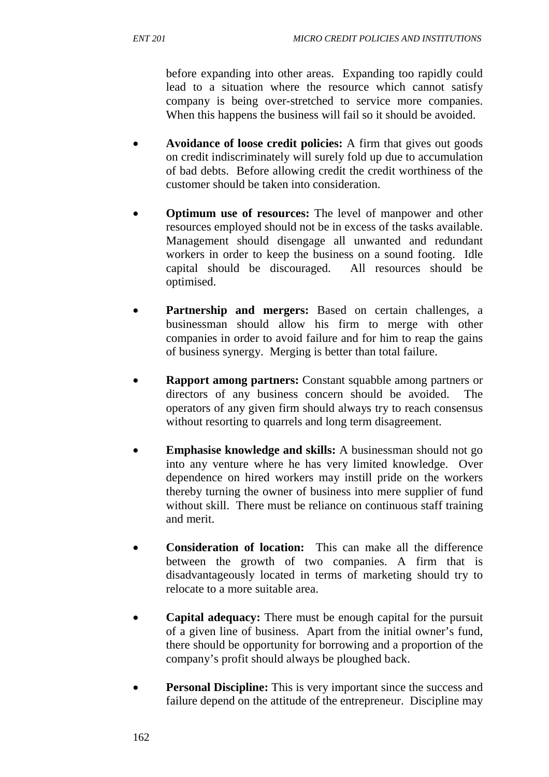before expanding into other areas. Expanding too rapidly could lead to a situation where the resource which cannot satisfy company is being over-stretched to service more companies. When this happens the business will fail so it should be avoided.

- **Avoidance of loose credit policies:** A firm that gives out goods on credit indiscriminately will surely fold up due to accumulation of bad debts. Before allowing credit the credit worthiness of the customer should be taken into consideration.
- **Optimum use of resources:** The level of manpower and other resources employed should not be in excess of the tasks available. Management should disengage all unwanted and redundant workers in order to keep the business on a sound footing. Idle capital should be discouraged. All resources should be optimised.
- **Partnership and mergers:** Based on certain challenges, a businessman should allow his firm to merge with other companies in order to avoid failure and for him to reap the gains of business synergy. Merging is better than total failure.
- **Rapport among partners:** Constant squabble among partners or directors of any business concern should be avoided. The operators of any given firm should always try to reach consensus without resorting to quarrels and long term disagreement.
- **Emphasise knowledge and skills:** A businessman should not go into any venture where he has very limited knowledge. Over dependence on hired workers may instill pride on the workers thereby turning the owner of business into mere supplier of fund without skill. There must be reliance on continuous staff training and merit.
- **Consideration of location:**This can make all the difference between the growth of two companies. A firm that is disadvantageously located in terms of marketing should try to relocate to a more suitable area.
- **Capital adequacy:** There must be enough capital for the pursuit of a given line of business. Apart from the initial owner's fund, there should be opportunity for borrowing and a proportion of the company's profit should always be ploughed back.
- **Personal Discipline:** This is very important since the success and failure depend on the attitude of the entrepreneur. Discipline may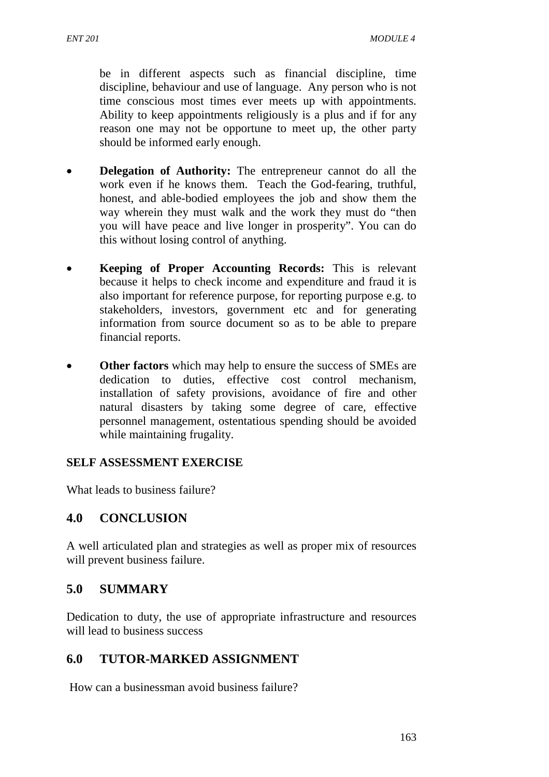be in different aspects such as financial discipline, time discipline, behaviour and use of language. Any person who is not time conscious most times ever meets up with appointments. Ability to keep appointments religiously is a plus and if for any reason one may not be opportune to meet up, the other party should be informed early enough.

- **Delegation of Authority:** The entrepreneur cannot do all the work even if he knows them. Teach the God-fearing, truthful, honest, and able-bodied employees the job and show them the way wherein they must walk and the work they must do "then you will have peace and live longer in prosperity". You can do this without losing control of anything.
- **Keeping of Proper Accounting Records:** This is relevant because it helps to check income and expenditure and fraud it is also important for reference purpose, for reporting purpose e.g. to stakeholders, investors, government etc and for generating information from source document so as to be able to prepare financial reports.
- **Other factors** which may help to ensure the success of SMEs are dedication to duties, effective cost control mechanism, installation of safety provisions, avoidance of fire and other natural disasters by taking some degree of care, effective personnel management, ostentatious spending should be avoided while maintaining frugality.

#### **SELF ASSESSMENT EXERCISE**

What leads to business failure?

## **4.0 CONCLUSION**

A well articulated plan and strategies as well as proper mix of resources will prevent business failure.

## **5.0 SUMMARY**

Dedication to duty, the use of appropriate infrastructure and resources will lead to business success

# **6.0 TUTOR-MARKED ASSIGNMENT**

How can a businessman avoid business failure?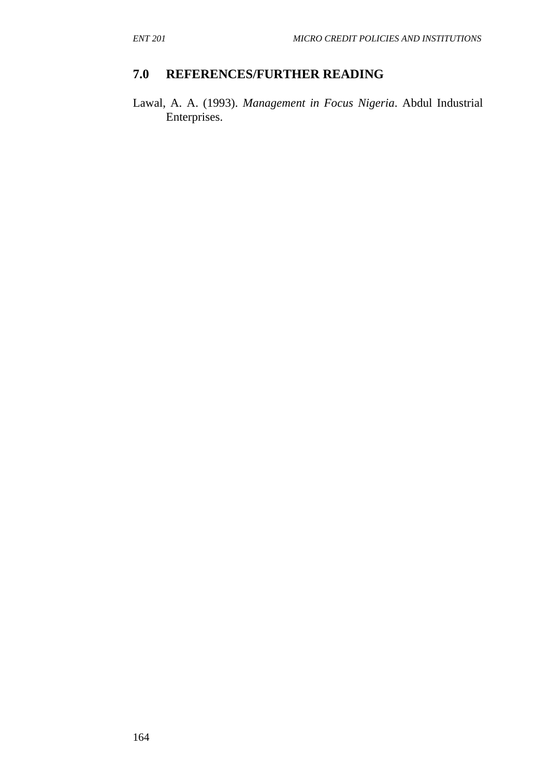# **7.0 REFERENCES/FURTHER READING**

Lawal, A. A. (1993). *Management in Focus Nigeria*. Abdul Industrial Enterprises.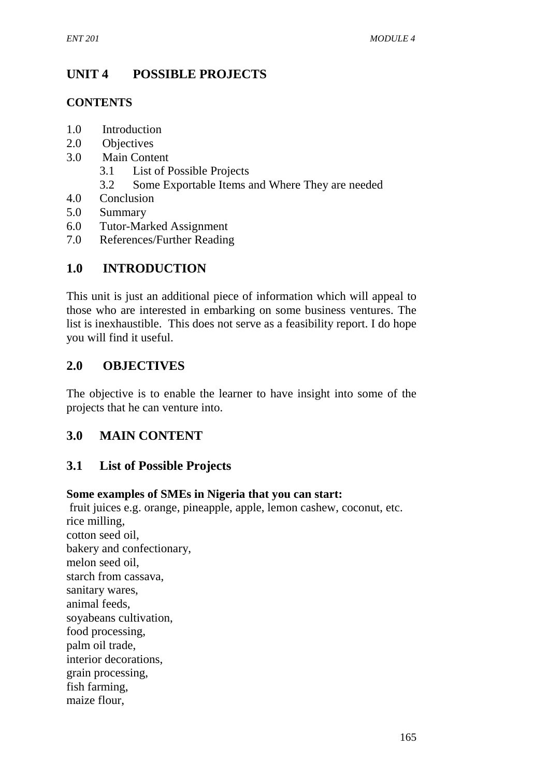# **UNIT 4 POSSIBLE PROJECTS**

### **CONTENTS**

- 1.0 Introduction
- 2.0 Objectives
- 3.0 Main Content
	- 3.1 List of Possible Projects
	- 3.2 Some Exportable Items and Where They are needed
- 4.0 Conclusion
- 5.0 Summary
- 6.0 Tutor-Marked Assignment
- 7.0 References/Further Reading

# **1.0 INTRODUCTION**

This unit is just an additional piece of information which will appeal to those who are interested in embarking on some business ventures. The list is inexhaustible. This does not serve as a feasibility report. I do hope you will find it useful.

## **2.0 OBJECTIVES**

The objective is to enable the learner to have insight into some of the projects that he can venture into.

## **3.0 MAIN CONTENT**

## **3.1 List of Possible Projects**

#### **Some examples of SMEs in Nigeria that you can start:**

fruit juices e.g. orange, pineapple, apple, lemon cashew, coconut, etc. rice milling, cotton seed oil, bakery and confectionary, melon seed oil, starch from cassava, sanitary wares, animal feeds, soyabeans cultivation, food processing, palm oil trade, interior decorations, grain processing, fish farming, maize flour,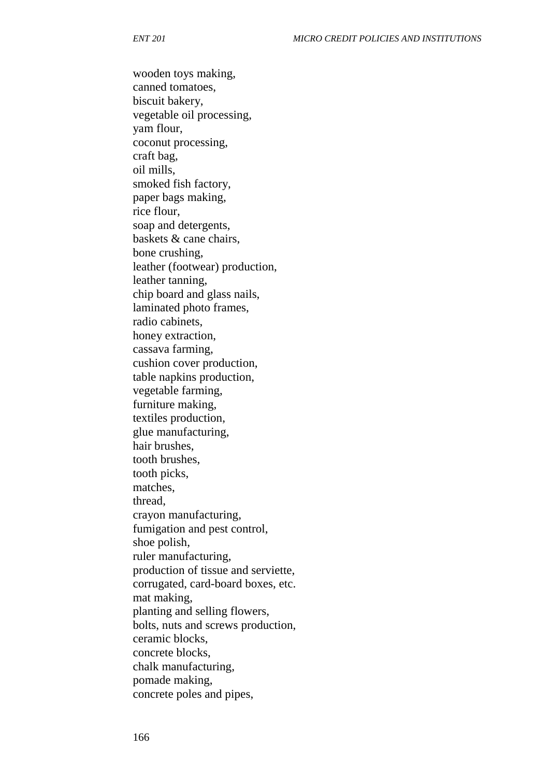wooden toys making, canned tomatoes, biscuit bakery, vegetable oil processing, yam flour, coconut processing, craft bag, oil mills, smoked fish factory, paper bags making, rice flour, soap and detergents, baskets & cane chairs, bone crushing, leather (footwear) production, leather tanning, chip board and glass nails, laminated photo frames, radio cabinets, honey extraction, cassava farming, cushion cover production, table napkins production, vegetable farming, furniture making, textiles production, glue manufacturing, hair brushes, tooth brushes, tooth picks, matches, thread, crayon manufacturing, fumigation and pest control, shoe polish, ruler manufacturing, production of tissue and serviette, corrugated, card-board boxes, etc. mat making, planting and selling flowers, bolts, nuts and screws production, ceramic blocks, concrete blocks, chalk manufacturing, pomade making, concrete poles and pipes,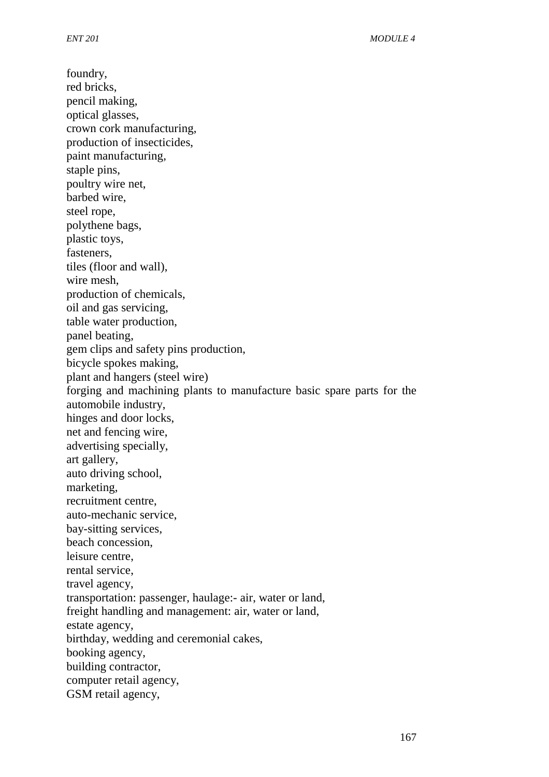foundry, red bricks, pencil making, optical glasses, crown cork manufacturing, production of insecticides, paint manufacturing, staple pins, poultry wire net, barbed wire, steel rope, polythene bags, plastic toys, fasteners, tiles (floor and wall), wire mesh, production of chemicals, oil and gas servicing, table water production, panel beating, gem clips and safety pins production, bicycle spokes making, plant and hangers (steel wire) forging and machining plants to manufacture basic spare parts for the automobile industry, hinges and door locks, net and fencing wire, advertising specially, art gallery, auto driving school, marketing, recruitment centre, auto-mechanic service, bay-sitting services, beach concession, leisure centre, rental service, travel agency, transportation: passenger, haulage:- air, water or land, freight handling and management: air, water or land, estate agency, birthday, wedding and ceremonial cakes, booking agency, building contractor, computer retail agency, GSM retail agency,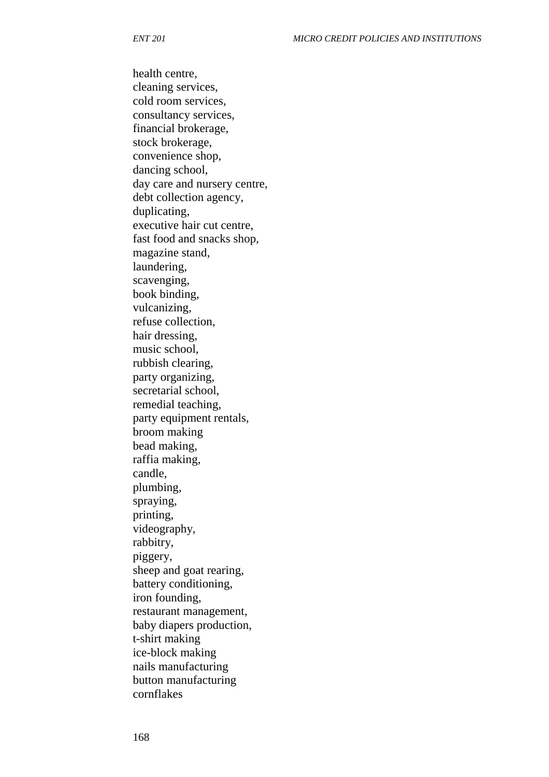health centre, cleaning services, cold room services, consultancy services, financial brokerage, stock brokerage, convenience shop, dancing school, day care and nursery centre, debt collection agency, duplicating, executive hair cut centre, fast food and snacks shop, magazine stand, laundering, scavenging, book binding, vulcanizing, refuse collection, hair dressing, music school, rubbish clearing, party organizing, secretarial school, remedial teaching, party equipment rentals, broom making bead making, raffia making, candle, plumbing, spraying, printing, videography, rabbitry, piggery, sheep and goat rearing, battery conditioning, iron founding, restaurant management, baby diapers production, t-shirt making ice-block making nails manufacturing button manufacturing cornflakes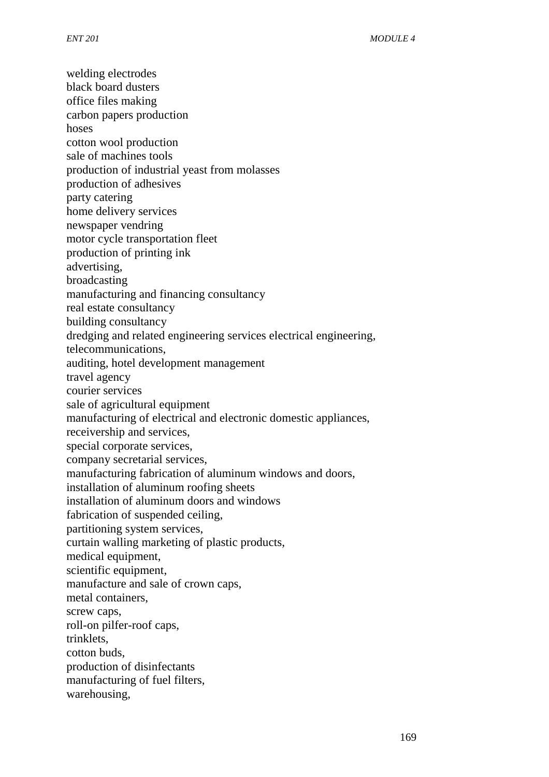welding electrodes black board dusters office files making carbon papers production hoses cotton wool production sale of machines tools production of industrial yeast from molasses production of adhesives party catering home delivery services newspaper vendring motor cycle transportation fleet production of printing ink advertising, broadcasting manufacturing and financing consultancy real estate consultancy building consultancy dredging and related engineering services electrical engineering, telecommunications, auditing, hotel development management travel agency courier services sale of agricultural equipment manufacturing of electrical and electronic domestic appliances, receivership and services, special corporate services, company secretarial services, manufacturing fabrication of aluminum windows and doors, installation of aluminum roofing sheets installation of aluminum doors and windows fabrication of suspended ceiling, partitioning system services, curtain walling marketing of plastic products, medical equipment, scientific equipment, manufacture and sale of crown caps, metal containers, screw caps, roll-on pilfer-roof caps, trinklets, cotton buds, production of disinfectants manufacturing of fuel filters, warehousing,